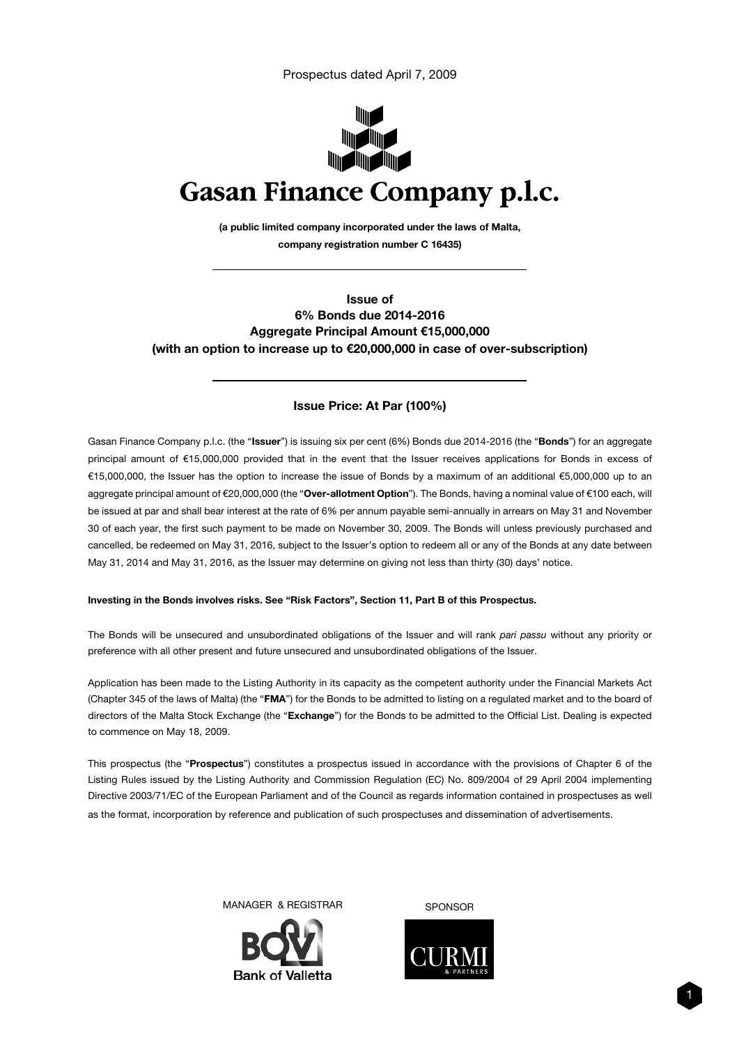Prospectus dated April 7, 2009



(a public limited company incorporated under the laws of Malta, company registration number C 16435)

Issue of 6% Bonds due 2014-2016 Aggregate Principal Amount €15,000,000 (with an option to increase up to €20,000,000 in case of over-subscription)

# Issue Price: At Par (100%)

Gasan Finance Company p.l.c. (the "Issuer") is issuing six per cent (6%) Bonds due 2014-2016 (the "Bonds") for an aggregate principal amount of €15,000,000 provided that in the event that the Issuer receives applications for Bonds in excess of €15,000,000, the Issuer has the option to increase the issue of Bonds by a maximum of an additional €5,000,000 up to an aggregate principal amount of €20,000,000 (the "Over-allotment Option"). The Bonds, having a nominal value of €100 each, will be issued at par and shall bear interest at the rate of 6% per annum payable semi-annually in arrears on May 31 and November 30 of each year, the first such payment to be made on November 30, 2009. The Bonds will unless previously purchased and cancelled, be redeemed on May 31, 2016, subject to the Issuer's option to redeem all or any of the Bonds at any date between May 31, 2014 and May 31, 2016, as the Issuer may determine on giving not less than thirty (30) days' notice.

#### Investing in the Bonds involves risks. See "Risk Factors", Section 11, Part B of this Prospectus.

The Bonds will be unsecured and unsubordinated obligations of the Issuer and will rank *pari passu* without any priority or preference with all other present and future unsecured and unsubordinated obligations of the Issuer.

Application has been made to the Listing Authority in its capacity as the competent authority under the Financial Markets Act (Chapter 345 of the laws of Malta) (the "FMA") for the Bonds to be admitted to listing on a regulated market and to the board of directors of the Malta Stock Exchange (the "Exchange") for the Bonds to be admitted to the Official List. Dealing is expected to commence on May 18, 2009.

This prospectus (the "Prospectus") constitutes a prospectus issued in accordance with the provisions of Chapter 6 of the Listing Rules issued by the Listing Authority and Commission Regulation (EC) No. 809/2004 of 29 April 2004 implementing Directive 2003/71/EC of the European Parliament and of the Council as regards information contained in prospectuses as well as the format, incorporation by reference and publication of such prospectuses and dissemination of advertisements.

MANAGER & REGISTRAR SPONSOR



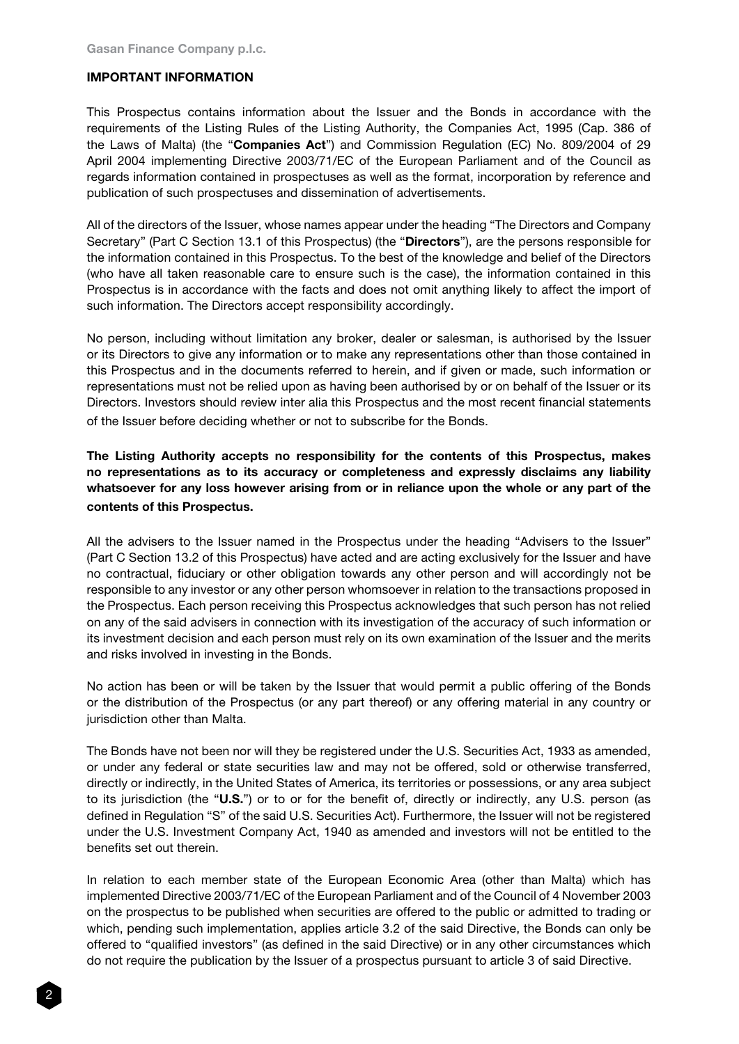## IMPORTANT INFORMATION

This Prospectus contains information about the Issuer and the Bonds in accordance with the requirements of the Listing Rules of the Listing Authority, the Companies Act, 1995 (Cap. 386 of the Laws of Malta) (the "Companies Act") and Commission Regulation (EC) No. 809/2004 of 29 April 2004 implementing Directive 2003/71/EC of the European Parliament and of the Council as regards information contained in prospectuses as well as the format, incorporation by reference and publication of such prospectuses and dissemination of advertisements.

All of the directors of the Issuer, whose names appear under the heading "The Directors and Company Secretary" (Part C Section 13.1 of this Prospectus) (the "Directors"), are the persons responsible for the information contained in this Prospectus. To the best of the knowledge and belief of the Directors (who have all taken reasonable care to ensure such is the case), the information contained in this Prospectus is in accordance with the facts and does not omit anything likely to affect the import of such information. The Directors accept responsibility accordingly.

No person, including without limitation any broker, dealer or salesman, is authorised by the Issuer or its Directors to give any information or to make any representations other than those contained in this Prospectus and in the documents referred to herein, and if given or made, such information or representations must not be relied upon as having been authorised by or on behalf of the Issuer or its Directors. Investors should review inter alia this Prospectus and the most recent financial statements of the Issuer before deciding whether or not to subscribe for the Bonds.

The Listing Authority accepts no responsibility for the contents of this Prospectus, makes no representations as to its accuracy or completeness and expressly disclaims any liability whatsoever for any loss however arising from or in reliance upon the whole or any part of the contents of this Prospectus.

All the advisers to the Issuer named in the Prospectus under the heading "Advisers to the Issuer" (Part C Section 13.2 of this Prospectus) have acted and are acting exclusively for the Issuer and have no contractual, fiduciary or other obligation towards any other person and will accordingly not be responsible to any investor or any other person whomsoever in relation to the transactions proposed in the Prospectus. Each person receiving this Prospectus acknowledges that such person has not relied on any of the said advisers in connection with its investigation of the accuracy of such information or its investment decision and each person must rely on its own examination of the Issuer and the merits and risks involved in investing in the Bonds.

No action has been or will be taken by the Issuer that would permit a public offering of the Bonds or the distribution of the Prospectus (or any part thereof) or any offering material in any country or jurisdiction other than Malta.

The Bonds have not been nor will they be registered under the U.S. Securities Act, 1933 as amended, or under any federal or state securities law and may not be offered, sold or otherwise transferred, directly or indirectly, in the United States of America, its territories or possessions, or any area subject to its jurisdiction (the "U.S.") or to or for the benefit of, directly or indirectly, any U.S. person (as defined in Regulation "S" of the said U.S. Securities Act). Furthermore, the Issuer will not be registered under the U.S. Investment Company Act, 1940 as amended and investors will not be entitled to the benefits set out therein.

In relation to each member state of the European Economic Area (other than Malta) which has implemented Directive 2003/71/EC of the European Parliament and of the Council of 4 November 2003 on the prospectus to be published when securities are offered to the public or admitted to trading or which, pending such implementation, applies article 3.2 of the said Directive, the Bonds can only be offered to "qualified investors" (as defined in the said Directive) or in any other circumstances which do not require the publication by the Issuer of a prospectus pursuant to article 3 of said Directive.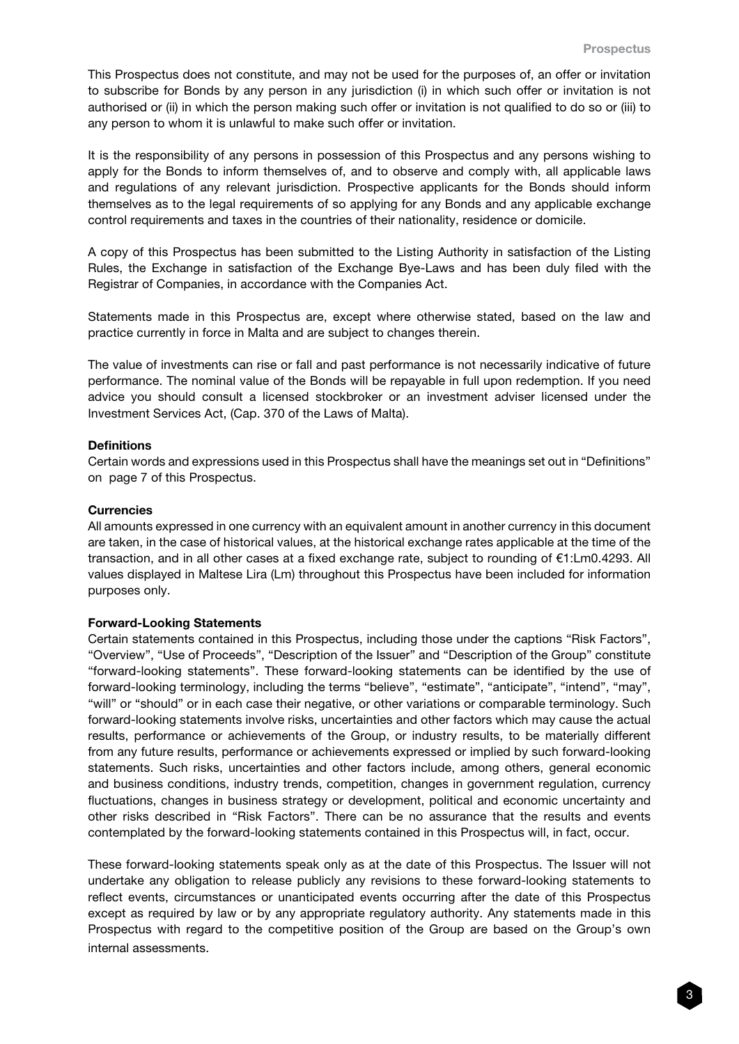This Prospectus does not constitute, and may not be used for the purposes of, an offer or invitation to subscribe for Bonds by any person in any jurisdiction (i) in which such offer or invitation is not authorised or (ii) in which the person making such offer or invitation is not qualified to do so or (iii) to any person to whom it is unlawful to make such offer or invitation.

It is the responsibility of any persons in possession of this Prospectus and any persons wishing to apply for the Bonds to inform themselves of, and to observe and comply with, all applicable laws and regulations of any relevant jurisdiction. Prospective applicants for the Bonds should inform themselves as to the legal requirements of so applying for any Bonds and any applicable exchange control requirements and taxes in the countries of their nationality, residence or domicile.

A copy of this Prospectus has been submitted to the Listing Authority in satisfaction of the Listing Rules, the Exchange in satisfaction of the Exchange Bye-Laws and has been duly filed with the Registrar of Companies, in accordance with the Companies Act.

Statements made in this Prospectus are, except where otherwise stated, based on the law and practice currently in force in Malta and are subject to changes therein.

The value of investments can rise or fall and past performance is not necessarily indicative of future performance. The nominal value of the Bonds will be repayable in full upon redemption. If you need advice you should consult a licensed stockbroker or an investment adviser licensed under the Investment Services Act, (Cap. 370 of the Laws of Malta).

#### **Definitions**

Certain words and expressions used in this Prospectus shall have the meanings set out in "Definitions" on page 7 of this Prospectus.

#### **Currencies**

All amounts expressed in one currency with an equivalent amount in another currency in this document are taken, in the case of historical values, at the historical exchange rates applicable at the time of the transaction, and in all other cases at a fixed exchange rate, subject to rounding of €1:Lm0.4293. All values displayed in Maltese Lira (Lm) throughout this Prospectus have been included for information purposes only.

#### Forward-Looking Statements

Certain statements contained in this Prospectus, including those under the captions "Risk Factors", "Overview", "Use of Proceeds", "Description of the Issuer" and "Description of the Group" constitute "forward-looking statements". These forward-looking statements can be identified by the use of forward-looking terminology, including the terms "believe", "estimate", "anticipate", "intend", "may", "will" or "should" or in each case their negative, or other variations or comparable terminology. Such forward-looking statements involve risks, uncertainties and other factors which may cause the actual results, performance or achievements of the Group, or industry results, to be materially different from any future results, performance or achievements expressed or implied by such forward-looking statements. Such risks, uncertainties and other factors include, among others, general economic and business conditions, industry trends, competition, changes in government regulation, currency fluctuations, changes in business strategy or development, political and economic uncertainty and other risks described in "Risk Factors". There can be no assurance that the results and events contemplated by the forward-looking statements contained in this Prospectus will, in fact, occur.

These forward-looking statements speak only as at the date of this Prospectus. The Issuer will not undertake any obligation to release publicly any revisions to these forward-looking statements to reflect events, circumstances or unanticipated events occurring after the date of this Prospectus except as required by law or by any appropriate regulatory authority. Any statements made in this Prospectus with regard to the competitive position of the Group are based on the Group's own internal assessments.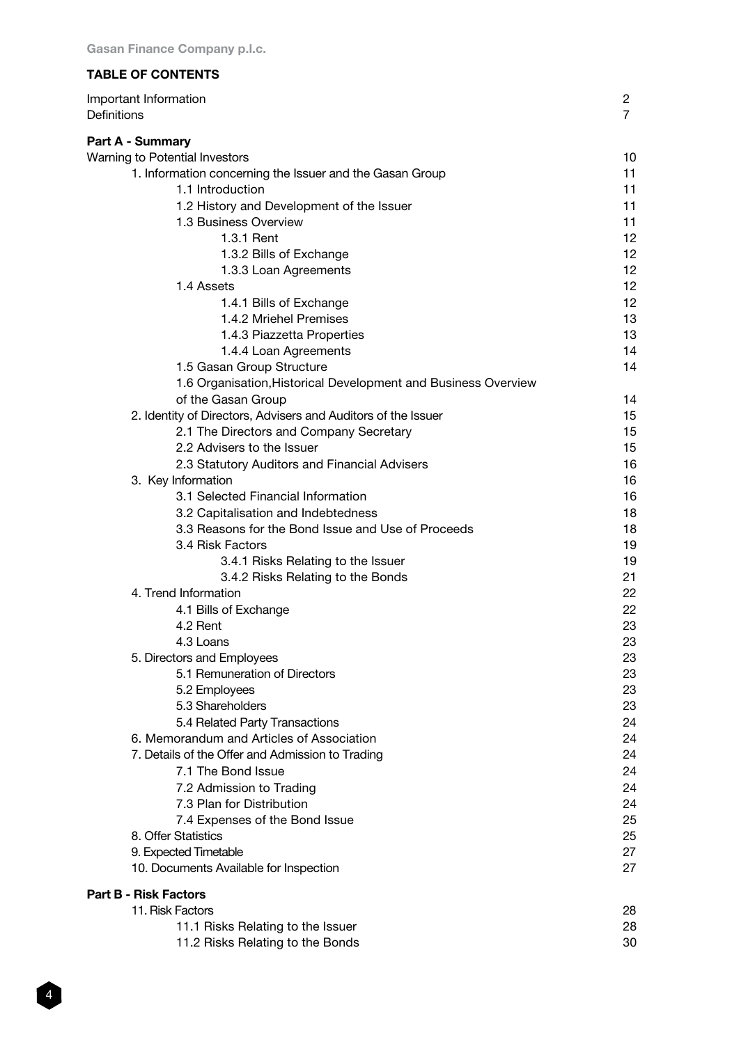# TABLE OF CONTENTS

| Important Information<br>Definitions                           | $\overline{c}$<br>$\overline{7}$ |
|----------------------------------------------------------------|----------------------------------|
| Part A - Summary                                               |                                  |
| Warning to Potential Investors                                 | 10                               |
| 1. Information concerning the Issuer and the Gasan Group       | 11                               |
| 1.1 Introduction                                               | 11                               |
| 1.2 History and Development of the Issuer                      | 11                               |
| 1.3 Business Overview                                          | 11                               |
| 1.3.1 Rent                                                     | 12                               |
| 1.3.2 Bills of Exchange                                        | 12                               |
| 1.3.3 Loan Agreements                                          | 12                               |
| 1.4 Assets                                                     | 12                               |
| 1.4.1 Bills of Exchange                                        | 12                               |
| 1.4.2 Mriehel Premises                                         | 13                               |
| 1.4.3 Piazzetta Properties                                     | 13                               |
| 1.4.4 Loan Agreements                                          | 14                               |
| 1.5 Gasan Group Structure                                      | 14                               |
| 1.6 Organisation, Historical Development and Business Overview |                                  |
| of the Gasan Group                                             | 14                               |
| 2. Identity of Directors, Advisers and Auditors of the Issuer  | 15                               |
| 2.1 The Directors and Company Secretary                        | 15                               |
| 2.2 Advisers to the Issuer                                     | 15                               |
| 2.3 Statutory Auditors and Financial Advisers                  | 16                               |
| 3. Key Information                                             | 16                               |
| 3.1 Selected Financial Information                             | 16                               |
| 3.2 Capitalisation and Indebtedness                            | 18                               |
| 3.3 Reasons for the Bond Issue and Use of Proceeds             | 18                               |
| 3.4 Risk Factors                                               | 19                               |
| 3.4.1 Risks Relating to the Issuer                             | 19                               |
| 3.4.2 Risks Relating to the Bonds                              | 21                               |
| 4. Trend Information                                           | 22                               |
| 4.1 Bills of Exchange                                          | 22                               |
| 4.2 Rent                                                       | 23                               |
| 4.3 Loans                                                      | 23                               |
| 5. Directors and Employees                                     | 23                               |
| 5.1 Remuneration of Directors                                  | 23                               |
| 5.2 Employees                                                  | 23                               |
| 5.3 Shareholders                                               | 23                               |
| 5.4 Related Party Transactions                                 | 24                               |
| 6. Memorandum and Articles of Association                      | 24                               |
| 7. Details of the Offer and Admission to Trading               | 24                               |
| 7.1 The Bond Issue                                             | 24                               |
| 7.2 Admission to Trading                                       | 24                               |
| 7.3 Plan for Distribution                                      | 24                               |
| 7.4 Expenses of the Bond Issue                                 | 25                               |
| 8. Offer Statistics                                            | 25                               |
| 9. Expected Timetable                                          | 27                               |
| 10. Documents Available for Inspection                         | 27                               |
| <b>Part B - Risk Factors</b>                                   |                                  |
| 11. Risk Factors                                               | 28                               |
| 11.1 Risks Relating to the Issuer                              | 28                               |
| 11.2 Risks Relating to the Bonds                               | 30                               |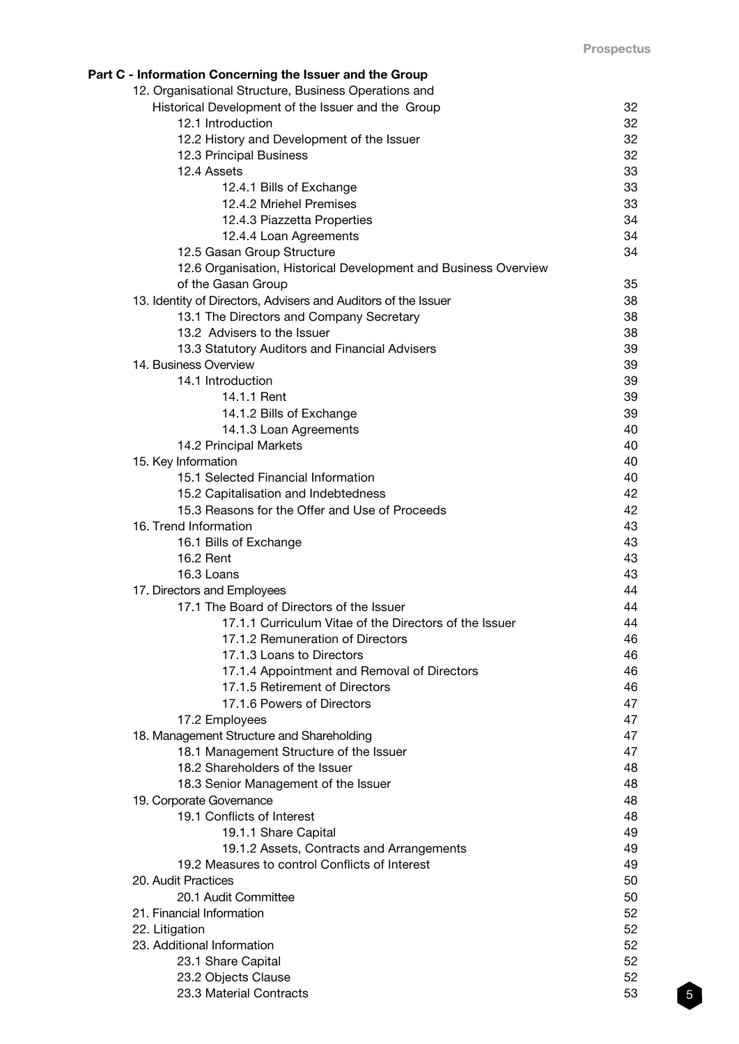| Part C - Information Concerning the Issuer and the Group<br>12. Organisational Structure, Business Operations and |          |
|-------------------------------------------------------------------------------------------------------------------|----------|
| Historical Development of the Issuer and the Group                                                                | 32       |
| 12.1 Introduction                                                                                                 | 32       |
| 12.2 History and Development of the Issuer                                                                        | 32       |
| 12.3 Principal Business                                                                                           | 32       |
| 12.4 Assets                                                                                                       | 33       |
| 12.4.1 Bills of Exchange                                                                                          | 33       |
| 12.4.2 Mriehel Premises                                                                                           | 33       |
| 12.4.3 Piazzetta Properties                                                                                       | 34       |
| 12.4.4 Loan Agreements                                                                                            | 34       |
| 12.5 Gasan Group Structure                                                                                        | 34       |
| 12.6 Organisation, Historical Development and Business Overview                                                   |          |
| of the Gasan Group                                                                                                | 35       |
| 13. Identity of Directors, Advisers and Auditors of the Issuer                                                    | 38       |
| 13.1 The Directors and Company Secretary                                                                          | 38       |
| 13.2 Advisers to the Issuer                                                                                       | 38       |
| 13.3 Statutory Auditors and Financial Advisers                                                                    | 39       |
| 14. Business Overview                                                                                             | 39       |
| 14.1 Introduction                                                                                                 | 39       |
| 14.1.1 Rent                                                                                                       | 39       |
| 14.1.2 Bills of Exchange                                                                                          | 39       |
| 14.1.3 Loan Agreements                                                                                            | 40       |
| 14.2 Principal Markets                                                                                            | 40       |
| 15. Key Information                                                                                               | 40       |
| 15.1 Selected Financial Information                                                                               | 40       |
| 15.2 Capitalisation and Indebtedness<br>15.3 Reasons for the Offer and Use of Proceeds                            | 42<br>42 |
| 16. Trend Information                                                                                             | 43       |
| 16.1 Bills of Exchange                                                                                            | 43       |
| 16.2 Rent                                                                                                         | 43       |
| 16.3 Loans                                                                                                        | 43       |
| 17. Directors and Employees                                                                                       | 44       |
| 17.1 The Board of Directors of the Issuer                                                                         | 44       |
| 17.1.1 Curriculum Vitae of the Directors of the Issuer                                                            | 44       |
| 17.1.2 Remuneration of Directors                                                                                  | 46       |
| 17.1.3 Loans to Directors                                                                                         | 46       |
| 17.1.4 Appointment and Removal of Directors                                                                       | 46       |
| 17.1.5 Retirement of Directors                                                                                    | 46       |
| 17.1.6 Powers of Directors                                                                                        | 47       |
| 17.2 Employees                                                                                                    | 47       |
| 18. Management Structure and Shareholding                                                                         | 47       |
| 18.1 Management Structure of the Issuer                                                                           | 47       |
| 18.2 Shareholders of the Issuer                                                                                   | 48       |
| 18.3 Senior Management of the Issuer                                                                              | 48       |
| 19. Corporate Governance                                                                                          | 48       |
| 19.1 Conflicts of Interest                                                                                        | 48       |
| 19.1.1 Share Capital                                                                                              | 49       |
| 19.1.2 Assets, Contracts and Arrangements                                                                         | 49       |
| 19.2 Measures to control Conflicts of Interest<br>20. Audit Practices                                             | 49<br>50 |
| 20.1 Audit Committee                                                                                              | 50       |
| 21. Financial Information                                                                                         | 52       |
| 22. Litigation                                                                                                    | 52       |
| 23. Additional Information                                                                                        | 52       |
| 23.1 Share Capital                                                                                                | 52       |
| 23.2 Objects Clause                                                                                               | 52       |
| 23.3 Material Contracts                                                                                           | 53       |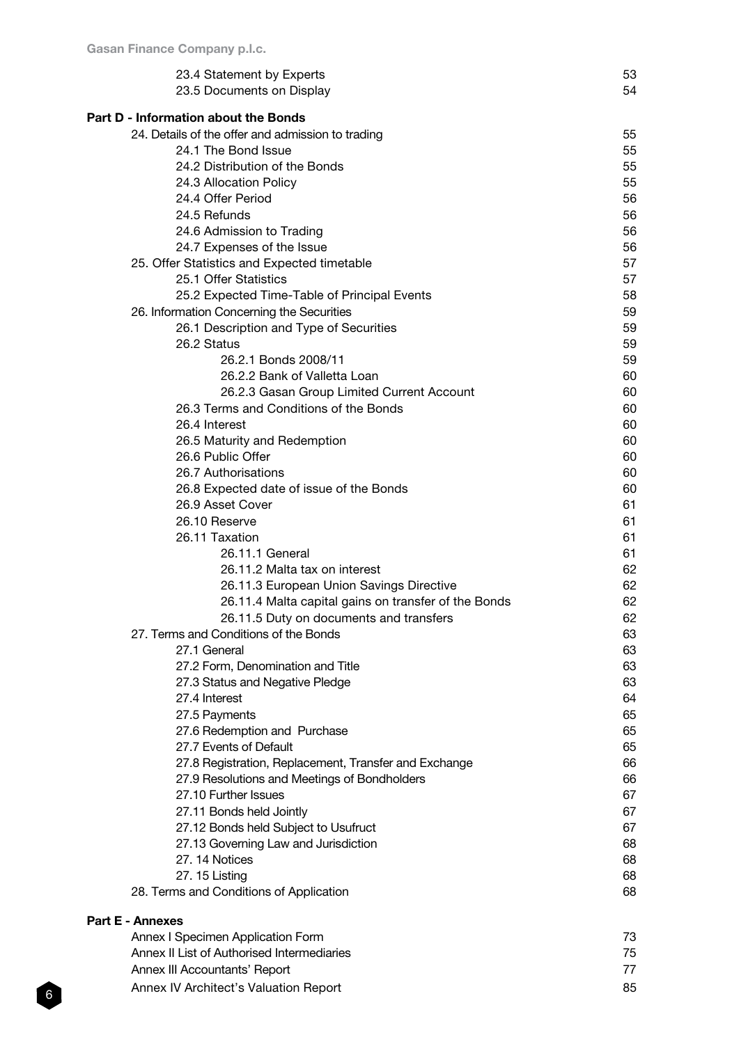| 23.4 Statement by Experts                                    | 53       |
|--------------------------------------------------------------|----------|
| 23.5 Documents on Display                                    | 54       |
| <b>Part D - Information about the Bonds</b>                  |          |
| 24. Details of the offer and admission to trading            | 55       |
| 24.1 The Bond Issue                                          | 55       |
| 24.2 Distribution of the Bonds                               | 55       |
| 24.3 Allocation Policy                                       | 55       |
| 24.4 Offer Period                                            | 56       |
| 24.5 Refunds                                                 | 56       |
| 24.6 Admission to Trading                                    | 56       |
| 24.7 Expenses of the Issue                                   | 56       |
| 25. Offer Statistics and Expected timetable                  | 57       |
| 25.1 Offer Statistics                                        | 57       |
| 25.2 Expected Time-Table of Principal Events                 | 58       |
| 26. Information Concerning the Securities                    | 59       |
| 26.1 Description and Type of Securities                      | 59       |
| 26.2 Status                                                  | 59       |
| 26.2.1 Bonds 2008/11                                         | 59       |
| 26.2.2 Bank of Valletta Loan                                 | 60       |
| 26.2.3 Gasan Group Limited Current Account                   | 60       |
| 26.3 Terms and Conditions of the Bonds                       | 60       |
| 26.4 Interest                                                | 60       |
| 26.5 Maturity and Redemption                                 | 60       |
| 26.6 Public Offer                                            | 60       |
| 26.7 Authorisations                                          | 60       |
| 26.8 Expected date of issue of the Bonds                     | 60       |
| 26.9 Asset Cover                                             | 61       |
| 26.10 Reserve                                                | 61       |
| 26.11 Taxation                                               | 61       |
| 26.11.1 General                                              | 61       |
| 26.11.2 Malta tax on interest                                | 62       |
| 26.11.3 European Union Savings Directive                     | 62       |
| 26.11.4 Malta capital gains on transfer of the Bonds         | 62       |
| 26.11.5 Duty on documents and transfers                      | 62       |
| 27. Terms and Conditions of the Bonds                        | 63       |
| 27.1 General                                                 | 63       |
| 27.2 Form, Denomination and Title                            | 63       |
| 27.3 Status and Negative Pledge<br>27.4 Interest             | 63<br>64 |
|                                                              | 65       |
| 27.5 Payments<br>27.6 Redemption and Purchase                | 65       |
| 27.7 Events of Default                                       | 65       |
| 27.8 Registration, Replacement, Transfer and Exchange        | 66       |
| 27.9 Resolutions and Meetings of Bondholders                 | 66       |
| 27.10 Further Issues                                         | 67       |
| 27.11 Bonds held Jointly                                     | 67       |
| 27.12 Bonds held Subject to Usufruct                         | 67       |
| 27.13 Governing Law and Jurisdiction                         | 68       |
| 27.14 Notices                                                | 68       |
| 27. 15 Listing                                               | 68       |
| 28. Terms and Conditions of Application                      | 68       |
|                                                              |          |
| <b>Part E - Annexes</b><br>Annex I Specimen Application Form | 73       |
| Annex II List of Authorised Intermediaries                   | 75       |
|                                                              |          |

| Annex III Accountants' Report |  |
|-------------------------------|--|

Annex IV Architect's Valuation Report 85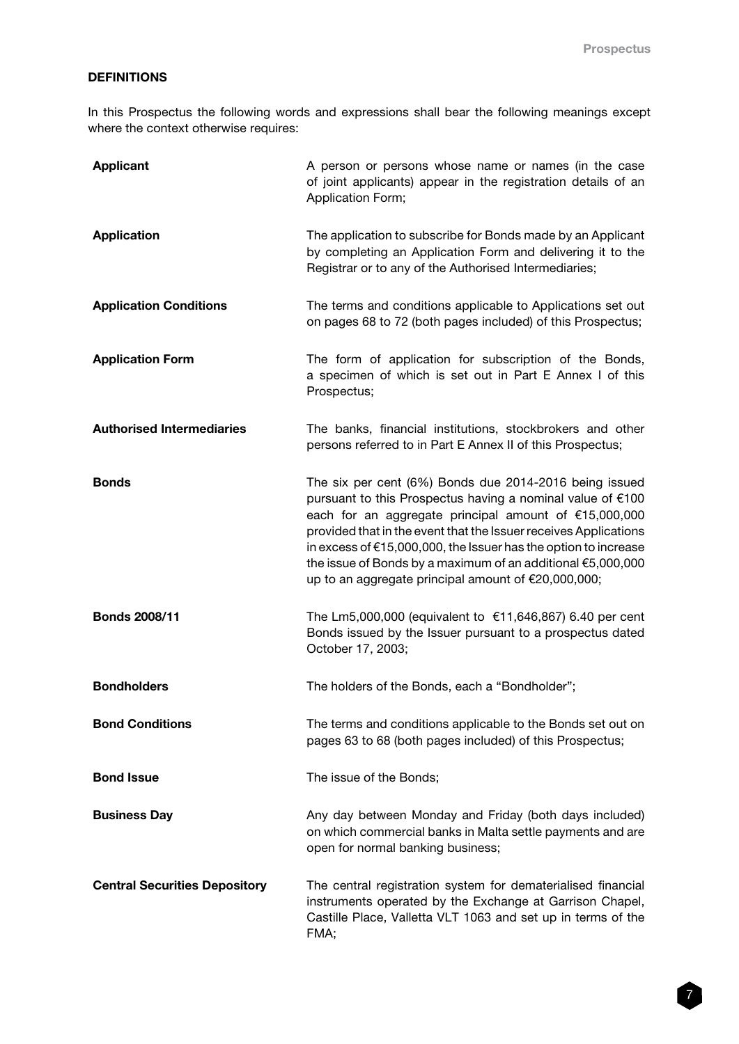# DEFINITIONS

In this Prospectus the following words and expressions shall bear the following meanings except where the context otherwise requires:

| <b>Applicant</b>                     | A person or persons whose name or names (in the case<br>of joint applicants) appear in the registration details of an<br>Application Form;                                                                                                                                                                                                                                                                                                 |
|--------------------------------------|--------------------------------------------------------------------------------------------------------------------------------------------------------------------------------------------------------------------------------------------------------------------------------------------------------------------------------------------------------------------------------------------------------------------------------------------|
| <b>Application</b>                   | The application to subscribe for Bonds made by an Applicant<br>by completing an Application Form and delivering it to the<br>Registrar or to any of the Authorised Intermediaries;                                                                                                                                                                                                                                                         |
| <b>Application Conditions</b>        | The terms and conditions applicable to Applications set out<br>on pages 68 to 72 (both pages included) of this Prospectus;                                                                                                                                                                                                                                                                                                                 |
| <b>Application Form</b>              | The form of application for subscription of the Bonds,<br>a specimen of which is set out in Part E Annex I of this<br>Prospectus;                                                                                                                                                                                                                                                                                                          |
| <b>Authorised Intermediaries</b>     | The banks, financial institutions, stockbrokers and other<br>persons referred to in Part E Annex II of this Prospectus;                                                                                                                                                                                                                                                                                                                    |
| <b>Bonds</b>                         | The six per cent (6%) Bonds due 2014-2016 being issued<br>pursuant to this Prospectus having a nominal value of €100<br>each for an aggregate principal amount of €15,000,000<br>provided that in the event that the Issuer receives Applications<br>in excess of €15,000,000, the Issuer has the option to increase<br>the issue of Bonds by a maximum of an additional €5,000,000<br>up to an aggregate principal amount of €20,000,000; |
| <b>Bonds 2008/11</b>                 | The Lm5,000,000 (equivalent to €11,646,867) 6.40 per cent<br>Bonds issued by the Issuer pursuant to a prospectus dated<br>October 17, 2003;                                                                                                                                                                                                                                                                                                |
| <b>Bondholders</b>                   | The holders of the Bonds, each a "Bondholder";                                                                                                                                                                                                                                                                                                                                                                                             |
| <b>Bond Conditions</b>               | The terms and conditions applicable to the Bonds set out on<br>pages 63 to 68 (both pages included) of this Prospectus;                                                                                                                                                                                                                                                                                                                    |
| <b>Bond Issue</b>                    | The issue of the Bonds;                                                                                                                                                                                                                                                                                                                                                                                                                    |
| <b>Business Day</b>                  | Any day between Monday and Friday (both days included)<br>on which commercial banks in Malta settle payments and are<br>open for normal banking business;                                                                                                                                                                                                                                                                                  |
| <b>Central Securities Depository</b> | The central registration system for dematerialised financial<br>instruments operated by the Exchange at Garrison Chapel,<br>Castille Place, Valletta VLT 1063 and set up in terms of the<br>FMA;                                                                                                                                                                                                                                           |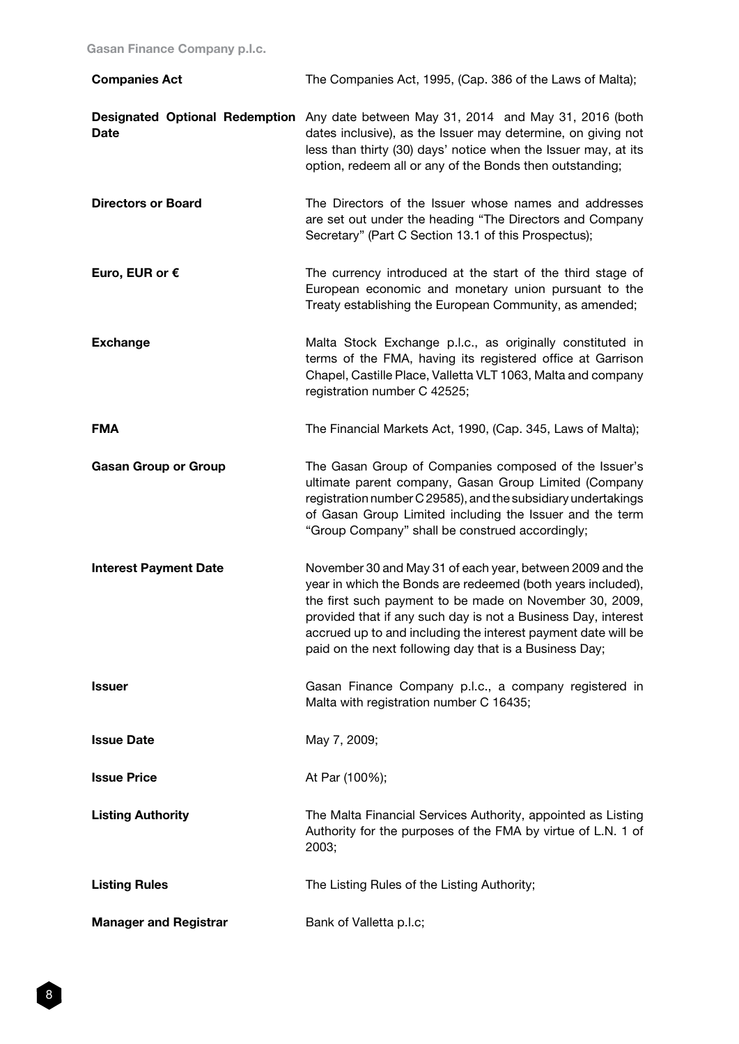| <b>Companies Act</b>         | The Companies Act, 1995, (Cap. 386 of the Laws of Malta);                                                                                                                                                                                                                                                                                                                       |
|------------------------------|---------------------------------------------------------------------------------------------------------------------------------------------------------------------------------------------------------------------------------------------------------------------------------------------------------------------------------------------------------------------------------|
| <b>Date</b>                  | Designated Optional Redemption Any date between May 31, 2014 and May 31, 2016 (both<br>dates inclusive), as the Issuer may determine, on giving not<br>less than thirty (30) days' notice when the Issuer may, at its<br>option, redeem all or any of the Bonds then outstanding;                                                                                               |
| <b>Directors or Board</b>    | The Directors of the Issuer whose names and addresses<br>are set out under the heading "The Directors and Company<br>Secretary" (Part C Section 13.1 of this Prospectus);                                                                                                                                                                                                       |
| Euro, EUR or $\epsilon$      | The currency introduced at the start of the third stage of<br>European economic and monetary union pursuant to the<br>Treaty establishing the European Community, as amended;                                                                                                                                                                                                   |
| <b>Exchange</b>              | Malta Stock Exchange p.l.c., as originally constituted in<br>terms of the FMA, having its registered office at Garrison<br>Chapel, Castille Place, Valletta VLT 1063, Malta and company<br>registration number C 42525;                                                                                                                                                         |
| <b>FMA</b>                   | The Financial Markets Act, 1990, (Cap. 345, Laws of Malta);                                                                                                                                                                                                                                                                                                                     |
| <b>Gasan Group or Group</b>  | The Gasan Group of Companies composed of the Issuer's<br>ultimate parent company, Gasan Group Limited (Company<br>registration number C 29585), and the subsidiary undertakings<br>of Gasan Group Limited including the Issuer and the term<br>"Group Company" shall be construed accordingly;                                                                                  |
| <b>Interest Payment Date</b> | November 30 and May 31 of each year, between 2009 and the<br>year in which the Bonds are redeemed (both years included),<br>the first such payment to be made on November 30, 2009,<br>provided that if any such day is not a Business Day, interest<br>accrued up to and including the interest payment date will be<br>paid on the next following day that is a Business Day; |
| <b>Issuer</b>                | Gasan Finance Company p.l.c., a company registered in<br>Malta with registration number C 16435;                                                                                                                                                                                                                                                                                |
| <b>Issue Date</b>            | May 7, 2009;                                                                                                                                                                                                                                                                                                                                                                    |
| <b>Issue Price</b>           | At Par (100%);                                                                                                                                                                                                                                                                                                                                                                  |
| <b>Listing Authority</b>     | The Malta Financial Services Authority, appointed as Listing<br>Authority for the purposes of the FMA by virtue of L.N. 1 of<br>2003;                                                                                                                                                                                                                                           |
| <b>Listing Rules</b>         | The Listing Rules of the Listing Authority;                                                                                                                                                                                                                                                                                                                                     |
| <b>Manager and Registrar</b> | Bank of Valletta p.l.c;                                                                                                                                                                                                                                                                                                                                                         |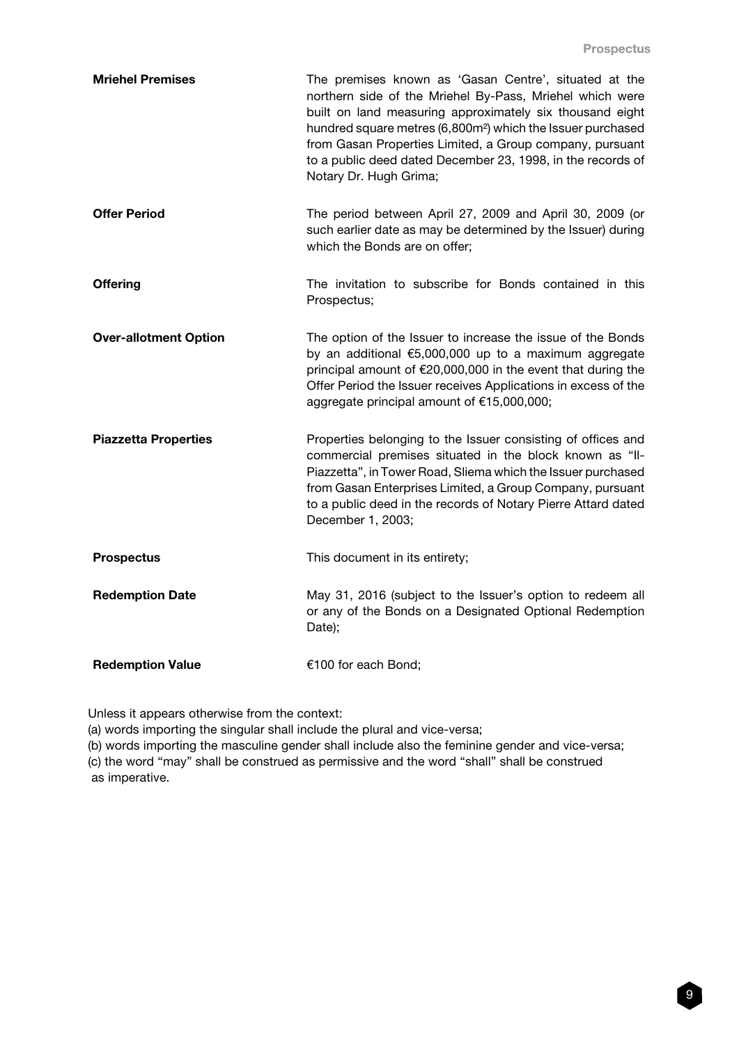| <b>Mriehel Premises</b>      | The premises known as 'Gasan Centre', situated at the<br>northern side of the Mriehel By-Pass, Mriehel which were<br>built on land measuring approximately six thousand eight<br>hundred square metres (6,800m <sup>2</sup> ) which the Issuer purchased<br>from Gasan Properties Limited, a Group company, pursuant<br>to a public deed dated December 23, 1998, in the records of<br>Notary Dr. Hugh Grima; |
|------------------------------|---------------------------------------------------------------------------------------------------------------------------------------------------------------------------------------------------------------------------------------------------------------------------------------------------------------------------------------------------------------------------------------------------------------|
| <b>Offer Period</b>          | The period between April 27, 2009 and April 30, 2009 (or<br>such earlier date as may be determined by the Issuer) during<br>which the Bonds are on offer;                                                                                                                                                                                                                                                     |
| <b>Offering</b>              | The invitation to subscribe for Bonds contained in this<br>Prospectus;                                                                                                                                                                                                                                                                                                                                        |
| <b>Over-allotment Option</b> | The option of the Issuer to increase the issue of the Bonds<br>by an additional €5,000,000 up to a maximum aggregate<br>principal amount of €20,000,000 in the event that during the<br>Offer Period the Issuer receives Applications in excess of the<br>aggregate principal amount of €15,000,000;                                                                                                          |
| <b>Piazzetta Properties</b>  | Properties belonging to the Issuer consisting of offices and<br>commercial premises situated in the block known as "II-<br>Piazzetta", in Tower Road, Sliema which the Issuer purchased<br>from Gasan Enterprises Limited, a Group Company, pursuant<br>to a public deed in the records of Notary Pierre Attard dated<br>December 1, 2003;                                                                    |
| <b>Prospectus</b>            | This document in its entirety;                                                                                                                                                                                                                                                                                                                                                                                |
| <b>Redemption Date</b>       | May 31, 2016 (subject to the Issuer's option to redeem all<br>or any of the Bonds on a Designated Optional Redemption<br>Date);                                                                                                                                                                                                                                                                               |
| <b>Redemption Value</b>      | €100 for each Bond;                                                                                                                                                                                                                                                                                                                                                                                           |

Unless it appears otherwise from the context:

(a) words importing the singular shall include the plural and vice-versa;

(b) words importing the masculine gender shall include also the feminine gender and vice-versa; (c) the word "may" shall be construed as permissive and the word "shall" shall be construed as imperative.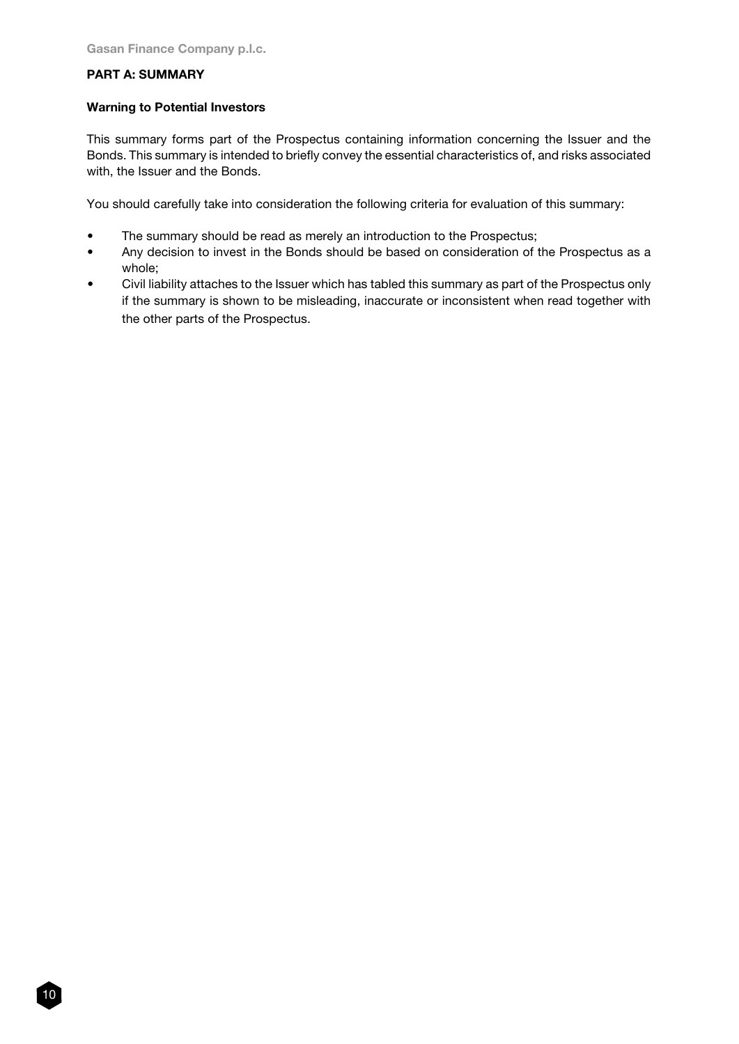# PART A: SUMMARY

#### Warning to Potential Investors

This summary forms part of the Prospectus containing information concerning the Issuer and the Bonds. This summary is intended to briefly convey the essential characteristics of, and risks associated with, the Issuer and the Bonds.

You should carefully take into consideration the following criteria for evaluation of this summary:

- The summary should be read as merely an introduction to the Prospectus;
- Any decision to invest in the Bonds should be based on consideration of the Prospectus as a whole;
- Civil liability attaches to the Issuer which has tabled this summary as part of the Prospectus only if the summary is shown to be misleading, inaccurate or inconsistent when read together with the other parts of the Prospectus.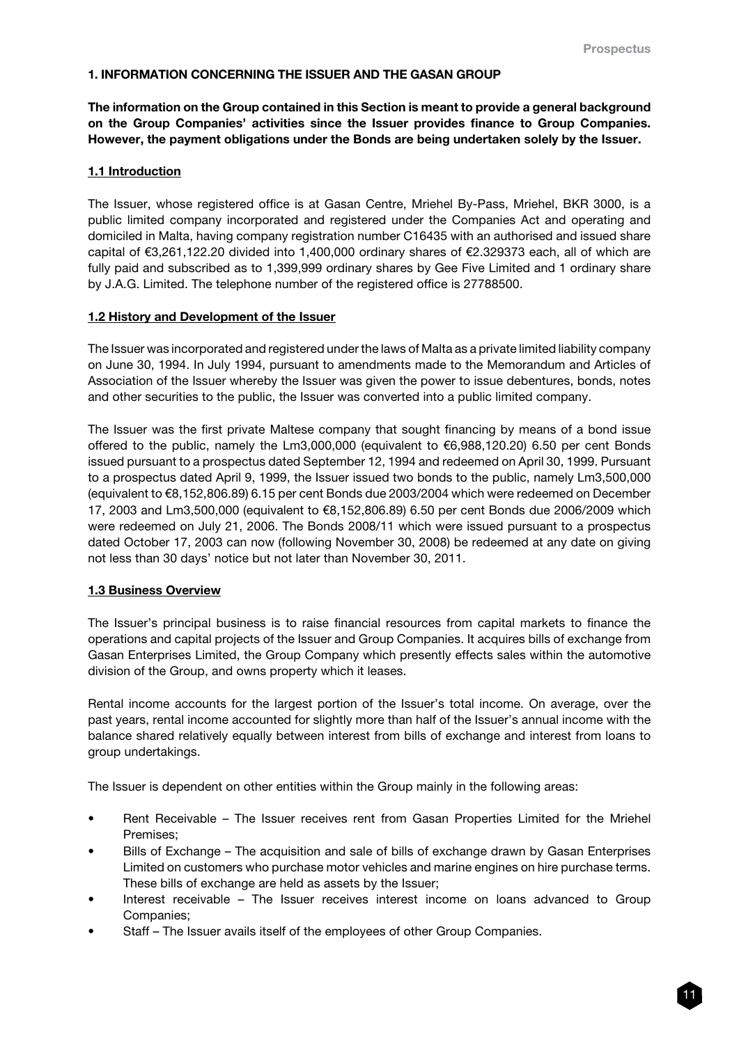# 1. INFORMATION CONCERNING THE ISSUER AND THE GASAN GROUP

The information on the Group contained in this Section is meant to provide a general background on the Group Companies' activities since the Issuer provides finance to Group Companies. However, the payment obligations under the Bonds are being undertaken solely by the Issuer.

# 1.1 Introduction

The Issuer, whose registered office is at Gasan Centre, Mriehel By-Pass, Mriehel, BKR 3000, is a public limited company incorporated and registered under the Companies Act and operating and domiciled in Malta, having company registration number C16435 with an authorised and issued share capital of €3,261,122.20 divided into 1,400,000 ordinary shares of €2.329373 each, all of which are fully paid and subscribed as to 1,399,999 ordinary shares by Gee Five Limited and 1 ordinary share by J.A.G. Limited. The telephone number of the registered office is 27788500.

# 1.2 History and Development of the Issuer

The Issuer was incorporated and registered under the laws of Malta as a private limited liability company on June 30, 1994. In July 1994, pursuant to amendments made to the Memorandum and Articles of Association of the Issuer whereby the Issuer was given the power to issue debentures, bonds, notes and other securities to the public, the Issuer was converted into a public limited company.

The Issuer was the first private Maltese company that sought financing by means of a bond issue offered to the public, namely the Lm3,000,000 (equivalent to €6,988,120.20) 6.50 per cent Bonds issued pursuant to a prospectus dated September 12, 1994 and redeemed on April 30, 1999. Pursuant to a prospectus dated April 9, 1999, the Issuer issued two bonds to the public, namely Lm3,500,000 (equivalent to €8,152,806.89) 6.15 per cent Bonds due 2003/2004 which were redeemed on December 17, 2003 and Lm3,500,000 (equivalent to €8,152,806.89) 6.50 per cent Bonds due 2006/2009 which were redeemed on July 21, 2006. The Bonds 2008/11 which were issued pursuant to a prospectus dated October 17, 2003 can now (following November 30, 2008) be redeemed at any date on giving not less than 30 days' notice but not later than November 30, 2011.

# 1.3 Business Overview

The Issuer's principal business is to raise financial resources from capital markets to finance the operations and capital projects of the Issuer and Group Companies. It acquires bills of exchange from Gasan Enterprises Limited, the Group Company which presently effects sales within the automotive division of the Group, and owns property which it leases.

Rental income accounts for the largest portion of the Issuer's total income. On average, over the past years, rental income accounted for slightly more than half of the Issuer's annual income with the balance shared relatively equally between interest from bills of exchange and interest from loans to group undertakings.

The Issuer is dependent on other entities within the Group mainly in the following areas:

- Rent Receivable The Issuer receives rent from Gasan Properties Limited for the Mriehel Premises;
- Bills of Exchange The acquisition and sale of bills of exchange drawn by Gasan Enterprises Limited on customers who purchase motor vehicles and marine engines on hire purchase terms. These bills of exchange are held as assets by the Issuer;
- Interest receivable The Issuer receives interest income on loans advanced to Group Companies;
- Staff The Issuer avails itself of the employees of other Group Companies.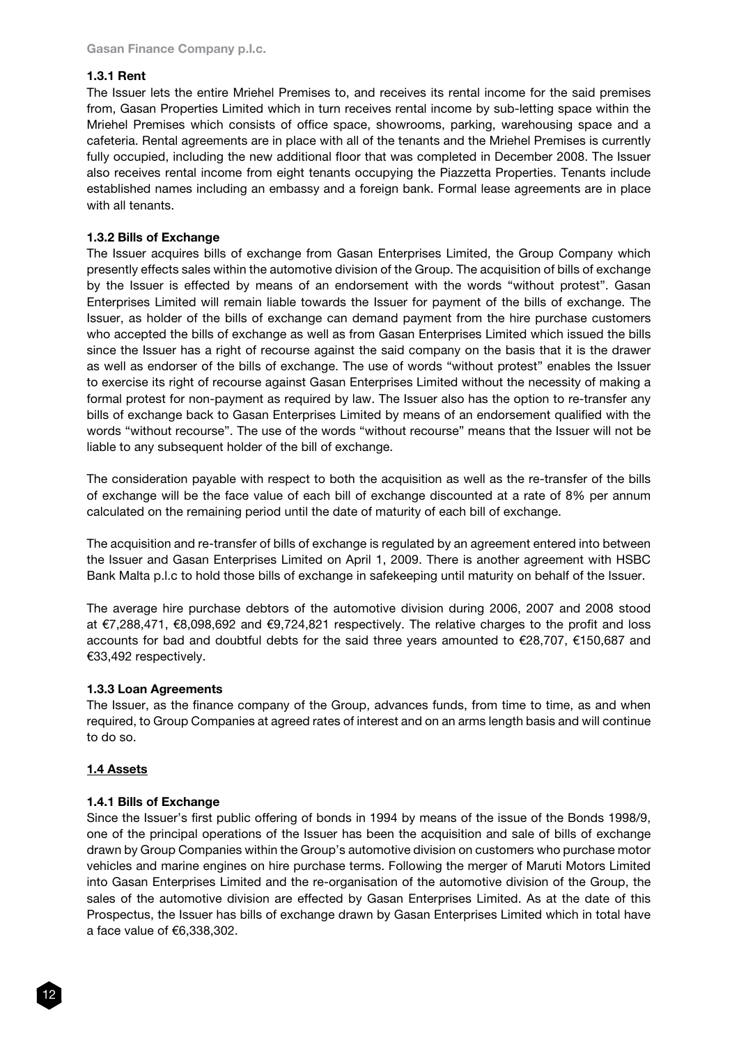## 1.3.1 Rent

The Issuer lets the entire Mriehel Premises to, and receives its rental income for the said premises from, Gasan Properties Limited which in turn receives rental income by sub-letting space within the Mriehel Premises which consists of office space, showrooms, parking, warehousing space and a cafeteria. Rental agreements are in place with all of the tenants and the Mriehel Premises is currently fully occupied, including the new additional floor that was completed in December 2008. The Issuer also receives rental income from eight tenants occupying the Piazzetta Properties. Tenants include established names including an embassy and a foreign bank. Formal lease agreements are in place with all tenants.

## 1.3.2 Bills of Exchange

The Issuer acquires bills of exchange from Gasan Enterprises Limited, the Group Company which presently effects sales within the automotive division of the Group. The acquisition of bills of exchange by the Issuer is effected by means of an endorsement with the words "without protest". Gasan Enterprises Limited will remain liable towards the Issuer for payment of the bills of exchange. The Issuer, as holder of the bills of exchange can demand payment from the hire purchase customers who accepted the bills of exchange as well as from Gasan Enterprises Limited which issued the bills since the Issuer has a right of recourse against the said company on the basis that it is the drawer as well as endorser of the bills of exchange. The use of words "without protest" enables the Issuer to exercise its right of recourse against Gasan Enterprises Limited without the necessity of making a formal protest for non-payment as required by law. The Issuer also has the option to re-transfer any bills of exchange back to Gasan Enterprises Limited by means of an endorsement qualified with the words "without recourse". The use of the words "without recourse" means that the Issuer will not be liable to any subsequent holder of the bill of exchange.

The consideration payable with respect to both the acquisition as well as the re-transfer of the bills of exchange will be the face value of each bill of exchange discounted at a rate of 8% per annum calculated on the remaining period until the date of maturity of each bill of exchange.

The acquisition and re-transfer of bills of exchange is regulated by an agreement entered into between the Issuer and Gasan Enterprises Limited on April 1, 2009. There is another agreement with HSBC Bank Malta p.l.c to hold those bills of exchange in safekeeping until maturity on behalf of the Issuer.

The average hire purchase debtors of the automotive division during 2006, 2007 and 2008 stood at €7,288,471, €8,098,692 and €9,724,821 respectively. The relative charges to the profit and loss accounts for bad and doubtful debts for the said three years amounted to €28,707, €150,687 and €33,492 respectively.

#### 1.3.3 Loan Agreements

The Issuer, as the finance company of the Group, advances funds, from time to time, as and when required, to Group Companies at agreed rates of interest and on an arms length basis and will continue to do so.

# 1.4 Assets

# 1.4.1 Bills of Exchange

Since the Issuer's first public offering of bonds in 1994 by means of the issue of the Bonds 1998/9, one of the principal operations of the Issuer has been the acquisition and sale of bills of exchange drawn by Group Companies within the Group's automotive division on customers who purchase motor vehicles and marine engines on hire purchase terms. Following the merger of Maruti Motors Limited into Gasan Enterprises Limited and the re-organisation of the automotive division of the Group, the sales of the automotive division are effected by Gasan Enterprises Limited. As at the date of this Prospectus, the Issuer has bills of exchange drawn by Gasan Enterprises Limited which in total have a face value of €6,338,302.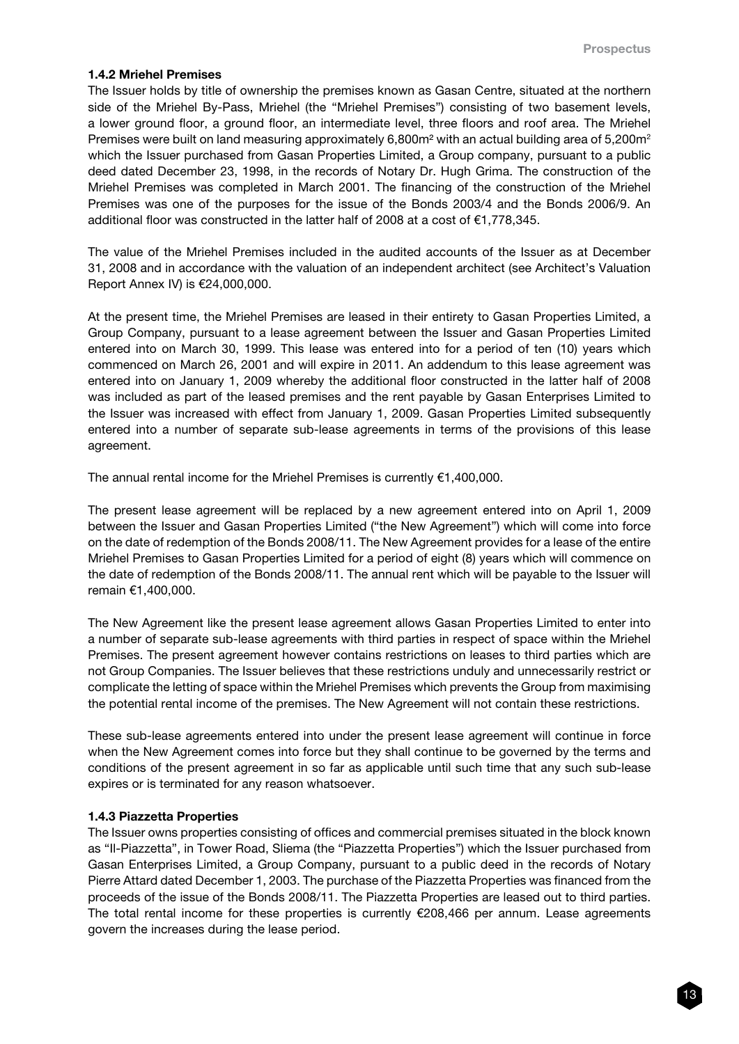## 1.4.2 Mriehel Premises

The Issuer holds by title of ownership the premises known as Gasan Centre, situated at the northern side of the Mriehel By-Pass, Mriehel (the "Mriehel Premises") consisting of two basement levels, a lower ground floor, a ground floor, an intermediate level, three floors and roof area. The Mriehel Premises were built on land measuring approximately 6,800m<sup>2</sup> with an actual building area of 5,200m<sup>2</sup> which the Issuer purchased from Gasan Properties Limited, a Group company, pursuant to a public deed dated December 23, 1998, in the records of Notary Dr. Hugh Grima. The construction of the Mriehel Premises was completed in March 2001. The financing of the construction of the Mriehel Premises was one of the purposes for the issue of the Bonds 2003/4 and the Bonds 2006/9. An additional floor was constructed in the latter half of 2008 at a cost of €1,778,345.

The value of the Mriehel Premises included in the audited accounts of the Issuer as at December 31, 2008 and in accordance with the valuation of an independent architect (see Architect's Valuation Report Annex IV) is €24,000,000.

At the present time, the Mriehel Premises are leased in their entirety to Gasan Properties Limited, a Group Company, pursuant to a lease agreement between the Issuer and Gasan Properties Limited entered into on March 30, 1999. This lease was entered into for a period of ten (10) years which commenced on March 26, 2001 and will expire in 2011. An addendum to this lease agreement was entered into on January 1, 2009 whereby the additional floor constructed in the latter half of 2008 was included as part of the leased premises and the rent payable by Gasan Enterprises Limited to the Issuer was increased with effect from January 1, 2009. Gasan Properties Limited subsequently entered into a number of separate sub-lease agreements in terms of the provisions of this lease agreement.

The annual rental income for the Mriehel Premises is currently €1,400,000.

The present lease agreement will be replaced by a new agreement entered into on April 1, 2009 between the Issuer and Gasan Properties Limited ("the New Agreement") which will come into force on the date of redemption of the Bonds 2008/11. The New Agreement provides for a lease of the entire Mriehel Premises to Gasan Properties Limited for a period of eight (8) years which will commence on the date of redemption of the Bonds 2008/11. The annual rent which will be payable to the Issuer will remain €1,400,000.

The New Agreement like the present lease agreement allows Gasan Properties Limited to enter into a number of separate sub-lease agreements with third parties in respect of space within the Mriehel Premises. The present agreement however contains restrictions on leases to third parties which are not Group Companies. The Issuer believes that these restrictions unduly and unnecessarily restrict or complicate the letting of space within the Mriehel Premises which prevents the Group from maximising the potential rental income of the premises. The New Agreement will not contain these restrictions.

These sub-lease agreements entered into under the present lease agreement will continue in force when the New Agreement comes into force but they shall continue to be governed by the terms and conditions of the present agreement in so far as applicable until such time that any such sub-lease expires or is terminated for any reason whatsoever.

#### 1.4.3 Piazzetta Properties

The Issuer owns properties consisting of offices and commercial premises situated in the block known as "Il-Piazzetta", in Tower Road, Sliema (the "Piazzetta Properties") which the Issuer purchased from Gasan Enterprises Limited, a Group Company, pursuant to a public deed in the records of Notary Pierre Attard dated December 1, 2003. The purchase of the Piazzetta Properties was financed from the proceeds of the issue of the Bonds 2008/11. The Piazzetta Properties are leased out to third parties. The total rental income for these properties is currently  $\epsilon$ 208,466 per annum. Lease agreements govern the increases during the lease period.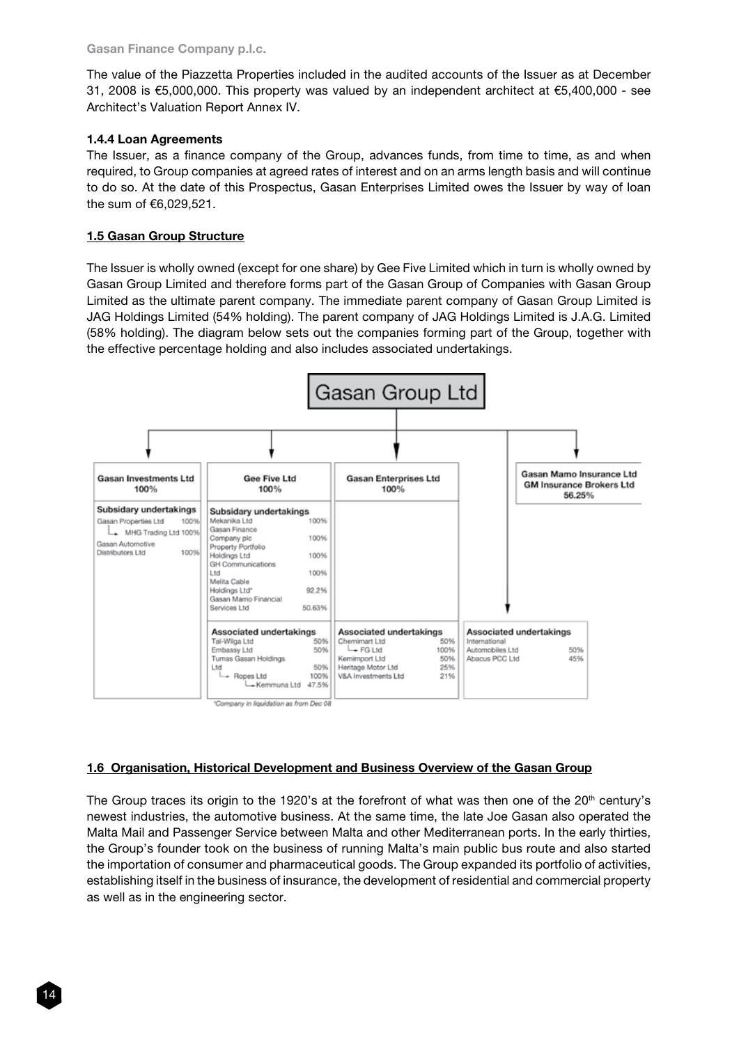The value of the Piazzetta Properties included in the audited accounts of the Issuer as at December 31, 2008 is €5,000,000. This property was valued by an independent architect at €5,400,000 - see Architect's Valuation Report Annex IV.

# 1.4.4 Loan Agreements

The Issuer, as a finance company of the Group, advances funds, from time to time, as and when required, to Group companies at agreed rates of interest and on an arms length basis and will continue to do so. At the date of this Prospectus, Gasan Enterprises Limited owes the Issuer by way of loan the sum of €6,029,521.

# 1.5 Gasan Group Structure

The Issuer is wholly owned (except for one share) by Gee Five Limited which in turn is wholly owned by Gasan Group Limited and therefore forms part of the Gasan Group of Companies with Gasan Group Limited as the ultimate parent company. The immediate parent company of Gasan Group Limited is JAG Holdings Limited (54% holding). The parent company of JAG Holdings Limited is J.A.G. Limited (58% holding). The diagram below sets out the companies forming part of the Group, together with the effective percentage holding and also includes associated undertakings.



# 1.6 Organisation, Historical Development and Business Overview of the Gasan Group

The Group traces its origin to the 1920's at the forefront of what was then one of the  $20<sup>th</sup>$  century's newest industries, the automotive business. At the same time, the late Joe Gasan also operated the Malta Mail and Passenger Service between Malta and other Mediterranean ports. In the early thirties, the Group's founder took on the business of running Malta's main public bus route and also started the importation of consumer and pharmaceutical goods. The Group expanded its portfolio of activities, establishing itself in the business of insurance, the development of residential and commercial property as well as in the engineering sector.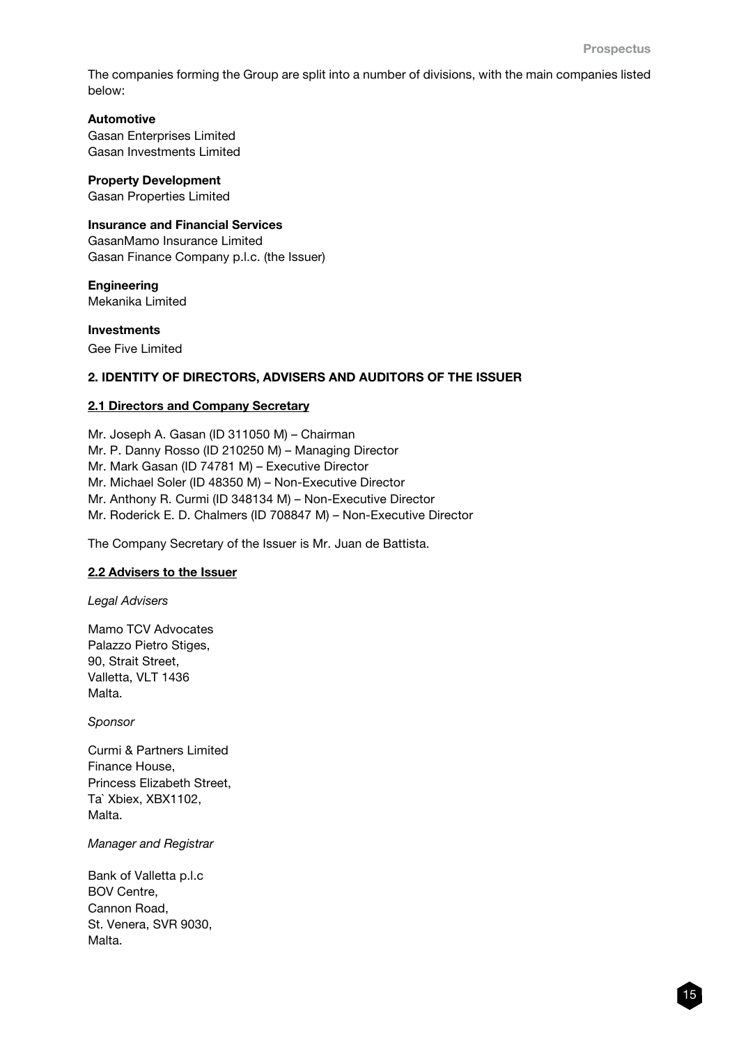The companies forming the Group are split into a number of divisions, with the main companies listed below:

# Automotive

Gasan Enterprises Limited Gasan Investments Limited

# Property Development

Gasan Properties Limited

# Insurance and Financial Services

GasanMamo Insurance Limited Gasan Finance Company p.l.c. (the Issuer)

## **Engineering** Mekanika Limited

Investments

# Gee Five Limited

# 2. IDENTITY OF DIRECTORS, ADVISERS AND AUDITORS OF THE ISSUER

# 2.1 Directors and Company Secretary

Mr. Joseph A. Gasan (ID 311050 M) – Chairman Mr. P. Danny Rosso (ID 210250 M) – Managing Director Mr. Mark Gasan (ID 74781 M) – Executive Director Mr. Michael Soler (ID 48350 M) – Non-Executive Director Mr. Anthony R. Curmi (ID 348134 M) – Non-Executive Director Mr. Roderick E. D. Chalmers (ID 708847 M) – Non-Executive Director

The Company Secretary of the Issuer is Mr. Juan de Battista.

# 2.2 Advisers to the Issuer

*Legal Advisers*

Mamo TCV Advocates Palazzo Pietro Stiges, 90, Strait Street, Valletta, VLT 1436 Malta.

*Sponsor* 

Curmi & Partners Limited Finance House, Princess Elizabeth Street, Ta` Xbiex, XBX1102, Malta.

*Manager and Registrar*

Bank of Valletta p.l.c BOV Centre, Cannon Road, St. Venera, SVR 9030, Malta.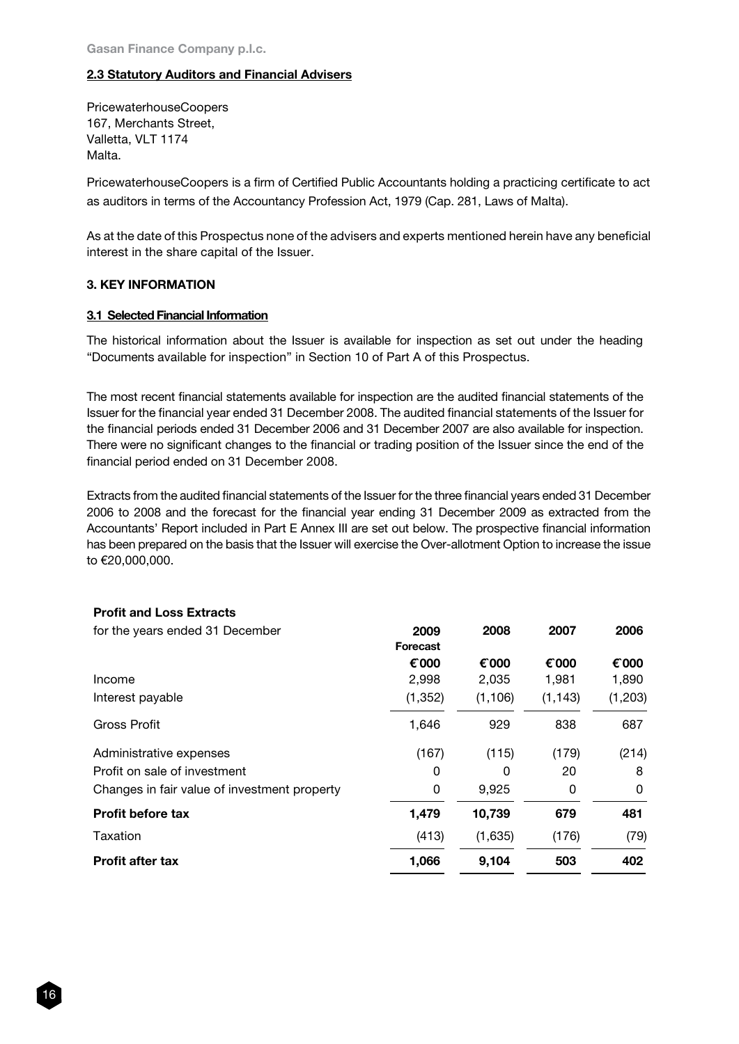# 2.3 Statutory Auditors and Financial Advisers

PricewaterhouseCoopers 167, Merchants Street, Valletta, VLT 1174 Malta.

PricewaterhouseCoopers is a firm of Certified Public Accountants holding a practicing certificate to act as auditors in terms of the Accountancy Profession Act, 1979 (Cap. 281, Laws of Malta).

As at the date of this Prospectus none of the advisers and experts mentioned herein have any beneficial interest in the share capital of the Issuer.

## 3. KEY INFORMATION

## 3.1 Selected Financial Information

The historical information about the Issuer is available for inspection as set out under the heading "Documents available for inspection" in Section 10 of Part A of this Prospectus.

The most recent financial statements available for inspection are the audited financial statements of the Issuer for the financial year ended 31 December 2008. The audited financial statements of the Issuer for the financial periods ended 31 December 2006 and 31 December 2007 are also available for inspection. There were no significant changes to the financial or trading position of the Issuer since the end of the financial period ended on 31 December 2008.

Extracts from the audited financial statements of the Issuer for the three financial years ended 31 December 2006 to 2008 and the forecast for the financial year ending 31 December 2009 as extracted from the Accountants' Report included in Part E Annex III are set out below. The prospective financial information has been prepared on the basis that the Issuer will exercise the Over-allotment Option to increase the issue to €20,000,000.

| 2009     | 2008            | 2007     | 2006    |
|----------|-----------------|----------|---------|
| € 000    | € 000           | € 000    | € 000   |
| 2,998    | 2,035           | 1,981    | 1,890   |
| (1, 352) | (1, 106)        | (1, 143) | (1,203) |
| 1,646    | 929             | 838      | 687     |
| (167)    | (115)           | (179)    | (214)   |
| 0        | 0               | 20       | 8       |
| 0        | 9,925           | 0        | 0       |
| 1,479    | 10,739          | 679      | 481     |
| (413)    | (1,635)         | (176)    | (79)    |
| 1,066    | 9,104           | 503      | 402     |
|          | <b>Forecast</b> |          |         |

# Profit and Loss Extracts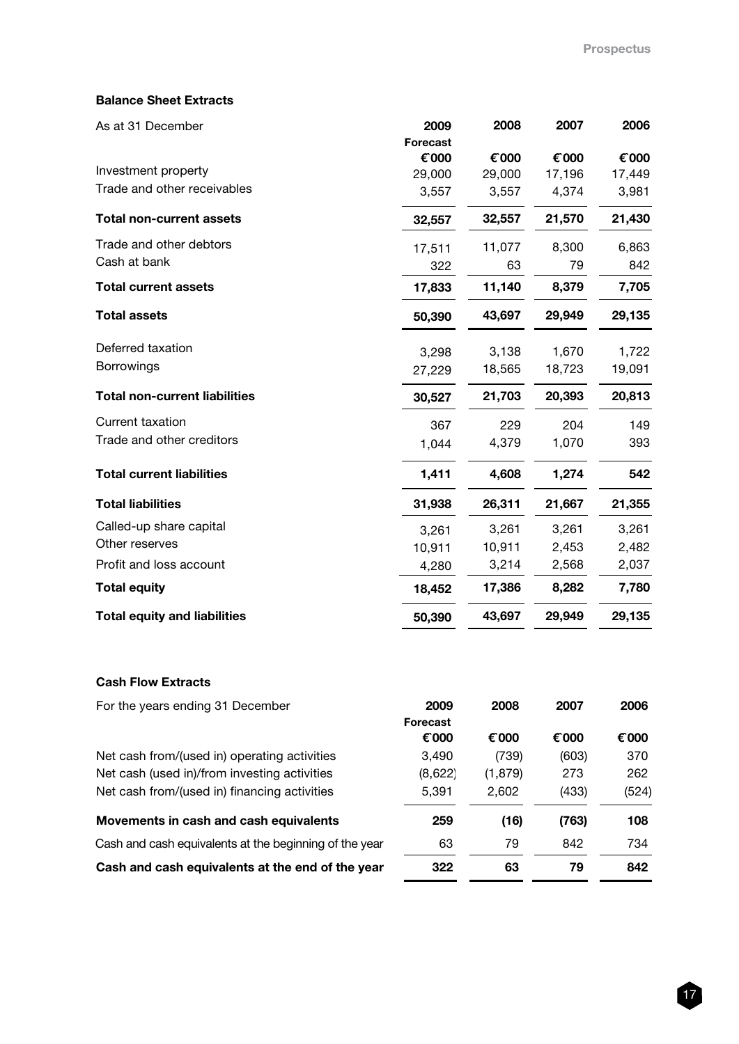# Balance Sheet Extracts

| As at 31 December                    | 2009            | 2008   | 2007   | 2006   |
|--------------------------------------|-----------------|--------|--------|--------|
|                                      | <b>Forecast</b> |        |        |        |
|                                      | € 000           | € 000  | € 000  | € 000  |
| Investment property                  | 29,000          | 29,000 | 17,196 | 17,449 |
| Trade and other receivables          | 3,557           | 3,557  | 4,374  | 3,981  |
| <b>Total non-current assets</b>      | 32,557          | 32,557 | 21,570 | 21,430 |
| Trade and other debtors              | 17,511          | 11,077 | 8,300  | 6,863  |
| Cash at bank                         | 322             | 63     | 79     | 842    |
| <b>Total current assets</b>          | 17,833          | 11,140 | 8,379  | 7,705  |
| <b>Total assets</b>                  | 50,390          | 43,697 | 29,949 | 29,135 |
| Deferred taxation                    | 3,298           | 3,138  | 1,670  | 1,722  |
| <b>Borrowings</b>                    | 27,229          | 18,565 | 18,723 | 19,091 |
| <b>Total non-current liabilities</b> | 30,527          | 21,703 | 20,393 | 20,813 |
| <b>Current taxation</b>              | 367             | 229    | 204    | 149    |
| Trade and other creditors            | 1,044           | 4,379  | 1,070  | 393    |
| <b>Total current liabilities</b>     | 1,411           | 4,608  | 1,274  | 542    |
| <b>Total liabilities</b>             | 31,938          | 26,311 | 21,667 | 21,355 |
| Called-up share capital              | 3,261           | 3,261  | 3,261  | 3,261  |
| Other reserves                       | 10,911          | 10,911 | 2,453  | 2,482  |
| Profit and loss account              | 4,280           | 3,214  | 2,568  | 2,037  |
| <b>Total equity</b>                  | 18,452          | 17,386 | 8,282  | 7,780  |
| <b>Total equity and liabilities</b>  | 50,390          | 43,697 | 29,949 | 29,135 |
|                                      |                 |        |        |        |

# Cash Flow Extracts

| For the years ending 31 December                       | 2009<br><b>Forecast</b> | 2008     | 2007  | 2006  |
|--------------------------------------------------------|-------------------------|----------|-------|-------|
|                                                        | € 000                   | € 000    | € 000 | € 000 |
| Net cash from/(used in) operating activities           | 3,490                   | (739)    | (603) | 370   |
| Net cash (used in)/from investing activities           | (8,622)                 | (1, 879) | 273   | 262   |
| Net cash from/(used in) financing activities           | 5,391                   | 2,602    | (433) | (524) |
| Movements in cash and cash equivalents                 | 259                     | (16)     | (763) | 108   |
| Cash and cash equivalents at the beginning of the year | 63                      | 79       | 842   | 734   |
| Cash and cash equivalents at the end of the year       | 322                     | 63       | 79    | 842   |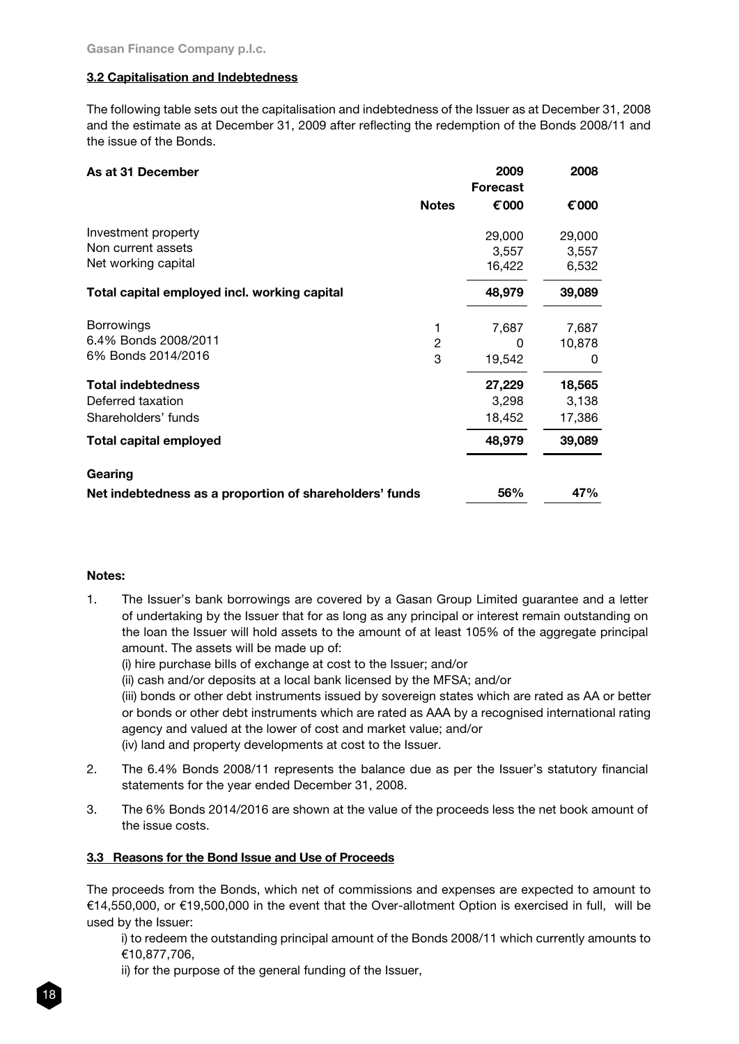# 3.2 Capitalisation and Indebtedness

The following table sets out the capitalisation and indebtedness of the Issuer as at December 31, 2008 and the estimate as at December 31, 2009 after reflecting the redemption of the Bonds 2008/11 and the issue of the Bonds.

| As at 31 December                                                     |              | 2009<br><b>Forecast</b>   | 2008                      |
|-----------------------------------------------------------------------|--------------|---------------------------|---------------------------|
|                                                                       | <b>Notes</b> | € 000                     | € 000                     |
| Investment property<br>Non current assets<br>Net working capital      |              | 29,000<br>3,557<br>16,422 | 29,000<br>3,557<br>6,532  |
| Total capital employed incl. working capital                          |              | 48,979                    | 39,089                    |
| <b>Borrowings</b><br>6.4% Bonds 2008/2011<br>6% Bonds 2014/2016       | 2<br>3       | 7,687<br>0<br>19,542      | 7,687<br>10,878<br>0      |
| <b>Total indebtedness</b><br>Deferred taxation<br>Shareholders' funds |              | 27,229<br>3,298<br>18,452 | 18,565<br>3,138<br>17,386 |
| Total capital employed                                                |              | 48,979                    | 39,089                    |
| Gearing                                                               |              |                           |                           |
| Net indebtedness as a proportion of shareholders' funds               |              | 56%                       | 47%                       |

## Notes:

- 1. The Issuer's bank borrowings are covered by a Gasan Group Limited guarantee and a letter of undertaking by the Issuer that for as long as any principal or interest remain outstanding on the loan the Issuer will hold assets to the amount of at least 105% of the aggregate principal amount. The assets will be made up of:
	- (i) hire purchase bills of exchange at cost to the Issuer; and/or
	- (ii) cash and/or deposits at a local bank licensed by the MFSA; and/or

(iii) bonds or other debt instruments issued by sovereign states which are rated as AA or better or bonds or other debt instruments which are rated as AAA by a recognised international rating agency and valued at the lower of cost and market value; and/or (iv) land and property developments at cost to the Issuer.

- 2. The 6.4% Bonds 2008/11 represents the balance due as per the Issuer's statutory financial statements for the year ended December 31, 2008.
- 3. The 6% Bonds 2014/2016 are shown at the value of the proceeds less the net book amount of the issue costs.

# 3.3 Reasons for the Bond Issue and Use of Proceeds

The proceeds from the Bonds, which net of commissions and expenses are expected to amount to €14,550,000, or €19,500,000 in the event that the Over-allotment Option is exercised in full, will be used by the Issuer:

i) to redeem the outstanding principal amount of the Bonds 2008/11 which currently amounts to €10,877,706,

ii) for the purpose of the general funding of the Issuer,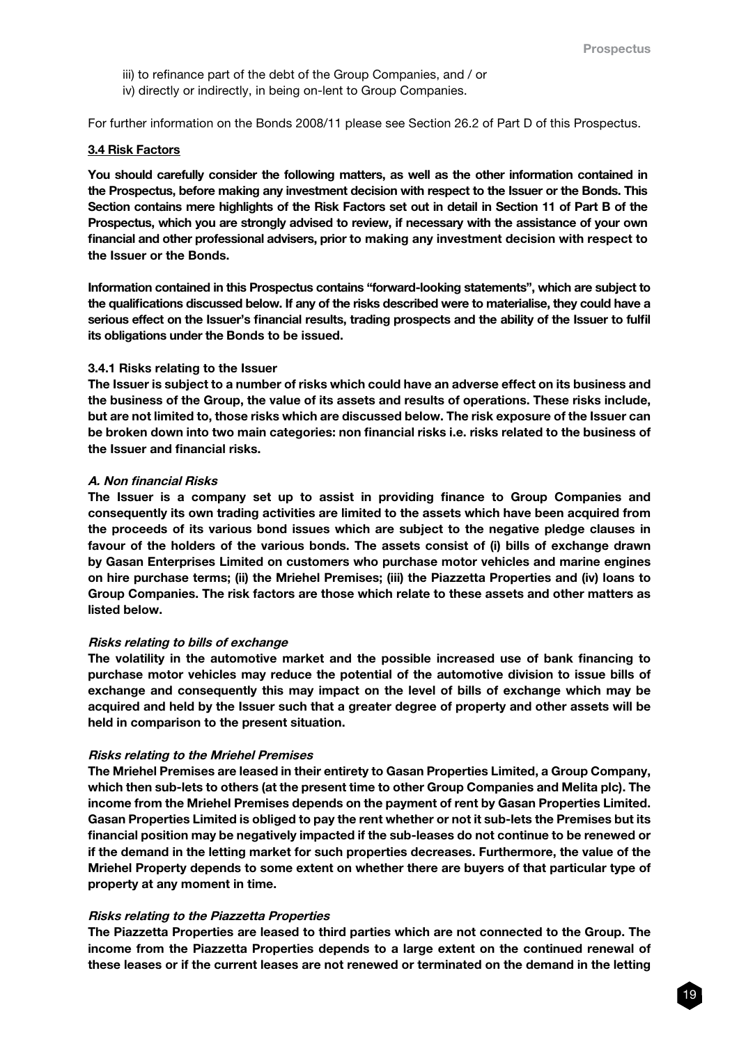- iii) to refinance part of the debt of the Group Companies, and / or
- iv) directly or indirectly, in being on-lent to Group Companies.

For further information on the Bonds 2008/11 please see Section 26.2 of Part D of this Prospectus.

#### 3.4 Risk Factors

You should carefully consider the following matters, as well as the other information contained in the Prospectus, before making any investment decision with respect to the Issuer or the Bonds. This Section contains mere highlights of the Risk Factors set out in detail in Section 11 of Part B of the Prospectus, which you are strongly advised to review, if necessary with the assistance of your own financial and other professional advisers, prior to making any investment decision with respect to the Issuer or the Bonds.

Information contained in this Prospectus contains "forward-looking statements", which are subject to the qualifications discussed below. If any of the risks described were to materialise, they could have a serious effect on the Issuer's financial results, trading prospects and the ability of the Issuer to fulfil its obligations under the Bonds to be issued.

#### 3.4.1 Risks relating to the Issuer

The Issuer is subject to a number of risks which could have an adverse effect on its business and the business of the Group, the value of its assets and results of operations. These risks include, but are not limited to, those risks which are discussed below. The risk exposure of the Issuer can be broken down into two main categories: non financial risks i.e. risks related to the business of the Issuer and financial risks.

### A. Non financial Risks

The Issuer is a company set up to assist in providing finance to Group Companies and consequently its own trading activities are limited to the assets which have been acquired from the proceeds of its various bond issues which are subject to the negative pledge clauses in favour of the holders of the various bonds. The assets consist of (i) bills of exchange drawn by Gasan Enterprises Limited on customers who purchase motor vehicles and marine engines on hire purchase terms; (ii) the Mriehel Premises; (iii) the Piazzetta Properties and (iv) loans to Group Companies. The risk factors are those which relate to these assets and other matters as listed below.

#### Risks relating to bills of exchange

The volatility in the automotive market and the possible increased use of bank financing to purchase motor vehicles may reduce the potential of the automotive division to issue bills of exchange and consequently this may impact on the level of bills of exchange which may be acquired and held by the Issuer such that a greater degree of property and other assets will be held in comparison to the present situation.

#### Risks relating to the Mriehel Premises

The Mriehel Premises are leased in their entirety to Gasan Properties Limited, a Group Company, which then sub-lets to others (at the present time to other Group Companies and Melita plc). The income from the Mriehel Premises depends on the payment of rent by Gasan Properties Limited. Gasan Properties Limited is obliged to pay the rent whether or not it sub-lets the Premises but its financial position may be negatively impacted if the sub-leases do not continue to be renewed or if the demand in the letting market for such properties decreases. Furthermore, the value of the Mriehel Property depends to some extent on whether there are buyers of that particular type of property at any moment in time.

#### Risks relating to the Piazzetta Properties

The Piazzetta Properties are leased to third parties which are not connected to the Group. The income from the Piazzetta Properties depends to a large extent on the continued renewal of these leases or if the current leases are not renewed or terminated on the demand in the letting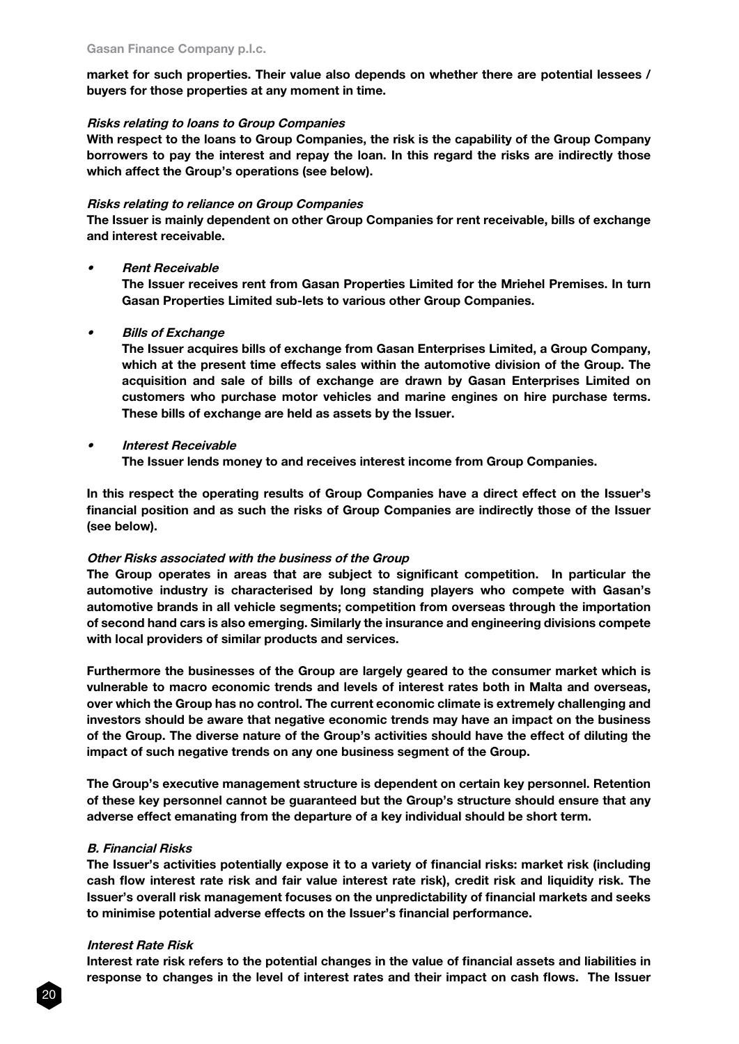market for such properties. Their value also depends on whether there are potential lessees / buyers for those properties at any moment in time.

#### Risks relating to loans to Group Companies

With respect to the loans to Group Companies, the risk is the capability of the Group Company borrowers to pay the interest and repay the loan. In this regard the risks are indirectly those which affect the Group's operations (see below).

#### Risks relating to reliance on Group Companies

The Issuer is mainly dependent on other Group Companies for rent receivable, bills of exchange and interest receivable.

**Rent Receivable** 

The Issuer receives rent from Gasan Properties Limited for the Mriehel Premises. In turn Gasan Properties Limited sub-lets to various other Group Companies.

**Bills of Exchange** 

The Issuer acquires bills of exchange from Gasan Enterprises Limited, a Group Company, which at the present time effects sales within the automotive division of the Group. The acquisition and sale of bills of exchange are drawn by Gasan Enterprises Limited on customers who purchase motor vehicles and marine engines on hire purchase terms. These bills of exchange are held as assets by the Issuer.

**Interest Receivable** 

The Issuer lends money to and receives interest income from Group Companies.

In this respect the operating results of Group Companies have a direct effect on the Issuer's financial position and as such the risks of Group Companies are indirectly those of the Issuer (see below).

#### Other Risks associated with the business of the Group

The Group operates in areas that are subject to significant competition. In particular the automotive industry is characterised by long standing players who compete with Gasan's automotive brands in all vehicle segments; competition from overseas through the importation of second hand cars is also emerging. Similarly the insurance and engineering divisions compete with local providers of similar products and services.

Furthermore the businesses of the Group are largely geared to the consumer market which is vulnerable to macro economic trends and levels of interest rates both in Malta and overseas, over which the Group has no control. The current economic climate is extremely challenging and investors should be aware that negative economic trends may have an impact on the business of the Group. The diverse nature of the Group's activities should have the effect of diluting the impact of such negative trends on any one business segment of the Group.

The Group's executive management structure is dependent on certain key personnel. Retention of these key personnel cannot be guaranteed but the Group's structure should ensure that any adverse effect emanating from the departure of a key individual should be short term.

#### B. Financial Risks

The Issuer's activities potentially expose it to a variety of financial risks: market risk (including cash flow interest rate risk and fair value interest rate risk), credit risk and liquidity risk. The Issuer's overall risk management focuses on the unpredictability of financial markets and seeks to minimise potential adverse effects on the Issuer's financial performance.

#### Interest Rate Risk

Interest rate risk refers to the potential changes in the value of financial assets and liabilities in response to changes in the level of interest rates and their impact on cash flows. The Issuer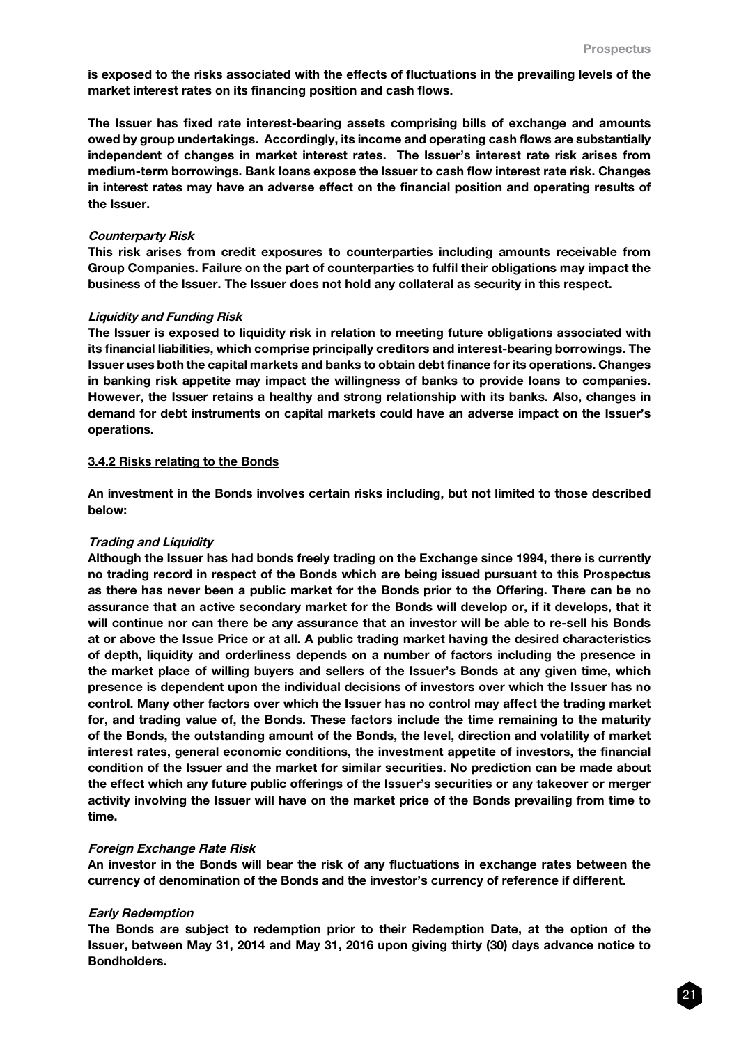is exposed to the risks associated with the effects of fluctuations in the prevailing levels of the market interest rates on its financing position and cash flows.

The Issuer has fixed rate interest-bearing assets comprising bills of exchange and amounts owed by group undertakings. Accordingly, its income and operating cash flows are substantially independent of changes in market interest rates. The Issuer's interest rate risk arises from medium-term borrowings. Bank loans expose the Issuer to cash flow interest rate risk. Changes in interest rates may have an adverse effect on the financial position and operating results of the Issuer.

## Counterparty Risk

This risk arises from credit exposures to counterparties including amounts receivable from Group Companies. Failure on the part of counterparties to fulfil their obligations may impact the business of the Issuer. The Issuer does not hold any collateral as security in this respect.

## Liquidity and Funding Risk

The Issuer is exposed to liquidity risk in relation to meeting future obligations associated with its financial liabilities, which comprise principally creditors and interest-bearing borrowings. The Issuer uses both the capital markets and banks to obtain debt finance for its operations. Changes in banking risk appetite may impact the willingness of banks to provide loans to companies. However, the Issuer retains a healthy and strong relationship with its banks. Also, changes in demand for debt instruments on capital markets could have an adverse impact on the Issuer's operations.

## 3.4.2 Risks relating to the Bonds

An investment in the Bonds involves certain risks including, but not limited to those described below:

# Trading and Liquidity

Although the Issuer has had bonds freely trading on the Exchange since 1994, there is currently no trading record in respect of the Bonds which are being issued pursuant to this Prospectus as there has never been a public market for the Bonds prior to the Offering. There can be no assurance that an active secondary market for the Bonds will develop or, if it develops, that it will continue nor can there be any assurance that an investor will be able to re-sell his Bonds at or above the Issue Price or at all. A public trading market having the desired characteristics of depth, liquidity and orderliness depends on a number of factors including the presence in the market place of willing buyers and sellers of the Issuer's Bonds at any given time, which presence is dependent upon the individual decisions of investors over which the Issuer has no control. Many other factors over which the Issuer has no control may affect the trading market for, and trading value of, the Bonds. These factors include the time remaining to the maturity of the Bonds, the outstanding amount of the Bonds, the level, direction and volatility of market interest rates, general economic conditions, the investment appetite of investors, the financial condition of the Issuer and the market for similar securities. No prediction can be made about the effect which any future public offerings of the Issuer's securities or any takeover or merger activity involving the Issuer will have on the market price of the Bonds prevailing from time to time.

# Foreign Exchange Rate Risk

An investor in the Bonds will bear the risk of any fluctuations in exchange rates between the currency of denomination of the Bonds and the investor's currency of reference if different.

# Early Redemption

The Bonds are subject to redemption prior to their Redemption Date, at the option of the Issuer, between May 31, 2014 and May 31, 2016 upon giving thirty (30) days advance notice to Bondholders.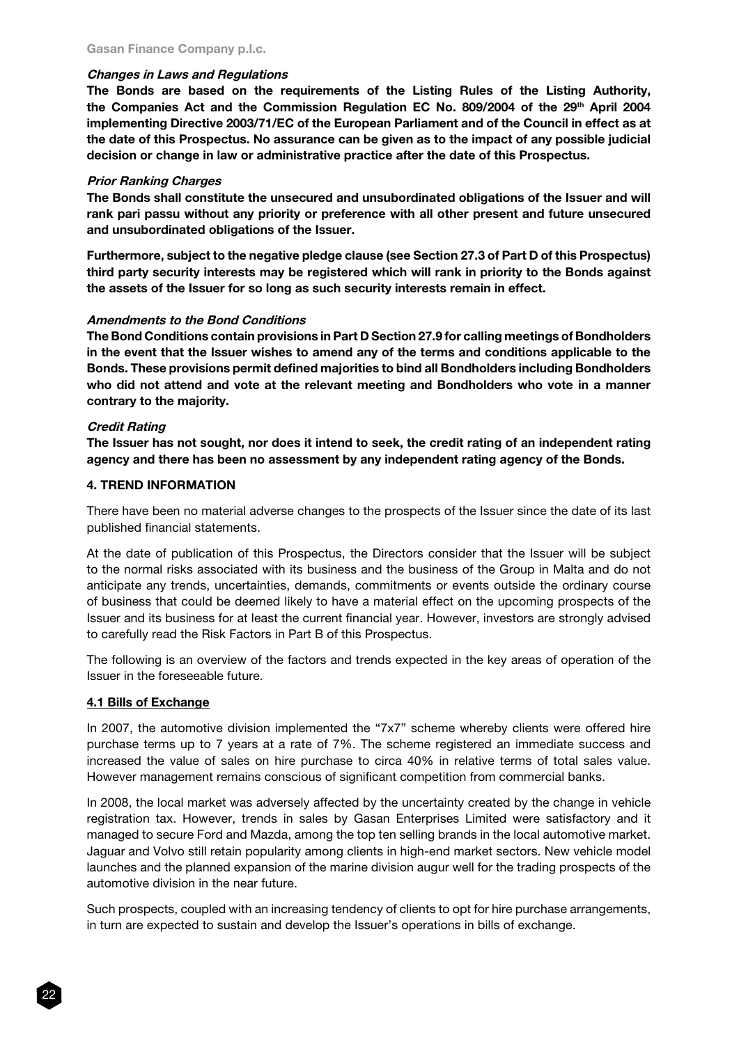# Changes in Laws and Regulations

The Bonds are based on the requirements of the Listing Rules of the Listing Authority, the Companies Act and the Commission Regulation EC No. 809/2004 of the 29th April 2004 implementing Directive 2003/71/EC of the European Parliament and of the Council in effect as at the date of this Prospectus. No assurance can be given as to the impact of any possible judicial decision or change in law or administrative practice after the date of this Prospectus.

## Prior Ranking Charges

The Bonds shall constitute the unsecured and unsubordinated obligations of the Issuer and will rank pari passu without any priority or preference with all other present and future unsecured and unsubordinated obligations of the Issuer.

Furthermore, subject to the negative pledge clause (see Section 27.3 of Part D of this Prospectus) third party security interests may be registered which will rank in priority to the Bonds against the assets of the Issuer for so long as such security interests remain in effect.

## Amendments to the Bond Conditions

The Bond Conditions contain provisions in Part D Section 27.9 for calling meetings of Bondholders in the event that the Issuer wishes to amend any of the terms and conditions applicable to the Bonds. These provisions permit defined majorities to bind all Bondholders including Bondholders who did not attend and vote at the relevant meeting and Bondholders who vote in a manner contrary to the majority.

## Credit Rating

The Issuer has not sought, nor does it intend to seek, the credit rating of an independent rating agency and there has been no assessment by any independent rating agency of the Bonds.

## 4. TREND INFORMATION

There have been no material adverse changes to the prospects of the Issuer since the date of its last published financial statements.

At the date of publication of this Prospectus, the Directors consider that the Issuer will be subject to the normal risks associated with its business and the business of the Group in Malta and do not anticipate any trends, uncertainties, demands, commitments or events outside the ordinary course of business that could be deemed likely to have a material effect on the upcoming prospects of the Issuer and its business for at least the current financial year. However, investors are strongly advised to carefully read the Risk Factors in Part B of this Prospectus.

The following is an overview of the factors and trends expected in the key areas of operation of the Issuer in the foreseeable future.

# 4.1 Bills of Exchange

In 2007, the automotive division implemented the "7x7" scheme whereby clients were offered hire purchase terms up to 7 years at a rate of 7%. The scheme registered an immediate success and increased the value of sales on hire purchase to circa 40% in relative terms of total sales value. However management remains conscious of significant competition from commercial banks.

In 2008, the local market was adversely affected by the uncertainty created by the change in vehicle registration tax. However, trends in sales by Gasan Enterprises Limited were satisfactory and it managed to secure Ford and Mazda, among the top ten selling brands in the local automotive market. Jaguar and Volvo still retain popularity among clients in high-end market sectors. New vehicle model launches and the planned expansion of the marine division augur well for the trading prospects of the automotive division in the near future.

Such prospects, coupled with an increasing tendency of clients to opt for hire purchase arrangements, in turn are expected to sustain and develop the Issuer's operations in bills of exchange.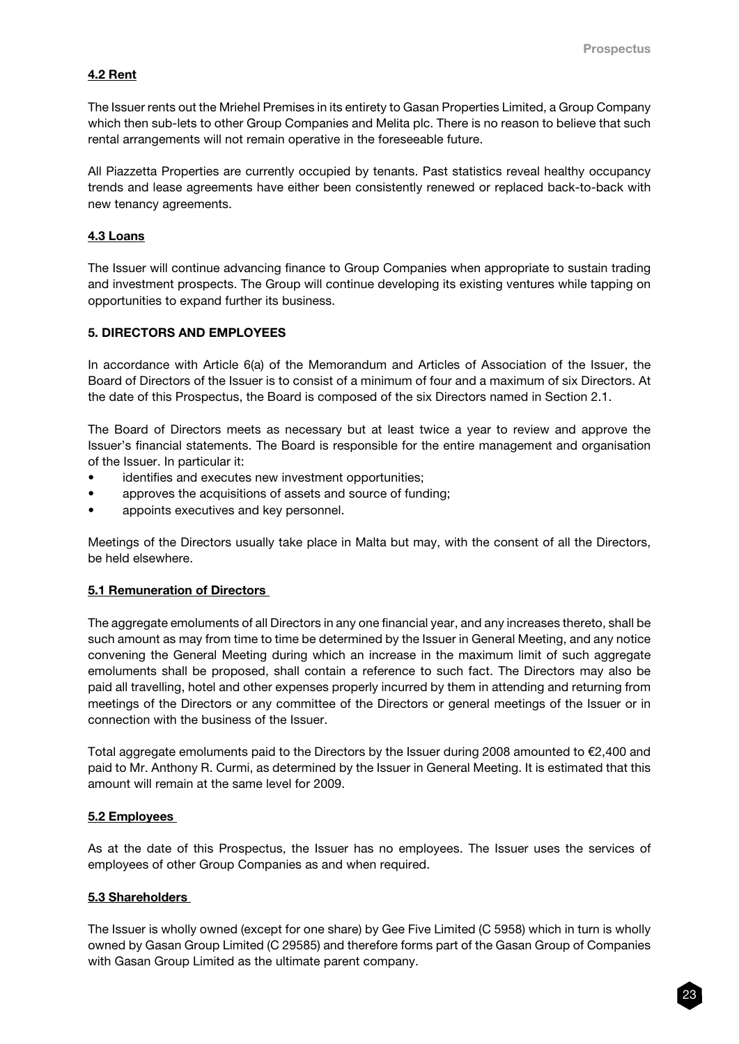# 4.2 Rent

The Issuer rents out the Mriehel Premises in its entirety to Gasan Properties Limited, a Group Company which then sub-lets to other Group Companies and Melita plc. There is no reason to believe that such rental arrangements will not remain operative in the foreseeable future.

All Piazzetta Properties are currently occupied by tenants. Past statistics reveal healthy occupancy trends and lease agreements have either been consistently renewed or replaced back-to-back with new tenancy agreements.

# 4.3 Loans

The Issuer will continue advancing finance to Group Companies when appropriate to sustain trading and investment prospects. The Group will continue developing its existing ventures while tapping on opportunities to expand further its business.

## 5. DIRECTORS AND EMPLOYEES

In accordance with Article 6(a) of the Memorandum and Articles of Association of the Issuer, the Board of Directors of the Issuer is to consist of a minimum of four and a maximum of six Directors. At the date of this Prospectus, the Board is composed of the six Directors named in Section 2.1.

The Board of Directors meets as necessary but at least twice a year to review and approve the Issuer's financial statements. The Board is responsible for the entire management and organisation of the Issuer. In particular it:

- identifies and executes new investment opportunities;
- approves the acquisitions of assets and source of funding;
- appoints executives and key personnel.

Meetings of the Directors usually take place in Malta but may, with the consent of all the Directors, be held elsewhere.

# 5.1 Remuneration of Directors

The aggregate emoluments of all Directors in any one financial year, and any increases thereto, shall be such amount as may from time to time be determined by the Issuer in General Meeting, and any notice convening the General Meeting during which an increase in the maximum limit of such aggregate emoluments shall be proposed, shall contain a reference to such fact. The Directors may also be paid all travelling, hotel and other expenses properly incurred by them in attending and returning from meetings of the Directors or any committee of the Directors or general meetings of the Issuer or in connection with the business of the Issuer.

Total aggregate emoluments paid to the Directors by the Issuer during 2008 amounted to €2,400 and paid to Mr. Anthony R. Curmi, as determined by the Issuer in General Meeting. It is estimated that this amount will remain at the same level for 2009.

#### 5.2 Employees

As at the date of this Prospectus, the Issuer has no employees. The Issuer uses the services of employees of other Group Companies as and when required.

# 5.3 Shareholders

The Issuer is wholly owned (except for one share) by Gee Five Limited (C 5958) which in turn is wholly owned by Gasan Group Limited (C 29585) and therefore forms part of the Gasan Group of Companies with Gasan Group Limited as the ultimate parent company.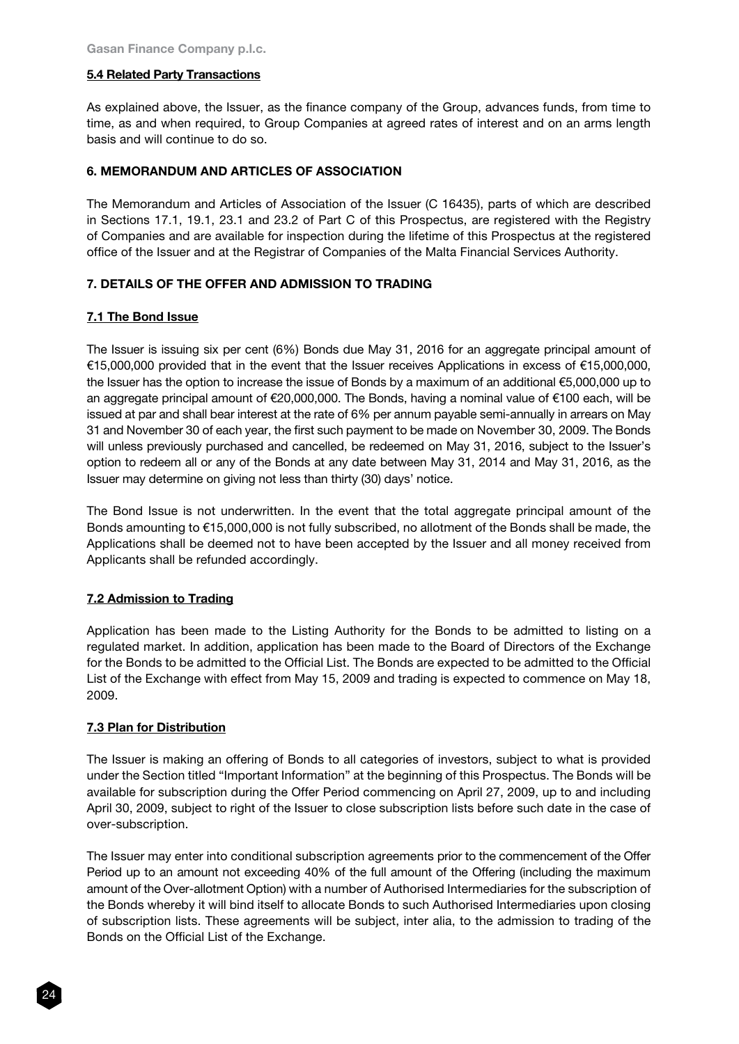# 5.4 Related Party Transactions

As explained above, the Issuer, as the finance company of the Group, advances funds, from time to time, as and when required, to Group Companies at agreed rates of interest and on an arms length basis and will continue to do so.

## 6. MEMORANDUM AND ARTICLES OF ASSOCIATION

The Memorandum and Articles of Association of the Issuer (C 16435), parts of which are described in Sections 17.1, 19.1, 23.1 and 23.2 of Part C of this Prospectus, are registered with the Registry of Companies and are available for inspection during the lifetime of this Prospectus at the registered office of the Issuer and at the Registrar of Companies of the Malta Financial Services Authority.

## 7. DETAILS OF THE OFFER AND ADMISSION TO TRADING

## 7.1 The Bond Issue

The Issuer is issuing six per cent (6%) Bonds due May 31, 2016 for an aggregate principal amount of €15,000,000 provided that in the event that the Issuer receives Applications in excess of €15,000,000, the Issuer has the option to increase the issue of Bonds by a maximum of an additional €5,000,000 up to an aggregate principal amount of €20,000,000. The Bonds, having a nominal value of €100 each, will be issued at par and shall bear interest at the rate of 6% per annum payable semi-annually in arrears on May 31 and November 30 of each year, the first such payment to be made on November 30, 2009. The Bonds will unless previously purchased and cancelled, be redeemed on May 31, 2016, subject to the Issuer's option to redeem all or any of the Bonds at any date between May 31, 2014 and May 31, 2016, as the Issuer may determine on giving not less than thirty (30) days' notice.

The Bond Issue is not underwritten. In the event that the total aggregate principal amount of the Bonds amounting to €15,000,000 is not fully subscribed, no allotment of the Bonds shall be made, the Applications shall be deemed not to have been accepted by the Issuer and all money received from Applicants shall be refunded accordingly.

#### 7.2 Admission to Trading

Application has been made to the Listing Authority for the Bonds to be admitted to listing on a regulated market. In addition, application has been made to the Board of Directors of the Exchange for the Bonds to be admitted to the Official List. The Bonds are expected to be admitted to the Official List of the Exchange with effect from May 15, 2009 and trading is expected to commence on May 18, 2009.

#### 7.3 Plan for Distribution

The Issuer is making an offering of Bonds to all categories of investors, subject to what is provided under the Section titled "Important Information" at the beginning of this Prospectus. The Bonds will be available for subscription during the Offer Period commencing on April 27, 2009, up to and including April 30, 2009, subject to right of the Issuer to close subscription lists before such date in the case of over-subscription.

The Issuer may enter into conditional subscription agreements prior to the commencement of the Offer Period up to an amount not exceeding 40% of the full amount of the Offering (including the maximum amount of the Over-allotment Option) with a number of Authorised Intermediaries for the subscription of the Bonds whereby it will bind itself to allocate Bonds to such Authorised Intermediaries upon closing of subscription lists. These agreements will be subject, inter alia, to the admission to trading of the Bonds on the Official List of the Exchange.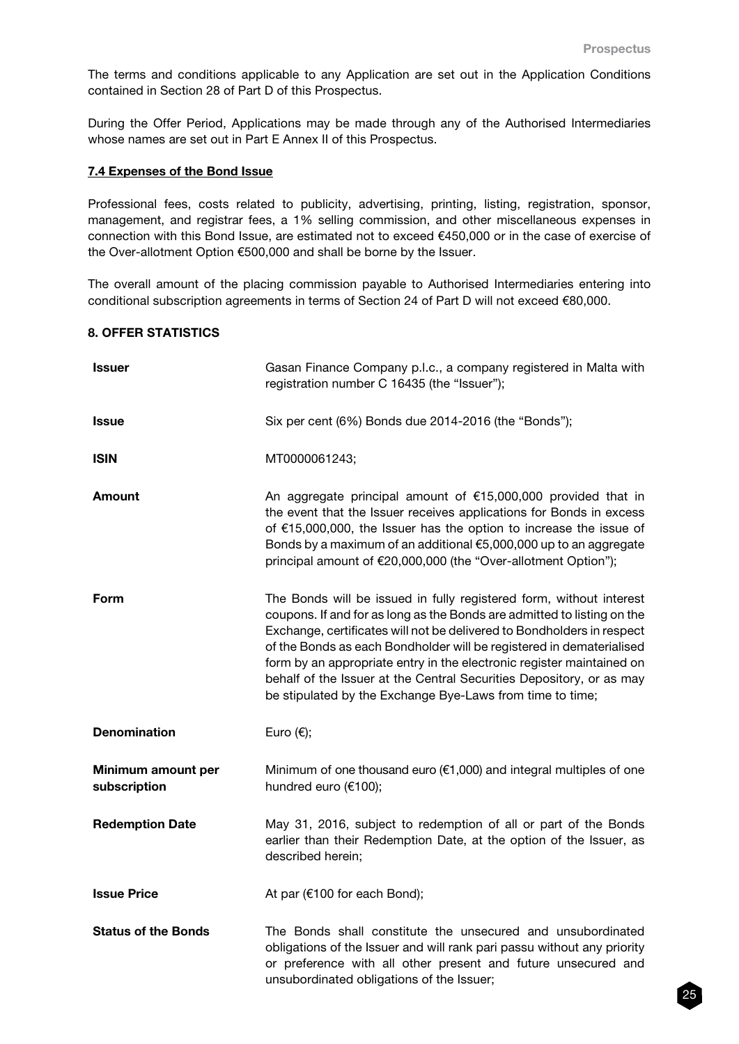The terms and conditions applicable to any Application are set out in the Application Conditions contained in Section 28 of Part D of this Prospectus.

During the Offer Period, Applications may be made through any of the Authorised Intermediaries whose names are set out in Part E Annex II of this Prospectus.

## 7.4 Expenses of the Bond Issue

Professional fees, costs related to publicity, advertising, printing, listing, registration, sponsor, management, and registrar fees, a 1% selling commission, and other miscellaneous expenses in connection with this Bond Issue, are estimated not to exceed €450,000 or in the case of exercise of the Over-allotment Option €500,000 and shall be borne by the Issuer.

The overall amount of the placing commission payable to Authorised Intermediaries entering into conditional subscription agreements in terms of Section 24 of Part D will not exceed €80,000.

# 8. OFFER STATISTICS

| Issuer                             | Gasan Finance Company p.l.c., a company registered in Malta with<br>registration number C 16435 (the "Issuer");                                                                                                                                                                                                                                                                                                                                                                                                |
|------------------------------------|----------------------------------------------------------------------------------------------------------------------------------------------------------------------------------------------------------------------------------------------------------------------------------------------------------------------------------------------------------------------------------------------------------------------------------------------------------------------------------------------------------------|
| Issue                              | Six per cent (6%) Bonds due 2014-2016 (the "Bonds");                                                                                                                                                                                                                                                                                                                                                                                                                                                           |
| <b>ISIN</b>                        | MT0000061243;                                                                                                                                                                                                                                                                                                                                                                                                                                                                                                  |
| Amount                             | An aggregate principal amount of €15,000,000 provided that in<br>the event that the Issuer receives applications for Bonds in excess<br>of €15,000,000, the Issuer has the option to increase the issue of<br>Bonds by a maximum of an additional €5,000,000 up to an aggregate<br>principal amount of €20,000,000 (the "Over-allotment Option");                                                                                                                                                              |
| Form                               | The Bonds will be issued in fully registered form, without interest<br>coupons. If and for as long as the Bonds are admitted to listing on the<br>Exchange, certificates will not be delivered to Bondholders in respect<br>of the Bonds as each Bondholder will be registered in dematerialised<br>form by an appropriate entry in the electronic register maintained on<br>behalf of the Issuer at the Central Securities Depository, or as may<br>be stipulated by the Exchange Bye-Laws from time to time; |
| <b>Denomination</b>                | Euro $(\epsilon)$ ;                                                                                                                                                                                                                                                                                                                                                                                                                                                                                            |
| Minimum amount per<br>subscription | Minimum of one thousand euro ( $€1,000$ ) and integral multiples of one<br>hundred euro (€100);                                                                                                                                                                                                                                                                                                                                                                                                                |
| <b>Redemption Date</b>             | May 31, 2016, subject to redemption of all or part of the Bonds<br>earlier than their Redemption Date, at the option of the Issuer, as<br>described herein;                                                                                                                                                                                                                                                                                                                                                    |
| <b>Issue Price</b>                 | At par (€100 for each Bond);                                                                                                                                                                                                                                                                                                                                                                                                                                                                                   |
| <b>Status of the Bonds</b>         | The Bonds shall constitute the unsecured and unsubordinated<br>obligations of the Issuer and will rank pari passu without any priority<br>or preference with all other present and future unsecured and<br>unsubordinated obligations of the Issuer;                                                                                                                                                                                                                                                           |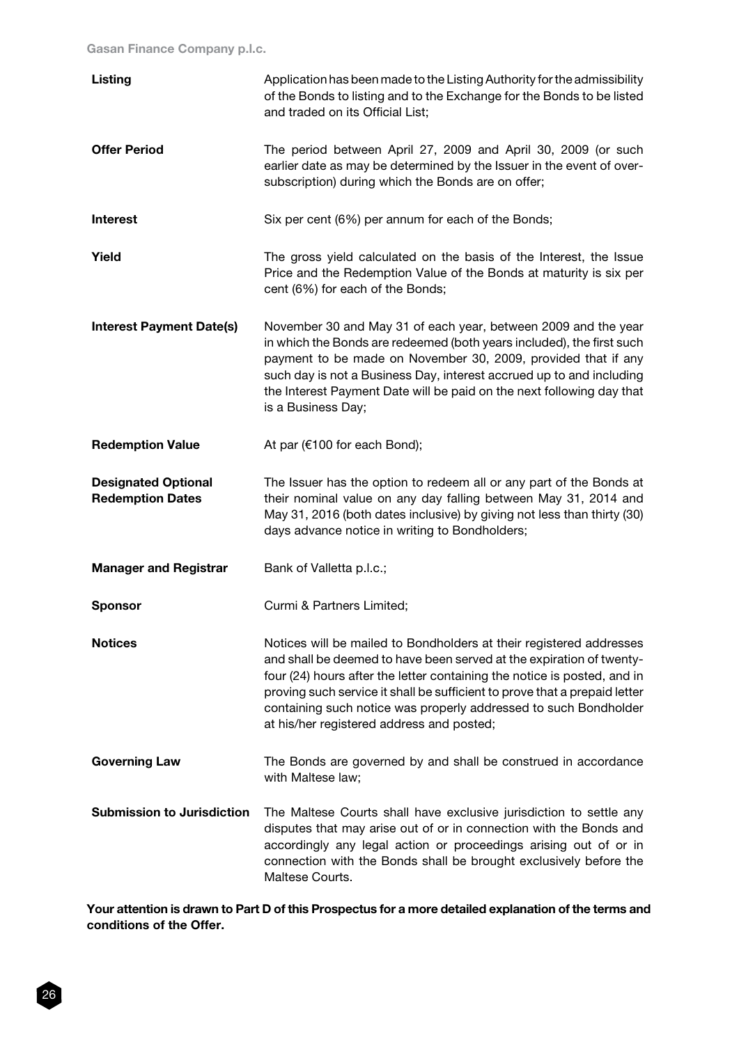| Listing                                               | Application has been made to the Listing Authority for the admissibility<br>of the Bonds to listing and to the Exchange for the Bonds to be listed<br>and traded on its Official List;                                                                                                                                                                                                                                 |
|-------------------------------------------------------|------------------------------------------------------------------------------------------------------------------------------------------------------------------------------------------------------------------------------------------------------------------------------------------------------------------------------------------------------------------------------------------------------------------------|
| <b>Offer Period</b>                                   | The period between April 27, 2009 and April 30, 2009 (or such<br>earlier date as may be determined by the Issuer in the event of over-<br>subscription) during which the Bonds are on offer;                                                                                                                                                                                                                           |
| <b>Interest</b>                                       | Six per cent (6%) per annum for each of the Bonds;                                                                                                                                                                                                                                                                                                                                                                     |
| Yield                                                 | The gross yield calculated on the basis of the Interest, the Issue<br>Price and the Redemption Value of the Bonds at maturity is six per<br>cent (6%) for each of the Bonds;                                                                                                                                                                                                                                           |
| <b>Interest Payment Date(s)</b>                       | November 30 and May 31 of each year, between 2009 and the year<br>in which the Bonds are redeemed (both years included), the first such<br>payment to be made on November 30, 2009, provided that if any<br>such day is not a Business Day, interest accrued up to and including<br>the Interest Payment Date will be paid on the next following day that<br>is a Business Day;                                        |
| <b>Redemption Value</b>                               | At par (€100 for each Bond);                                                                                                                                                                                                                                                                                                                                                                                           |
| <b>Designated Optional</b><br><b>Redemption Dates</b> | The Issuer has the option to redeem all or any part of the Bonds at<br>their nominal value on any day falling between May 31, 2014 and<br>May 31, 2016 (both dates inclusive) by giving not less than thirty (30)<br>days advance notice in writing to Bondholders;                                                                                                                                                    |
| <b>Manager and Registrar</b>                          | Bank of Valletta p.l.c.;                                                                                                                                                                                                                                                                                                                                                                                               |
| <b>Sponsor</b>                                        | Curmi & Partners Limited;                                                                                                                                                                                                                                                                                                                                                                                              |
| <b>Notices</b>                                        | Notices will be mailed to Bondholders at their registered addresses<br>and shall be deemed to have been served at the expiration of twenty-<br>four (24) hours after the letter containing the notice is posted, and in<br>proving such service it shall be sufficient to prove that a prepaid letter<br>containing such notice was properly addressed to such Bondholder<br>at his/her registered address and posted; |
| <b>Governing Law</b>                                  | The Bonds are governed by and shall be construed in accordance<br>with Maltese law;                                                                                                                                                                                                                                                                                                                                    |
| <b>Submission to Jurisdiction</b>                     | The Maltese Courts shall have exclusive jurisdiction to settle any<br>disputes that may arise out of or in connection with the Bonds and<br>accordingly any legal action or proceedings arising out of or in<br>connection with the Bonds shall be brought exclusively before the<br>Maltese Courts.                                                                                                                   |

Your attention is drawn to Part D of this Prospectus for a more detailed explanation of the terms and conditions of the Offer.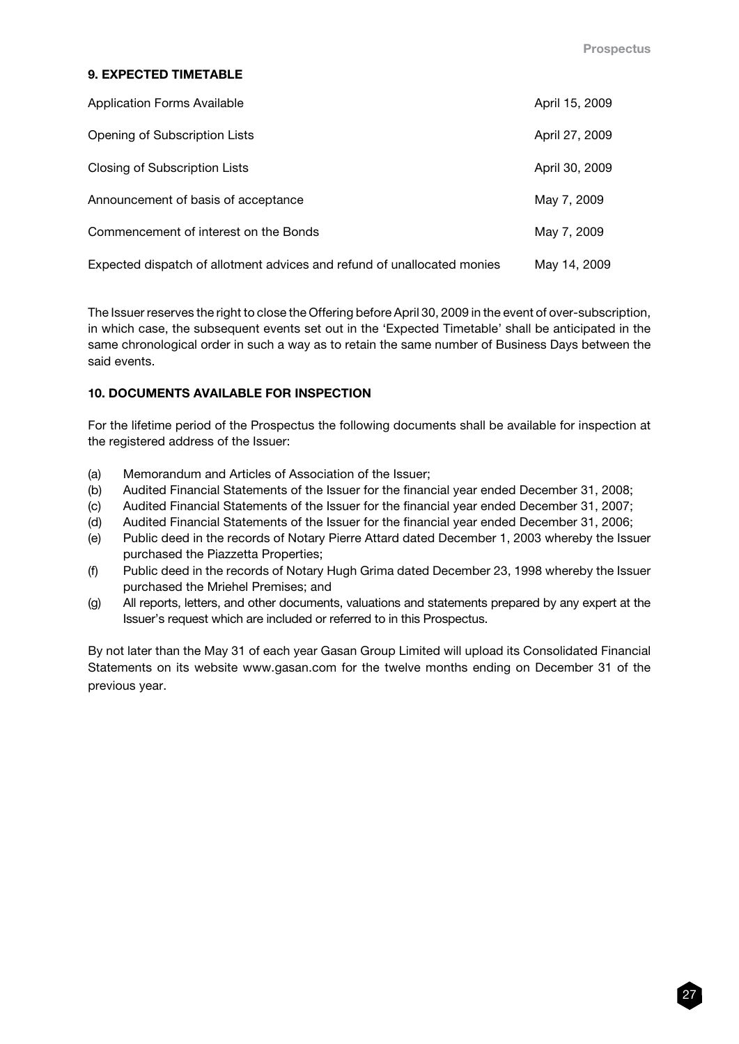# 9. EXPECTED TIMETABLE

| <b>Application Forms Available</b>                                      | April 15, 2009 |
|-------------------------------------------------------------------------|----------------|
| Opening of Subscription Lists                                           | April 27, 2009 |
| Closing of Subscription Lists                                           | April 30, 2009 |
| Announcement of basis of acceptance                                     | May 7, 2009    |
| Commencement of interest on the Bonds                                   | May 7, 2009    |
| Expected dispatch of allotment advices and refund of unallocated monies | May 14, 2009   |

The Issuer reserves the right to close the Offering before April 30, 2009 in the event of over-subscription, in which case, the subsequent events set out in the 'Expected Timetable' shall be anticipated in the same chronological order in such a way as to retain the same number of Business Days between the said events.

# 10. DOCUMENTS AVAILABLE FOR INSPECTION

For the lifetime period of the Prospectus the following documents shall be available for inspection at the registered address of the Issuer:

- (a) Memorandum and Articles of Association of the Issuer;
- (b) Audited Financial Statements of the Issuer for the financial year ended December 31, 2008;
- (c) Audited Financial Statements of the Issuer for the financial year ended December 31, 2007;
- (d) Audited Financial Statements of the Issuer for the financial year ended December 31, 2006;
- (e) Public deed in the records of Notary Pierre Attard dated December 1, 2003 whereby the Issuer purchased the Piazzetta Properties;
- (f) Public deed in the records of Notary Hugh Grima dated December 23, 1998 whereby the Issuer purchased the Mriehel Premises; and
- (g) All reports, letters, and other documents, valuations and statements prepared by any expert at the Issuer's request which are included or referred to in this Prospectus.

By not later than the May 31 of each year Gasan Group Limited will upload its Consolidated Financial Statements on its website www.gasan.com for the twelve months ending on December 31 of the previous year.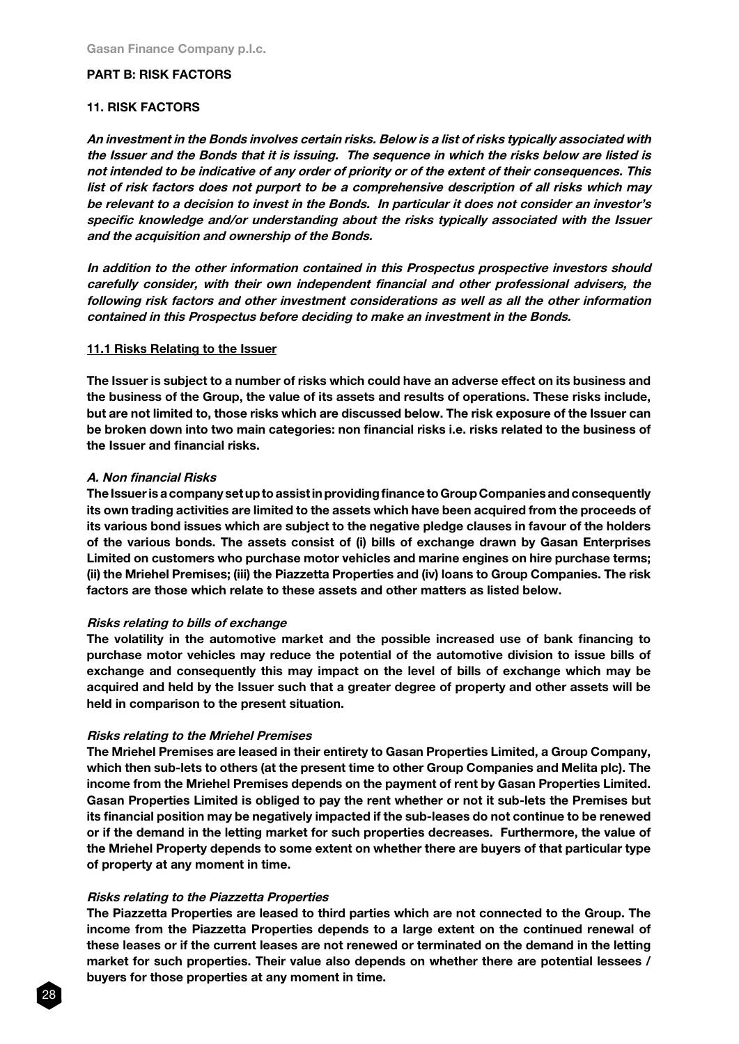## PART B: RISK FACTORS

#### 11. RISK FACTORS

An investment in the Bonds involves certain risks. Below is a list of risks typically associated with the Issuer and the Bonds that it is issuing. The sequence in which the risks below are listed is not intended to be indicative of any order of priority or of the extent of their consequences. This list of risk factors does not purport to be a comprehensive description of all risks which may be relevant to a decision to invest in the Bonds. In particular it does not consider an investor's specific knowledge and/or understanding about the risks typically associated with the Issuer and the acquisition and ownership of the Bonds.

In addition to the other information contained in this Prospectus prospective investors should carefully consider, with their own independent financial and other professional advisers, the following risk factors and other investment considerations as well as all the other information contained in this Prospectus before deciding to make an investment in the Bonds.

#### 11.1 Risks Relating to the Issuer

The Issuer is subject to a number of risks which could have an adverse effect on its business and the business of the Group, the value of its assets and results of operations. These risks include, but are not limited to, those risks which are discussed below. The risk exposure of the Issuer can be broken down into two main categories: non financial risks i.e. risks related to the business of the Issuer and financial risks.

#### A. Non financial Risks

The Issuer is a company set up to assist in providing finance to Group Companies and consequently its own trading activities are limited to the assets which have been acquired from the proceeds of its various bond issues which are subject to the negative pledge clauses in favour of the holders of the various bonds. The assets consist of (i) bills of exchange drawn by Gasan Enterprises Limited on customers who purchase motor vehicles and marine engines on hire purchase terms; (ii) the Mriehel Premises; (iii) the Piazzetta Properties and (iv) loans to Group Companies. The risk factors are those which relate to these assets and other matters as listed below.

#### Risks relating to bills of exchange

The volatility in the automotive market and the possible increased use of bank financing to purchase motor vehicles may reduce the potential of the automotive division to issue bills of exchange and consequently this may impact on the level of bills of exchange which may be acquired and held by the Issuer such that a greater degree of property and other assets will be held in comparison to the present situation.

#### Risks relating to the Mriehel Premises

The Mriehel Premises are leased in their entirety to Gasan Properties Limited, a Group Company, which then sub-lets to others (at the present time to other Group Companies and Melita plc). The income from the Mriehel Premises depends on the payment of rent by Gasan Properties Limited. Gasan Properties Limited is obliged to pay the rent whether or not it sub-lets the Premises but its financial position may be negatively impacted if the sub-leases do not continue to be renewed or if the demand in the letting market for such properties decreases. Furthermore, the value of the Mriehel Property depends to some extent on whether there are buyers of that particular type of property at any moment in time.

#### Risks relating to the Piazzetta Properties

The Piazzetta Properties are leased to third parties which are not connected to the Group. The income from the Piazzetta Properties depends to a large extent on the continued renewal of these leases or if the current leases are not renewed or terminated on the demand in the letting market for such properties. Their value also depends on whether there are potential lessees / buyers for those properties at any moment in time.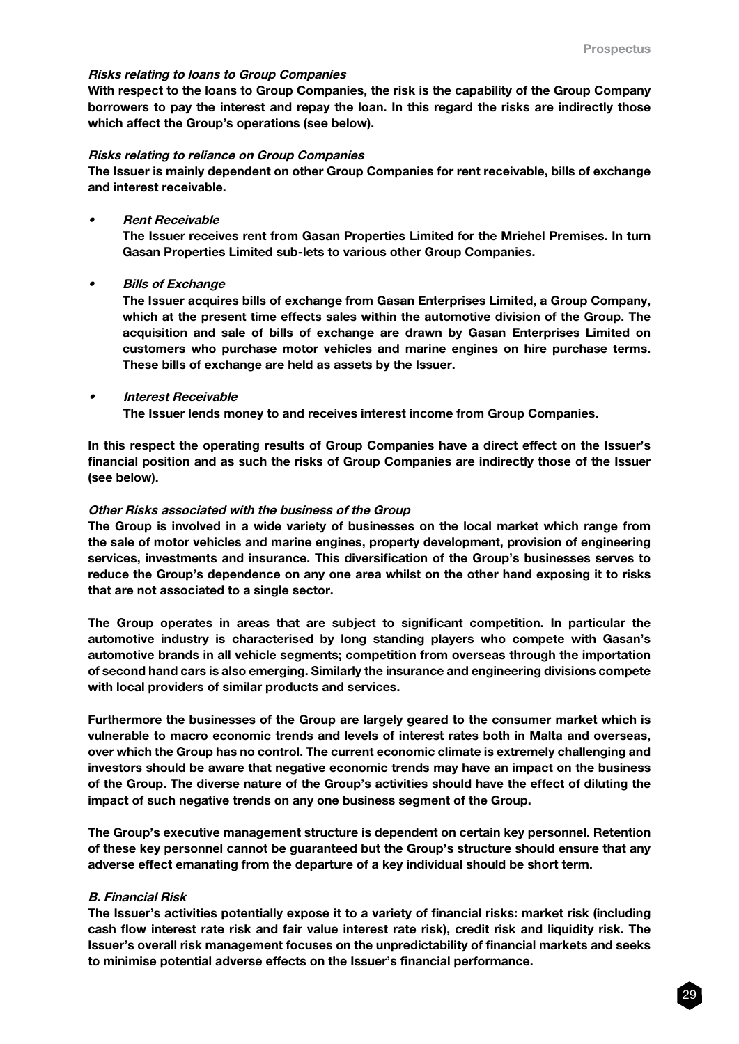#### Risks relating to loans to Group Companies

With respect to the loans to Group Companies, the risk is the capability of the Group Company borrowers to pay the interest and repay the loan. In this regard the risks are indirectly those which affect the Group's operations (see below).

#### Risks relating to reliance on Group Companies

The Issuer is mainly dependent on other Group Companies for rent receivable, bills of exchange and interest receivable.

#### • Rent Receivable

The Issuer receives rent from Gasan Properties Limited for the Mriehel Premises. In turn Gasan Properties Limited sub-lets to various other Group Companies.

• Bills of Exchange

> The Issuer acquires bills of exchange from Gasan Enterprises Limited, a Group Company, which at the present time effects sales within the automotive division of the Group. The acquisition and sale of bills of exchange are drawn by Gasan Enterprises Limited on customers who purchase motor vehicles and marine engines on hire purchase terms. These bills of exchange are held as assets by the Issuer.

#### **Interest Receivable**

The Issuer lends money to and receives interest income from Group Companies.

In this respect the operating results of Group Companies have a direct effect on the Issuer's financial position and as such the risks of Group Companies are indirectly those of the Issuer (see below).

#### Other Risks associated with the business of the Group

The Group is involved in a wide variety of businesses on the local market which range from the sale of motor vehicles and marine engines, property development, provision of engineering services, investments and insurance. This diversification of the Group's businesses serves to reduce the Group's dependence on any one area whilst on the other hand exposing it to risks that are not associated to a single sector.

The Group operates in areas that are subject to significant competition. In particular the automotive industry is characterised by long standing players who compete with Gasan's automotive brands in all vehicle segments; competition from overseas through the importation of second hand cars is also emerging. Similarly the insurance and engineering divisions compete with local providers of similar products and services.

Furthermore the businesses of the Group are largely geared to the consumer market which is vulnerable to macro economic trends and levels of interest rates both in Malta and overseas, over which the Group has no control. The current economic climate is extremely challenging and investors should be aware that negative economic trends may have an impact on the business of the Group. The diverse nature of the Group's activities should have the effect of diluting the impact of such negative trends on any one business segment of the Group.

The Group's executive management structure is dependent on certain key personnel. Retention of these key personnel cannot be guaranteed but the Group's structure should ensure that any adverse effect emanating from the departure of a key individual should be short term.

#### B. Financial Risk

The Issuer's activities potentially expose it to a variety of financial risks: market risk (including cash flow interest rate risk and fair value interest rate risk), credit risk and liquidity risk. The Issuer's overall risk management focuses on the unpredictability of financial markets and seeks to minimise potential adverse effects on the Issuer's financial performance.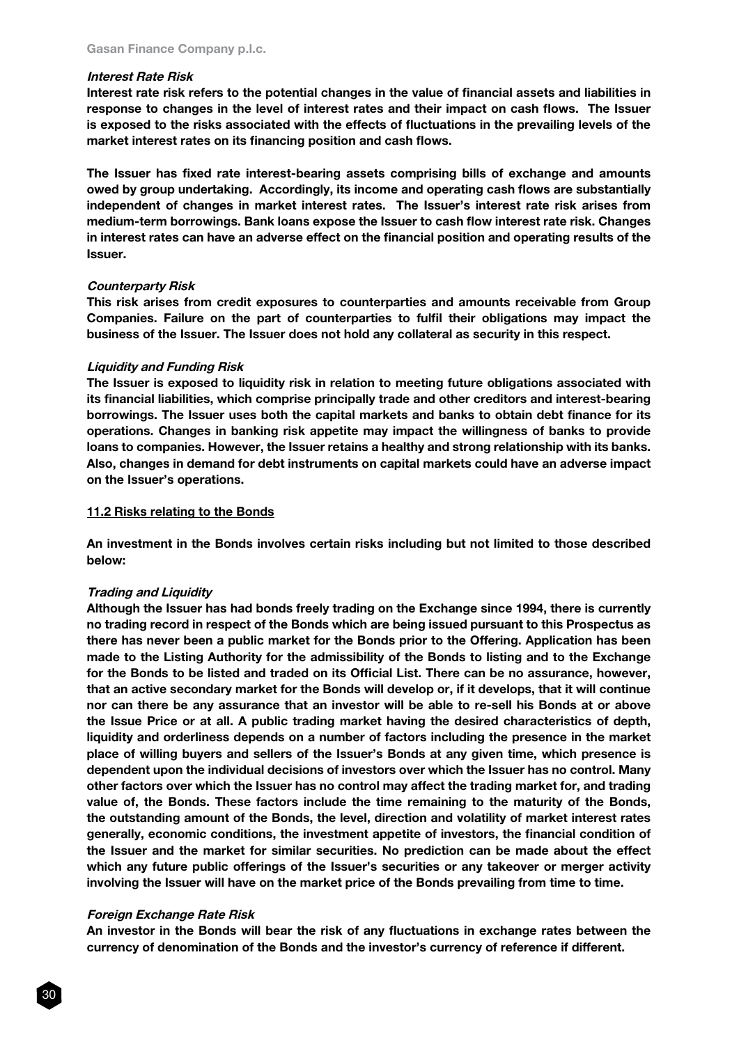#### Interest Rate Risk

Interest rate risk refers to the potential changes in the value of financial assets and liabilities in response to changes in the level of interest rates and their impact on cash flows. The Issuer is exposed to the risks associated with the effects of fluctuations in the prevailing levels of the market interest rates on its financing position and cash flows.

The Issuer has fixed rate interest-bearing assets comprising bills of exchange and amounts owed by group undertaking. Accordingly, its income and operating cash flows are substantially independent of changes in market interest rates. The Issuer's interest rate risk arises from medium-term borrowings. Bank loans expose the Issuer to cash flow interest rate risk. Changes in interest rates can have an adverse effect on the financial position and operating results of the Issuer.

#### Counterparty Risk

This risk arises from credit exposures to counterparties and amounts receivable from Group Companies. Failure on the part of counterparties to fulfil their obligations may impact the business of the Issuer. The Issuer does not hold any collateral as security in this respect.

#### Liquidity and Funding Risk

The Issuer is exposed to liquidity risk in relation to meeting future obligations associated with its financial liabilities, which comprise principally trade and other creditors and interest-bearing borrowings. The Issuer uses both the capital markets and banks to obtain debt finance for its operations. Changes in banking risk appetite may impact the willingness of banks to provide loans to companies. However, the Issuer retains a healthy and strong relationship with its banks. Also, changes in demand for debt instruments on capital markets could have an adverse impact on the Issuer's operations.

#### 11.2 Risks relating to the Bonds

An investment in the Bonds involves certain risks including but not limited to those described below:

#### Trading and Liquidity

Although the Issuer has had bonds freely trading on the Exchange since 1994, there is currently no trading record in respect of the Bonds which are being issued pursuant to this Prospectus as there has never been a public market for the Bonds prior to the Offering. Application has been made to the Listing Authority for the admissibility of the Bonds to listing and to the Exchange for the Bonds to be listed and traded on its Official List. There can be no assurance, however, that an active secondary market for the Bonds will develop or, if it develops, that it will continue nor can there be any assurance that an investor will be able to re-sell his Bonds at or above the Issue Price or at all. A public trading market having the desired characteristics of depth, liquidity and orderliness depends on a number of factors including the presence in the market place of willing buyers and sellers of the Issuer's Bonds at any given time, which presence is dependent upon the individual decisions of investors over which the Issuer has no control. Many other factors over which the Issuer has no control may affect the trading market for, and trading value of, the Bonds. These factors include the time remaining to the maturity of the Bonds, the outstanding amount of the Bonds, the level, direction and volatility of market interest rates generally, economic conditions, the investment appetite of investors, the financial condition of the Issuer and the market for similar securities. No prediction can be made about the effect which any future public offerings of the Issuer's securities or any takeover or merger activity involving the Issuer will have on the market price of the Bonds prevailing from time to time.

#### Foreign Exchange Rate Risk

An investor in the Bonds will bear the risk of any fluctuations in exchange rates between the currency of denomination of the Bonds and the investor's currency of reference if different.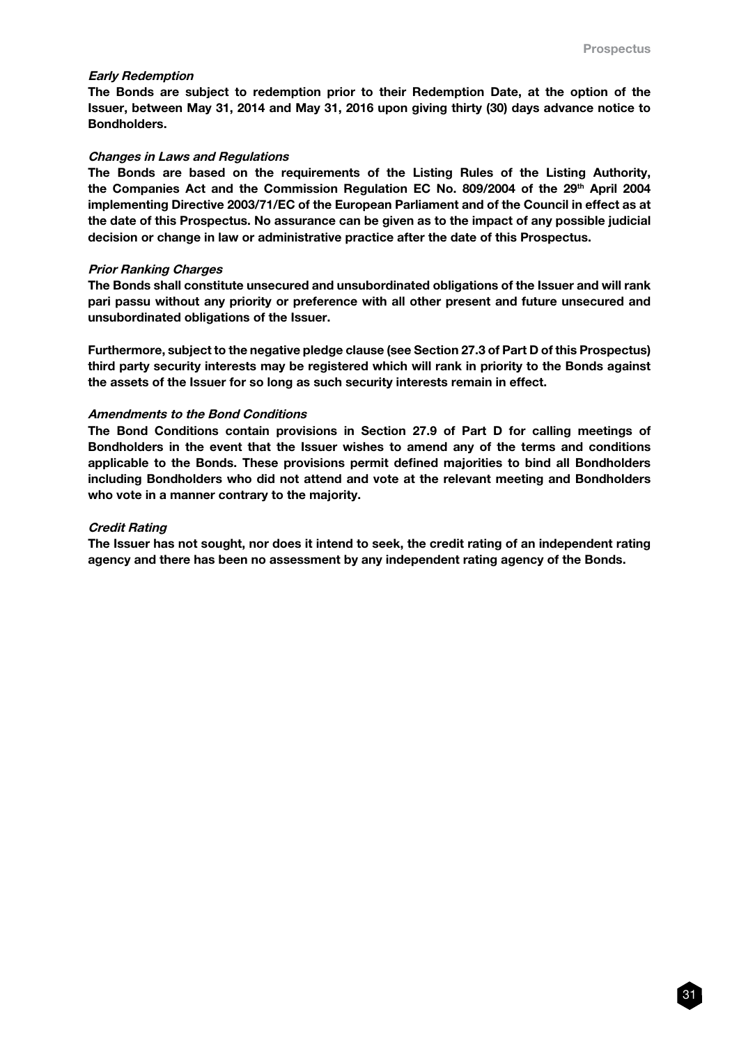#### Early Redemption

The Bonds are subject to redemption prior to their Redemption Date, at the option of the Issuer, between May 31, 2014 and May 31, 2016 upon giving thirty (30) days advance notice to Bondholders.

#### Changes in Laws and Regulations

The Bonds are based on the requirements of the Listing Rules of the Listing Authority, the Companies Act and the Commission Regulation EC No. 809/2004 of the 29th April 2004 implementing Directive 2003/71/EC of the European Parliament and of the Council in effect as at the date of this Prospectus. No assurance can be given as to the impact of any possible judicial decision or change in law or administrative practice after the date of this Prospectus.

#### Prior Ranking Charges

The Bonds shall constitute unsecured and unsubordinated obligations of the Issuer and will rank pari passu without any priority or preference with all other present and future unsecured and unsubordinated obligations of the Issuer.

Furthermore, subject to the negative pledge clause (see Section 27.3 of Part D of this Prospectus) third party security interests may be registered which will rank in priority to the Bonds against the assets of the Issuer for so long as such security interests remain in effect.

#### Amendments to the Bond Conditions

The Bond Conditions contain provisions in Section 27.9 of Part D for calling meetings of Bondholders in the event that the Issuer wishes to amend any of the terms and conditions applicable to the Bonds. These provisions permit defined majorities to bind all Bondholders including Bondholders who did not attend and vote at the relevant meeting and Bondholders who vote in a manner contrary to the majority.

#### Credit Rating

The Issuer has not sought, nor does it intend to seek, the credit rating of an independent rating agency and there has been no assessment by any independent rating agency of the Bonds.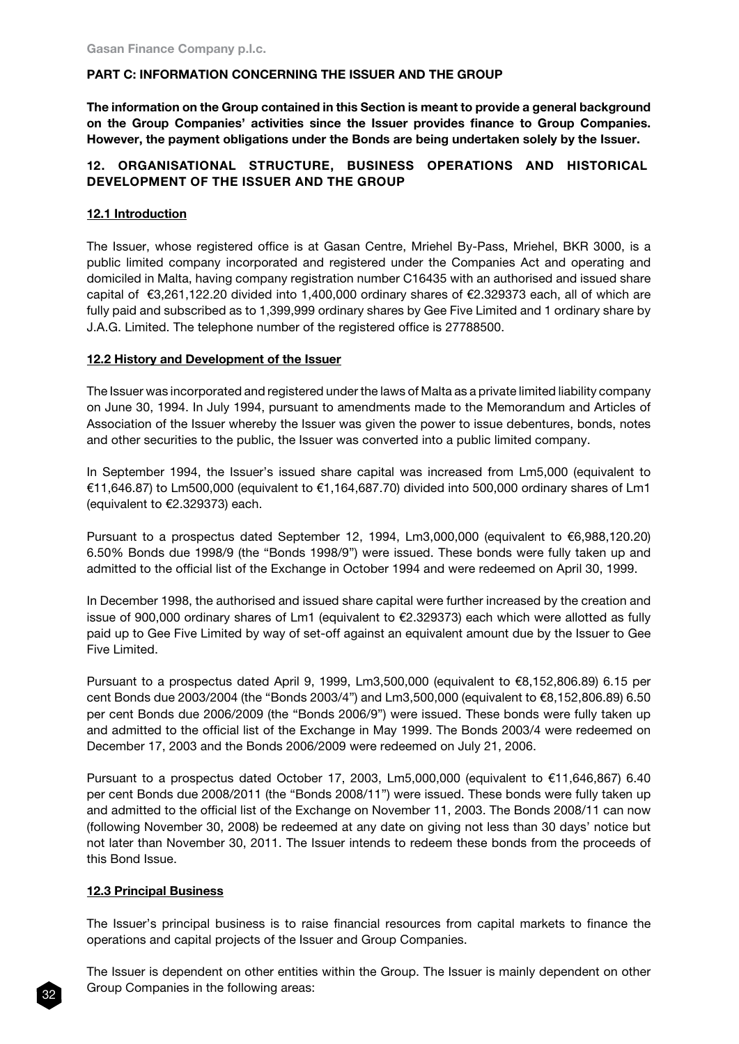# PART C: INFORMATION CONCERNING THE ISSUER AND THE GROUP

The information on the Group contained in this Section is meant to provide a general background on the Group Companies' activities since the Issuer provides finance to Group Companies. However, the payment obligations under the Bonds are being undertaken solely by the Issuer.

# 12. ORGANISATIONAL STRUCTURE, BUSINESS OPERATIONS AND HISTORICAL DEVELOPMENT OF THE ISSUER AND THE GROUP

# 12.1 Introduction

The Issuer, whose registered office is at Gasan Centre, Mriehel By-Pass, Mriehel, BKR 3000, is a public limited company incorporated and registered under the Companies Act and operating and domiciled in Malta, having company registration number C16435 with an authorised and issued share capital of €3,261,122.20 divided into 1,400,000 ordinary shares of €2.329373 each, all of which are fully paid and subscribed as to 1,399,999 ordinary shares by Gee Five Limited and 1 ordinary share by J.A.G. Limited. The telephone number of the registered office is 27788500.

# 12.2 History and Development of the Issuer

The Issuer was incorporated and registered under the laws of Malta as a private limited liability company on June 30, 1994. In July 1994, pursuant to amendments made to the Memorandum and Articles of Association of the Issuer whereby the Issuer was given the power to issue debentures, bonds, notes and other securities to the public, the Issuer was converted into a public limited company.

In September 1994, the Issuer's issued share capital was increased from Lm5,000 (equivalent to €11,646.87) to Lm500,000 (equivalent to €1,164,687.70) divided into 500,000 ordinary shares of Lm1 (equivalent to €2.329373) each.

Pursuant to a prospectus dated September 12, 1994, Lm3,000,000 (equivalent to €6,988,120.20) 6.50% Bonds due 1998/9 (the "Bonds 1998/9") were issued. These bonds were fully taken up and admitted to the official list of the Exchange in October 1994 and were redeemed on April 30, 1999.

In December 1998, the authorised and issued share capital were further increased by the creation and issue of 900,000 ordinary shares of Lm1 (equivalent to €2.329373) each which were allotted as fully paid up to Gee Five Limited by way of set-off against an equivalent amount due by the Issuer to Gee Five Limited.

Pursuant to a prospectus dated April 9, 1999, Lm3,500,000 (equivalent to €8,152,806.89) 6.15 per cent Bonds due 2003/2004 (the "Bonds 2003/4") and Lm3,500,000 (equivalent to €8,152,806.89) 6.50 per cent Bonds due 2006/2009 (the "Bonds 2006/9") were issued. These bonds were fully taken up and admitted to the official list of the Exchange in May 1999. The Bonds 2003/4 were redeemed on December 17, 2003 and the Bonds 2006/2009 were redeemed on July 21, 2006.

Pursuant to a prospectus dated October 17, 2003, Lm5,000,000 (equivalent to €11,646,867) 6.40 per cent Bonds due 2008/2011 (the "Bonds 2008/11") were issued. These bonds were fully taken up and admitted to the official list of the Exchange on November 11, 2003. The Bonds 2008/11 can now (following November 30, 2008) be redeemed at any date on giving not less than 30 days' notice but not later than November 30, 2011. The Issuer intends to redeem these bonds from the proceeds of this Bond Issue.

# 12.3 Principal Business

32

The Issuer's principal business is to raise financial resources from capital markets to finance the operations and capital projects of the Issuer and Group Companies.

The Issuer is dependent on other entities within the Group. The Issuer is mainly dependent on other Group Companies in the following areas: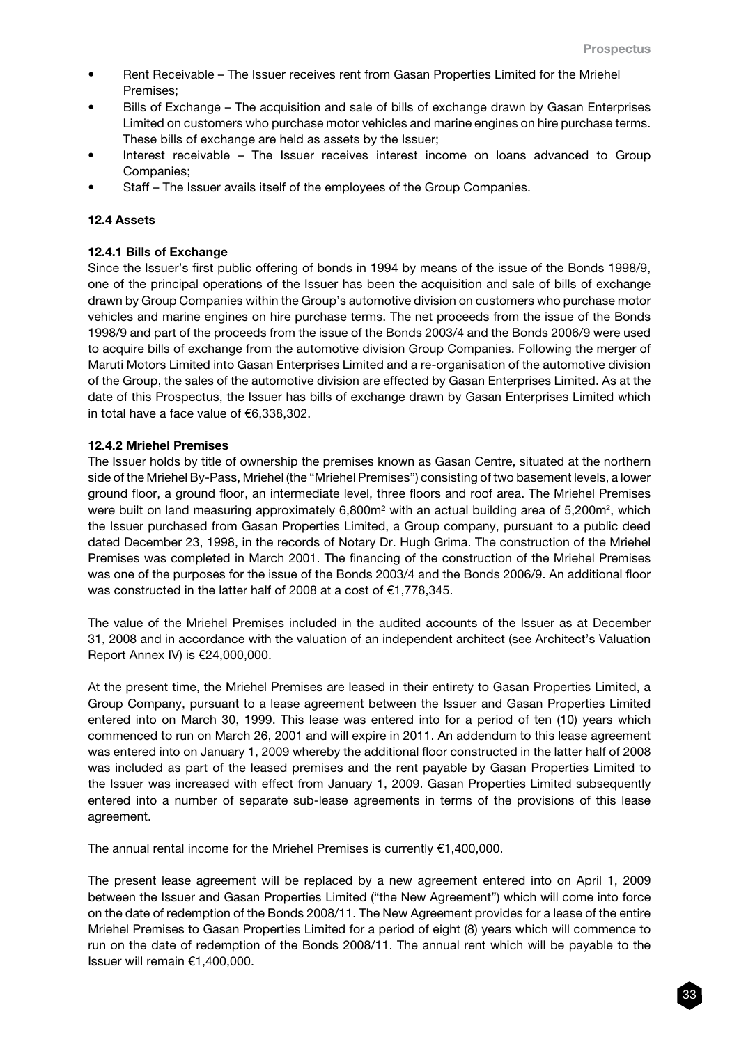- Rent Receivable The Issuer receives rent from Gasan Properties Limited for the Mriehel Premises;
- Bills of Exchange The acquisition and sale of bills of exchange drawn by Gasan Enterprises Limited on customers who purchase motor vehicles and marine engines on hire purchase terms. These bills of exchange are held as assets by the Issuer;
- Interest receivable The Issuer receives interest income on loans advanced to Group Companies;
- Staff The Issuer avails itself of the employees of the Group Companies.

## 12.4 Assets

## 12.4.1 Bills of Exchange

Since the Issuer's first public offering of bonds in 1994 by means of the issue of the Bonds 1998/9, one of the principal operations of the Issuer has been the acquisition and sale of bills of exchange drawn by Group Companies within the Group's automotive division on customers who purchase motor vehicles and marine engines on hire purchase terms. The net proceeds from the issue of the Bonds 1998/9 and part of the proceeds from the issue of the Bonds 2003/4 and the Bonds 2006/9 were used to acquire bills of exchange from the automotive division Group Companies. Following the merger of Maruti Motors Limited into Gasan Enterprises Limited and a re-organisation of the automotive division of the Group, the sales of the automotive division are effected by Gasan Enterprises Limited. As at the date of this Prospectus, the Issuer has bills of exchange drawn by Gasan Enterprises Limited which in total have a face value of €6,338,302.

#### 12.4.2 Mriehel Premises

The Issuer holds by title of ownership the premises known as Gasan Centre, situated at the northern side of the Mriehel By-Pass, Mriehel (the "Mriehel Premises") consisting of two basement levels, a lower ground floor, a ground floor, an intermediate level, three floors and roof area. The Mriehel Premises were built on land measuring approximately  $6,800m^2$  with an actual building area of 5,200m<sup>2</sup>, which the Issuer purchased from Gasan Properties Limited, a Group company, pursuant to a public deed dated December 23, 1998, in the records of Notary Dr. Hugh Grima. The construction of the Mriehel Premises was completed in March 2001. The financing of the construction of the Mriehel Premises was one of the purposes for the issue of the Bonds 2003/4 and the Bonds 2006/9. An additional floor was constructed in the latter half of 2008 at a cost of €1,778,345.

The value of the Mriehel Premises included in the audited accounts of the Issuer as at December 31, 2008 and in accordance with the valuation of an independent architect (see Architect's Valuation Report Annex IV) is €24,000,000.

At the present time, the Mriehel Premises are leased in their entirety to Gasan Properties Limited, a Group Company, pursuant to a lease agreement between the Issuer and Gasan Properties Limited entered into on March 30, 1999. This lease was entered into for a period of ten (10) years which commenced to run on March 26, 2001 and will expire in 2011. An addendum to this lease agreement was entered into on January 1, 2009 whereby the additional floor constructed in the latter half of 2008 was included as part of the leased premises and the rent payable by Gasan Properties Limited to the Issuer was increased with effect from January 1, 2009. Gasan Properties Limited subsequently entered into a number of separate sub-lease agreements in terms of the provisions of this lease agreement.

The annual rental income for the Mriehel Premises is currently €1,400,000.

The present lease agreement will be replaced by a new agreement entered into on April 1, 2009 between the Issuer and Gasan Properties Limited ("the New Agreement") which will come into force on the date of redemption of the Bonds 2008/11. The New Agreement provides for a lease of the entire Mriehel Premises to Gasan Properties Limited for a period of eight (8) years which will commence to run on the date of redemption of the Bonds 2008/11. The annual rent which will be payable to the Issuer will remain €1,400,000.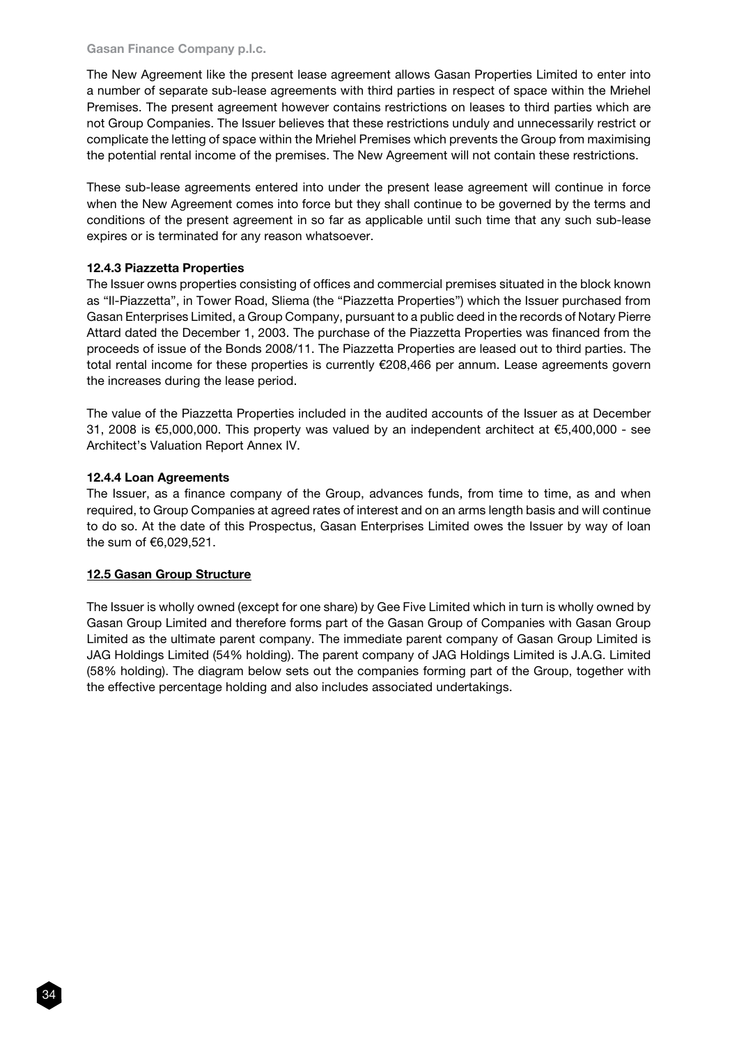#### Gasan Finance Company p.l.c.

The New Agreement like the present lease agreement allows Gasan Properties Limited to enter into a number of separate sub-lease agreements with third parties in respect of space within the Mriehel Premises. The present agreement however contains restrictions on leases to third parties which are not Group Companies. The Issuer believes that these restrictions unduly and unnecessarily restrict or complicate the letting of space within the Mriehel Premises which prevents the Group from maximising the potential rental income of the premises. The New Agreement will not contain these restrictions.

These sub-lease agreements entered into under the present lease agreement will continue in force when the New Agreement comes into force but they shall continue to be governed by the terms and conditions of the present agreement in so far as applicable until such time that any such sub-lease expires or is terminated for any reason whatsoever.

# 12.4.3 Piazzetta Properties

The Issuer owns properties consisting of offices and commercial premises situated in the block known as "Il-Piazzetta", in Tower Road, Sliema (the "Piazzetta Properties") which the Issuer purchased from Gasan Enterprises Limited, a Group Company, pursuant to a public deed in the records of Notary Pierre Attard dated the December 1, 2003. The purchase of the Piazzetta Properties was financed from the proceeds of issue of the Bonds 2008/11. The Piazzetta Properties are leased out to third parties. The total rental income for these properties is currently €208,466 per annum. Lease agreements govern the increases during the lease period.

The value of the Piazzetta Properties included in the audited accounts of the Issuer as at December 31, 2008 is €5,000,000. This property was valued by an independent architect at €5,400,000 - see Architect's Valuation Report Annex IV.

## 12.4.4 Loan Agreements

The Issuer, as a finance company of the Group, advances funds, from time to time, as and when required, to Group Companies at agreed rates of interest and on an arms length basis and will continue to do so. At the date of this Prospectus, Gasan Enterprises Limited owes the Issuer by way of loan the sum of €6,029,521.

# 12.5 Gasan Group Structure

The Issuer is wholly owned (except for one share) by Gee Five Limited which in turn is wholly owned by Gasan Group Limited and therefore forms part of the Gasan Group of Companies with Gasan Group Limited as the ultimate parent company. The immediate parent company of Gasan Group Limited is JAG Holdings Limited (54% holding). The parent company of JAG Holdings Limited is J.A.G. Limited (58% holding). The diagram below sets out the companies forming part of the Group, together with the effective percentage holding and also includes associated undertakings.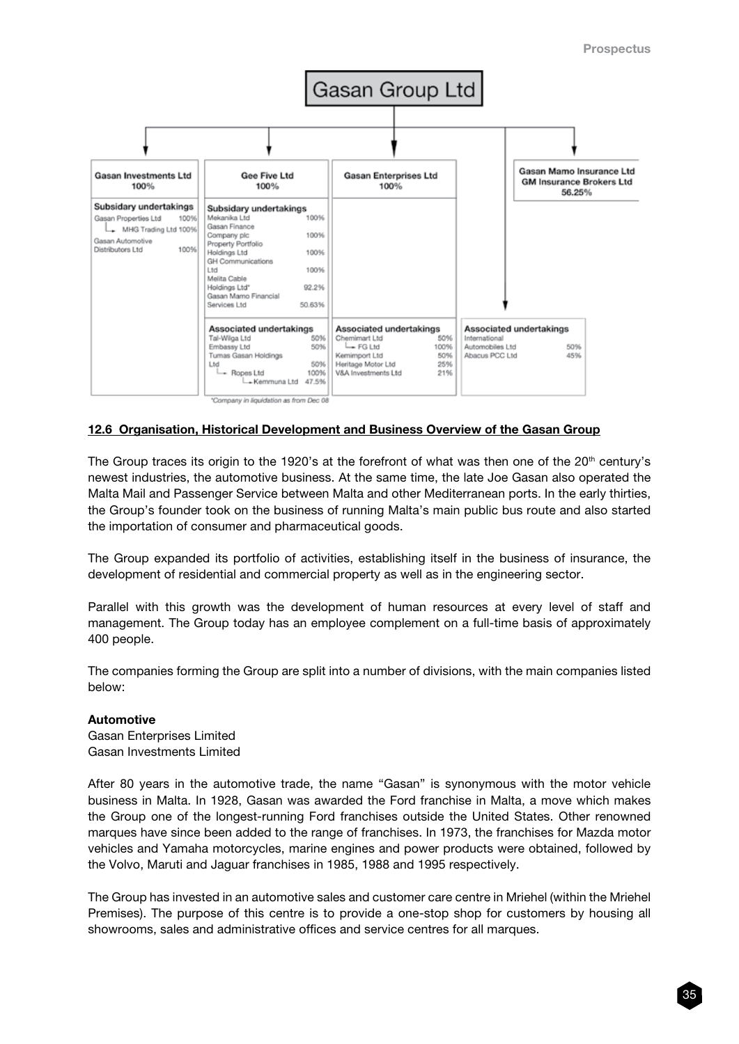

## 12.6 Organisation, Historical Development and Business Overview of the Gasan Group

The Group traces its origin to the 1920's at the forefront of what was then one of the 20<sup>th</sup> century's newest industries, the automotive business. At the same time, the late Joe Gasan also operated the Malta Mail and Passenger Service between Malta and other Mediterranean ports. In the early thirties, the Group's founder took on the business of running Malta's main public bus route and also started the importation of consumer and pharmaceutical goods.

The Group expanded its portfolio of activities, establishing itself in the business of insurance, the development of residential and commercial property as well as in the engineering sector.

Parallel with this growth was the development of human resources at every level of staff and management. The Group today has an employee complement on a full-time basis of approximately 400 people.

The companies forming the Group are split into a number of divisions, with the main companies listed below:

#### Automotive

Gasan Enterprises Limited Gasan Investments Limited

After 80 years in the automotive trade, the name "Gasan" is synonymous with the motor vehicle business in Malta. In 1928, Gasan was awarded the Ford franchise in Malta, a move which makes the Group one of the longest-running Ford franchises outside the United States. Other renowned marques have since been added to the range of franchises. In 1973, the franchises for Mazda motor vehicles and Yamaha motorcycles, marine engines and power products were obtained, followed by the Volvo, Maruti and Jaguar franchises in 1985, 1988 and 1995 respectively.

The Group has invested in an automotive sales and customer care centre in Mriehel (within the Mriehel Premises). The purpose of this centre is to provide a one-stop shop for customers by housing all showrooms, sales and administrative offices and service centres for all marques.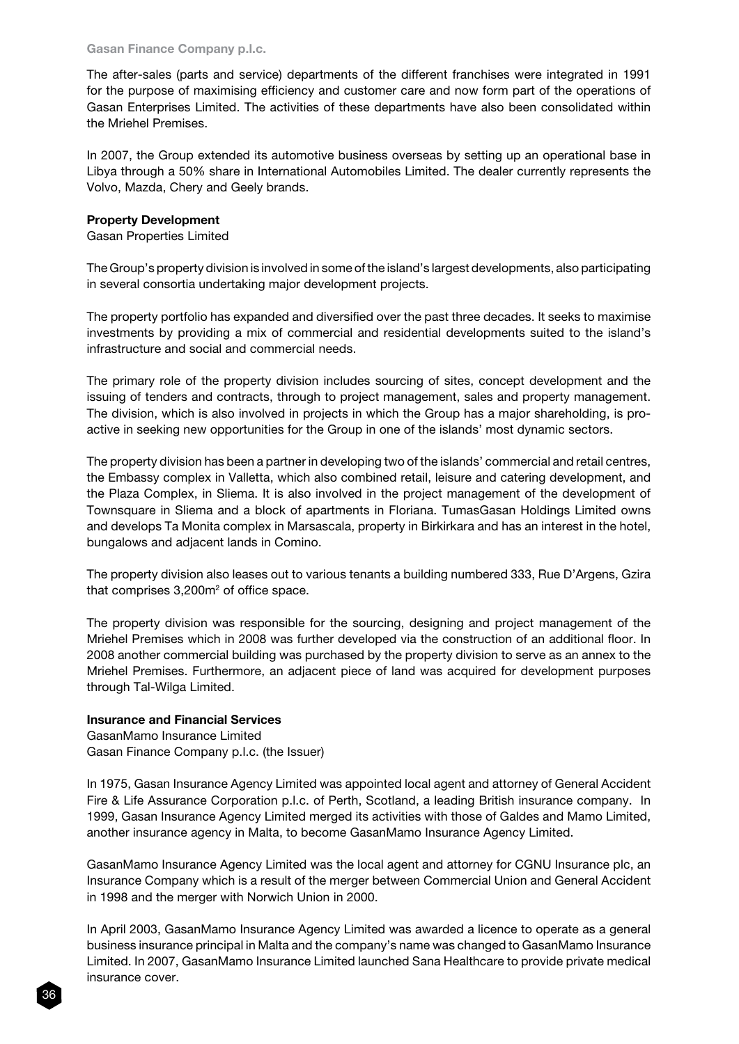The after-sales (parts and service) departments of the different franchises were integrated in 1991 for the purpose of maximising efficiency and customer care and now form part of the operations of Gasan Enterprises Limited. The activities of these departments have also been consolidated within the Mriehel Premises.

In 2007, the Group extended its automotive business overseas by setting up an operational base in Libya through a 50% share in International Automobiles Limited. The dealer currently represents the Volvo, Mazda, Chery and Geely brands.

## Property Development

Gasan Properties Limited

The Group's property division is involved in some of the island's largest developments, also participating in several consortia undertaking major development projects.

The property portfolio has expanded and diversified over the past three decades. It seeks to maximise investments by providing a mix of commercial and residential developments suited to the island's infrastructure and social and commercial needs.

The primary role of the property division includes sourcing of sites, concept development and the issuing of tenders and contracts, through to project management, sales and property management. The division, which is also involved in projects in which the Group has a major shareholding, is proactive in seeking new opportunities for the Group in one of the islands' most dynamic sectors.

The property division has been a partner in developing two of the islands' commercial and retail centres, the Embassy complex in Valletta, which also combined retail, leisure and catering development, and the Plaza Complex, in Sliema. It is also involved in the project management of the development of Townsquare in Sliema and a block of apartments in Floriana. TumasGasan Holdings Limited owns and develops Ta Monita complex in Marsascala, property in Birkirkara and has an interest in the hotel, bungalows and adjacent lands in Comino.

The property division also leases out to various tenants a building numbered 333, Rue D'Argens, Gzira that comprises  $3,200<sup>m²</sup>$  of office space.

The property division was responsible for the sourcing, designing and project management of the Mriehel Premises which in 2008 was further developed via the construction of an additional floor. In 2008 another commercial building was purchased by the property division to serve as an annex to the Mriehel Premises. Furthermore, an adjacent piece of land was acquired for development purposes through Tal-Wilga Limited.

# Insurance and Financial Services

GasanMamo Insurance Limited Gasan Finance Company p.l.c. (the Issuer)

In 1975, Gasan Insurance Agency Limited was appointed local agent and attorney of General Accident Fire & Life Assurance Corporation p.l.c. of Perth, Scotland, a leading British insurance company. In 1999, Gasan Insurance Agency Limited merged its activities with those of Galdes and Mamo Limited, another insurance agency in Malta, to become GasanMamo Insurance Agency Limited.

GasanMamo Insurance Agency Limited was the local agent and attorney for CGNU Insurance plc, an Insurance Company which is a result of the merger between Commercial Union and General Accident in 1998 and the merger with Norwich Union in 2000.

In April 2003, GasanMamo Insurance Agency Limited was awarded a licence to operate as a general business insurance principal in Malta and the company's name was changed to GasanMamo Insurance Limited. In 2007, GasanMamo Insurance Limited launched Sana Healthcare to provide private medical insurance cover.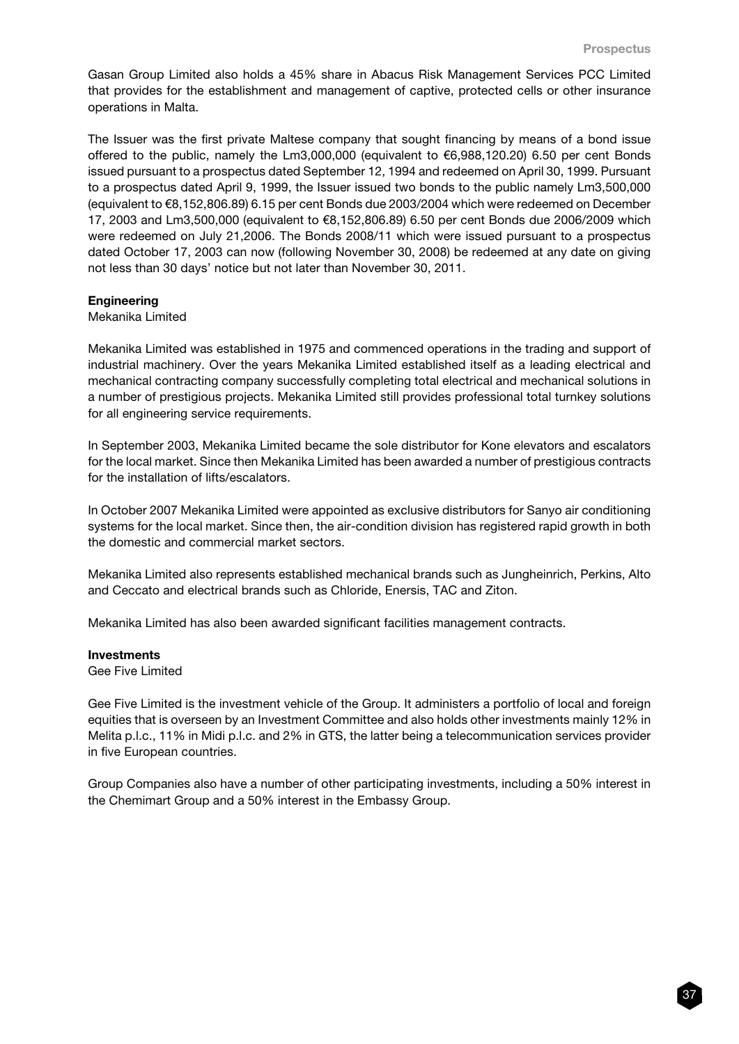Gasan Group Limited also holds a 45% share in Abacus Risk Management Services PCC Limited that provides for the establishment and management of captive, protected cells or other insurance operations in Malta.

The Issuer was the first private Maltese company that sought financing by means of a bond issue offered to the public, namely the Lm3,000,000 (equivalent to €6,988,120.20) 6.50 per cent Bonds issued pursuant to a prospectus dated September 12, 1994 and redeemed on April 30, 1999. Pursuant to a prospectus dated April 9, 1999, the Issuer issued two bonds to the public namely Lm3,500,000 (equivalent to €8,152,806.89) 6.15 per cent Bonds due 2003/2004 which were redeemed on December 17, 2003 and Lm3,500,000 (equivalent to €8,152,806.89) 6.50 per cent Bonds due 2006/2009 which were redeemed on July 21,2006. The Bonds 2008/11 which were issued pursuant to a prospectus dated October 17, 2003 can now (following November 30, 2008) be redeemed at any date on giving not less than 30 days' notice but not later than November 30, 2011.

#### **Engineering**

#### Mekanika Limited

Mekanika Limited was established in 1975 and commenced operations in the trading and support of industrial machinery. Over the years Mekanika Limited established itself as a leading electrical and mechanical contracting company successfully completing total electrical and mechanical solutions in a number of prestigious projects. Mekanika Limited still provides professional total turnkey solutions for all engineering service requirements.

In September 2003, Mekanika Limited became the sole distributor for Kone elevators and escalators for the local market. Since then Mekanika Limited has been awarded a number of prestigious contracts for the installation of lifts/escalators.

In October 2007 Mekanika Limited were appointed as exclusive distributors for Sanyo air conditioning systems for the local market. Since then, the air-condition division has registered rapid growth in both the domestic and commercial market sectors.

Mekanika Limited also represents established mechanical brands such as Jungheinrich, Perkins, Alto and Ceccato and electrical brands such as Chloride, Enersis, TAC and Ziton.

Mekanika Limited has also been awarded significant facilities management contracts.

#### **Investments**

Gee Five Limited

Gee Five Limited is the investment vehicle of the Group. It administers a portfolio of local and foreign equities that is overseen by an Investment Committee and also holds other investments mainly 12% in Melita p.l.c., 11% in Midi p.l.c. and 2% in GTS, the latter being a telecommunication services provider in five European countries.

Group Companies also have a number of other participating investments, including a 50% interest in the Chemimart Group and a 50% interest in the Embassy Group.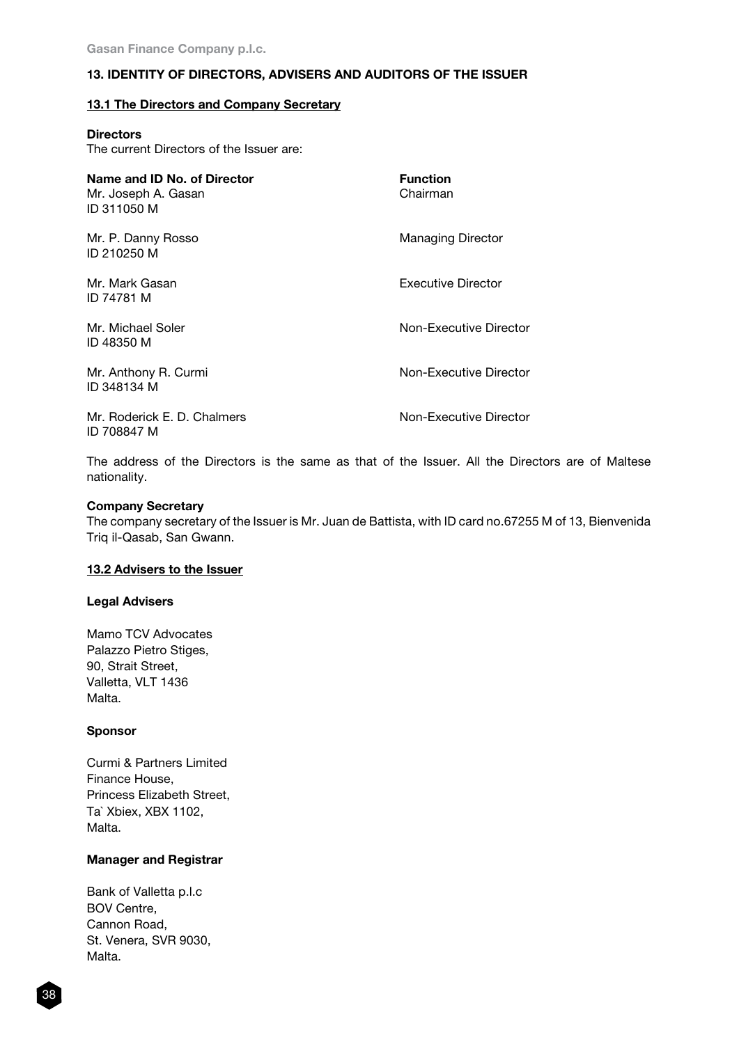# 13. IDENTITY OF DIRECTORS, ADVISERS AND AUDITORS OF THE ISSUER

### 13.1 The Directors and Company Secretary

| <b>Directors</b>                         |  |
|------------------------------------------|--|
| The current Directors of the Issuer are: |  |

| Name and ID No. of Director<br>Mr. Joseph A. Gasan<br>ID 311050 M | <b>Function</b><br>Chairman |
|-------------------------------------------------------------------|-----------------------------|
| Mr. P. Danny Rosso<br>ID 210250 M                                 | <b>Managing Director</b>    |
| Mr. Mark Gasan<br>ID 74781 M                                      | <b>Executive Director</b>   |
| Mr. Michael Soler<br>ID 48350 M                                   | Non-Executive Director      |
| Mr. Anthony R. Curmi<br>ID 348134 M                               | Non-Executive Director      |
| Mr. Roderick E. D. Chalmers<br>ID 708847 M                        | Non-Executive Director      |

The address of the Directors is the same as that of the Issuer. All the Directors are of Maltese nationality.

#### Company Secretary

The company secretary of the Issuer is Mr. Juan de Battista, with ID card no.67255 M of 13, Bienvenida Triq il-Qasab, San Gwann.

#### 13.2 Advisers to the Issuer

#### Legal Advisers

Mamo TCV Advocates Palazzo Pietro Stiges, 90, Strait Street, Valletta, VLT 1436 Malta.

#### Sponsor

Curmi & Partners Limited Finance House, Princess Elizabeth Street, Ta` Xbiex, XBX 1102, Malta.

# Manager and Registrar

Bank of Valletta p.l.c BOV Centre, Cannon Road, St. Venera, SVR 9030, Malta.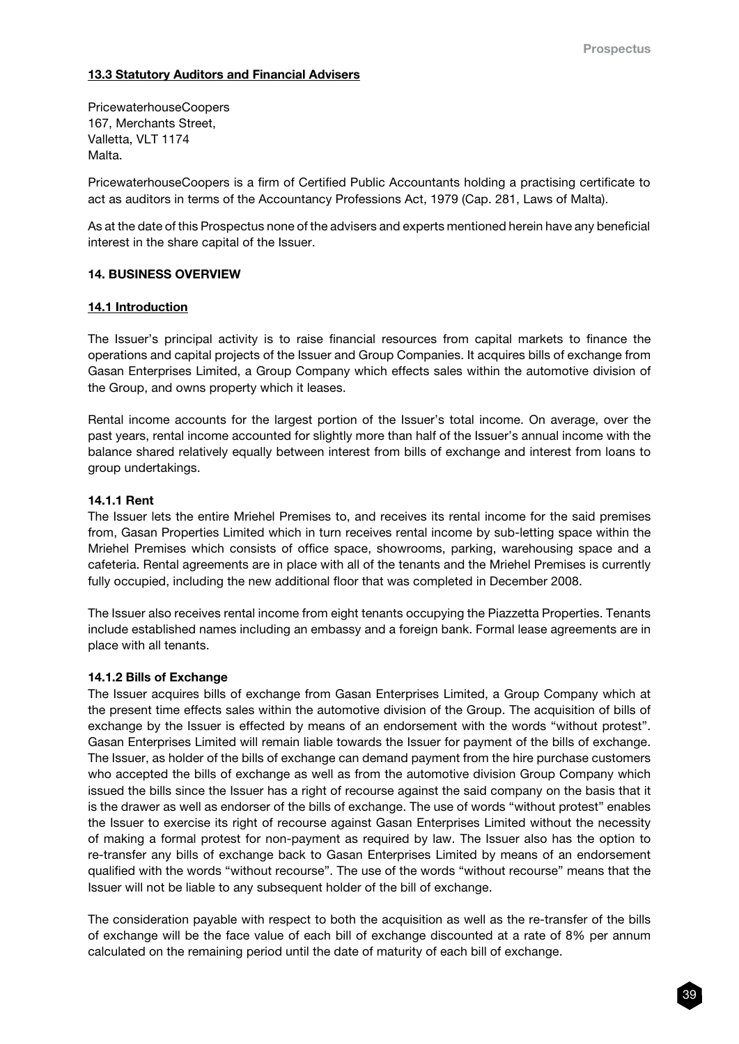# 13.3 Statutory Auditors and Financial Advisers

PricewaterhouseCoopers 167, Merchants Street, Valletta, VLT 1174 Malta.

PricewaterhouseCoopers is a firm of Certified Public Accountants holding a practising certificate to act as auditors in terms of the Accountancy Professions Act, 1979 (Cap. 281, Laws of Malta).

As at the date of this Prospectus none of the advisers and experts mentioned herein have any beneficial interest in the share capital of the Issuer.

#### 14. BUSINESS OVERVIEW

#### 14.1 Introduction

The Issuer's principal activity is to raise financial resources from capital markets to finance the operations and capital projects of the Issuer and Group Companies. It acquires bills of exchange from Gasan Enterprises Limited, a Group Company which effects sales within the automotive division of the Group, and owns property which it leases.

Rental income accounts for the largest portion of the Issuer's total income. On average, over the past years, rental income accounted for slightly more than half of the Issuer's annual income with the balance shared relatively equally between interest from bills of exchange and interest from loans to group undertakings.

#### 14.1.1 Rent

The Issuer lets the entire Mriehel Premises to, and receives its rental income for the said premises from, Gasan Properties Limited which in turn receives rental income by sub-letting space within the Mriehel Premises which consists of office space, showrooms, parking, warehousing space and a cafeteria. Rental agreements are in place with all of the tenants and the Mriehel Premises is currently fully occupied, including the new additional floor that was completed in December 2008.

The Issuer also receives rental income from eight tenants occupying the Piazzetta Properties. Tenants include established names including an embassy and a foreign bank. Formal lease agreements are in place with all tenants.

#### 14.1.2 Bills of Exchange

The Issuer acquires bills of exchange from Gasan Enterprises Limited, a Group Company which at the present time effects sales within the automotive division of the Group. The acquisition of bills of exchange by the Issuer is effected by means of an endorsement with the words "without protest". Gasan Enterprises Limited will remain liable towards the Issuer for payment of the bills of exchange. The Issuer, as holder of the bills of exchange can demand payment from the hire purchase customers who accepted the bills of exchange as well as from the automotive division Group Company which issued the bills since the Issuer has a right of recourse against the said company on the basis that it is the drawer as well as endorser of the bills of exchange. The use of words "without protest" enables the Issuer to exercise its right of recourse against Gasan Enterprises Limited without the necessity of making a formal protest for non-payment as required by law. The Issuer also has the option to re-transfer any bills of exchange back to Gasan Enterprises Limited by means of an endorsement qualified with the words "without recourse". The use of the words "without recourse" means that the Issuer will not be liable to any subsequent holder of the bill of exchange.

The consideration payable with respect to both the acquisition as well as the re-transfer of the bills of exchange will be the face value of each bill of exchange discounted at a rate of 8% per annum calculated on the remaining period until the date of maturity of each bill of exchange.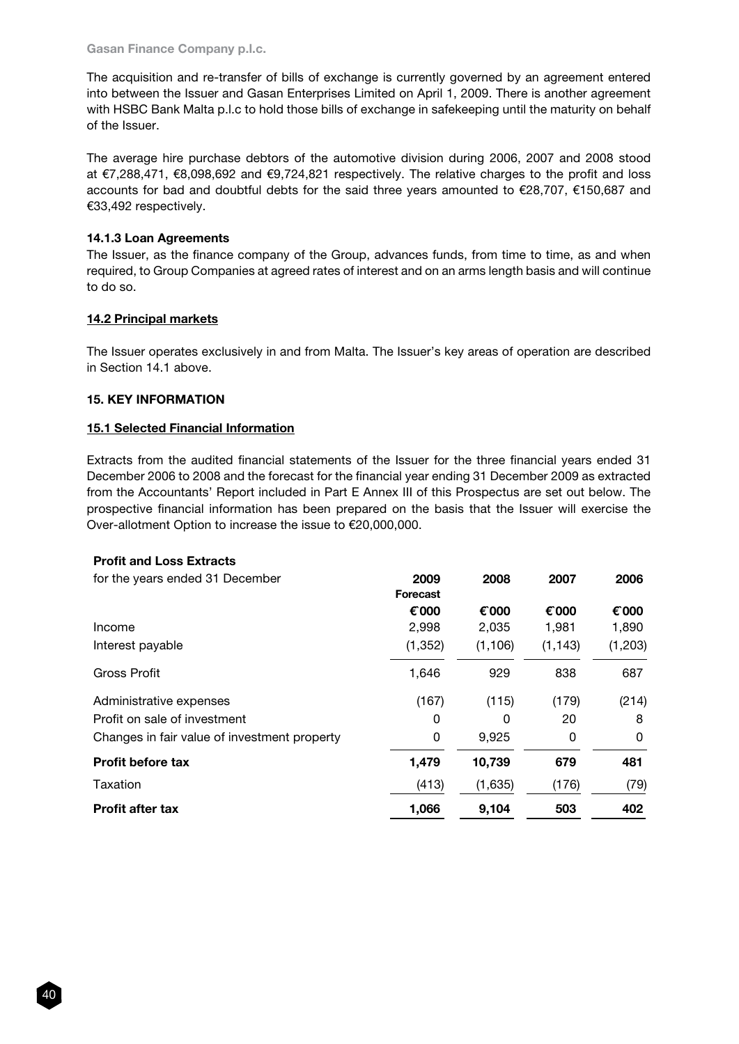Gasan Finance Company p.l.c.

The acquisition and re-transfer of bills of exchange is currently governed by an agreement entered into between the Issuer and Gasan Enterprises Limited on April 1, 2009. There is another agreement with HSBC Bank Malta p.l.c to hold those bills of exchange in safekeeping until the maturity on behalf of the Issuer.

The average hire purchase debtors of the automotive division during 2006, 2007 and 2008 stood at €7,288,471, €8,098,692 and €9,724,821 respectively. The relative charges to the profit and loss accounts for bad and doubtful debts for the said three years amounted to €28,707, €150,687 and €33,492 respectively.

# 14.1.3 Loan Agreements

The Issuer, as the finance company of the Group, advances funds, from time to time, as and when required, to Group Companies at agreed rates of interest and on an arms length basis and will continue to do so.

# 14.2 Principal markets

The Issuer operates exclusively in and from Malta. The Issuer's key areas of operation are described in Section 14.1 above.

# 15. KEY INFORMATION

# 15.1 Selected Financial Information

Extracts from the audited financial statements of the Issuer for the three financial years ended 31 December 2006 to 2008 and the forecast for the financial year ending 31 December 2009 as extracted from the Accountants' Report included in Part E Annex III of this Prospectus are set out below. The prospective financial information has been prepared on the basis that the Issuer will exercise the Over-allotment Option to increase the issue to €20,000,000.

# Profit and Loss Extracts

| for the years ended 31 December              | 2009<br><b>Forecast</b> | 2008     | 2007     | 2006    |
|----------------------------------------------|-------------------------|----------|----------|---------|
|                                              | € 000                   | € 000    | € 000    | € 000   |
| Income                                       | 2,998                   | 2,035    | 1,981    | 1,890   |
| Interest payable                             | (1, 352)                | (1, 106) | (1, 143) | (1,203) |
| Gross Profit                                 | 1,646                   | 929      | 838      | 687     |
| Administrative expenses                      | (167)                   | (115)    | (179)    | (214)   |
| Profit on sale of investment                 | 0                       | 0        | 20       | 8       |
| Changes in fair value of investment property | 0                       | 9,925    | 0        | 0       |
| <b>Profit before tax</b>                     | 1,479                   | 10,739   | 679      | 481     |
| Taxation                                     | (413)                   | (1,635)  | (176)    | (79)    |
| <b>Profit after tax</b>                      | 1,066                   | 9,104    | 503      | 402     |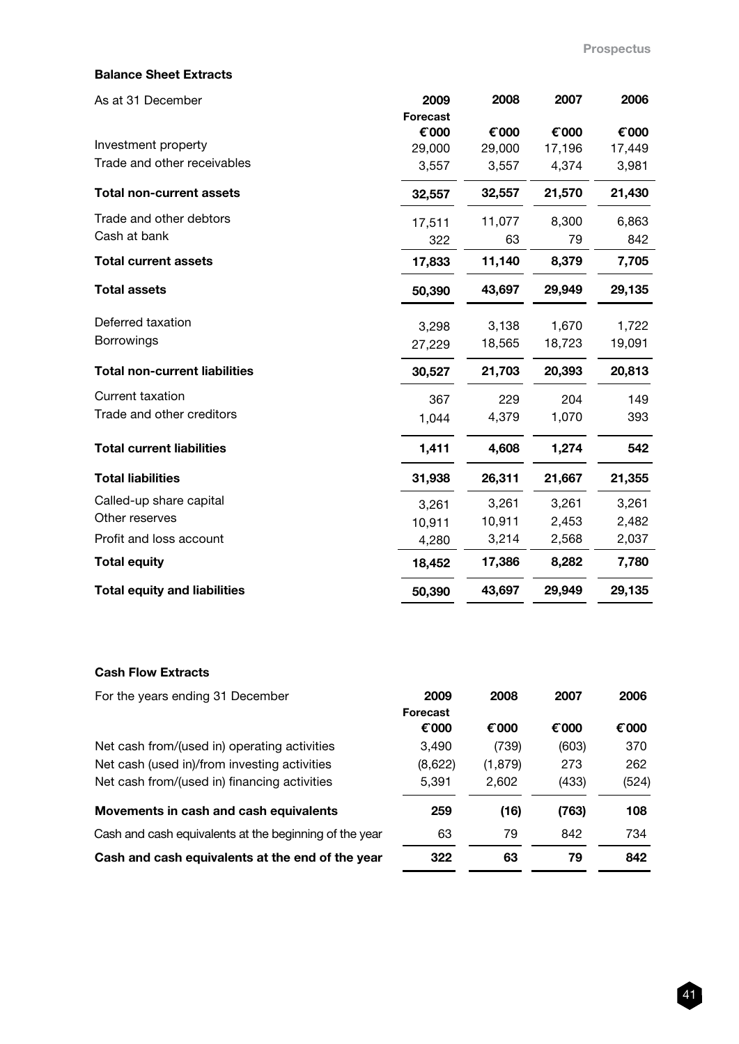# Balance Sheet Extracts

| As at 31 December                    | 2009<br><b>Forecast</b> | 2008   | 2007   | 2006   |
|--------------------------------------|-------------------------|--------|--------|--------|
|                                      | € 000                   | € 000  | € 000  | € 000  |
| Investment property                  | 29,000                  | 29,000 | 17,196 | 17,449 |
| Trade and other receivables          | 3,557                   | 3,557  | 4,374  | 3,981  |
| <b>Total non-current assets</b>      | 32,557                  | 32,557 | 21,570 | 21,430 |
| Trade and other debtors              | 17,511                  | 11,077 | 8,300  | 6,863  |
| Cash at bank                         | 322                     | 63     | 79     | 842    |
| <b>Total current assets</b>          | 17,833                  | 11,140 | 8,379  | 7,705  |
| <b>Total assets</b>                  | 50,390                  | 43,697 | 29,949 | 29,135 |
| Deferred taxation                    | 3,298                   | 3,138  | 1,670  | 1,722  |
| <b>Borrowings</b>                    | 27,229                  | 18,565 | 18,723 | 19,091 |
| <b>Total non-current liabilities</b> | 30,527                  | 21,703 | 20,393 | 20,813 |
| <b>Current taxation</b>              | 367                     | 229    | 204    | 149    |
| Trade and other creditors            | 1,044                   | 4,379  | 1,070  | 393    |
| <b>Total current liabilities</b>     | 1,411                   | 4,608  | 1,274  | 542    |
| <b>Total liabilities</b>             | 31,938                  | 26,311 | 21,667 | 21,355 |
| Called-up share capital              | 3,261                   | 3,261  | 3,261  | 3,261  |
| Other reserves                       | 10,911                  | 10,911 | 2,453  | 2,482  |
| Profit and loss account              | 4,280                   | 3,214  | 2,568  | 2,037  |
| <b>Total equity</b>                  | 18,452                  | 17,386 | 8,282  | 7,780  |
| <b>Total equity and liabilities</b>  | 50,390                  | 43,697 | 29,949 | 29,135 |

### Cash Flow Extracts

| For the years ending 31 December                       | 2009<br><b>Forecast</b> | 2008     | 2007  | 2006  |
|--------------------------------------------------------|-------------------------|----------|-------|-------|
|                                                        | € 000                   | € 000    | € 000 | € 000 |
| Net cash from/(used in) operating activities           | 3,490                   | (739)    | (603) | 370   |
| Net cash (used in)/from investing activities           | (8,622)                 | (1, 879) | 273   | 262   |
| Net cash from/(used in) financing activities           | 5,391                   | 2.602    | (433) | (524) |
| Movements in cash and cash equivalents                 | 259                     | (16)     | (763) | 108   |
| Cash and cash equivalents at the beginning of the year | 63                      | 79       | 842   | 734   |
| Cash and cash equivalents at the end of the year       | 322                     | 63       | 79    | 842   |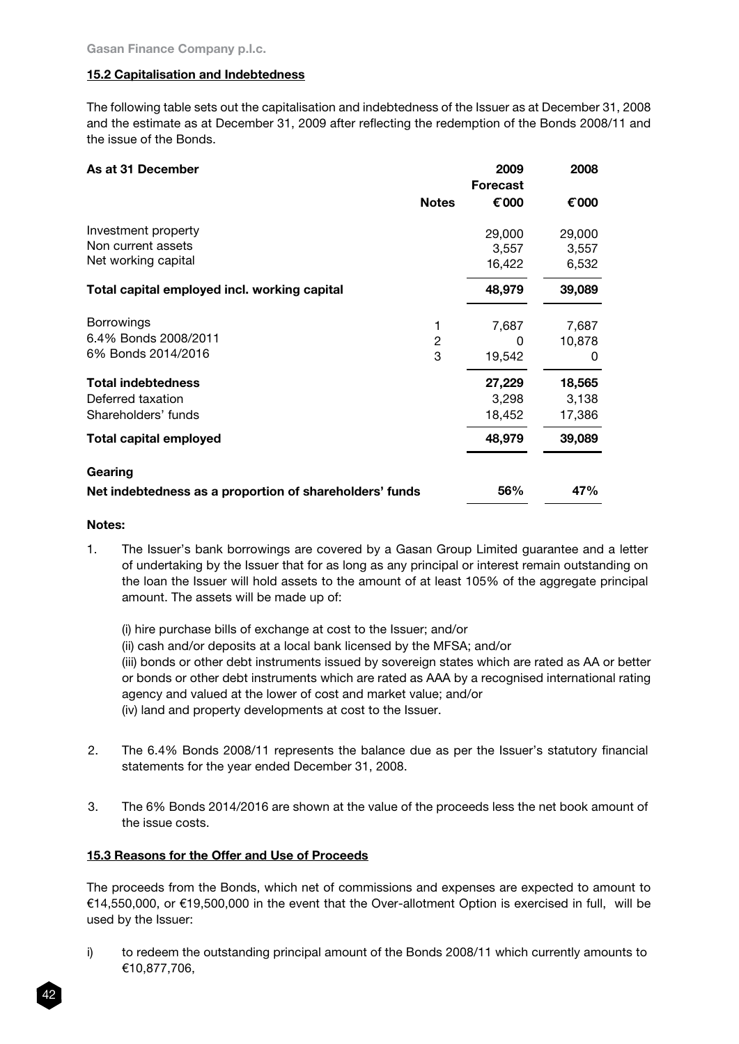# 15.2 Capitalisation and Indebtedness

The following table sets out the capitalisation and indebtedness of the Issuer as at December 31, 2008 and the estimate as at December 31, 2009 after reflecting the redemption of the Bonds 2008/11 and the issue of the Bonds.

| As at 31 December                                       |                | 2009<br><b>Forecast</b> | 2008   |
|---------------------------------------------------------|----------------|-------------------------|--------|
|                                                         | <b>Notes</b>   | € 000                   | € 000  |
| Investment property                                     |                | 29,000                  | 29,000 |
| Non current assets                                      |                | 3,557                   | 3,557  |
| Net working capital                                     |                | 16,422                  | 6,532  |
| Total capital employed incl. working capital            |                | 48,979                  | 39,089 |
| <b>Borrowings</b>                                       |                | 7,687                   | 7,687  |
| 6.4% Bonds 2008/2011                                    | $\overline{c}$ | 0                       | 10,878 |
| 6% Bonds 2014/2016                                      | 3              | 19,542                  | 0      |
| <b>Total indebtedness</b>                               |                | 27,229                  | 18,565 |
| Deferred taxation                                       |                | 3,298                   | 3,138  |
| Shareholders' funds                                     |                | 18,452                  | 17,386 |
| Total capital employed                                  |                | 48,979                  | 39,089 |
| Gearing                                                 |                |                         |        |
| Net indebtedness as a proportion of shareholders' funds |                | 56%                     | 47%    |

#### Notes:

- 1. The Issuer's bank borrowings are covered by a Gasan Group Limited guarantee and a letter of undertaking by the Issuer that for as long as any principal or interest remain outstanding on the loan the Issuer will hold assets to the amount of at least 105% of the aggregate principal amount. The assets will be made up of:
	- (i) hire purchase bills of exchange at cost to the Issuer; and/or (ii) cash and/or deposits at a local bank licensed by the MFSA; and/or (iii) bonds or other debt instruments issued by sovereign states which are rated as AA or better or bonds or other debt instruments which are rated as AAA by a recognised international rating agency and valued at the lower of cost and market value; and/or (iv) land and property developments at cost to the Issuer.
- 2. The 6.4% Bonds 2008/11 represents the balance due as per the Issuer's statutory financial statements for the year ended December 31, 2008.
- 3. The 6% Bonds 2014/2016 are shown at the value of the proceeds less the net book amount of the issue costs.

# 15.3 Reasons for the Offer and Use of Proceeds

The proceeds from the Bonds, which net of commissions and expenses are expected to amount to €14,550,000, or €19,500,000 in the event that the Over-allotment Option is exercised in full, will be used by the Issuer:

i) to redeem the outstanding principal amount of the Bonds 2008/11 which currently amounts to €10,877,706,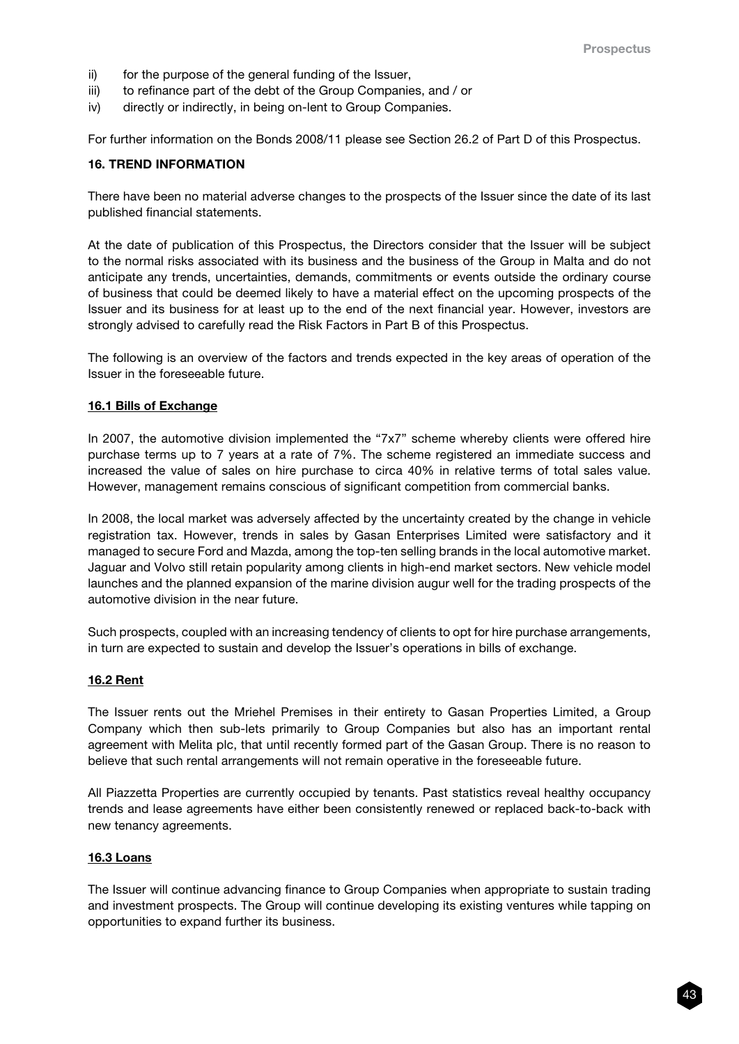- ii) for the purpose of the general funding of the Issuer,
- iii) to refinance part of the debt of the Group Companies, and / or
- iv) directly or indirectly, in being on-lent to Group Companies.

For further information on the Bonds 2008/11 please see Section 26.2 of Part D of this Prospectus.

#### 16. TREND INFORMATION

There have been no material adverse changes to the prospects of the Issuer since the date of its last published financial statements.

At the date of publication of this Prospectus, the Directors consider that the Issuer will be subject to the normal risks associated with its business and the business of the Group in Malta and do not anticipate any trends, uncertainties, demands, commitments or events outside the ordinary course of business that could be deemed likely to have a material effect on the upcoming prospects of the Issuer and its business for at least up to the end of the next financial year. However, investors are strongly advised to carefully read the Risk Factors in Part B of this Prospectus.

The following is an overview of the factors and trends expected in the key areas of operation of the Issuer in the foreseeable future.

#### 16.1 Bills of Exchange

In 2007, the automotive division implemented the "7x7" scheme whereby clients were offered hire purchase terms up to 7 years at a rate of 7%. The scheme registered an immediate success and increased the value of sales on hire purchase to circa 40% in relative terms of total sales value. However, management remains conscious of significant competition from commercial banks.

In 2008, the local market was adversely affected by the uncertainty created by the change in vehicle registration tax. However, trends in sales by Gasan Enterprises Limited were satisfactory and it managed to secure Ford and Mazda, among the top-ten selling brands in the local automotive market. Jaguar and Volvo still retain popularity among clients in high-end market sectors. New vehicle model launches and the planned expansion of the marine division augur well for the trading prospects of the automotive division in the near future.

Such prospects, coupled with an increasing tendency of clients to opt for hire purchase arrangements, in turn are expected to sustain and develop the Issuer's operations in bills of exchange.

#### 16.2 Rent

The Issuer rents out the Mriehel Premises in their entirety to Gasan Properties Limited, a Group Company which then sub-lets primarily to Group Companies but also has an important rental agreement with Melita plc, that until recently formed part of the Gasan Group. There is no reason to believe that such rental arrangements will not remain operative in the foreseeable future.

All Piazzetta Properties are currently occupied by tenants. Past statistics reveal healthy occupancy trends and lease agreements have either been consistently renewed or replaced back-to-back with new tenancy agreements.

#### 16.3 Loans

The Issuer will continue advancing finance to Group Companies when appropriate to sustain trading and investment prospects. The Group will continue developing its existing ventures while tapping on opportunities to expand further its business.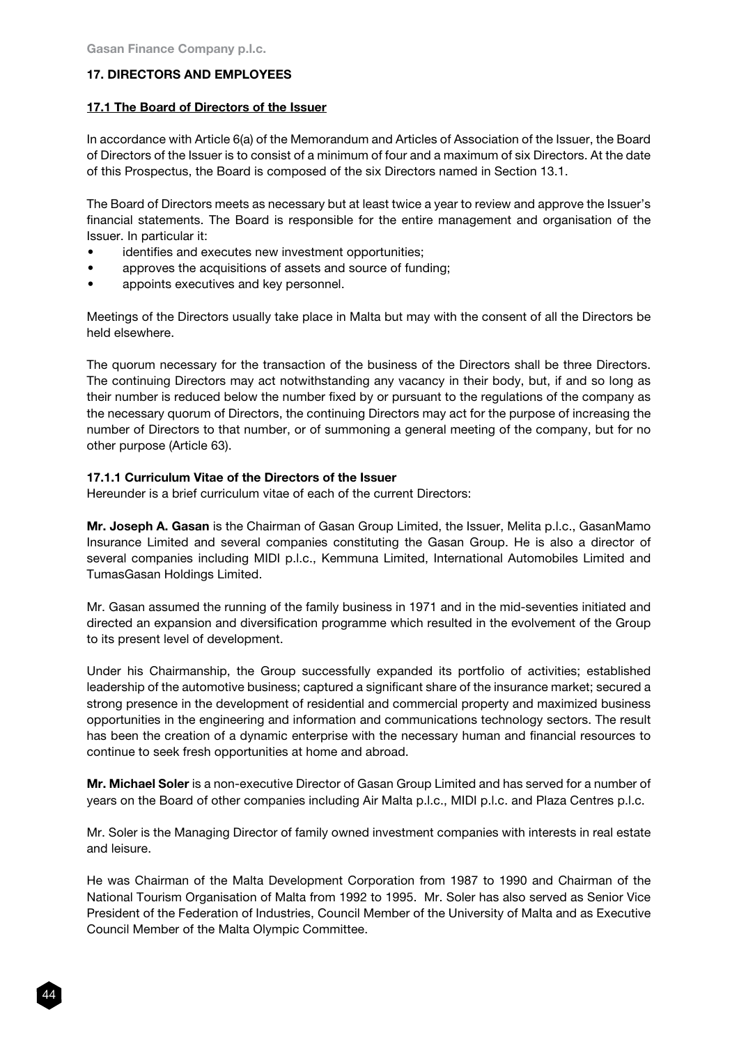# 17. DIRECTORS AND EMPLOYEES

### 17.1 The Board of Directors of the Issuer

In accordance with Article 6(a) of the Memorandum and Articles of Association of the Issuer, the Board of Directors of the Issuer is to consist of a minimum of four and a maximum of six Directors. At the date of this Prospectus, the Board is composed of the six Directors named in Section 13.1.

The Board of Directors meets as necessary but at least twice a year to review and approve the Issuer's financial statements. The Board is responsible for the entire management and organisation of the Issuer. In particular it:

- identifies and executes new investment opportunities;
- approves the acquisitions of assets and source of funding;
- • appoints executives and key personnel.

Meetings of the Directors usually take place in Malta but may with the consent of all the Directors be held elsewhere.

The quorum necessary for the transaction of the business of the Directors shall be three Directors. The continuing Directors may act notwithstanding any vacancy in their body, but, if and so long as their number is reduced below the number fixed by or pursuant to the regulations of the company as the necessary quorum of Directors, the continuing Directors may act for the purpose of increasing the number of Directors to that number, or of summoning a general meeting of the company, but for no other purpose (Article 63).

# 17.1.1 Curriculum Vitae of the Directors of the Issuer

Hereunder is a brief curriculum vitae of each of the current Directors:

Mr. Joseph A. Gasan is the Chairman of Gasan Group Limited, the Issuer, Melita p.l.c., GasanMamo Insurance Limited and several companies constituting the Gasan Group. He is also a director of several companies including MIDI p.l.c., Kemmuna Limited, International Automobiles Limited and TumasGasan Holdings Limited.

Mr. Gasan assumed the running of the family business in 1971 and in the mid-seventies initiated and directed an expansion and diversification programme which resulted in the evolvement of the Group to its present level of development.

Under his Chairmanship, the Group successfully expanded its portfolio of activities; established leadership of the automotive business; captured a significant share of the insurance market; secured a strong presence in the development of residential and commercial property and maximized business opportunities in the engineering and information and communications technology sectors. The result has been the creation of a dynamic enterprise with the necessary human and financial resources to continue to seek fresh opportunities at home and abroad.

Mr. Michael Soler is a non-executive Director of Gasan Group Limited and has served for a number of years on the Board of other companies including Air Malta p.l.c., MIDI p.l.c. and Plaza Centres p.l.c.

Mr. Soler is the Managing Director of family owned investment companies with interests in real estate and leisure.

He was Chairman of the Malta Development Corporation from 1987 to 1990 and Chairman of the National Tourism Organisation of Malta from 1992 to 1995. Mr. Soler has also served as Senior Vice President of the Federation of Industries, Council Member of the University of Malta and as Executive Council Member of the Malta Olympic Committee.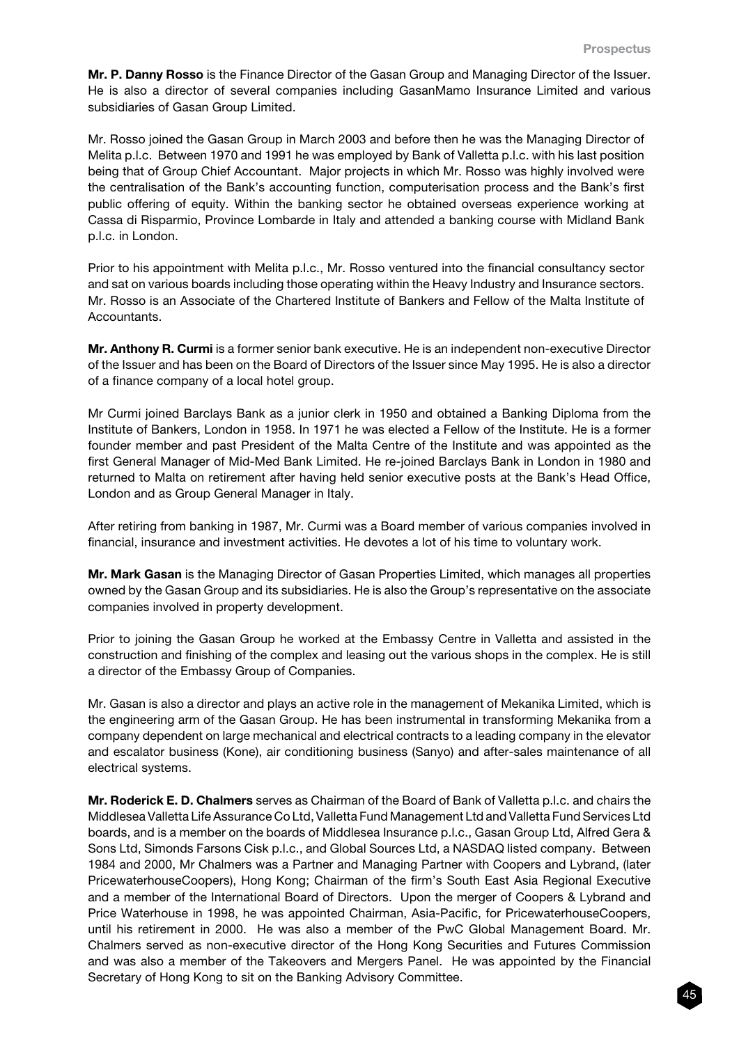Mr. P. Danny Rosso is the Finance Director of the Gasan Group and Managing Director of the Issuer. He is also a director of several companies including GasanMamo Insurance Limited and various subsidiaries of Gasan Group Limited.

Mr. Rosso joined the Gasan Group in March 2003 and before then he was the Managing Director of Melita p.l.c. Between 1970 and 1991 he was employed by Bank of Valletta p.l.c. with his last position being that of Group Chief Accountant. Major projects in which Mr. Rosso was highly involved were the centralisation of the Bank's accounting function, computerisation process and the Bank's first public offering of equity. Within the banking sector he obtained overseas experience working at Cassa di Risparmio, Province Lombarde in Italy and attended a banking course with Midland Bank p.l.c. in London.

Prior to his appointment with Melita p.l.c., Mr. Rosso ventured into the financial consultancy sector and sat on various boards including those operating within the Heavy Industry and Insurance sectors. Mr. Rosso is an Associate of the Chartered Institute of Bankers and Fellow of the Malta Institute of Accountants.

Mr. Anthony R. Curmi is a former senior bank executive. He is an independent non-executive Director of the Issuer and has been on the Board of Directors of the Issuer since May 1995. He is also a director of a finance company of a local hotel group.

Mr Curmi joined Barclays Bank as a junior clerk in 1950 and obtained a Banking Diploma from the Institute of Bankers, London in 1958. In 1971 he was elected a Fellow of the Institute. He is a former founder member and past President of the Malta Centre of the Institute and was appointed as the first General Manager of Mid-Med Bank Limited. He re-joined Barclays Bank in London in 1980 and returned to Malta on retirement after having held senior executive posts at the Bank's Head Office, London and as Group General Manager in Italy.

After retiring from banking in 1987, Mr. Curmi was a Board member of various companies involved in financial, insurance and investment activities. He devotes a lot of his time to voluntary work.

Mr. Mark Gasan is the Managing Director of Gasan Properties Limited, which manages all properties owned by the Gasan Group and its subsidiaries. He is also the Group's representative on the associate companies involved in property development.

Prior to joining the Gasan Group he worked at the Embassy Centre in Valletta and assisted in the construction and finishing of the complex and leasing out the various shops in the complex. He is still a director of the Embassy Group of Companies.

Mr. Gasan is also a director and plays an active role in the management of Mekanika Limited, which is the engineering arm of the Gasan Group. He has been instrumental in transforming Mekanika from a company dependent on large mechanical and electrical contracts to a leading company in the elevator and escalator business (Kone), air conditioning business (Sanyo) and after-sales maintenance of all electrical systems.

Mr. Roderick E. D. Chalmers serves as Chairman of the Board of Bank of Valletta p.l.c. and chairs the Middlesea Valletta Life Assurance Co Ltd, Valletta Fund Management Ltd and Valletta Fund Services Ltd boards, and is a member on the boards of Middlesea Insurance p.l.c., Gasan Group Ltd, Alfred Gera & Sons Ltd, Simonds Farsons Cisk p.l.c., and Global Sources Ltd, a NASDAQ listed company. Between 1984 and 2000, Mr Chalmers was a Partner and Managing Partner with Coopers and Lybrand, (later PricewaterhouseCoopers), Hong Kong; Chairman of the firm's South East Asia Regional Executive and a member of the International Board of Directors. Upon the merger of Coopers & Lybrand and Price Waterhouse in 1998, he was appointed Chairman, Asia-Pacific, for PricewaterhouseCoopers, until his retirement in 2000. He was also a member of the PwC Global Management Board. Mr. Chalmers served as non-executive director of the Hong Kong Securities and Futures Commission and was also a member of the Takeovers and Mergers Panel. He was appointed by the Financial Secretary of Hong Kong to sit on the Banking Advisory Committee.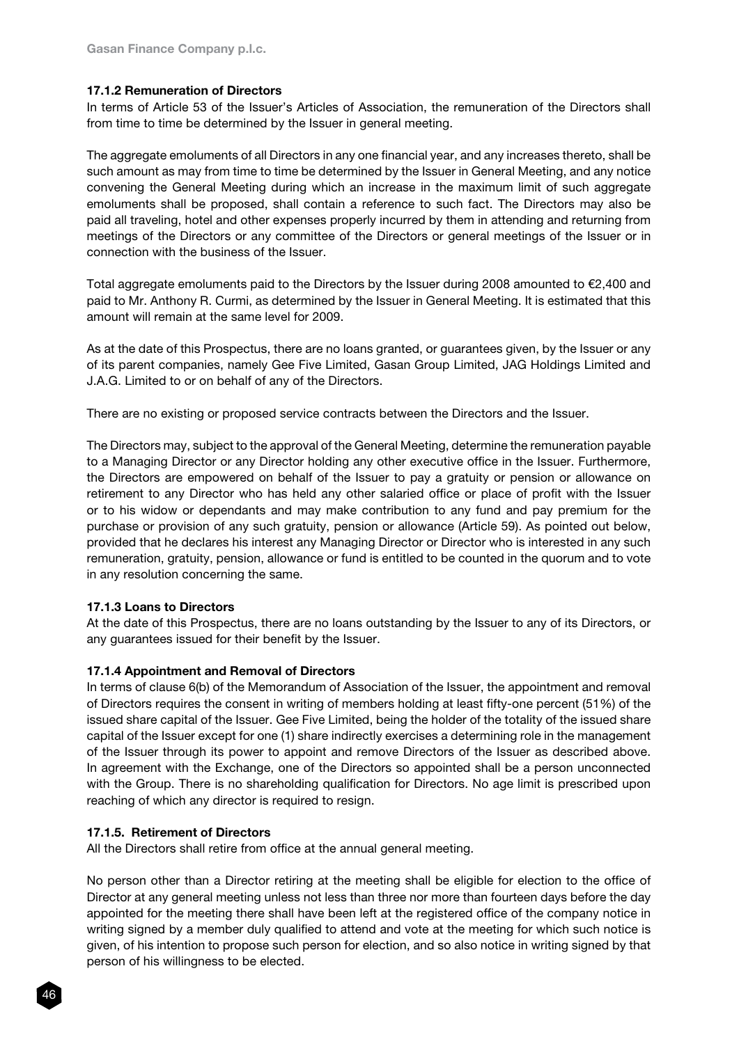# 17.1.2 Remuneration of Directors

In terms of Article 53 of the Issuer's Articles of Association, the remuneration of the Directors shall from time to time be determined by the Issuer in general meeting.

The aggregate emoluments of all Directors in any one financial year, and any increases thereto, shall be such amount as may from time to time be determined by the Issuer in General Meeting, and any notice convening the General Meeting during which an increase in the maximum limit of such aggregate emoluments shall be proposed, shall contain a reference to such fact. The Directors may also be paid all traveling, hotel and other expenses properly incurred by them in attending and returning from meetings of the Directors or any committee of the Directors or general meetings of the Issuer or in connection with the business of the Issuer.

Total aggregate emoluments paid to the Directors by the Issuer during 2008 amounted to €2,400 and paid to Mr. Anthony R. Curmi, as determined by the Issuer in General Meeting. It is estimated that this amount will remain at the same level for 2009.

As at the date of this Prospectus, there are no loans granted, or guarantees given, by the Issuer or any of its parent companies, namely Gee Five Limited, Gasan Group Limited, JAG Holdings Limited and J.A.G. Limited to or on behalf of any of the Directors.

There are no existing or proposed service contracts between the Directors and the Issuer.

The Directors may, subject to the approval of the General Meeting, determine the remuneration payable to a Managing Director or any Director holding any other executive office in the Issuer. Furthermore, the Directors are empowered on behalf of the Issuer to pay a gratuity or pension or allowance on retirement to any Director who has held any other salaried office or place of profit with the Issuer or to his widow or dependants and may make contribution to any fund and pay premium for the purchase or provision of any such gratuity, pension or allowance (Article 59). As pointed out below, provided that he declares his interest any Managing Director or Director who is interested in any such remuneration, gratuity, pension, allowance or fund is entitled to be counted in the quorum and to vote in any resolution concerning the same.

#### 17.1.3 Loans to Directors

At the date of this Prospectus, there are no loans outstanding by the Issuer to any of its Directors, or any guarantees issued for their benefit by the Issuer.

#### 17.1.4 Appointment and Removal of Directors

In terms of clause 6(b) of the Memorandum of Association of the Issuer, the appointment and removal of Directors requires the consent in writing of members holding at least fifty-one percent (51%) of the issued share capital of the Issuer. Gee Five Limited, being the holder of the totality of the issued share capital of the Issuer except for one (1) share indirectly exercises a determining role in the management of the Issuer through its power to appoint and remove Directors of the Issuer as described above. In agreement with the Exchange, one of the Directors so appointed shall be a person unconnected with the Group. There is no shareholding qualification for Directors. No age limit is prescribed upon reaching of which any director is required to resign.

#### 17.1.5. Retirement of Directors

All the Directors shall retire from office at the annual general meeting.

No person other than a Director retiring at the meeting shall be eligible for election to the office of Director at any general meeting unless not less than three nor more than fourteen days before the day appointed for the meeting there shall have been left at the registered office of the company notice in writing signed by a member duly qualified to attend and vote at the meeting for which such notice is given, of his intention to propose such person for election, and so also notice in writing signed by that person of his willingness to be elected.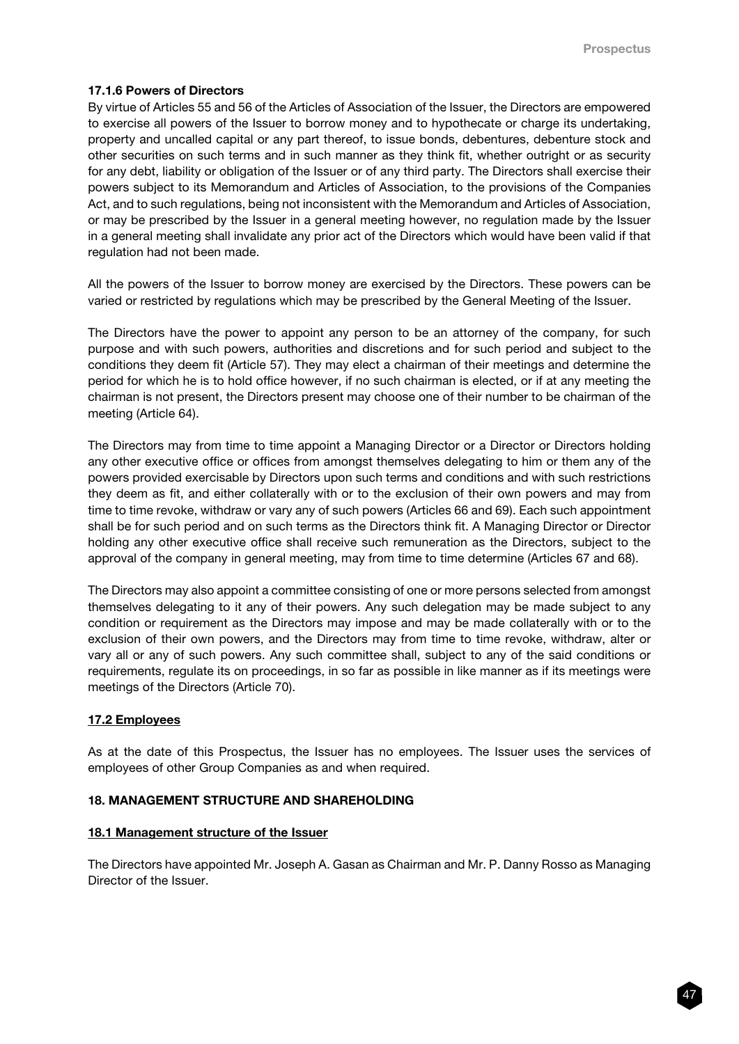# 17.1.6 Powers of Directors

By virtue of Articles 55 and 56 of the Articles of Association of the Issuer, the Directors are empowered to exercise all powers of the Issuer to borrow money and to hypothecate or charge its undertaking, property and uncalled capital or any part thereof, to issue bonds, debentures, debenture stock and other securities on such terms and in such manner as they think fit, whether outright or as security for any debt, liability or obligation of the Issuer or of any third party. The Directors shall exercise their powers subject to its Memorandum and Articles of Association, to the provisions of the Companies Act, and to such regulations, being not inconsistent with the Memorandum and Articles of Association, or may be prescribed by the Issuer in a general meeting however, no regulation made by the Issuer in a general meeting shall invalidate any prior act of the Directors which would have been valid if that regulation had not been made.

All the powers of the Issuer to borrow money are exercised by the Directors. These powers can be varied or restricted by regulations which may be prescribed by the General Meeting of the Issuer.

The Directors have the power to appoint any person to be an attorney of the company, for such purpose and with such powers, authorities and discretions and for such period and subject to the conditions they deem fit (Article 57). They may elect a chairman of their meetings and determine the period for which he is to hold office however, if no such chairman is elected, or if at any meeting the chairman is not present, the Directors present may choose one of their number to be chairman of the meeting (Article 64).

The Directors may from time to time appoint a Managing Director or a Director or Directors holding any other executive office or offices from amongst themselves delegating to him or them any of the powers provided exercisable by Directors upon such terms and conditions and with such restrictions they deem as fit, and either collaterally with or to the exclusion of their own powers and may from time to time revoke, withdraw or vary any of such powers (Articles 66 and 69). Each such appointment shall be for such period and on such terms as the Directors think fit. A Managing Director or Director holding any other executive office shall receive such remuneration as the Directors, subject to the approval of the company in general meeting, may from time to time determine (Articles 67 and 68).

The Directors may also appoint a committee consisting of one or more persons selected from amongst themselves delegating to it any of their powers. Any such delegation may be made subject to any condition or requirement as the Directors may impose and may be made collaterally with or to the exclusion of their own powers, and the Directors may from time to time revoke, withdraw, alter or vary all or any of such powers. Any such committee shall, subject to any of the said conditions or requirements, regulate its on proceedings, in so far as possible in like manner as if its meetings were meetings of the Directors (Article 70).

# 17.2 Employees

As at the date of this Prospectus, the Issuer has no employees. The Issuer uses the services of employees of other Group Companies as and when required.

# 18. MANAGEMENT STRUCTURE AND SHAREHOLDING

# 18.1 Management structure of the Issuer

The Directors have appointed Mr. Joseph A. Gasan as Chairman and Mr. P. Danny Rosso as Managing Director of the Issuer.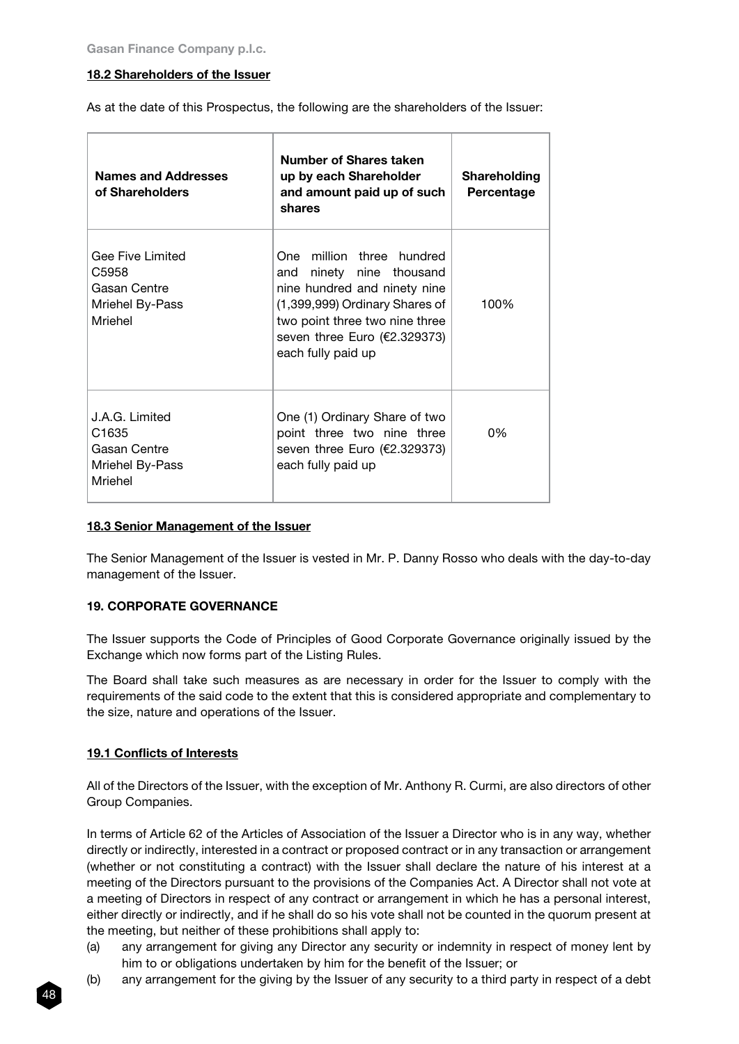# 18.2 Shareholders of the Issuer

As at the date of this Prospectus, the following are the shareholders of the Issuer:

| <b>Names and Addresses</b><br>of Shareholders                                     | Number of Shares taken<br>up by each Shareholder<br>and amount paid up of such<br>shares                                                                                                                               | Shareholding<br>Percentage |
|-----------------------------------------------------------------------------------|------------------------------------------------------------------------------------------------------------------------------------------------------------------------------------------------------------------------|----------------------------|
| Gee Five Limited<br>C5958<br>Gasan Centre<br>Mriehel By-Pass<br>Mriehel           | One million three hundred<br>ninety nine thousand<br>and<br>nine hundred and ninety nine<br>(1,399,999) Ordinary Shares of<br>two point three two nine three<br>seven three Euro ( $E2.329373$ )<br>each fully paid up | 100%                       |
| J.A.G. Limited<br>C <sub>1635</sub><br>Gasan Centre<br>Mriehel By-Pass<br>Mriehel | One (1) Ordinary Share of two<br>point three two nine three<br>seven three Euro (€2.329373)<br>each fully paid up                                                                                                      | 0%                         |

### 18.3 Senior Management of the Issuer

The Senior Management of the Issuer is vested in Mr. P. Danny Rosso who deals with the day-to-day management of the Issuer.

# 19. CORPORATE GOVERNANCE

The Issuer supports the Code of Principles of Good Corporate Governance originally issued by the Exchange which now forms part of the Listing Rules.

The Board shall take such measures as are necessary in order for the Issuer to comply with the requirements of the said code to the extent that this is considered appropriate and complementary to the size, nature and operations of the Issuer.

# 19.1 Conflicts of Interests

All of the Directors of the Issuer, with the exception of Mr. Anthony R. Curmi, are also directors of other Group Companies.

In terms of Article 62 of the Articles of Association of the Issuer a Director who is in any way, whether directly or indirectly, interested in a contract or proposed contract or in any transaction or arrangement (whether or not constituting a contract) with the Issuer shall declare the nature of his interest at a meeting of the Directors pursuant to the provisions of the Companies Act. A Director shall not vote at a meeting of Directors in respect of any contract or arrangement in which he has a personal interest, either directly or indirectly, and if he shall do so his vote shall not be counted in the quorum present at the meeting, but neither of these prohibitions shall apply to:

- (a) any arrangement for giving any Director any security or indemnity in respect of money lent by him to or obligations undertaken by him for the benefit of the Issuer; or
- (b) any arrangement for the giving by the Issuer of any security to a third party in respect of a debt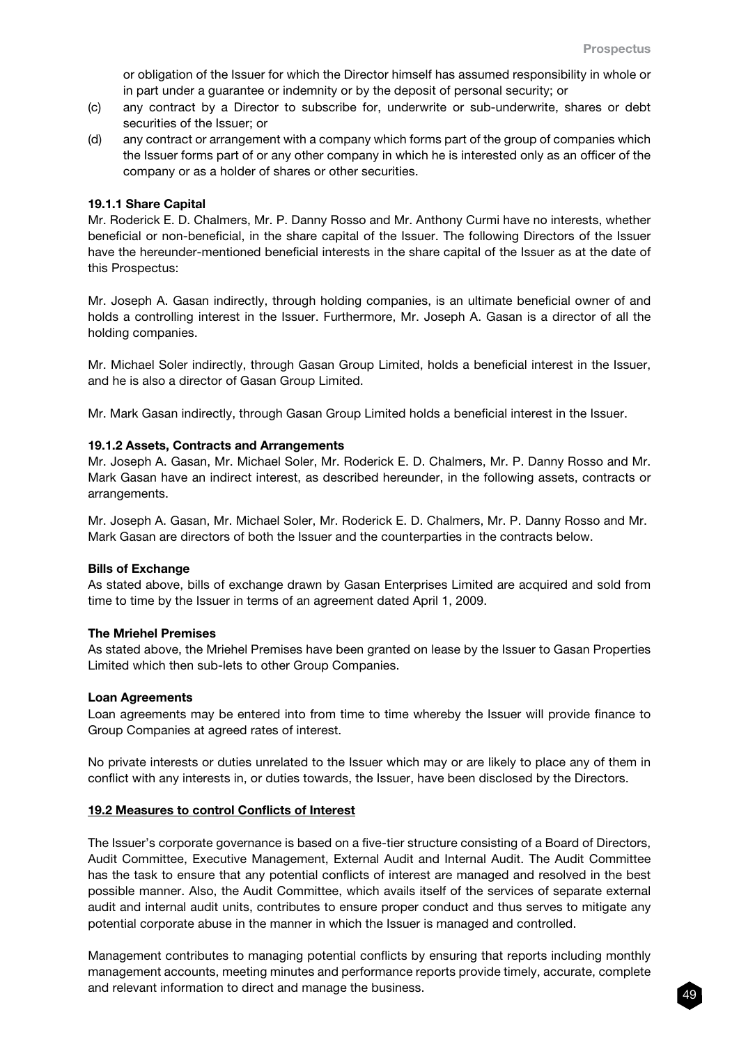or obligation of the Issuer for which the Director himself has assumed responsibility in whole or in part under a guarantee or indemnity or by the deposit of personal security; or

- (c) any contract by a Director to subscribe for, underwrite or sub-underwrite, shares or debt securities of the Issuer; or
- (d) any contract or arrangement with a company which forms part of the group of companies which the Issuer forms part of or any other company in which he is interested only as an officer of the company or as a holder of shares or other securities.

#### 19.1.1 Share Capital

Mr. Roderick E. D. Chalmers, Mr. P. Danny Rosso and Mr. Anthony Curmi have no interests, whether beneficial or non-beneficial, in the share capital of the Issuer. The following Directors of the Issuer have the hereunder-mentioned beneficial interests in the share capital of the Issuer as at the date of this Prospectus:

Mr. Joseph A. Gasan indirectly, through holding companies, is an ultimate beneficial owner of and holds a controlling interest in the Issuer. Furthermore, Mr. Joseph A. Gasan is a director of all the holding companies.

Mr. Michael Soler indirectly, through Gasan Group Limited, holds a beneficial interest in the Issuer, and he is also a director of Gasan Group Limited.

Mr. Mark Gasan indirectly, through Gasan Group Limited holds a beneficial interest in the Issuer.

#### 19.1.2 Assets, Contracts and Arrangements

Mr. Joseph A. Gasan, Mr. Michael Soler, Mr. Roderick E. D. Chalmers, Mr. P. Danny Rosso and Mr. Mark Gasan have an indirect interest, as described hereunder, in the following assets, contracts or arrangements.

Mr. Joseph A. Gasan, Mr. Michael Soler, Mr. Roderick E. D. Chalmers, Mr. P. Danny Rosso and Mr. Mark Gasan are directors of both the Issuer and the counterparties in the contracts below.

#### Bills of Exchange

As stated above, bills of exchange drawn by Gasan Enterprises Limited are acquired and sold from time to time by the Issuer in terms of an agreement dated April 1, 2009.

#### The Mriehel Premises

As stated above, the Mriehel Premises have been granted on lease by the Issuer to Gasan Properties Limited which then sub-lets to other Group Companies.

#### Loan Agreements

Loan agreements may be entered into from time to time whereby the Issuer will provide finance to Group Companies at agreed rates of interest.

No private interests or duties unrelated to the Issuer which may or are likely to place any of them in conflict with any interests in, or duties towards, the Issuer, have been disclosed by the Directors.

#### 19.2 Measures to control Conflicts of Interest

The Issuer's corporate governance is based on a five-tier structure consisting of a Board of Directors, Audit Committee, Executive Management, External Audit and Internal Audit. The Audit Committee has the task to ensure that any potential conflicts of interest are managed and resolved in the best possible manner. Also, the Audit Committee, which avails itself of the services of separate external audit and internal audit units, contributes to ensure proper conduct and thus serves to mitigate any potential corporate abuse in the manner in which the Issuer is managed and controlled.

Management contributes to managing potential conflicts by ensuring that reports including monthly management accounts, meeting minutes and performance reports provide timely, accurate, complete and relevant information to direct and manage the business.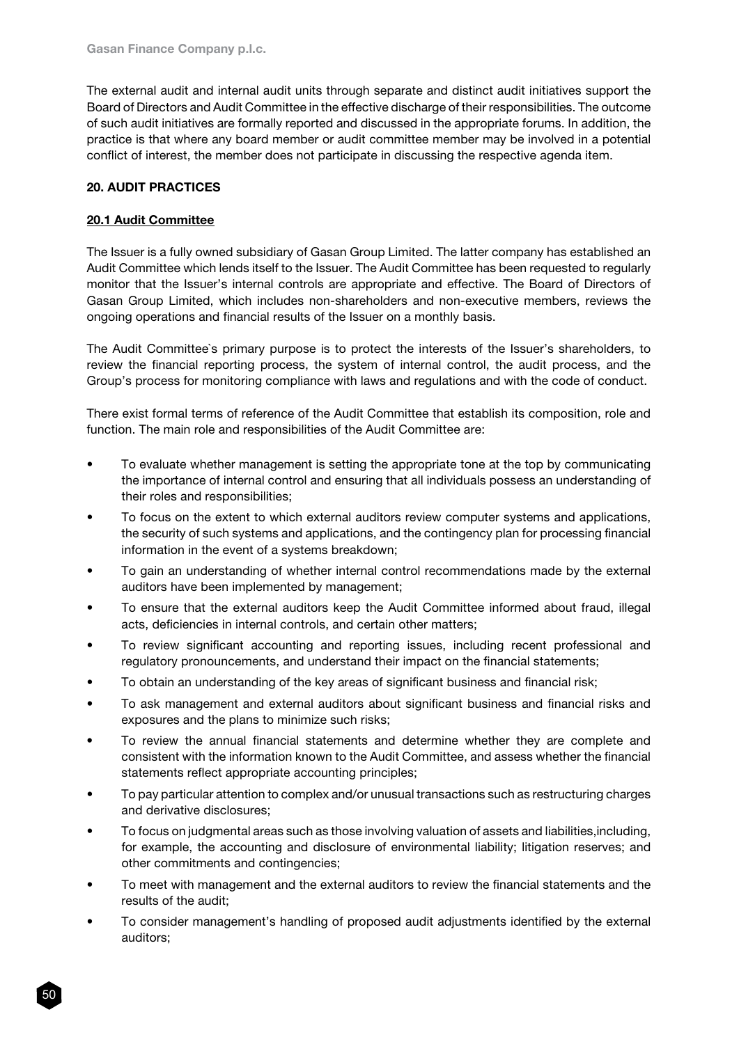The external audit and internal audit units through separate and distinct audit initiatives support the Board of Directors and Audit Committee in the effective discharge of their responsibilities. The outcome of such audit initiatives are formally reported and discussed in the appropriate forums. In addition, the practice is that where any board member or audit committee member may be involved in a potential conflict of interest, the member does not participate in discussing the respective agenda item.

# 20. AUDIT PRACTICES

# 20.1 Audit Committee

The Issuer is a fully owned subsidiary of Gasan Group Limited. The latter company has established an Audit Committee which lends itself to the Issuer. The Audit Committee has been requested to regularly monitor that the Issuer's internal controls are appropriate and effective. The Board of Directors of Gasan Group Limited, which includes non-shareholders and non-executive members, reviews the ongoing operations and financial results of the Issuer on a monthly basis.

The Audit Committee`s primary purpose is to protect the interests of the Issuer's shareholders, to review the financial reporting process, the system of internal control, the audit process, and the Group's process for monitoring compliance with laws and regulations and with the code of conduct.

There exist formal terms of reference of the Audit Committee that establish its composition, role and function. The main role and responsibilities of the Audit Committee are:

- To evaluate whether management is setting the appropriate tone at the top by communicating the importance of internal control and ensuring that all individuals possess an understanding of their roles and responsibilities;
- To focus on the extent to which external auditors review computer systems and applications, the security of such systems and applications, and the contingency plan for processing financial information in the event of a systems breakdown;
- To gain an understanding of whether internal control recommendations made by the external auditors have been implemented by management;
- To ensure that the external auditors keep the Audit Committee informed about fraud, illegal acts, deficiencies in internal controls, and certain other matters;
- To review significant accounting and reporting issues, including recent professional and regulatory pronouncements, and understand their impact on the financial statements;
- To obtain an understanding of the key areas of significant business and financial risk;
- To ask management and external auditors about significant business and financial risks and exposures and the plans to minimize such risks;
- To review the annual financial statements and determine whether they are complete and consistent with the information known to the Audit Committee, and assess whether the financial statements reflect appropriate accounting principles;
- To pay particular attention to complex and/or unusual transactions such as restructuring charges and derivative disclosures;
- To focus on judgmental areas such as those involving valuation of assets and liabilities, including, for example, the accounting and disclosure of environmental liability; litigation reserves; and other commitments and contingencies;
- To meet with management and the external auditors to review the financial statements and the results of the audit;
- To consider management's handling of proposed audit adjustments identified by the external auditors;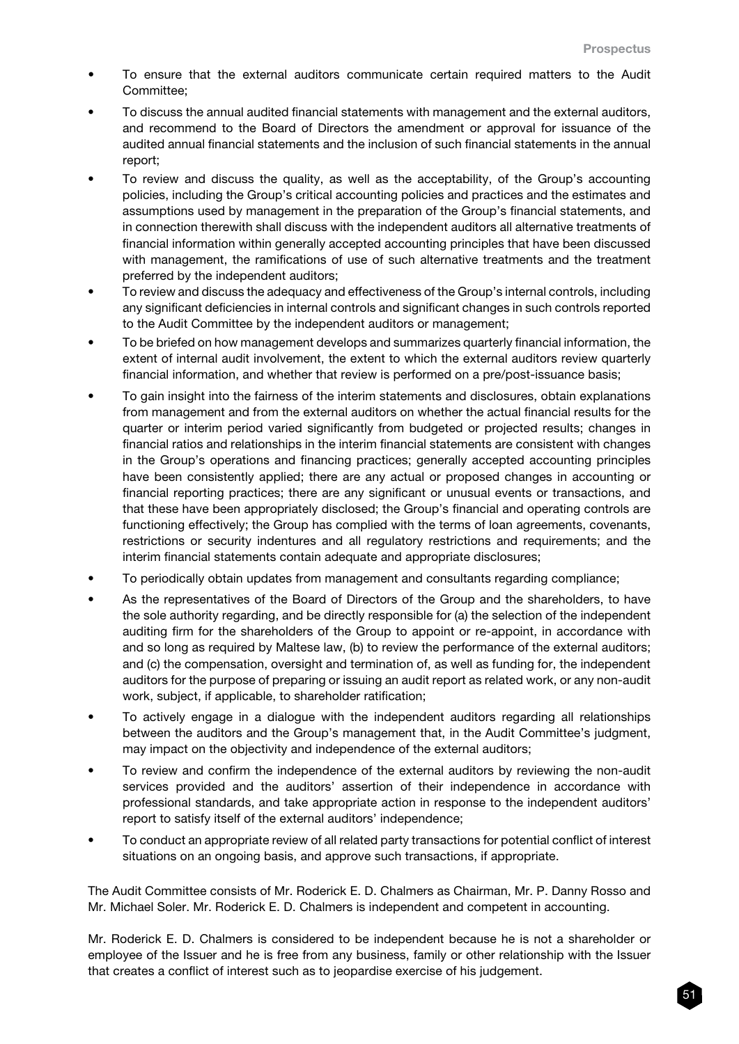- To ensure that the external auditors communicate certain required matters to the Audit Committee;
- To discuss the annual audited financial statements with management and the external auditors, and recommend to the Board of Directors the amendment or approval for issuance of the audited annual financial statements and the inclusion of such financial statements in the annual report;
- To review and discuss the quality, as well as the acceptability, of the Group's accounting policies, including the Group's critical accounting policies and practices and the estimates and assumptions used by management in the preparation of the Group's financial statements, and in connection therewith shall discuss with the independent auditors all alternative treatments of financial information within generally accepted accounting principles that have been discussed with management, the ramifications of use of such alternative treatments and the treatment preferred by the independent auditors;
- To review and discuss the adequacy and effectiveness of the Group's internal controls, including any significant deficiencies in internal controls and significant changes in such controls reported to the Audit Committee by the independent auditors or management;
- To be briefed on how management develops and summarizes quarterly financial information, the extent of internal audit involvement, the extent to which the external auditors review quarterly financial information, and whether that review is performed on a pre/post-issuance basis;
- To gain insight into the fairness of the interim statements and disclosures, obtain explanations from management and from the external auditors on whether the actual financial results for the quarter or interim period varied significantly from budgeted or projected results; changes in financial ratios and relationships in the interim financial statements are consistent with changes in the Group's operations and financing practices; generally accepted accounting principles have been consistently applied; there are any actual or proposed changes in accounting or financial reporting practices; there are any significant or unusual events or transactions, and that these have been appropriately disclosed; the Group's financial and operating controls are functioning effectively; the Group has complied with the terms of loan agreements, covenants, restrictions or security indentures and all regulatory restrictions and requirements; and the interim financial statements contain adequate and appropriate disclosures;
- To periodically obtain updates from management and consultants regarding compliance;
- As the representatives of the Board of Directors of the Group and the shareholders, to have the sole authority regarding, and be directly responsible for (a) the selection of the independent auditing firm for the shareholders of the Group to appoint or re-appoint, in accordance with and so long as required by Maltese law, (b) to review the performance of the external auditors; and (c) the compensation, oversight and termination of, as well as funding for, the independent auditors for the purpose of preparing or issuing an audit report as related work, or any non-audit work, subject, if applicable, to shareholder ratification;
- To actively engage in a dialogue with the independent auditors regarding all relationships between the auditors and the Group's management that, in the Audit Committee's judgment, may impact on the objectivity and independence of the external auditors;
- To review and confirm the independence of the external auditors by reviewing the non-audit services provided and the auditors' assertion of their independence in accordance with professional standards, and take appropriate action in response to the independent auditors' report to satisfy itself of the external auditors' independence;
- To conduct an appropriate review of all related party transactions for potential conflict of interest situations on an ongoing basis, and approve such transactions, if appropriate.

The Audit Committee consists of Mr. Roderick E. D. Chalmers as Chairman, Mr. P. Danny Rosso and Mr. Michael Soler. Mr. Roderick E. D. Chalmers is independent and competent in accounting.

Mr. Roderick E. D. Chalmers is considered to be independent because he is not a shareholder or employee of the Issuer and he is free from any business, family or other relationship with the Issuer that creates a conflict of interest such as to jeopardise exercise of his judgement.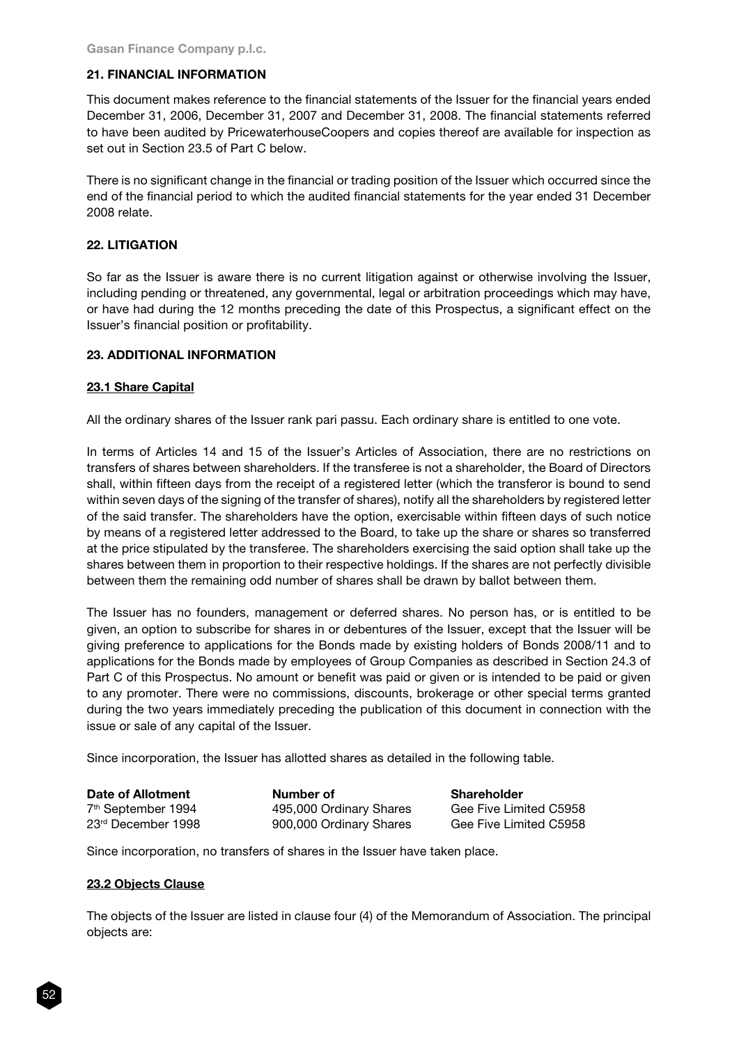### 21. FINANCIAL INFORMATION

This document makes reference to the financial statements of the Issuer for the financial years ended December 31, 2006, December 31, 2007 and December 31, 2008. The financial statements referred to have been audited by PricewaterhouseCoopers and copies thereof are available for inspection as set out in Section 23.5 of Part C below.

There is no significant change in the financial or trading position of the Issuer which occurred since the end of the financial period to which the audited financial statements for the year ended 31 December 2008 relate.

### 22. LITIGATION

So far as the Issuer is aware there is no current litigation against or otherwise involving the Issuer, including pending or threatened, any governmental, legal or arbitration proceedings which may have, or have had during the 12 months preceding the date of this Prospectus, a significant effect on the Issuer's financial position or profitability.

#### 23. ADDITIONAL INFORMATION

#### 23.1 Share Capital

All the ordinary shares of the Issuer rank pari passu. Each ordinary share is entitled to one vote.

In terms of Articles 14 and 15 of the Issuer's Articles of Association, there are no restrictions on transfers of shares between shareholders. If the transferee is not a shareholder, the Board of Directors shall, within fifteen days from the receipt of a registered letter (which the transferor is bound to send within seven days of the signing of the transfer of shares), notify all the shareholders by registered letter of the said transfer. The shareholders have the option, exercisable within fifteen days of such notice by means of a registered letter addressed to the Board, to take up the share or shares so transferred at the price stipulated by the transferee. The shareholders exercising the said option shall take up the shares between them in proportion to their respective holdings. If the shares are not perfectly divisible between them the remaining odd number of shares shall be drawn by ballot between them.

The Issuer has no founders, management or deferred shares. No person has, or is entitled to be given, an option to subscribe for shares in or debentures of the Issuer, except that the Issuer will be giving preference to applications for the Bonds made by existing holders of Bonds 2008/11 and to applications for the Bonds made by employees of Group Companies as described in Section 24.3 of Part C of this Prospectus. No amount or benefit was paid or given or is intended to be paid or given to any promoter. There were no commissions, discounts, brokerage or other special terms granted during the two years immediately preceding the publication of this document in connection with the issue or sale of any capital of the Issuer.

Since incorporation, the Issuer has allotted shares as detailed in the following table.

| Date of Allotment              | Number of               | <b>Shareholder</b>     |
|--------------------------------|-------------------------|------------------------|
| 7 <sup>th</sup> September 1994 | 495,000 Ordinary Shares | Gee Five Limited C5958 |
| 23 <sup>rd</sup> December 1998 | 900,000 Ordinary Shares | Gee Five Limited C5958 |

Since incorporation, no transfers of shares in the Issuer have taken place.

#### 23.2 Objects Clause

The objects of the Issuer are listed in clause four (4) of the Memorandum of Association. The principal objects are: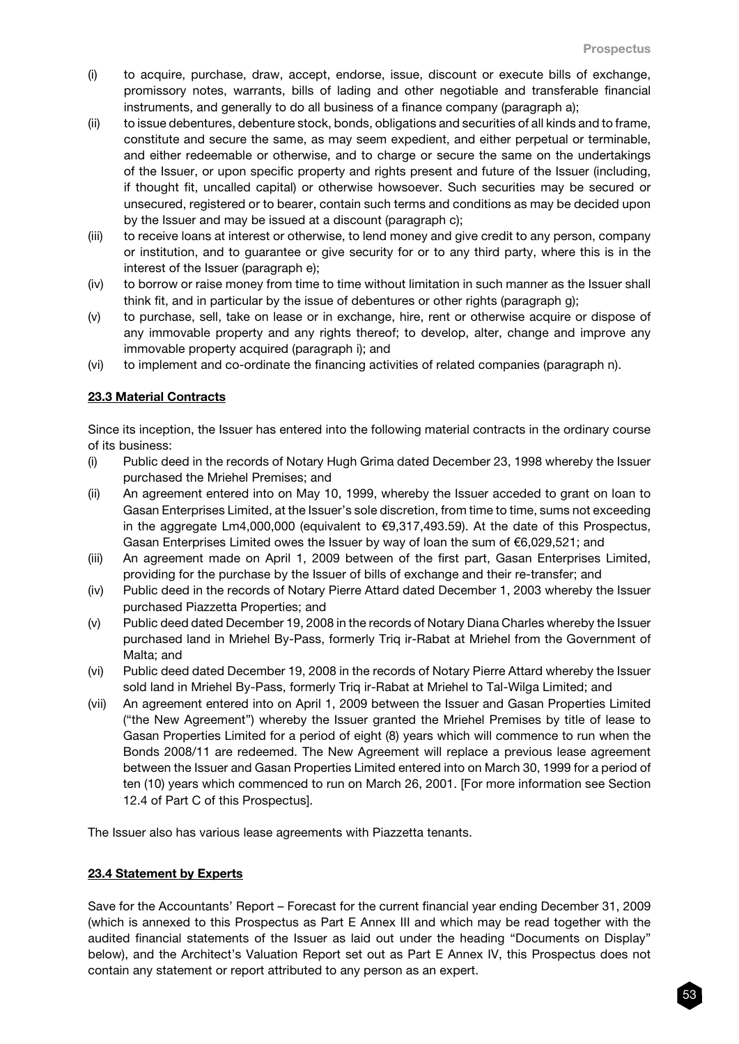- (i) to acquire, purchase, draw, accept, endorse, issue, discount or execute bills of exchange, promissory notes, warrants, bills of lading and other negotiable and transferable financial instruments, and generally to do all business of a finance company (paragraph a);
- (ii) to issue debentures, debenture stock, bonds, obligations and securities of all kinds and to frame, constitute and secure the same, as may seem expedient, and either perpetual or terminable, and either redeemable or otherwise, and to charge or secure the same on the undertakings of the Issuer, or upon specific property and rights present and future of the Issuer (including, if thought fit, uncalled capital) or otherwise howsoever. Such securities may be secured or unsecured, registered or to bearer, contain such terms and conditions as may be decided upon by the Issuer and may be issued at a discount (paragraph c);
- (iii) to receive loans at interest or otherwise, to lend money and give credit to any person, company or institution, and to guarantee or give security for or to any third party, where this is in the interest of the Issuer (paragraph e);
- (iv) to borrow or raise money from time to time without limitation in such manner as the Issuer shall think fit, and in particular by the issue of debentures or other rights (paragraph g);
- (v) to purchase, sell, take on lease or in exchange, hire, rent or otherwise acquire or dispose of any immovable property and any rights thereof; to develop, alter, change and improve any immovable property acquired (paragraph i); and
- (vi) to implement and co-ordinate the financing activities of related companies (paragraph n).

# 23.3 Material Contracts

Since its inception, the Issuer has entered into the following material contracts in the ordinary course of its business:

- (i) Public deed in the records of Notary Hugh Grima dated December 23, 1998 whereby the Issuer purchased the Mriehel Premises; and
- (ii) An agreement entered into on May 10, 1999, whereby the Issuer acceded to grant on loan to Gasan Enterprises Limited, at the Issuer's sole discretion, from time to time, sums not exceeding in the aggregate Lm4,000,000 (equivalent to €9,317,493.59). At the date of this Prospectus, Gasan Enterprises Limited owes the Issuer by way of loan the sum of  $\epsilon$ 6,029,521; and
- (iii) An agreement made on April 1, 2009 between of the first part, Gasan Enterprises Limited, providing for the purchase by the Issuer of bills of exchange and their re-transfer; and
- (iv) Public deed in the records of Notary Pierre Attard dated December 1, 2003 whereby the Issuer purchased Piazzetta Properties; and
- (v) Public deed dated December 19, 2008 in the records of Notary Diana Charles whereby the Issuer purchased land in Mriehel By-Pass, formerly Triq ir-Rabat at Mriehel from the Government of Malta; and
- (vi) Public deed dated December 19, 2008 in the records of Notary Pierre Attard whereby the Issuer sold land in Mriehel By-Pass, formerly Triq ir-Rabat at Mriehel to Tal-Wilga Limited; and
- (vii) An agreement entered into on April 1, 2009 between the Issuer and Gasan Properties Limited ("the New Agreement") whereby the Issuer granted the Mriehel Premises by title of lease to Gasan Properties Limited for a period of eight (8) years which will commence to run when the Bonds 2008/11 are redeemed. The New Agreement will replace a previous lease agreement between the Issuer and Gasan Properties Limited entered into on March 30, 1999 for a period of ten (10) years which commenced to run on March 26, 2001. [For more information see Section 12.4 of Part C of this Prospectus].

The Issuer also has various lease agreements with Piazzetta tenants.

# 23.4 Statement by Experts

Save for the Accountants' Report – Forecast for the current financial year ending December 31, 2009 (which is annexed to this Prospectus as Part E Annex III and which may be read together with the audited financial statements of the Issuer as laid out under the heading "Documents on Display" below), and the Architect's Valuation Report set out as Part E Annex IV, this Prospectus does not contain any statement or report attributed to any person as an expert.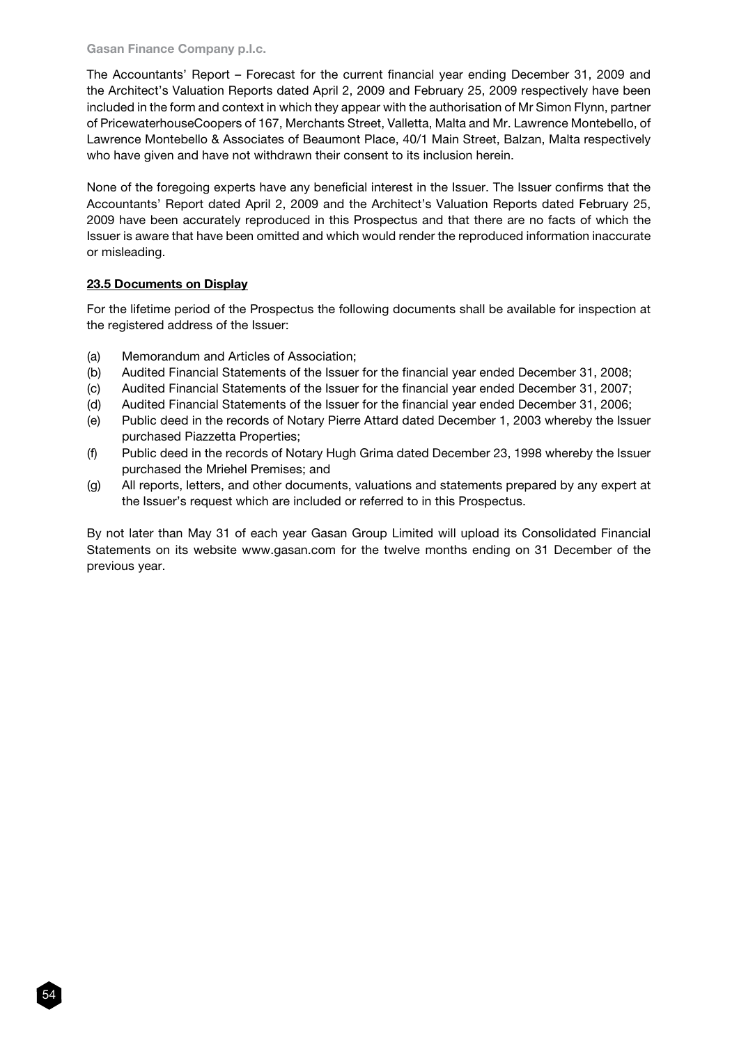The Accountants' Report – Forecast for the current financial year ending December 31, 2009 and the Architect's Valuation Reports dated April 2, 2009 and February 25, 2009 respectively have been included in the form and context in which they appear with the authorisation of Mr Simon Flynn, partner of PricewaterhouseCoopers of 167, Merchants Street, Valletta, Malta and Mr. Lawrence Montebello, of Lawrence Montebello & Associates of Beaumont Place, 40/1 Main Street, Balzan, Malta respectively who have given and have not withdrawn their consent to its inclusion herein.

None of the foregoing experts have any beneficial interest in the Issuer. The Issuer confirms that the Accountants' Report dated April 2, 2009 and the Architect's Valuation Reports dated February 25, 2009 have been accurately reproduced in this Prospectus and that there are no facts of which the Issuer is aware that have been omitted and which would render the reproduced information inaccurate or misleading.

# 23.5 Documents on Display

54

For the lifetime period of the Prospectus the following documents shall be available for inspection at the registered address of the Issuer:

- (a) Memorandum and Articles of Association;
- (b) Audited Financial Statements of the Issuer for the financial year ended December 31, 2008;
- (c) Audited Financial Statements of the Issuer for the financial year ended December 31, 2007;
- (d) Audited Financial Statements of the Issuer for the financial year ended December 31, 2006;
- (e) Public deed in the records of Notary Pierre Attard dated December 1, 2003 whereby the Issuer purchased Piazzetta Properties;
- (f) Public deed in the records of Notary Hugh Grima dated December 23, 1998 whereby the Issuer purchased the Mriehel Premises; and
- (g) All reports, letters, and other documents, valuations and statements prepared by any expert at the Issuer's request which are included or referred to in this Prospectus.

By not later than May 31 of each year Gasan Group Limited will upload its Consolidated Financial Statements on its website www.gasan.com for the twelve months ending on 31 December of the previous year.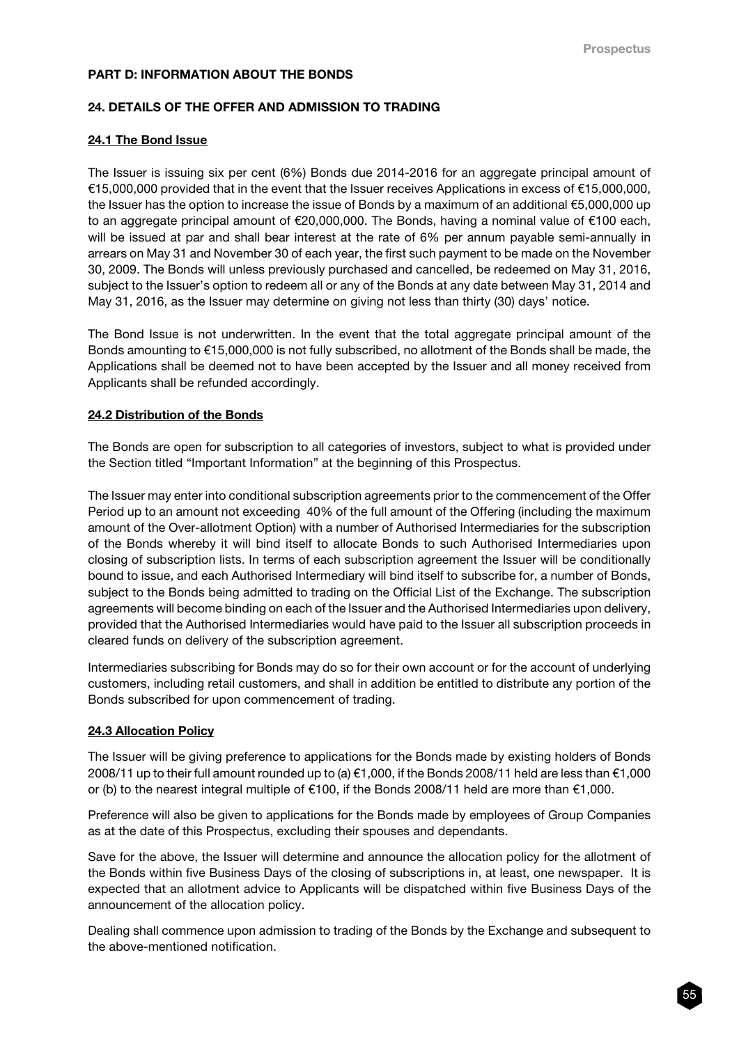### PART D: INFORMATION ABOUT THE BONDS

### 24. DETAILS OF THE OFFER AND ADMISSION TO TRADING

### 24.1 The Bond Issue

The Issuer is issuing six per cent (6%) Bonds due 2014-2016 for an aggregate principal amount of €15,000,000 provided that in the event that the Issuer receives Applications in excess of €15,000,000, the Issuer has the option to increase the issue of Bonds by a maximum of an additional €5,000,000 up to an aggregate principal amount of €20,000,000. The Bonds, having a nominal value of €100 each, will be issued at par and shall bear interest at the rate of 6% per annum payable semi-annually in arrears on May 31 and November 30 of each year, the first such payment to be made on the November 30, 2009. The Bonds will unless previously purchased and cancelled, be redeemed on May 31, 2016, subject to the Issuer's option to redeem all or any of the Bonds at any date between May 31, 2014 and May 31, 2016, as the Issuer may determine on giving not less than thirty (30) days' notice.

The Bond Issue is not underwritten. In the event that the total aggregate principal amount of the Bonds amounting to €15,000,000 is not fully subscribed, no allotment of the Bonds shall be made, the Applications shall be deemed not to have been accepted by the Issuer and all money received from Applicants shall be refunded accordingly.

### 24.2 Distribution of the Bonds

The Bonds are open for subscription to all categories of investors, subject to what is provided under the Section titled "Important Information" at the beginning of this Prospectus.

The Issuer may enter into conditional subscription agreements prior to the commencement of the Offer Period up to an amount not exceeding 40% of the full amount of the Offering (including the maximum amount of the Over-allotment Option) with a number of Authorised Intermediaries for the subscription of the Bonds whereby it will bind itself to allocate Bonds to such Authorised Intermediaries upon closing of subscription lists. In terms of each subscription agreement the Issuer will be conditionally bound to issue, and each Authorised Intermediary will bind itself to subscribe for, a number of Bonds, subject to the Bonds being admitted to trading on the Official List of the Exchange. The subscription agreements will become binding on each of the Issuer and the Authorised Intermediaries upon delivery, provided that the Authorised Intermediaries would have paid to the Issuer all subscription proceeds in cleared funds on delivery of the subscription agreement.

Intermediaries subscribing for Bonds may do so for their own account or for the account of underlying customers, including retail customers, and shall in addition be entitled to distribute any portion of the Bonds subscribed for upon commencement of trading.

# 24.3 Allocation Policy

The Issuer will be giving preference to applications for the Bonds made by existing holders of Bonds 2008/11 up to their full amount rounded up to (a) €1,000, if the Bonds 2008/11 held are less than €1,000 or (b) to the nearest integral multiple of €100, if the Bonds 2008/11 held are more than €1,000.

Preference will also be given to applications for the Bonds made by employees of Group Companies as at the date of this Prospectus, excluding their spouses and dependants.

Save for the above, the Issuer will determine and announce the allocation policy for the allotment of the Bonds within five Business Days of the closing of subscriptions in, at least, one newspaper. It is expected that an allotment advice to Applicants will be dispatched within five Business Days of the announcement of the allocation policy.

Dealing shall commence upon admission to trading of the Bonds by the Exchange and subsequent to the above-mentioned notification.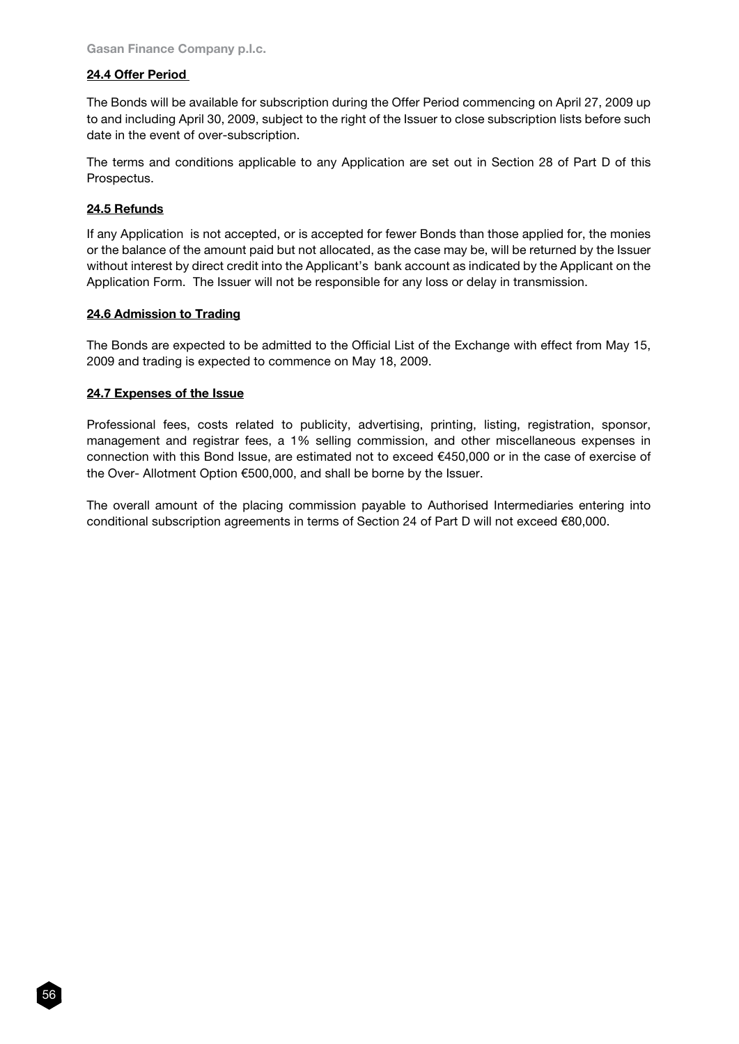# 24.4 Offer Period

The Bonds will be available for subscription during the Offer Period commencing on April 27, 2009 up to and including April 30, 2009, subject to the right of the Issuer to close subscription lists before such date in the event of over-subscription.

The terms and conditions applicable to any Application are set out in Section 28 of Part D of this Prospectus.

# 24.5 Refunds

56

If any Application is not accepted, or is accepted for fewer Bonds than those applied for, the monies or the balance of the amount paid but not allocated, as the case may be, will be returned by the Issuer without interest by direct credit into the Applicant's bank account as indicated by the Applicant on the Application Form. The Issuer will not be responsible for any loss or delay in transmission.

### 24.6 Admission to Trading

The Bonds are expected to be admitted to the Official List of the Exchange with effect from May 15, 2009 and trading is expected to commence on May 18, 2009.

### 24.7 Expenses of the Issue

Professional fees, costs related to publicity, advertising, printing, listing, registration, sponsor, management and registrar fees, a 1% selling commission, and other miscellaneous expenses in connection with this Bond Issue, are estimated not to exceed €450,000 or in the case of exercise of the Over- Allotment Option €500,000, and shall be borne by the Issuer.

The overall amount of the placing commission payable to Authorised Intermediaries entering into conditional subscription agreements in terms of Section 24 of Part D will not exceed €80,000.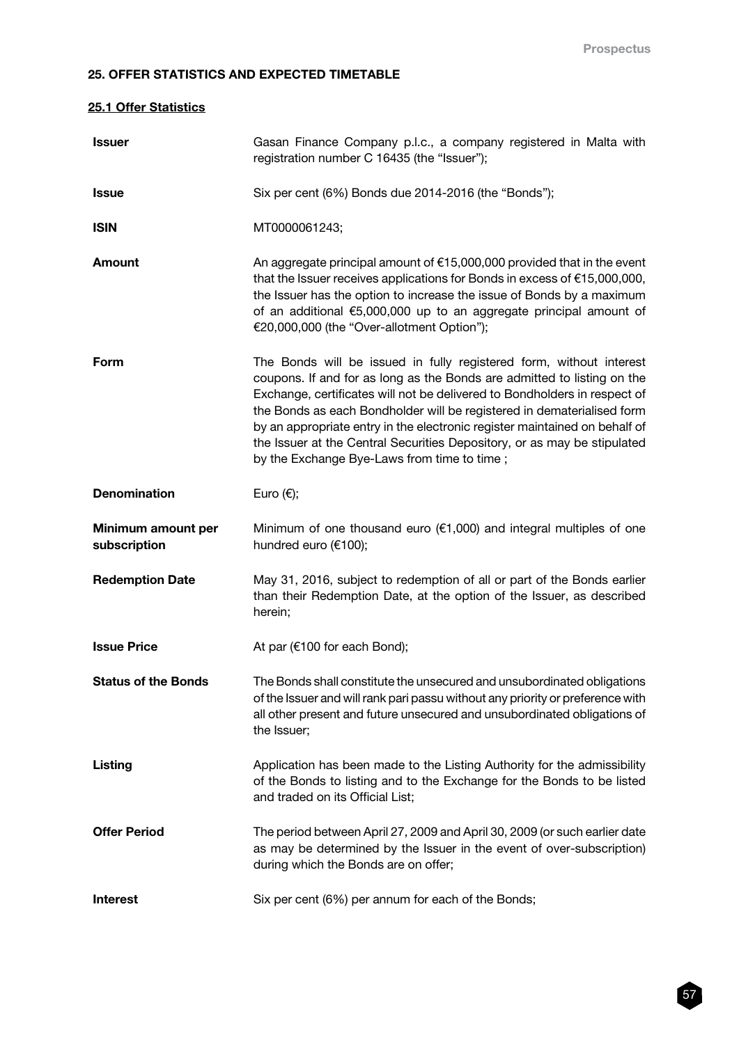# 25. OFFER STATISTICS AND EXPECTED TIMETABLE

# 25.1 Offer Statistics

| <b>Issuer</b>                      | Gasan Finance Company p.l.c., a company registered in Malta with<br>registration number C 16435 (the "Issuer");                                                                                                                                                                                                                                                                                                                                                                                                |
|------------------------------------|----------------------------------------------------------------------------------------------------------------------------------------------------------------------------------------------------------------------------------------------------------------------------------------------------------------------------------------------------------------------------------------------------------------------------------------------------------------------------------------------------------------|
| <b>Issue</b>                       | Six per cent (6%) Bonds due 2014-2016 (the "Bonds");                                                                                                                                                                                                                                                                                                                                                                                                                                                           |
| <b>ISIN</b>                        | MT0000061243;                                                                                                                                                                                                                                                                                                                                                                                                                                                                                                  |
| Amount                             | An aggregate principal amount of $£15,000,000$ provided that in the event<br>that the Issuer receives applications for Bonds in excess of €15,000,000,<br>the Issuer has the option to increase the issue of Bonds by a maximum<br>of an additional €5,000,000 up to an aggregate principal amount of<br>€20,000,000 (the "Over-allotment Option");                                                                                                                                                            |
| Form                               | The Bonds will be issued in fully registered form, without interest<br>coupons. If and for as long as the Bonds are admitted to listing on the<br>Exchange, certificates will not be delivered to Bondholders in respect of<br>the Bonds as each Bondholder will be registered in dematerialised form<br>by an appropriate entry in the electronic register maintained on behalf of<br>the Issuer at the Central Securities Depository, or as may be stipulated<br>by the Exchange Bye-Laws from time to time; |
| <b>Denomination</b>                | Euro $(\epsilon)$ ;                                                                                                                                                                                                                                                                                                                                                                                                                                                                                            |
| Minimum amount per<br>subscription | Minimum of one thousand euro ( $\epsilon$ 1,000) and integral multiples of one<br>hundred euro (€100);                                                                                                                                                                                                                                                                                                                                                                                                         |
| <b>Redemption Date</b>             | May 31, 2016, subject to redemption of all or part of the Bonds earlier<br>than their Redemption Date, at the option of the Issuer, as described<br>herein;                                                                                                                                                                                                                                                                                                                                                    |
| <b>Issue Price</b>                 | At par (€100 for each Bond);                                                                                                                                                                                                                                                                                                                                                                                                                                                                                   |
| <b>Status of the Bonds</b>         | The Bonds shall constitute the unsecured and unsubordinated obligations<br>of the Issuer and will rank pari passu without any priority or preference with<br>all other present and future unsecured and unsubordinated obligations of<br>the Issuer;                                                                                                                                                                                                                                                           |
| <b>Listing</b>                     | Application has been made to the Listing Authority for the admissibility<br>of the Bonds to listing and to the Exchange for the Bonds to be listed<br>and traded on its Official List;                                                                                                                                                                                                                                                                                                                         |
| <b>Offer Period</b>                | The period between April 27, 2009 and April 30, 2009 (or such earlier date<br>as may be determined by the Issuer in the event of over-subscription)<br>during which the Bonds are on offer;                                                                                                                                                                                                                                                                                                                    |
| <b>Interest</b>                    | Six per cent (6%) per annum for each of the Bonds;                                                                                                                                                                                                                                                                                                                                                                                                                                                             |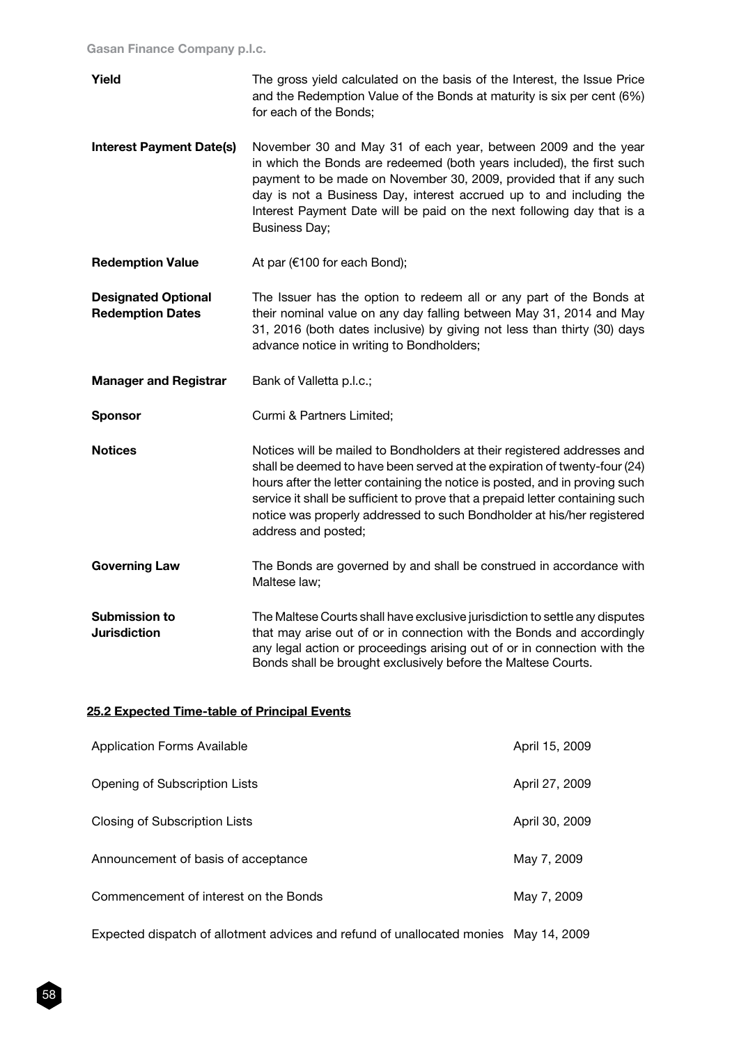| Yield                                                 | The gross yield calculated on the basis of the Interest, the Issue Price<br>and the Redemption Value of the Bonds at maturity is six per cent (6%)<br>for each of the Bonds;                                                                                                                                                                                                                                          |
|-------------------------------------------------------|-----------------------------------------------------------------------------------------------------------------------------------------------------------------------------------------------------------------------------------------------------------------------------------------------------------------------------------------------------------------------------------------------------------------------|
| <b>Interest Payment Date(s)</b>                       | November 30 and May 31 of each year, between 2009 and the year<br>in which the Bonds are redeemed (both years included), the first such<br>payment to be made on November 30, 2009, provided that if any such<br>day is not a Business Day, interest accrued up to and including the<br>Interest Payment Date will be paid on the next following day that is a<br><b>Business Day;</b>                                |
| <b>Redemption Value</b>                               | At par (€100 for each Bond);                                                                                                                                                                                                                                                                                                                                                                                          |
| <b>Designated Optional</b><br><b>Redemption Dates</b> | The Issuer has the option to redeem all or any part of the Bonds at<br>their nominal value on any day falling between May 31, 2014 and May<br>31, 2016 (both dates inclusive) by giving not less than thirty (30) days<br>advance notice in writing to Bondholders;                                                                                                                                                   |
| <b>Manager and Registrar</b>                          | Bank of Valletta p.l.c.;                                                                                                                                                                                                                                                                                                                                                                                              |
| <b>Sponsor</b>                                        | Curmi & Partners Limited;                                                                                                                                                                                                                                                                                                                                                                                             |
| <b>Notices</b>                                        | Notices will be mailed to Bondholders at their registered addresses and<br>shall be deemed to have been served at the expiration of twenty-four (24)<br>hours after the letter containing the notice is posted, and in proving such<br>service it shall be sufficient to prove that a prepaid letter containing such<br>notice was properly addressed to such Bondholder at his/her registered<br>address and posted; |
| <b>Governing Law</b>                                  | The Bonds are governed by and shall be construed in accordance with<br>Maltese law;                                                                                                                                                                                                                                                                                                                                   |
| Submission to<br><b>Jurisdiction</b>                  | The Maltese Courts shall have exclusive jurisdiction to settle any disputes<br>that may arise out of or in connection with the Bonds and accordingly<br>any legal action or proceedings arising out of or in connection with the<br>Bonds shall be brought exclusively before the Maltese Courts.                                                                                                                     |

# 25.2 Expected Time-table of Principal Events

| Application Forms Available           | April 15, 2009 |
|---------------------------------------|----------------|
| Opening of Subscription Lists         | April 27, 2009 |
| Closing of Subscription Lists         | April 30, 2009 |
| Announcement of basis of acceptance   | May 7, 2009    |
| Commencement of interest on the Bonds | May 7, 2009    |
|                                       |                |

Expected dispatch of allotment advices and refund of unallocated monies May 14, 2009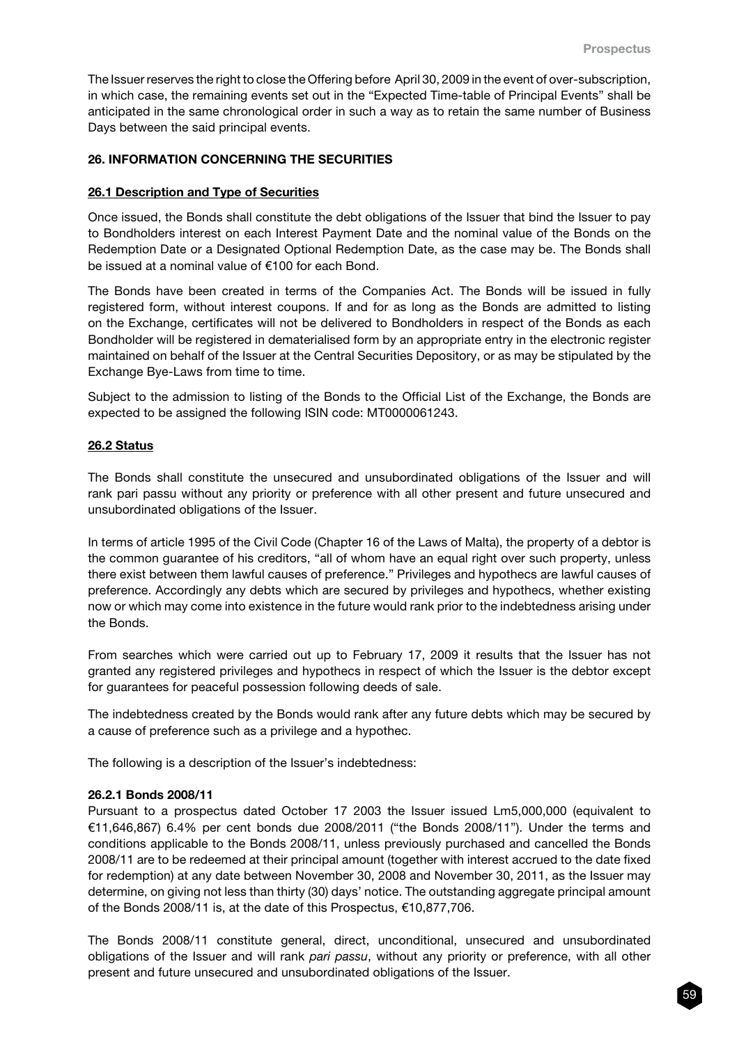The Issuer reserves the right to close the Offering before April 30, 2009 in the event of over-subscription, in which case, the remaining events set out in the "Expected Time-table of Principal Events" shall be anticipated in the same chronological order in such a way as to retain the same number of Business Days between the said principal events.

### 26. INFORMATION CONCERNING THE SECURITIES

#### 26.1 Description and Type of Securities

Once issued, the Bonds shall constitute the debt obligations of the Issuer that bind the Issuer to pay to Bondholders interest on each Interest Payment Date and the nominal value of the Bonds on the Redemption Date or a Designated Optional Redemption Date, as the case may be. The Bonds shall be issued at a nominal value of €100 for each Bond.

The Bonds have been created in terms of the Companies Act. The Bonds will be issued in fully registered form, without interest coupons. If and for as long as the Bonds are admitted to listing on the Exchange, certificates will not be delivered to Bondholders in respect of the Bonds as each Bondholder will be registered in dematerialised form by an appropriate entry in the electronic register maintained on behalf of the Issuer at the Central Securities Depository, or as may be stipulated by the Exchange Bye-Laws from time to time.

Subject to the admission to listing of the Bonds to the Official List of the Exchange, the Bonds are expected to be assigned the following ISIN code: MT0000061243.

#### 26.2 Status

The Bonds shall constitute the unsecured and unsubordinated obligations of the Issuer and will rank pari passu without any priority or preference with all other present and future unsecured and unsubordinated obligations of the Issuer.

In terms of article 1995 of the Civil Code (Chapter 16 of the Laws of Malta), the property of a debtor is the common guarantee of his creditors, "all of whom have an equal right over such property, unless there exist between them lawful causes of preference." Privileges and hypothecs are lawful causes of preference. Accordingly any debts which are secured by privileges and hypothecs, whether existing now or which may come into existence in the future would rank prior to the indebtedness arising under the Bonds.

From searches which were carried out up to February 17, 2009 it results that the Issuer has not granted any registered privileges and hypothecs in respect of which the Issuer is the debtor except for guarantees for peaceful possession following deeds of sale.

The indebtedness created by the Bonds would rank after any future debts which may be secured by a cause of preference such as a privilege and a hypothec.

The following is a description of the Issuer's indebtedness:

#### 26.2.1 Bonds 2008/11

Pursuant to a prospectus dated October 17 2003 the Issuer issued Lm5,000,000 (equivalent to €11,646,867) 6.4% per cent bonds due 2008/2011 ("the Bonds 2008/11"). Under the terms and conditions applicable to the Bonds 2008/11, unless previously purchased and cancelled the Bonds 2008/11 are to be redeemed at their principal amount (together with interest accrued to the date fixed for redemption) at any date between November 30, 2008 and November 30, 2011, as the Issuer may determine, on giving not less than thirty (30) days' notice. The outstanding aggregate principal amount of the Bonds 2008/11 is, at the date of this Prospectus, €10,877,706.

The Bonds 2008/11 constitute general, direct, unconditional, unsecured and unsubordinated obligations of the Issuer and will rank *pari passu*, without any priority or preference, with all other present and future unsecured and unsubordinated obligations of the Issuer.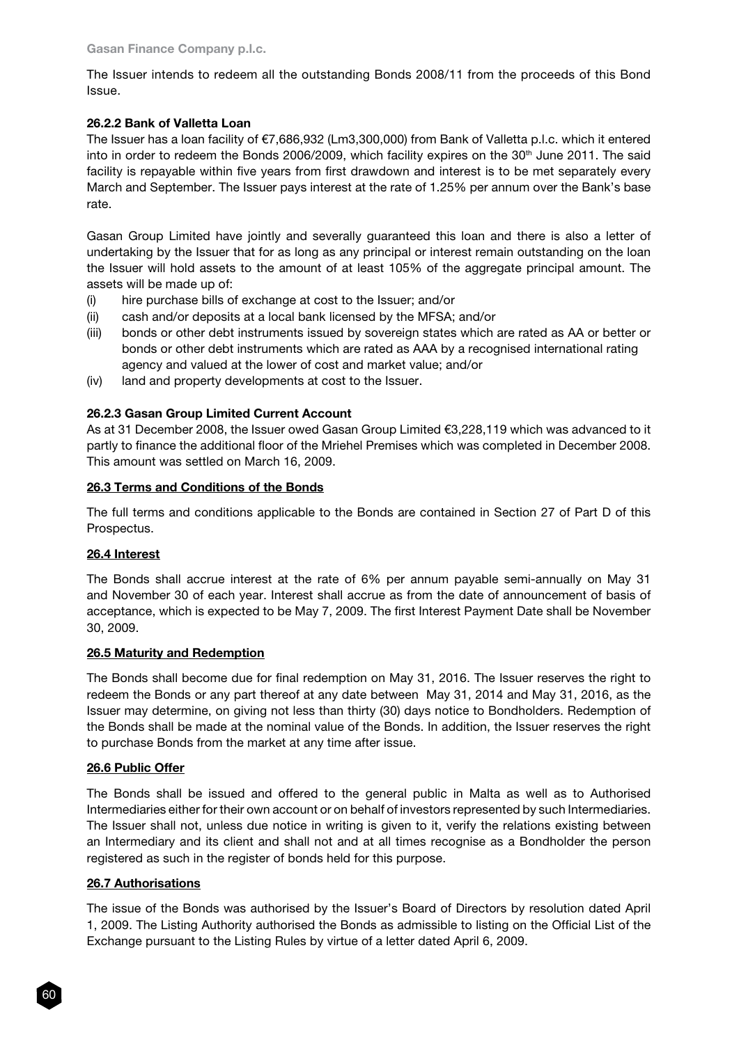The Issuer intends to redeem all the outstanding Bonds 2008/11 from the proceeds of this Bond Issue.

# 26.2.2 Bank of Valletta Loan

The Issuer has a loan facility of €7,686,932 (Lm3,300,000) from Bank of Valletta p.l.c. which it entered into in order to redeem the Bonds 2006/2009, which facility expires on the 30<sup>th</sup> June 2011. The said facility is repayable within five years from first drawdown and interest is to be met separately every March and September. The Issuer pays interest at the rate of 1.25% per annum over the Bank's base rate.

Gasan Group Limited have jointly and severally guaranteed this loan and there is also a letter of undertaking by the Issuer that for as long as any principal or interest remain outstanding on the loan the Issuer will hold assets to the amount of at least 105% of the aggregate principal amount. The assets will be made up of:

- (i) hire purchase bills of exchange at cost to the Issuer; and/or
- (ii) cash and/or deposits at a local bank licensed by the MFSA; and/or
- (iii) bonds or other debt instruments issued by sovereign states which are rated as AA or better or bonds or other debt instruments which are rated as AAA by a recognised international rating agency and valued at the lower of cost and market value; and/or
- (iv) land and property developments at cost to the Issuer.

# 26.2.3 Gasan Group Limited Current Account

As at 31 December 2008, the Issuer owed Gasan Group Limited €3,228,119 which was advanced to it partly to finance the additional floor of the Mriehel Premises which was completed in December 2008. This amount was settled on March 16, 2009.

# 26.3 Terms and Conditions of the Bonds

The full terms and conditions applicable to the Bonds are contained in Section 27 of Part D of this Prospectus.

# 26.4 Interest

The Bonds shall accrue interest at the rate of 6% per annum payable semi-annually on May 31 and November 30 of each year. Interest shall accrue as from the date of announcement of basis of acceptance, which is expected to be May 7, 2009. The first Interest Payment Date shall be November 30, 2009.

# 26.5 Maturity and Redemption

The Bonds shall become due for final redemption on May 31, 2016. The Issuer reserves the right to redeem the Bonds or any part thereof at any date between May 31, 2014 and May 31, 2016, as the Issuer may determine, on giving not less than thirty (30) days notice to Bondholders. Redemption of the Bonds shall be made at the nominal value of the Bonds. In addition, the Issuer reserves the right to purchase Bonds from the market at any time after issue.

# 26.6 Public Offer

The Bonds shall be issued and offered to the general public in Malta as well as to Authorised Intermediaries either for their own account or on behalf of investors represented by such Intermediaries. The Issuer shall not, unless due notice in writing is given to it, verify the relations existing between an Intermediary and its client and shall not and at all times recognise as a Bondholder the person registered as such in the register of bonds held for this purpose.

# 26.7 Authorisations

The issue of the Bonds was authorised by the Issuer's Board of Directors by resolution dated April 1, 2009. The Listing Authority authorised the Bonds as admissible to listing on the Official List of the Exchange pursuant to the Listing Rules by virtue of a letter dated April 6, 2009.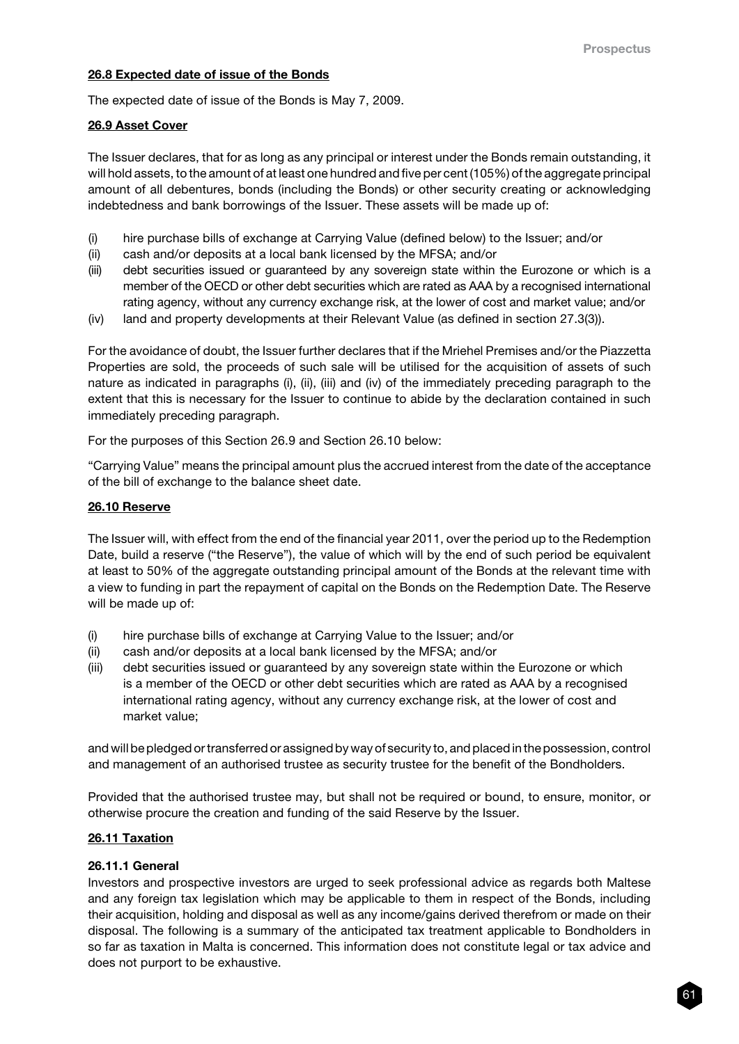### 26.8 Expected date of issue of the Bonds

The expected date of issue of the Bonds is May 7, 2009.

#### 26.9 Asset Cover

The Issuer declares, that for as long as any principal or interest under the Bonds remain outstanding, it will hold assets, to the amount of at least one hundred and five per cent (105%) of the aggregate principal amount of all debentures, bonds (including the Bonds) or other security creating or acknowledging indebtedness and bank borrowings of the Issuer. These assets will be made up of:

- (i) hire purchase bills of exchange at Carrying Value (defined below) to the Issuer; and/or
- (ii) cash and/or deposits at a local bank licensed by the MFSA; and/or
- (iii) debt securities issued or guaranteed by any sovereign state within the Eurozone or which is a member of the OECD or other debt securities which are rated as AAA by a recognised international rating agency, without any currency exchange risk, at the lower of cost and market value; and/or
- (iv) land and property developments at their Relevant Value (as defined in section 27.3(3)).

For the avoidance of doubt, the Issuer further declares that if the Mriehel Premises and/or the Piazzetta Properties are sold, the proceeds of such sale will be utilised for the acquisition of assets of such nature as indicated in paragraphs (i), (ii), (iii) and (iv) of the immediately preceding paragraph to the extent that this is necessary for the Issuer to continue to abide by the declaration contained in such immediately preceding paragraph.

For the purposes of this Section 26.9 and Section 26.10 below:

"Carrying Value" means the principal amount plus the accrued interest from the date of the acceptance of the bill of exchange to the balance sheet date.

#### 26.10 Reserve

The Issuer will, with effect from the end of the financial year 2011, over the period up to the Redemption Date, build a reserve ("the Reserve"), the value of which will by the end of such period be equivalent at least to 50% of the aggregate outstanding principal amount of the Bonds at the relevant time with a view to funding in part the repayment of capital on the Bonds on the Redemption Date. The Reserve will be made up of:

- (i) hire purchase bills of exchange at Carrying Value to the Issuer; and/or
- (ii) cash and/or deposits at a local bank licensed by the MFSA; and/or
- (iii) debt securities issued or guaranteed by any sovereign state within the Eurozone or which is a member of the OECD or other debt securities which are rated as AAA by a recognised international rating agency, without any currency exchange risk, at the lower of cost and market value;

and will be pledged or transferred or assigned by way of security to, and placed in the possession, control and management of an authorised trustee as security trustee for the benefit of the Bondholders.

Provided that the authorised trustee may, but shall not be required or bound, to ensure, monitor, or otherwise procure the creation and funding of the said Reserve by the Issuer.

#### 26.11 Taxation

#### 26.11.1 General

Investors and prospective investors are urged to seek professional advice as regards both Maltese and any foreign tax legislation which may be applicable to them in respect of the Bonds, including their acquisition, holding and disposal as well as any income/gains derived therefrom or made on their disposal. The following is a summary of the anticipated tax treatment applicable to Bondholders in so far as taxation in Malta is concerned. This information does not constitute legal or tax advice and does not purport to be exhaustive.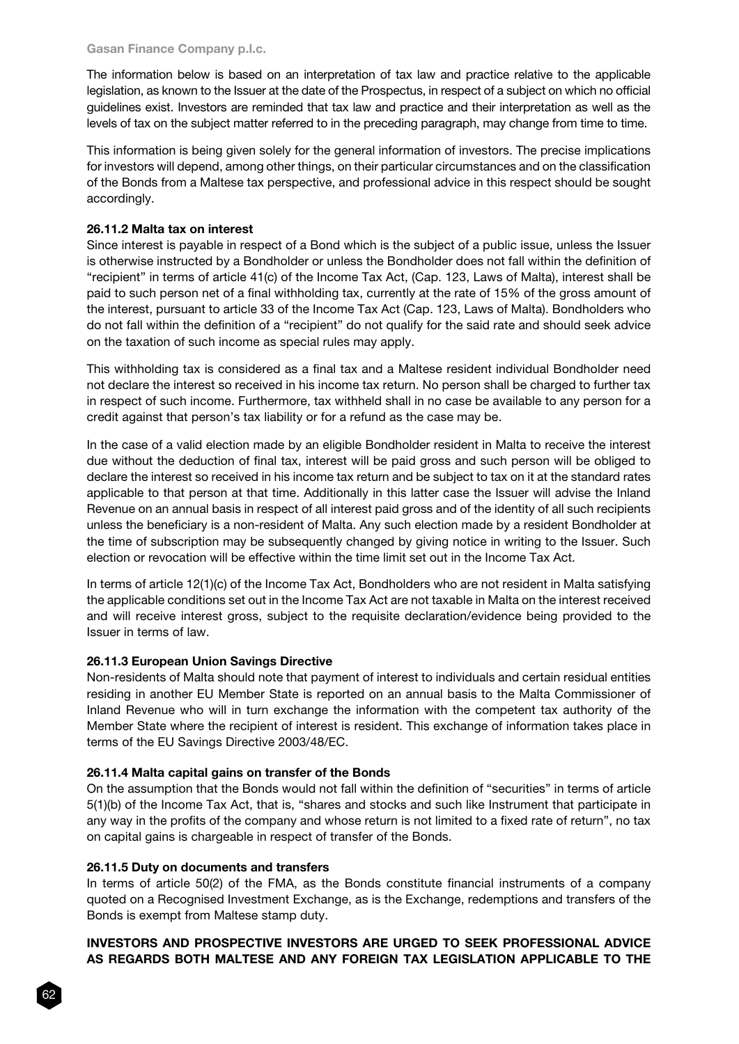#### Gasan Finance Company p.l.c.

The information below is based on an interpretation of tax law and practice relative to the applicable legislation, as known to the Issuer at the date of the Prospectus, in respect of a subject on which no official guidelines exist. Investors are reminded that tax law and practice and their interpretation as well as the levels of tax on the subject matter referred to in the preceding paragraph, may change from time to time.

This information is being given solely for the general information of investors. The precise implications for investors will depend, among other things, on their particular circumstances and on the classification of the Bonds from a Maltese tax perspective, and professional advice in this respect should be sought accordingly.

### 26.11.2 Malta tax on interest

Since interest is payable in respect of a Bond which is the subject of a public issue, unless the Issuer is otherwise instructed by a Bondholder or unless the Bondholder does not fall within the definition of "recipient" in terms of article 41(c) of the Income Tax Act, (Cap. 123, Laws of Malta), interest shall be paid to such person net of a final withholding tax, currently at the rate of 15% of the gross amount of the interest, pursuant to article 33 of the Income Tax Act (Cap. 123, Laws of Malta). Bondholders who do not fall within the definition of a "recipient" do not qualify for the said rate and should seek advice on the taxation of such income as special rules may apply.

This withholding tax is considered as a final tax and a Maltese resident individual Bondholder need not declare the interest so received in his income tax return. No person shall be charged to further tax in respect of such income. Furthermore, tax withheld shall in no case be available to any person for a credit against that person's tax liability or for a refund as the case may be.

In the case of a valid election made by an eligible Bondholder resident in Malta to receive the interest due without the deduction of final tax, interest will be paid gross and such person will be obliged to declare the interest so received in his income tax return and be subject to tax on it at the standard rates applicable to that person at that time. Additionally in this latter case the Issuer will advise the Inland Revenue on an annual basis in respect of all interest paid gross and of the identity of all such recipients unless the beneficiary is a non-resident of Malta. Any such election made by a resident Bondholder at the time of subscription may be subsequently changed by giving notice in writing to the Issuer. Such election or revocation will be effective within the time limit set out in the Income Tax Act.

In terms of article 12(1)(c) of the Income Tax Act, Bondholders who are not resident in Malta satisfying the applicable conditions set out in the Income Tax Act are not taxable in Malta on the interest received and will receive interest gross, subject to the requisite declaration/evidence being provided to the Issuer in terms of law.

# 26.11.3 European Union Savings Directive

Non-residents of Malta should note that payment of interest to individuals and certain residual entities residing in another EU Member State is reported on an annual basis to the Malta Commissioner of Inland Revenue who will in turn exchange the information with the competent tax authority of the Member State where the recipient of interest is resident. This exchange of information takes place in terms of the EU Savings Directive 2003/48/EC.

#### 26.11.4 Malta capital gains on transfer of the Bonds

On the assumption that the Bonds would not fall within the definition of "securities" in terms of article 5(1)(b) of the Income Tax Act, that is, "shares and stocks and such like Instrument that participate in any way in the profits of the company and whose return is not limited to a fixed rate of return", no tax on capital gains is chargeable in respect of transfer of the Bonds.

#### 26.11.5 Duty on documents and transfers

In terms of article 50(2) of the FMA, as the Bonds constitute financial instruments of a company quoted on a Recognised Investment Exchange, as is the Exchange, redemptions and transfers of the Bonds is exempt from Maltese stamp duty.

# INVESTORS AND PROSPECTIVE INVESTORS ARE URGED TO SEEK PROFESSIONAL ADVICE AS REGARDS BOTH MALTESE AND ANY FOREIGN TAX LEGISLATION APPLICABLE TO THE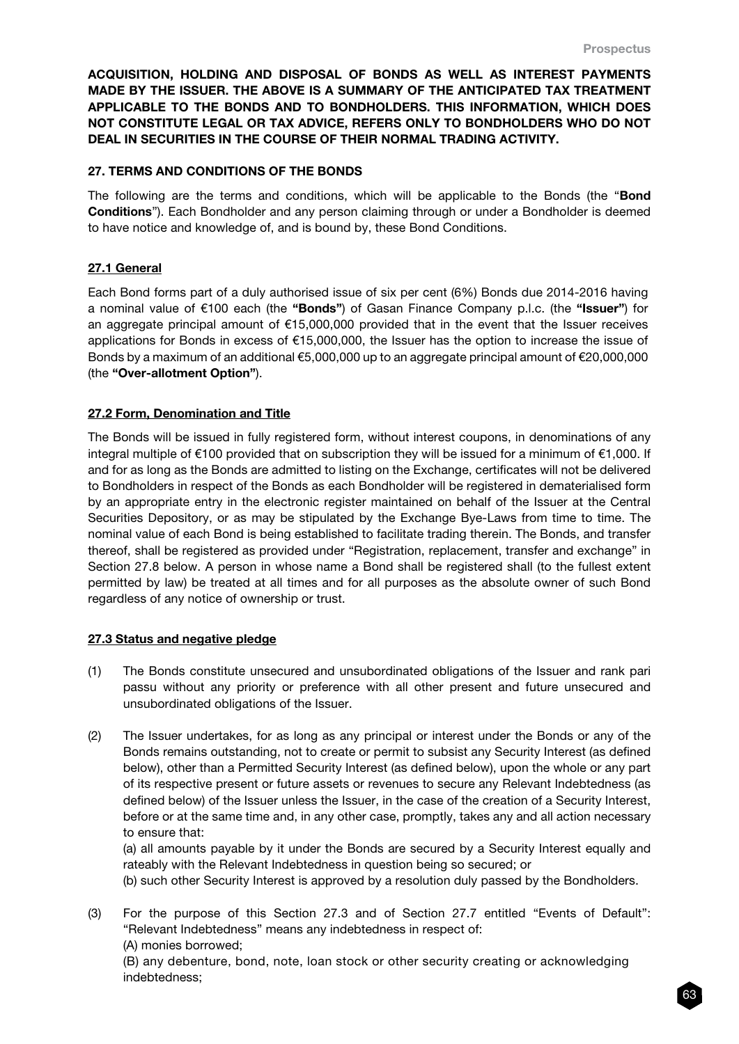ACQUISITION, HOLDING AND DISPOSAL OF BONDS AS WELL AS INTEREST PAYMENTS MADE BY THE ISSUER. THE ABOVE IS A SUMMARY OF THE ANTICIPATED TAX TREATMENT APPLICABLE TO THE BONDS AND TO BONDHOLDERS. THIS INFORMATION, WHICH DOES NOT CONSTITUTE LEGAL OR TAX ADVICE, REFERS ONLY TO BONDHOLDERS WHO DO NOT DEAL IN SECURITIES IN THE COURSE OF THEIR NORMAL TRADING ACTIVITY.

### 27. TERMS AND CONDITIONS OF THE BONDS

The following are the terms and conditions, which will be applicable to the Bonds (the "Bond Conditions"). Each Bondholder and any person claiming through or under a Bondholder is deemed to have notice and knowledge of, and is bound by, these Bond Conditions.

### 27.1 General

Each Bond forms part of a duly authorised issue of six per cent (6%) Bonds due 2014-2016 having a nominal value of €100 each (the "Bonds") of Gasan Finance Company p.l.c. (the "Issuer") for an aggregate principal amount of €15,000,000 provided that in the event that the Issuer receives applications for Bonds in excess of €15,000,000, the Issuer has the option to increase the issue of Bonds by a maximum of an additional €5,000,000 up to an aggregate principal amount of €20,000,000 (the "Over-allotment Option").

### 27.2 Form, Denomination and Title

The Bonds will be issued in fully registered form, without interest coupons, in denominations of any integral multiple of €100 provided that on subscription they will be issued for a minimum of €1,000. If and for as long as the Bonds are admitted to listing on the Exchange, certificates will not be delivered to Bondholders in respect of the Bonds as each Bondholder will be registered in dematerialised form by an appropriate entry in the electronic register maintained on behalf of the Issuer at the Central Securities Depository, or as may be stipulated by the Exchange Bye-Laws from time to time. The nominal value of each Bond is being established to facilitate trading therein. The Bonds, and transfer thereof, shall be registered as provided under "Registration, replacement, transfer and exchange" in Section 27.8 below. A person in whose name a Bond shall be registered shall (to the fullest extent permitted by law) be treated at all times and for all purposes as the absolute owner of such Bond regardless of any notice of ownership or trust.

#### 27.3 Status and negative pledge

- (1) The Bonds constitute unsecured and unsubordinated obligations of the Issuer and rank pari passu without any priority or preference with all other present and future unsecured and unsubordinated obligations of the Issuer.
- (2) The Issuer undertakes, for as long as any principal or interest under the Bonds or any of the Bonds remains outstanding, not to create or permit to subsist any Security Interest (as defined below), other than a Permitted Security Interest (as defined below), upon the whole or any part of its respective present or future assets or revenues to secure any Relevant Indebtedness (as defined below) of the Issuer unless the Issuer, in the case of the creation of a Security Interest, before or at the same time and, in any other case, promptly, takes any and all action necessary to ensure that:

(a) all amounts payable by it under the Bonds are secured by a Security Interest equally and rateably with the Relevant Indebtedness in question being so secured; or

(b) such other Security Interest is approved by a resolution duly passed by the Bondholders.

(3) For the purpose of this Section 27.3 and of Section 27.7 entitled "Events of Default": "Relevant Indebtedness" means any indebtedness in respect of: (A) monies borrowed;

(B) any debenture, bond, note, loan stock or other security creating or acknowledging indebtedness;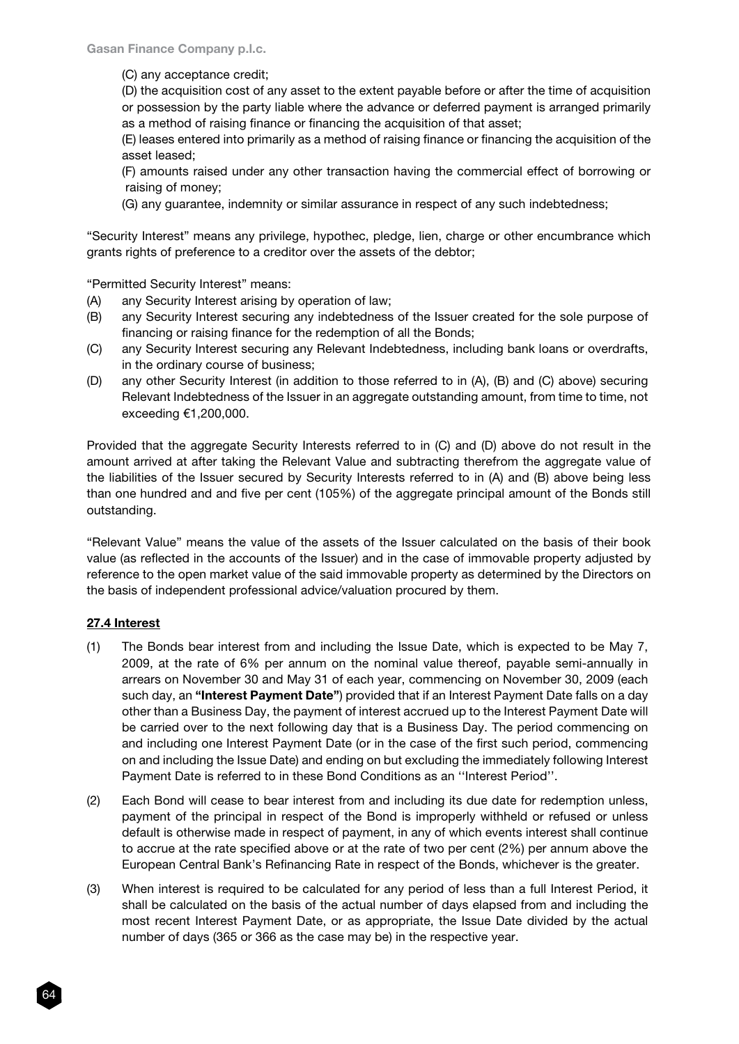(C) any acceptance credit;

(D) the acquisition cost of any asset to the extent payable before or after the time of acquisition or possession by the party liable where the advance or deferred payment is arranged primarily as a method of raising finance or financing the acquisition of that asset;

(E) leases entered into primarily as a method of raising finance or financing the acquisition of the asset leased;

(F) amounts raised under any other transaction having the commercial effect of borrowing or raising of money;

(G) any guarantee, indemnity or similar assurance in respect of any such indebtedness;

"Security Interest" means any privilege, hypothec, pledge, lien, charge or other encumbrance which grants rights of preference to a creditor over the assets of the debtor;

"Permitted Security Interest" means:

- (A) any Security Interest arising by operation of law;
- (B) any Security Interest securing any indebtedness of the Issuer created for the sole purpose of financing or raising finance for the redemption of all the Bonds;
- (C) any Security Interest securing any Relevant Indebtedness, including bank loans or overdrafts, in the ordinary course of business;
- (D) any other Security Interest (in addition to those referred to in (A), (B) and (C) above) securing Relevant Indebtedness of the Issuer in an aggregate outstanding amount, from time to time, not exceeding €1,200,000.

Provided that the aggregate Security Interests referred to in (C) and (D) above do not result in the amount arrived at after taking the Relevant Value and subtracting therefrom the aggregate value of the liabilities of the Issuer secured by Security Interests referred to in (A) and (B) above being less than one hundred and and five per cent (105%) of the aggregate principal amount of the Bonds still outstanding.

"Relevant Value" means the value of the assets of the Issuer calculated on the basis of their book value (as reflected in the accounts of the Issuer) and in the case of immovable property adjusted by reference to the open market value of the said immovable property as determined by the Directors on the basis of independent professional advice/valuation procured by them.

# 27.4 Interest

- (1) The Bonds bear interest from and including the Issue Date, which is expected to be May 7, 2009, at the rate of 6% per annum on the nominal value thereof, payable semi-annually in arrears on November 30 and May 31 of each year, commencing on November 30, 2009 (each such day, an "Interest Payment Date") provided that if an Interest Payment Date falls on a day other than a Business Day, the payment of interest accrued up to the Interest Payment Date will be carried over to the next following day that is a Business Day. The period commencing on and including one Interest Payment Date (or in the case of the first such period, commencing on and including the Issue Date) and ending on but excluding the immediately following Interest Payment Date is referred to in these Bond Conditions as an ''Interest Period''.
- (2) Each Bond will cease to bear interest from and including its due date for redemption unless, payment of the principal in respect of the Bond is improperly withheld or refused or unless default is otherwise made in respect of payment, in any of which events interest shall continue to accrue at the rate specified above or at the rate of two per cent (2%) per annum above the European Central Bank's Refinancing Rate in respect of the Bonds, whichever is the greater.
- (3) When interest is required to be calculated for any period of less than a full Interest Period, it shall be calculated on the basis of the actual number of days elapsed from and including the most recent Interest Payment Date, or as appropriate, the Issue Date divided by the actual number of days (365 or 366 as the case may be) in the respective year.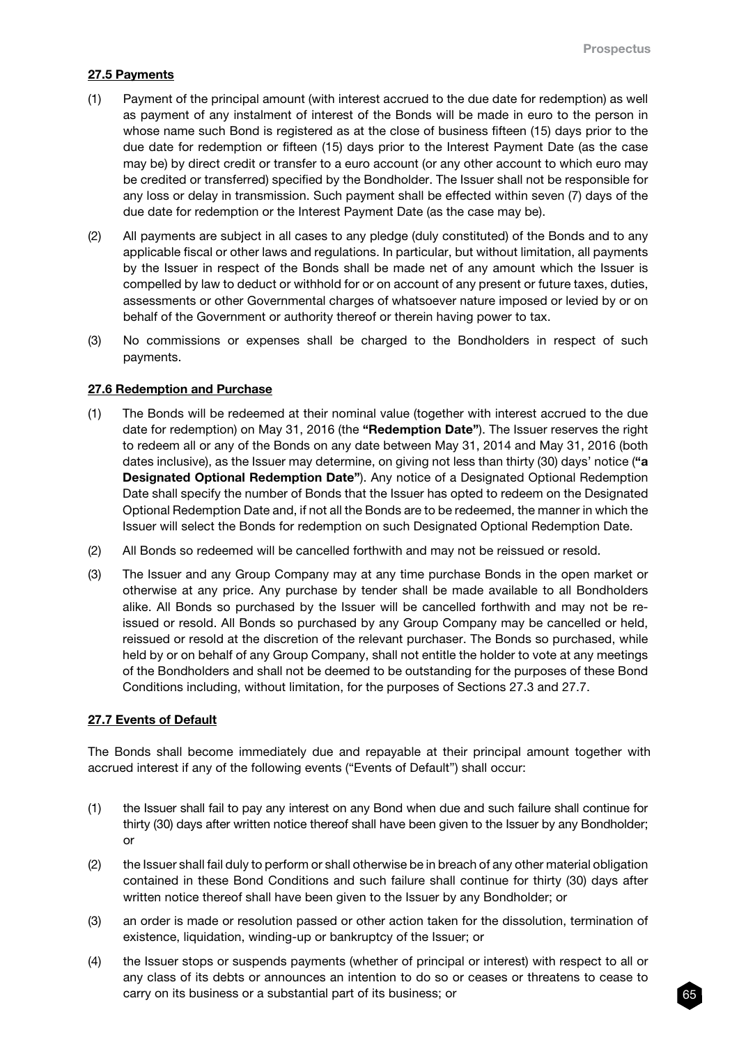# 27.5 Payments

- (1) Payment of the principal amount (with interest accrued to the due date for redemption) as well as payment of any instalment of interest of the Bonds will be made in euro to the person in whose name such Bond is registered as at the close of business fifteen (15) days prior to the due date for redemption or fifteen (15) days prior to the Interest Payment Date (as the case may be) by direct credit or transfer to a euro account (or any other account to which euro may be credited or transferred) specified by the Bondholder. The Issuer shall not be responsible for any loss or delay in transmission. Such payment shall be effected within seven (7) days of the due date for redemption or the Interest Payment Date (as the case may be).
- (2) All payments are subject in all cases to any pledge (duly constituted) of the Bonds and to any applicable fiscal or other laws and regulations. In particular, but without limitation, all payments by the Issuer in respect of the Bonds shall be made net of any amount which the Issuer is compelled by law to deduct or withhold for or on account of any present or future taxes, duties, assessments or other Governmental charges of whatsoever nature imposed or levied by or on behalf of the Government or authority thereof or therein having power to tax.
- (3) No commissions or expenses shall be charged to the Bondholders in respect of such payments.

#### 27.6 Redemption and Purchase

- (1) The Bonds will be redeemed at their nominal value (together with interest accrued to the due date for redemption) on May 31, 2016 (the "Redemption Date"). The Issuer reserves the right to redeem all or any of the Bonds on any date between May 31, 2014 and May 31, 2016 (both dates inclusive), as the Issuer may determine, on giving not less than thirty (30) days' notice ("a Designated Optional Redemption Date"). Any notice of a Designated Optional Redemption Date shall specify the number of Bonds that the Issuer has opted to redeem on the Designated Optional Redemption Date and, if not all the Bonds are to be redeemed, the manner in which the Issuer will select the Bonds for redemption on such Designated Optional Redemption Date.
- (2) All Bonds so redeemed will be cancelled forthwith and may not be reissued or resold.
- (3) The Issuer and any Group Company may at any time purchase Bonds in the open market or otherwise at any price. Any purchase by tender shall be made available to all Bondholders alike. All Bonds so purchased by the Issuer will be cancelled forthwith and may not be reissued or resold. All Bonds so purchased by any Group Company may be cancelled or held, reissued or resold at the discretion of the relevant purchaser. The Bonds so purchased, while held by or on behalf of any Group Company, shall not entitle the holder to vote at any meetings of the Bondholders and shall not be deemed to be outstanding for the purposes of these Bond Conditions including, without limitation, for the purposes of Sections 27.3 and 27.7.

#### 27.7 Events of Default

The Bonds shall become immediately due and repayable at their principal amount together with accrued interest if any of the following events ("Events of Default") shall occur:

- (1) the Issuer shall fail to pay any interest on any Bond when due and such failure shall continue for thirty (30) days after written notice thereof shall have been given to the Issuer by any Bondholder; or
- (2) the Issuer shall fail duly to perform or shall otherwise be in breach of any other material obligation contained in these Bond Conditions and such failure shall continue for thirty (30) days after written notice thereof shall have been given to the Issuer by any Bondholder; or
- (3) an order is made or resolution passed or other action taken for the dissolution, termination of existence, liquidation, winding-up or bankruptcy of the Issuer; or
- (4) the Issuer stops or suspends payments (whether of principal or interest) with respect to all or any class of its debts or announces an intention to do so or ceases or threatens to cease to carry on its business or a substantial part of its business; or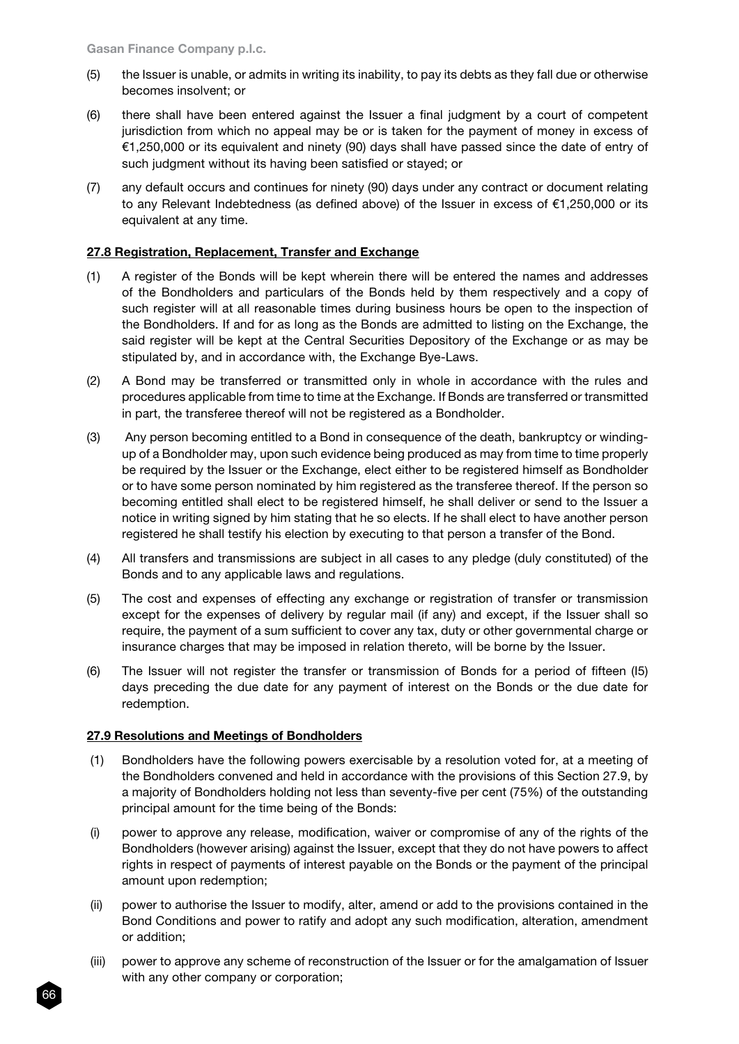- (5) the Issuer is unable, or admits in writing its inability, to pay its debts as they fall due or otherwise becomes insolvent; or
- (6) there shall have been entered against the Issuer a final judgment by a court of competent jurisdiction from which no appeal may be or is taken for the payment of money in excess of €1,250,000 or its equivalent and ninety (90) days shall have passed since the date of entry of such judgment without its having been satisfied or stayed; or
- (7) any default occurs and continues for ninety (90) days under any contract or document relating to any Relevant Indebtedness (as defined above) of the Issuer in excess of €1,250,000 or its equivalent at any time.

# 27.8 Registration, Replacement, Transfer and Exchange

- (1) A register of the Bonds will be kept wherein there will be entered the names and addresses of the Bondholders and particulars of the Bonds held by them respectively and a copy of such register will at all reasonable times during business hours be open to the inspection of the Bondholders. If and for as long as the Bonds are admitted to listing on the Exchange, the said register will be kept at the Central Securities Depository of the Exchange or as may be stipulated by, and in accordance with, the Exchange Bye-Laws.
- (2) A Bond may be transferred or transmitted only in whole in accordance with the rules and procedures applicable from time to time at the Exchange. If Bonds are transferred or transmitted in part, the transferee thereof will not be registered as a Bondholder.
- (3) Any person becoming entitled to a Bond in consequence of the death, bankruptcy or windingup of a Bondholder may, upon such evidence being produced as may from time to time properly be required by the Issuer or the Exchange, elect either to be registered himself as Bondholder or to have some person nominated by him registered as the transferee thereof. If the person so becoming entitled shall elect to be registered himself, he shall deliver or send to the Issuer a notice in writing signed by him stating that he so elects. If he shall elect to have another person registered he shall testify his election by executing to that person a transfer of the Bond.
- (4) All transfers and transmissions are subject in all cases to any pledge (duly constituted) of the Bonds and to any applicable laws and regulations.
- (5) The cost and expenses of effecting any exchange or registration of transfer or transmission except for the expenses of delivery by regular mail (if any) and except, if the Issuer shall so require, the payment of a sum sufficient to cover any tax, duty or other governmental charge or insurance charges that may be imposed in relation thereto, will be borne by the Issuer.
- (6) The Issuer will not register the transfer or transmission of Bonds for a period of fifteen (I5) days preceding the due date for any payment of interest on the Bonds or the due date for redemption.

# 27.9 Resolutions and Meetings of Bondholders

- (1) Bondholders have the following powers exercisable by a resolution voted for, at a meeting of the Bondholders convened and held in accordance with the provisions of this Section 27.9, by a majority of Bondholders holding not less than seventy-five per cent (75%) of the outstanding principal amount for the time being of the Bonds:
- (i) power to approve any release, modification, waiver or compromise of any of the rights of the Bondholders (however arising) against the Issuer, except that they do not have powers to affect rights in respect of payments of interest payable on the Bonds or the payment of the principal amount upon redemption;
- (ii) power to authorise the Issuer to modify, alter, amend or add to the provisions contained in the Bond Conditions and power to ratify and adopt any such modification, alteration, amendment or addition;
- (iii) power to approve any scheme of reconstruction of the Issuer or for the amalgamation of Issuer with any other company or corporation;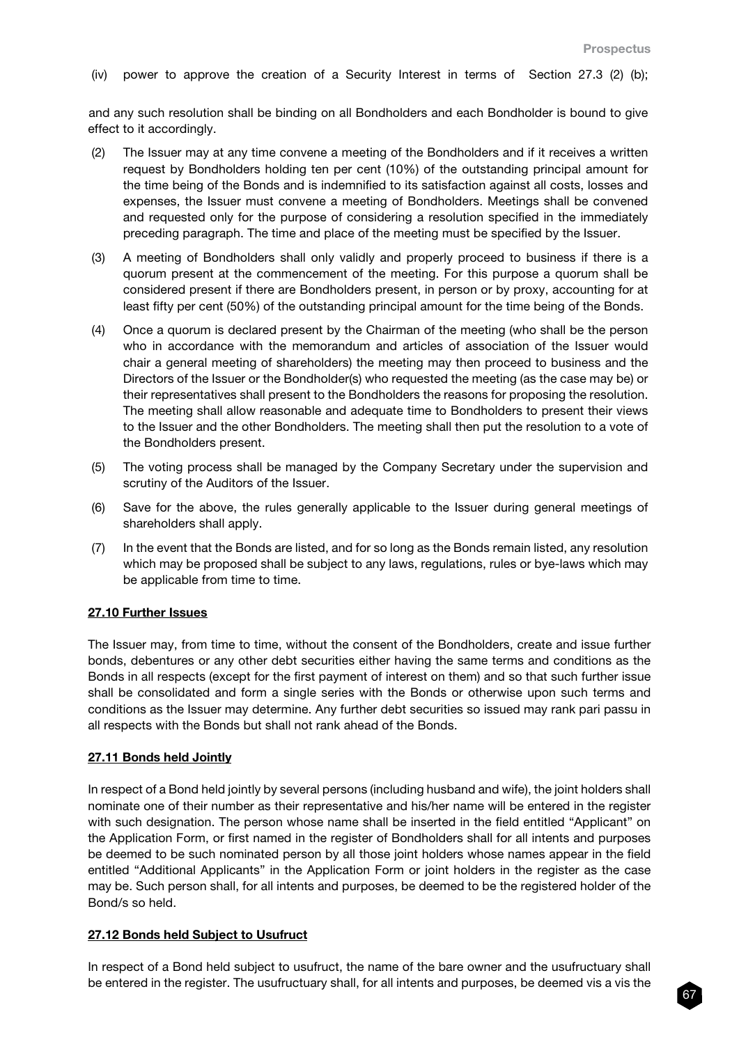(iv) power to approve the creation of a Security Interest in terms of Section 27.3 (2) (b);

and any such resolution shall be binding on all Bondholders and each Bondholder is bound to give effect to it accordingly.

- (2) The Issuer may at any time convene a meeting of the Bondholders and if it receives a written request by Bondholders holding ten per cent (10%) of the outstanding principal amount for the time being of the Bonds and is indemnified to its satisfaction against all costs, losses and expenses, the Issuer must convene a meeting of Bondholders. Meetings shall be convened and requested only for the purpose of considering a resolution specified in the immediately preceding paragraph. The time and place of the meeting must be specified by the Issuer.
- (3) A meeting of Bondholders shall only validly and properly proceed to business if there is a quorum present at the commencement of the meeting. For this purpose a quorum shall be considered present if there are Bondholders present, in person or by proxy, accounting for at least fifty per cent (50%) of the outstanding principal amount for the time being of the Bonds.
- (4) Once a quorum is declared present by the Chairman of the meeting (who shall be the person who in accordance with the memorandum and articles of association of the Issuer would chair a general meeting of shareholders) the meeting may then proceed to business and the Directors of the Issuer or the Bondholder(s) who requested the meeting (as the case may be) or their representatives shall present to the Bondholders the reasons for proposing the resolution. The meeting shall allow reasonable and adequate time to Bondholders to present their views to the Issuer and the other Bondholders. The meeting shall then put the resolution to a vote of the Bondholders present.
- (5) The voting process shall be managed by the Company Secretary under the supervision and scrutiny of the Auditors of the Issuer.
- (6) Save for the above, the rules generally applicable to the Issuer during general meetings of shareholders shall apply.
- (7) In the event that the Bonds are listed, and for so long as the Bonds remain listed, any resolution which may be proposed shall be subject to any laws, regulations, rules or bye-laws which may be applicable from time to time.

#### 27.10 Further Issues

The Issuer may, from time to time, without the consent of the Bondholders, create and issue further bonds, debentures or any other debt securities either having the same terms and conditions as the Bonds in all respects (except for the first payment of interest on them) and so that such further issue shall be consolidated and form a single series with the Bonds or otherwise upon such terms and conditions as the Issuer may determine. Any further debt securities so issued may rank pari passu in all respects with the Bonds but shall not rank ahead of the Bonds.

#### 27.11 Bonds held Jointly

In respect of a Bond held jointly by several persons (including husband and wife), the joint holders shall nominate one of their number as their representative and his/her name will be entered in the register with such designation. The person whose name shall be inserted in the field entitled "Applicant" on the Application Form, or first named in the register of Bondholders shall for all intents and purposes be deemed to be such nominated person by all those joint holders whose names appear in the field entitled "Additional Applicants" in the Application Form or joint holders in the register as the case may be. Such person shall, for all intents and purposes, be deemed to be the registered holder of the Bond/s so held.

# 27.12 Bonds held Subject to Usufruct

In respect of a Bond held subject to usufruct, the name of the bare owner and the usufructuary shall be entered in the register. The usufructuary shall, for all intents and purposes, be deemed vis a vis the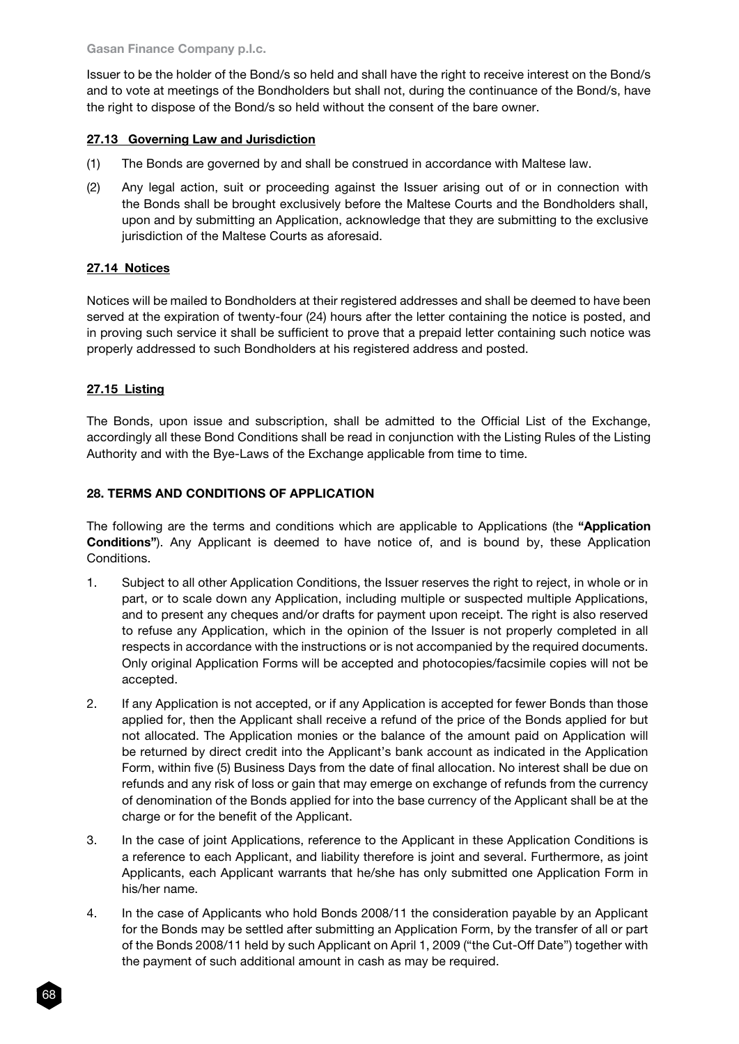Issuer to be the holder of the Bond/s so held and shall have the right to receive interest on the Bond/s and to vote at meetings of the Bondholders but shall not, during the continuance of the Bond/s, have the right to dispose of the Bond/s so held without the consent of the bare owner.

# 27.13 Governing Law and Jurisdiction

- (1) The Bonds are governed by and shall be construed in accordance with Maltese law.
- (2) Any legal action, suit or proceeding against the Issuer arising out of or in connection with the Bonds shall be brought exclusively before the Maltese Courts and the Bondholders shall, upon and by submitting an Application, acknowledge that they are submitting to the exclusive jurisdiction of the Maltese Courts as aforesaid.

### 27.14 Notices

Notices will be mailed to Bondholders at their registered addresses and shall be deemed to have been served at the expiration of twenty-four (24) hours after the letter containing the notice is posted, and in proving such service it shall be sufficient to prove that a prepaid letter containing such notice was properly addressed to such Bondholders at his registered address and posted.

### 27.15 Listing

The Bonds, upon issue and subscription, shall be admitted to the Official List of the Exchange, accordingly all these Bond Conditions shall be read in conjunction with the Listing Rules of the Listing Authority and with the Bye-Laws of the Exchange applicable from time to time.

### 28. TERMS AND CONDITIONS OF APPLICATION

The following are the terms and conditions which are applicable to Applications (the "Application Conditions"). Any Applicant is deemed to have notice of, and is bound by, these Application Conditions.

- 1. Subject to all other Application Conditions, the Issuer reserves the right to reject, in whole or in part, or to scale down any Application, including multiple or suspected multiple Applications, and to present any cheques and/or drafts for payment upon receipt. The right is also reserved to refuse any Application, which in the opinion of the Issuer is not properly completed in all respects in accordance with the instructions or is not accompanied by the required documents. Only original Application Forms will be accepted and photocopies/facsimile copies will not be accepted.
- 2. If any Application is not accepted, or if any Application is accepted for fewer Bonds than those applied for, then the Applicant shall receive a refund of the price of the Bonds applied for but not allocated. The Application monies or the balance of the amount paid on Application will be returned by direct credit into the Applicant's bank account as indicated in the Application Form, within five (5) Business Days from the date of final allocation. No interest shall be due on refunds and any risk of loss or gain that may emerge on exchange of refunds from the currency of denomination of the Bonds applied for into the base currency of the Applicant shall be at the charge or for the benefit of the Applicant.
- 3. In the case of joint Applications, reference to the Applicant in these Application Conditions is a reference to each Applicant, and liability therefore is joint and several. Furthermore, as joint Applicants, each Applicant warrants that he/she has only submitted one Application Form in his/her name.
- 4. In the case of Applicants who hold Bonds 2008/11 the consideration payable by an Applicant for the Bonds may be settled after submitting an Application Form, by the transfer of all or part of the Bonds 2008/11 held by such Applicant on April 1, 2009 ("the Cut-Off Date") together with the payment of such additional amount in cash as may be required.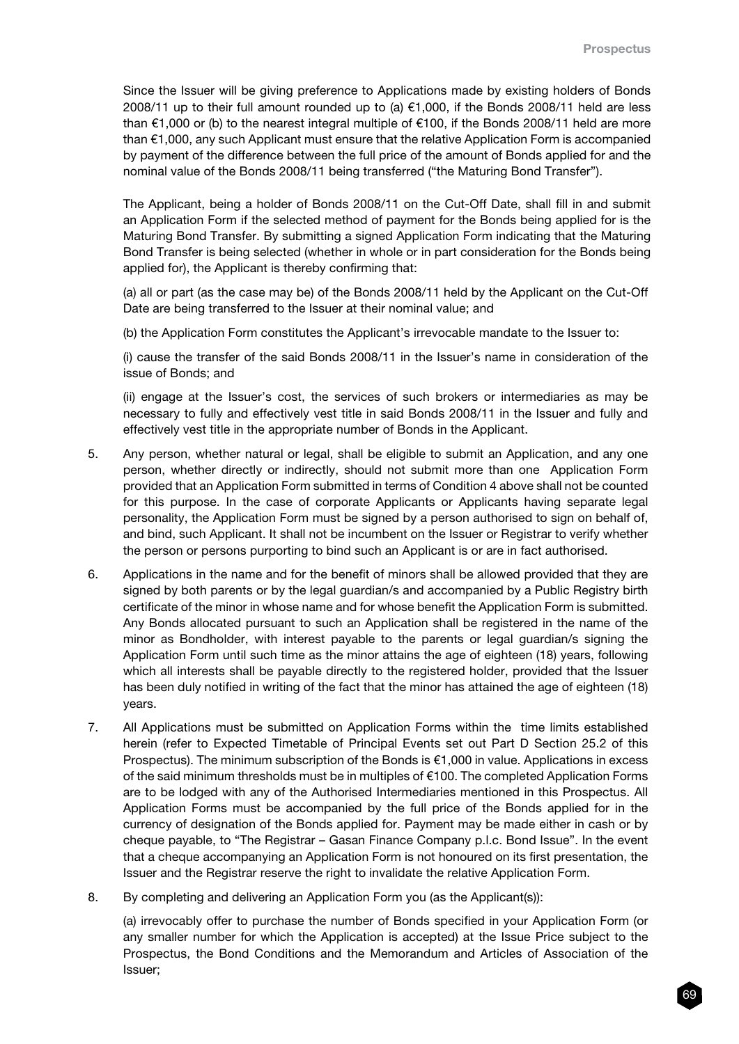Since the Issuer will be giving preference to Applications made by existing holders of Bonds 2008/11 up to their full amount rounded up to (a) €1,000, if the Bonds 2008/11 held are less than  $\epsilon$ 1,000 or (b) to the nearest integral multiple of  $\epsilon$ 100, if the Bonds 2008/11 held are more than €1,000, any such Applicant must ensure that the relative Application Form is accompanied by payment of the difference between the full price of the amount of Bonds applied for and the nominal value of the Bonds 2008/11 being transferred ("the Maturing Bond Transfer").

The Applicant, being a holder of Bonds 2008/11 on the Cut-Off Date, shall fill in and submit an Application Form if the selected method of payment for the Bonds being applied for is the Maturing Bond Transfer. By submitting a signed Application Form indicating that the Maturing Bond Transfer is being selected (whether in whole or in part consideration for the Bonds being applied for), the Applicant is thereby confirming that:

(a) all or part (as the case may be) of the Bonds 2008/11 held by the Applicant on the Cut-Off Date are being transferred to the Issuer at their nominal value; and

(b) the Application Form constitutes the Applicant's irrevocable mandate to the Issuer to:

(i) cause the transfer of the said Bonds 2008/11 in the Issuer's name in consideration of the issue of Bonds; and

(ii) engage at the Issuer's cost, the services of such brokers or intermediaries as may be necessary to fully and effectively vest title in said Bonds 2008/11 in the Issuer and fully and effectively vest title in the appropriate number of Bonds in the Applicant.

- 5. Any person, whether natural or legal, shall be eligible to submit an Application, and any one person, whether directly or indirectly, should not submit more than one Application Form provided that an Application Form submitted in terms of Condition 4 above shall not be counted for this purpose. In the case of corporate Applicants or Applicants having separate legal personality, the Application Form must be signed by a person authorised to sign on behalf of, and bind, such Applicant. It shall not be incumbent on the Issuer or Registrar to verify whether the person or persons purporting to bind such an Applicant is or are in fact authorised.
- 6. Applications in the name and for the benefit of minors shall be allowed provided that they are signed by both parents or by the legal guardian/s and accompanied by a Public Registry birth certificate of the minor in whose name and for whose benefit the Application Form is submitted. Any Bonds allocated pursuant to such an Application shall be registered in the name of the minor as Bondholder, with interest payable to the parents or legal guardian/s signing the Application Form until such time as the minor attains the age of eighteen (18) years, following which all interests shall be payable directly to the registered holder, provided that the Issuer has been duly notified in writing of the fact that the minor has attained the age of eighteen (18) years.
- 7. All Applications must be submitted on Application Forms within the time limits established herein (refer to Expected Timetable of Principal Events set out Part D Section 25.2 of this Prospectus). The minimum subscription of the Bonds is €1,000 in value. Applications in excess of the said minimum thresholds must be in multiples of €100. The completed Application Forms are to be lodged with any of the Authorised Intermediaries mentioned in this Prospectus. All Application Forms must be accompanied by the full price of the Bonds applied for in the currency of designation of the Bonds applied for. Payment may be made either in cash or by cheque payable, to "The Registrar – Gasan Finance Company p.l.c. Bond Issue". In the event that a cheque accompanying an Application Form is not honoured on its first presentation, the Issuer and the Registrar reserve the right to invalidate the relative Application Form.
- 8. By completing and delivering an Application Form you (as the Applicant(s)):

(a) irrevocably offer to purchase the number of Bonds specified in your Application Form (or any smaller number for which the Application is accepted) at the Issue Price subject to the Prospectus, the Bond Conditions and the Memorandum and Articles of Association of the Issuer;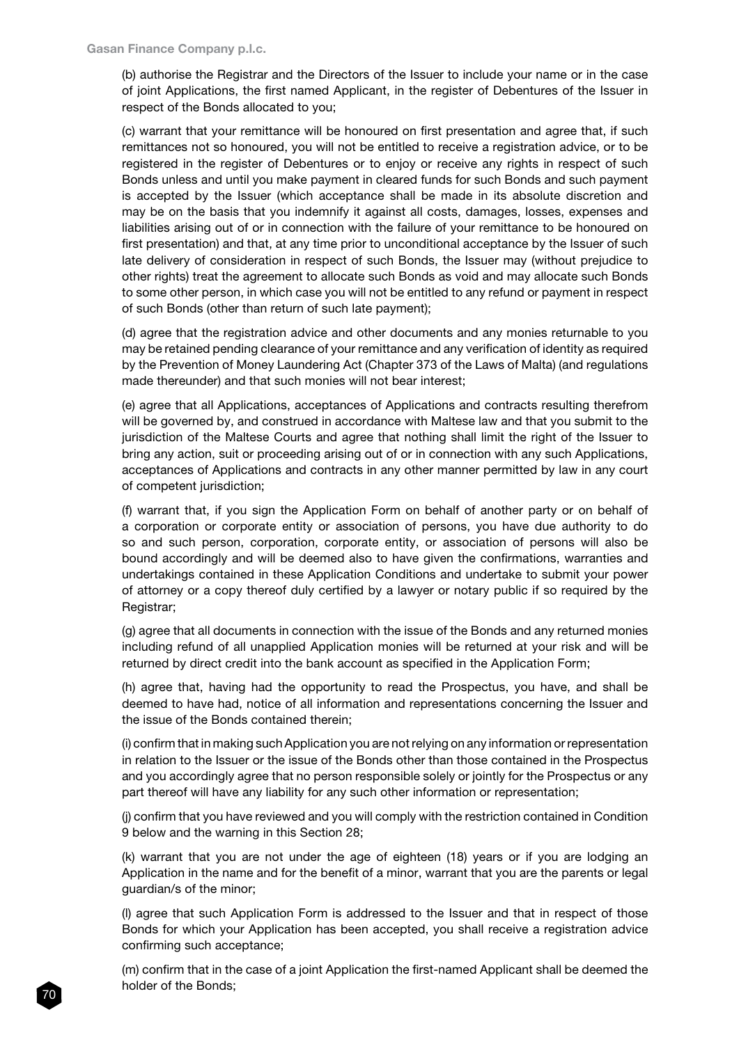(b) authorise the Registrar and the Directors of the Issuer to include your name or in the case of joint Applications, the first named Applicant, in the register of Debentures of the Issuer in respect of the Bonds allocated to you;

(c) warrant that your remittance will be honoured on first presentation and agree that, if such remittances not so honoured, you will not be entitled to receive a registration advice, or to be registered in the register of Debentures or to enjoy or receive any rights in respect of such Bonds unless and until you make payment in cleared funds for such Bonds and such payment is accepted by the Issuer (which acceptance shall be made in its absolute discretion and may be on the basis that you indemnify it against all costs, damages, losses, expenses and liabilities arising out of or in connection with the failure of your remittance to be honoured on first presentation) and that, at any time prior to unconditional acceptance by the Issuer of such late delivery of consideration in respect of such Bonds, the Issuer may (without prejudice to other rights) treat the agreement to allocate such Bonds as void and may allocate such Bonds to some other person, in which case you will not be entitled to any refund or payment in respect of such Bonds (other than return of such late payment);

(d) agree that the registration advice and other documents and any monies returnable to you may be retained pending clearance of your remittance and any verification of identity as required by the Prevention of Money Laundering Act (Chapter 373 of the Laws of Malta) (and regulations made thereunder) and that such monies will not bear interest;

(e) agree that all Applications, acceptances of Applications and contracts resulting therefrom will be governed by, and construed in accordance with Maltese law and that you submit to the jurisdiction of the Maltese Courts and agree that nothing shall limit the right of the Issuer to bring any action, suit or proceeding arising out of or in connection with any such Applications, acceptances of Applications and contracts in any other manner permitted by law in any court of competent jurisdiction;

(f) warrant that, if you sign the Application Form on behalf of another party or on behalf of a corporation or corporate entity or association of persons, you have due authority to do so and such person, corporation, corporate entity, or association of persons will also be bound accordingly and will be deemed also to have given the confirmations, warranties and undertakings contained in these Application Conditions and undertake to submit your power of attorney or a copy thereof duly certified by a lawyer or notary public if so required by the Registrar;

(g) agree that all documents in connection with the issue of the Bonds and any returned monies including refund of all unapplied Application monies will be returned at your risk and will be returned by direct credit into the bank account as specified in the Application Form;

(h) agree that, having had the opportunity to read the Prospectus, you have, and shall be deemed to have had, notice of all information and representations concerning the Issuer and the issue of the Bonds contained therein;

(i) confirm that in making such Application you are not relying on any information or representation in relation to the Issuer or the issue of the Bonds other than those contained in the Prospectus and you accordingly agree that no person responsible solely or jointly for the Prospectus or any part thereof will have any liability for any such other information or representation;

(j) confirm that you have reviewed and you will comply with the restriction contained in Condition 9 below and the warning in this Section 28;

(k) warrant that you are not under the age of eighteen (18) years or if you are lodging an Application in the name and for the benefit of a minor, warrant that you are the parents or legal guardian/s of the minor;

(l) agree that such Application Form is addressed to the Issuer and that in respect of those Bonds for which your Application has been accepted, you shall receive a registration advice confirming such acceptance;

(m) confirm that in the case of a joint Application the first-named Applicant shall be deemed the holder of the Bonds;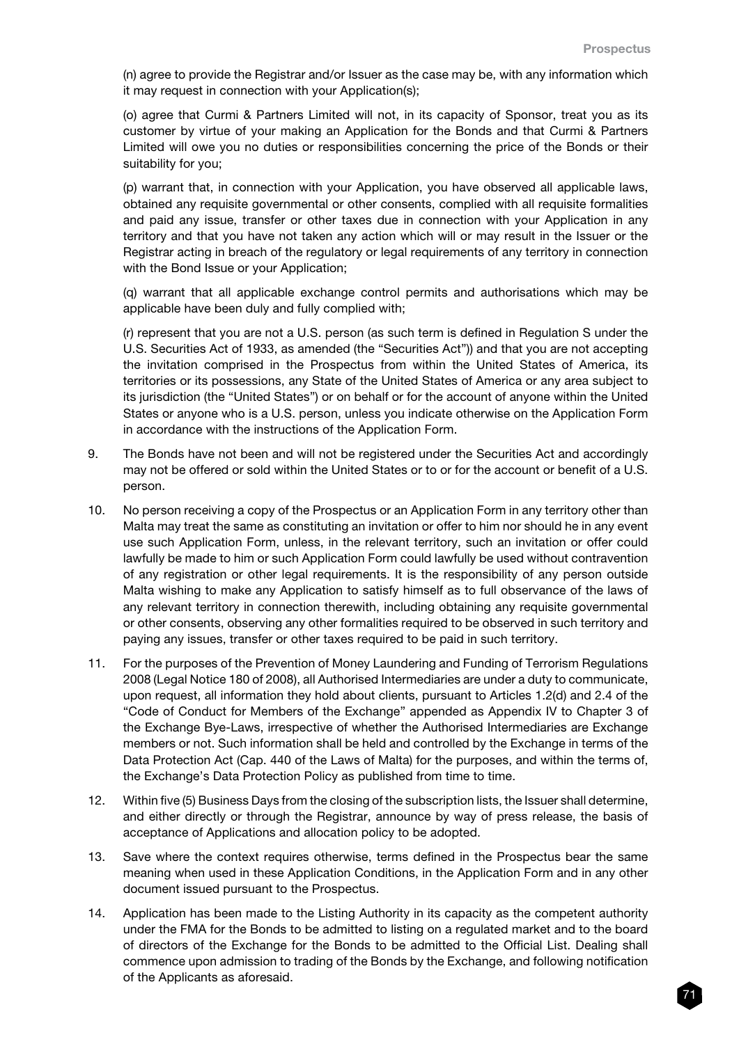(n) agree to provide the Registrar and/or Issuer as the case may be, with any information which it may request in connection with your Application(s);

(o) agree that Curmi & Partners Limited will not, in its capacity of Sponsor, treat you as its customer by virtue of your making an Application for the Bonds and that Curmi & Partners Limited will owe you no duties or responsibilities concerning the price of the Bonds or their suitability for you;

(p) warrant that, in connection with your Application, you have observed all applicable laws, obtained any requisite governmental or other consents, complied with all requisite formalities and paid any issue, transfer or other taxes due in connection with your Application in any territory and that you have not taken any action which will or may result in the Issuer or the Registrar acting in breach of the regulatory or legal requirements of any territory in connection with the Bond Issue or your Application;

(q) warrant that all applicable exchange control permits and authorisations which may be applicable have been duly and fully complied with;

(r) represent that you are not a U.S. person (as such term is defined in Regulation S under the U.S. Securities Act of 1933, as amended (the "Securities Act")) and that you are not accepting the invitation comprised in the Prospectus from within the United States of America, its territories or its possessions, any State of the United States of America or any area subject to its jurisdiction (the "United States") or on behalf or for the account of anyone within the United States or anyone who is a U.S. person, unless you indicate otherwise on the Application Form in accordance with the instructions of the Application Form.

- 9. The Bonds have not been and will not be registered under the Securities Act and accordingly may not be offered or sold within the United States or to or for the account or benefit of a U.S. person.
- 10. No person receiving a copy of the Prospectus or an Application Form in any territory other than Malta may treat the same as constituting an invitation or offer to him nor should he in any event use such Application Form, unless, in the relevant territory, such an invitation or offer could lawfully be made to him or such Application Form could lawfully be used without contravention of any registration or other legal requirements. It is the responsibility of any person outside Malta wishing to make any Application to satisfy himself as to full observance of the laws of any relevant territory in connection therewith, including obtaining any requisite governmental or other consents, observing any other formalities required to be observed in such territory and paying any issues, transfer or other taxes required to be paid in such territory.
- 11. For the purposes of the Prevention of Money Laundering and Funding of Terrorism Regulations 2008 (Legal Notice 180 of 2008), all Authorised Intermediaries are under a duty to communicate, upon request, all information they hold about clients, pursuant to Articles 1.2(d) and 2.4 of the "Code of Conduct for Members of the Exchange" appended as Appendix IV to Chapter 3 of the Exchange Bye-Laws, irrespective of whether the Authorised Intermediaries are Exchange members or not. Such information shall be held and controlled by the Exchange in terms of the Data Protection Act (Cap. 440 of the Laws of Malta) for the purposes, and within the terms of, the Exchange's Data Protection Policy as published from time to time.
- 12. Within five (5) Business Days from the closing of the subscription lists, the Issuer shall determine, and either directly or through the Registrar, announce by way of press release, the basis of acceptance of Applications and allocation policy to be adopted.
- 13. Save where the context requires otherwise, terms defined in the Prospectus bear the same meaning when used in these Application Conditions, in the Application Form and in any other document issued pursuant to the Prospectus.
- 14. Application has been made to the Listing Authority in its capacity as the competent authority under the FMA for the Bonds to be admitted to listing on a regulated market and to the board of directors of the Exchange for the Bonds to be admitted to the Official List. Dealing shall commence upon admission to trading of the Bonds by the Exchange, and following notification of the Applicants as aforesaid.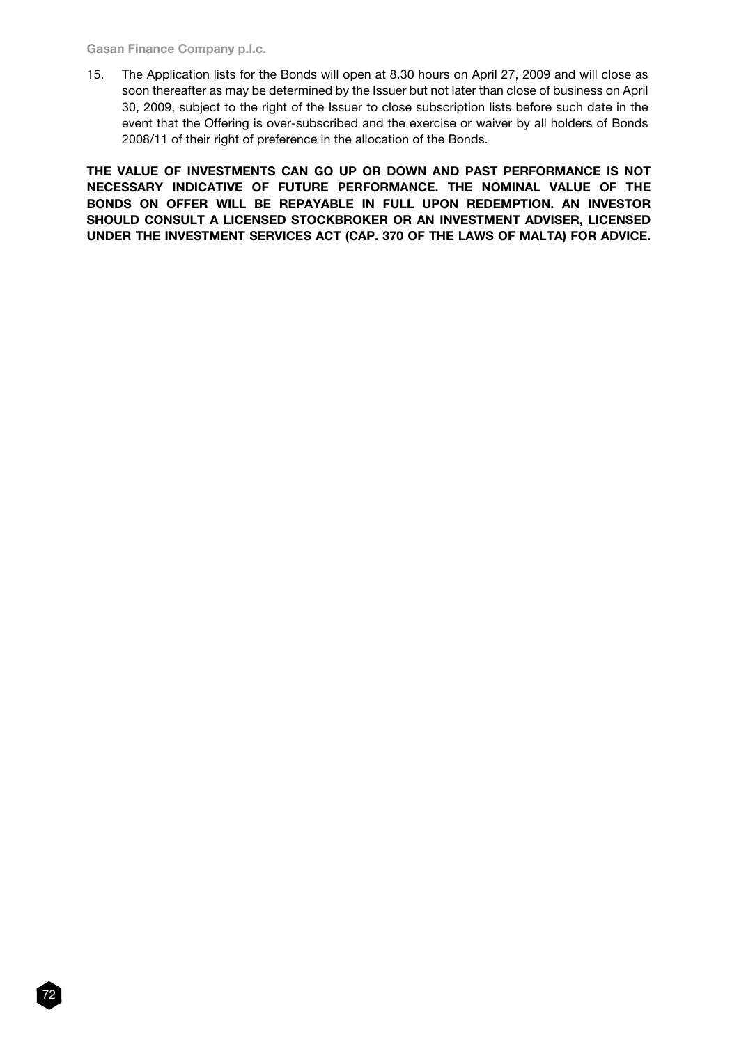#### Gasan Finance Company p.l.c.

15. The Application lists for the Bonds will open at 8.30 hours on April 27, 2009 and will close as soon thereafter as may be determined by the Issuer but not later than close of business on April 30, 2009, subject to the right of the Issuer to close subscription lists before such date in the event that the Offering is over-subscribed and the exercise or waiver by all holders of Bonds 2008/11 of their right of preference in the allocation of the Bonds.

THE VALUE OF INVESTMENTS CAN GO UP OR DOWN AND PAST PERFORMANCE IS NOT NECESSARY INDICATIVE OF FUTURE PERFORMANCE. THE NOMINAL VALUE OF THE BONDS ON OFFER WILL BE REPAYABLE IN FULL UPON REDEMPTION. AN INVESTOR SHOULD CONSULT A LICENSED STOCKBROKER OR AN INVESTMENT ADVISER, LICENSED UNDER THE INVESTMENT SERVICES ACT (CAP. 370 OF THE LAWS OF MALTA) FOR ADVICE.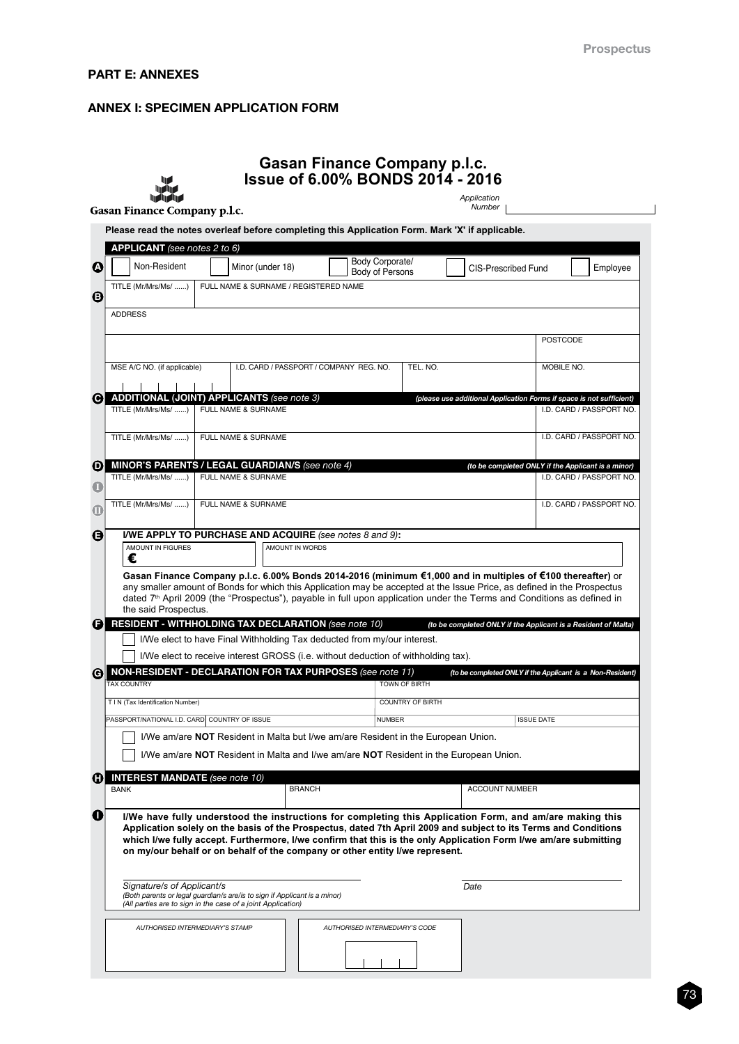# PART E: ANNEXES

# ANNEX I: SPECIMEN APPLICATION FORM

|                                     |                                                                                                                                           |                                                                                                                                        | Application<br>Number   |                                                                                                                                                                                                                                                                                                                                                                             |
|-------------------------------------|-------------------------------------------------------------------------------------------------------------------------------------------|----------------------------------------------------------------------------------------------------------------------------------------|-------------------------|-----------------------------------------------------------------------------------------------------------------------------------------------------------------------------------------------------------------------------------------------------------------------------------------------------------------------------------------------------------------------------|
| <b>Gasan Finance Company p.l.c.</b> |                                                                                                                                           |                                                                                                                                        |                         |                                                                                                                                                                                                                                                                                                                                                                             |
|                                     |                                                                                                                                           | Please read the notes overleaf before completing this Application Form. Mark 'X' if applicable.                                        |                         |                                                                                                                                                                                                                                                                                                                                                                             |
| APPLICANT (see notes 2 to 6)        |                                                                                                                                           |                                                                                                                                        |                         |                                                                                                                                                                                                                                                                                                                                                                             |
| Non-Resident                        | Minor (under 18)                                                                                                                          | Body Corporate/<br><b>Body of Persons</b>                                                                                              |                         | <b>CIS-Prescribed Fund</b><br>Employee                                                                                                                                                                                                                                                                                                                                      |
| TITLE (Mr/Mrs/Ms/ )                 |                                                                                                                                           | FULL NAME & SURNAME / REGISTERED NAME                                                                                                  |                         |                                                                                                                                                                                                                                                                                                                                                                             |
| <b>ADDRESS</b>                      |                                                                                                                                           |                                                                                                                                        |                         |                                                                                                                                                                                                                                                                                                                                                                             |
|                                     |                                                                                                                                           |                                                                                                                                        |                         |                                                                                                                                                                                                                                                                                                                                                                             |
|                                     |                                                                                                                                           |                                                                                                                                        |                         | <b>POSTCODE</b>                                                                                                                                                                                                                                                                                                                                                             |
| MSE A/C NO. (if applicable)         |                                                                                                                                           | I.D. CARD / PASSPORT / COMPANY REG. NO.                                                                                                | TEL. NO.                | MOBILE NO.                                                                                                                                                                                                                                                                                                                                                                  |
|                                     |                                                                                                                                           |                                                                                                                                        |                         |                                                                                                                                                                                                                                                                                                                                                                             |
|                                     | <b>ADDITIONAL (JOINT) APPLICANTS (see note 3)</b>                                                                                         |                                                                                                                                        |                         | (please use additional Application Forms if space is not sufficient)                                                                                                                                                                                                                                                                                                        |
| TITLE (Mr/Mrs/Ms/ )                 | FULL NAME & SURNAME                                                                                                                       |                                                                                                                                        |                         | I.D. CARD / PASSPORT NO.                                                                                                                                                                                                                                                                                                                                                    |
| TITLE (Mr/Mrs/Ms/ )                 | FULL NAME & SURNAME                                                                                                                       |                                                                                                                                        |                         | I.D. CARD / PASSPORT NO.                                                                                                                                                                                                                                                                                                                                                    |
|                                     |                                                                                                                                           |                                                                                                                                        |                         |                                                                                                                                                                                                                                                                                                                                                                             |
| TITLE (Mr/Mrs/Ms/ )                 | <b>MINOR'S PARENTS / LEGAL GUARDIAN/S (see note 4)</b><br>FULL NAME & SURNAME                                                             |                                                                                                                                        |                         | (to be completed ONLY if the Applicant is a minor)                                                                                                                                                                                                                                                                                                                          |
|                                     |                                                                                                                                           |                                                                                                                                        |                         | I.D. CARD / PASSPORT NO.                                                                                                                                                                                                                                                                                                                                                    |
| TITLE (Mr/Mrs/Ms/ )                 | FULL NAME & SURNAME                                                                                                                       |                                                                                                                                        |                         | I.D. CARD / PASSPORT NO.                                                                                                                                                                                                                                                                                                                                                    |
|                                     |                                                                                                                                           |                                                                                                                                        |                         |                                                                                                                                                                                                                                                                                                                                                                             |
|                                     |                                                                                                                                           |                                                                                                                                        |                         |                                                                                                                                                                                                                                                                                                                                                                             |
| AMOUNT IN FIGURES<br>€              |                                                                                                                                           | I/WE APPLY TO PURCHASE AND ACQUIRE (see notes 8 and 9):<br>AMOUNT IN WORDS                                                             |                         | Gasan Finance Company p.l.c. 6.00% Bonds 2014-2016 (minimum €1,000 and in multiples of €100 thereafter) or<br>any smaller amount of Bonds for which this Application may be accepted at the Issue Price, as defined in the Prospectus<br>dated 7 <sup>th</sup> April 2009 (the "Prospectus"), payable in full upon application under the Terms and Conditions as defined in |
| the said Prospectus.                |                                                                                                                                           | <b>RESIDENT - WITHHOLDING TAX DECLARATION</b> (see note 10)<br>I/We elect to have Final Withholding Tax deducted from my/our interest. |                         | (to be completed ONLY if the Applicant is a Resident of Malta)                                                                                                                                                                                                                                                                                                              |
|                                     |                                                                                                                                           | I/We elect to receive interest GROSS (i.e. without deduction of withholding tax).                                                      |                         |                                                                                                                                                                                                                                                                                                                                                                             |
| <b>TAX COUNTRY</b>                  |                                                                                                                                           | NON-RESIDENT - DECLARATION FOR TAX PURPOSES (see note 11)                                                                              | TOWN OF BIRTH           | (to be completed ONLY if the Applicant is a Non-Resident)                                                                                                                                                                                                                                                                                                                   |
| T I N (Tax Identification Number)   |                                                                                                                                           |                                                                                                                                        | <b>COUNTRY OF BIRTH</b> |                                                                                                                                                                                                                                                                                                                                                                             |
|                                     | PASSPORT/NATIONAL I.D. CARD COUNTRY OF ISSUE                                                                                              | <b>NUMBER</b>                                                                                                                          |                         | <b>ISSUE DATE</b>                                                                                                                                                                                                                                                                                                                                                           |
|                                     |                                                                                                                                           | I/We am/are NOT Resident in Malta but I/we am/are Resident in the European Union.                                                      |                         |                                                                                                                                                                                                                                                                                                                                                                             |
|                                     |                                                                                                                                           | I/We am/are NOT Resident in Malta and I/we am/are NOT Resident in the European Union.                                                  |                         |                                                                                                                                                                                                                                                                                                                                                                             |
|                                     |                                                                                                                                           |                                                                                                                                        |                         |                                                                                                                                                                                                                                                                                                                                                                             |
| <b>BANK</b>                         | <b>INTEREST MANDATE</b> (see note 10)                                                                                                     | <b>BRANCH</b>                                                                                                                          |                         | <b>ACCOUNT NUMBER</b>                                                                                                                                                                                                                                                                                                                                                       |
|                                     |                                                                                                                                           |                                                                                                                                        |                         |                                                                                                                                                                                                                                                                                                                                                                             |
|                                     |                                                                                                                                           | on my/our behalf or on behalf of the company or other entity I/we represent.                                                           |                         | I/We have fully understood the instructions for completing this Application Form, and am/are making this<br>Application solely on the basis of the Prospectus, dated 7th April 2009 and subject to its Terms and Conditions<br>which I/we fully accept. Furthermore, I/we confirm that this is the only Application Form I/we am/are submitting                             |
| Signature/s of Applicant/s          | (Both parents or legal guardian/s are/is to sign if Applicant is a minor)<br>(All parties are to sign in the case of a joint Application) |                                                                                                                                        | Date                    |                                                                                                                                                                                                                                                                                                                                                                             |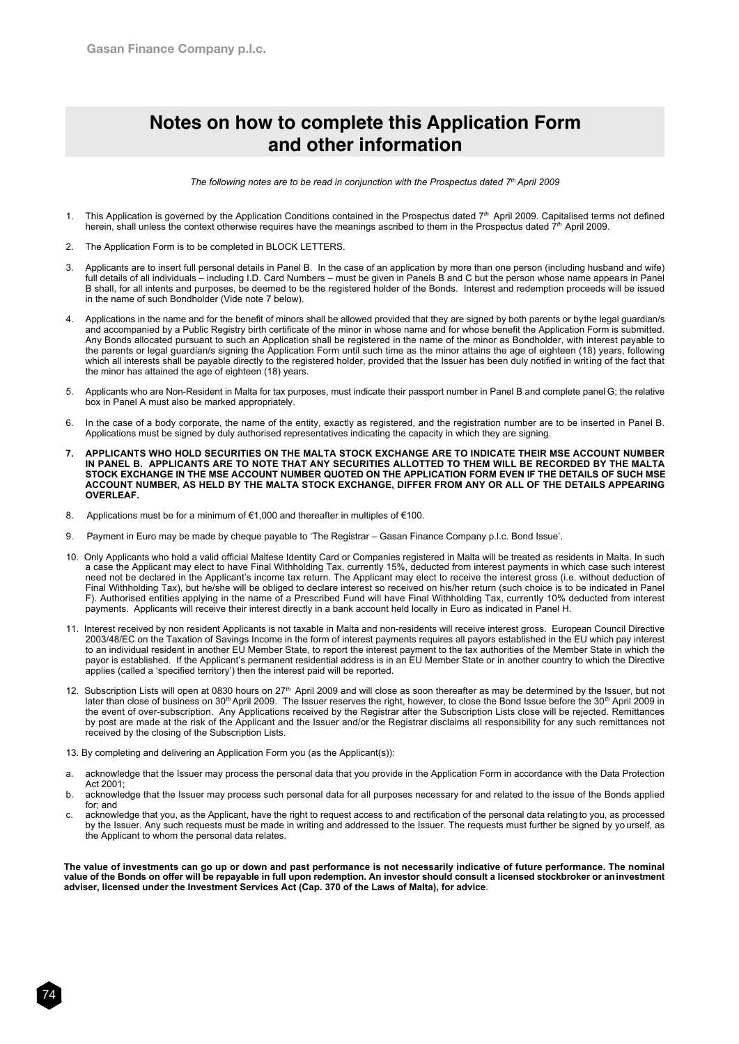# **Notes on how to complete this Application Form and other information**

*The following notes are to be read in conjunction with the Prospectus dated 7th April 2009*

- 1. This Application is governed by the Application Conditions contained in the Prospectus dated 7*th* April 2009. Capitalised terms not defined herein, shall unless the context otherwise requires have the meanings ascribed to them in the Prospectus dated 7*th* April 2009.
- 2. The Application Form is to be completed in BLOCK LETTERS.
- 3. Applicants are to insert full personal details in Panel B. In the case of an application by more than one person (including husband and wife) full details of all individuals – including I.D. Card Numbers – must be given in Panels B and C but the person whose name appears in Panel B shall, for all intents and purposes, be deemed to be the registered holder of the Bonds. Interest and redemption proceeds will be issued in the name of such Bondholder (Vide note 7 below).
- Applications in the name and for the benefit of minors shall be allowed provided that they are signed by both parents or by the legal guardian/s and accompanied by a Public Registry birth certificate of the minor in whose name and for whose benefit the Application Form is submitted. Any Bonds allocated pursuant to such an Application shall be registered in the name of the minor as Bondholder, with interest payable to the parents or legal guardian/s signing the Application Form until such time as the minor attains the age of eighteen (18) years, following which all interests shall be payable directly to the registered holder, provided that the Issuer has been duly notified in writing of the fact that the minor has attained the age of eighteen (18) years.
- 5. Applicants who are Non-Resident in Malta for tax purposes, must indicate their passport number in Panel B and complete panel G; the relative box in Panel A must also be marked appropriately.
- 6. In the case of a body corporate, the name of the entity, exactly as registered, and the registration number are to be inserted in Panel B. Applications must be signed by duly authorised representatives indicating the capacity in which they are signing.
- **7. APPLICANTS WHO HOLD SECURITIES ON THE MALTA STOCK EXCHANGE ARE TO INDICATE THEIR MSE ACCOUNT NUMBER IN PANEL B. APPLICANTS ARE TO NOTE THAT ANY SECURITIES ALLOTTED TO THEM WILL BE RECORDED BY THE MALTA STOCK EXCHANGE IN THE MSE ACCOUNT NUMBER QUOTED ON THE APPLICATION FORM EVEN IF THE DETAILS OF SUCH MSE ACCOUNT NUMBER, AS HELD BY THE MALTA STOCK EXCHANGE, DIFFER FROM ANY OR ALL OF THE DETAILS APPEARING OVERLEAF.**
- 8. Applications must be for a minimum of €1,000 and thereafter in multiples of €100.
- 9. Payment in Euro may be made by cheque payable to 'The Registrar Gasan Finance Company p.l.c. Bond Issue'.
- 10. Only Applicants who hold a valid official Maltese Identity Card or Companies registered in Malta will be treated as residents in Malta. In such a case the Applicant may elect to have Final Withholding Tax, currently 15%, deducted from interest payments in which case such interest need not be declared in the Applicant's income tax return. The Applicant may elect to receive the interest gross (i.e. without deduction of Final Withholding Tax), but he/she will be obliged to declare interest so received on his/her return (such choice is to be indicated in Panel F). Authorised entities applying in the name of a Prescribed Fund will have Final Withholding Tax, currently 10% deducted from interest payments. Applicants will receive their interest directly in a bank account held locally in Euro as indicated in Panel H.
- 11. Interest received by non resident Applicants is not taxable in Malta and non-residents will receive interest gross. European Council Directive 2003/48/EC on the Taxation of Savings Income in the form of interest payments requires all payors established in the EU which pay interest to an individual resident in another EU Member State, to report the interest payment to the tax authorities of the Member State in which the payor is established. If the Applicant's permanent residential address is in an EU Member State or in another country to which the Directive applies (called a 'specified territory') then the interest paid will be reported.
- 12. Subscription Lists will open at 0830 hours on 27*th* April 2009 and will close as soon thereafter as may be determined by the Issuer, but not later than close of business on 30*th* April 2009. The Issuer reserves the right, however, to close the Bond Issue before the 30*th* April 2009 in the event of over-subscription. Any Applications received by the Registrar after the Subscription Lists close will be rejected. Remittances by post are made at the risk of the Applicant and the Issuer and/or the Registrar disclaims all responsibility for any such remittances not received by the closing of the Subscription Lists.
- 13. By completing and delivering an Application Form you (as the Applicant(s)):

74

- a. acknowledge that the Issuer may process the personal data that you provide in the Application Form in accordance with the Data Protection Act 2001;
- b. acknowledge that the Issuer may process such personal data for all purposes necessary for and related to the issue of the Bonds applied for; and
- c. acknowledge that you, as the Applicant, have the right to request access to and rectification of the personal data relating to you, as processed by the Issuer. Any such requests must be made in writing and addressed to the Issuer. The requests must further be signed by yo urself, as the Applicant to whom the personal data relates.

**The value of investments can go up or down and past performance is not necessarily indicative of future performance. The nominal value of the Bonds on offer will be repayable in full upon redemption. An investor should consult a licensed stockbroker or an investment adviser, licensed under the Investment Services Act (Cap. 370 of the Laws of Malta), for advice**.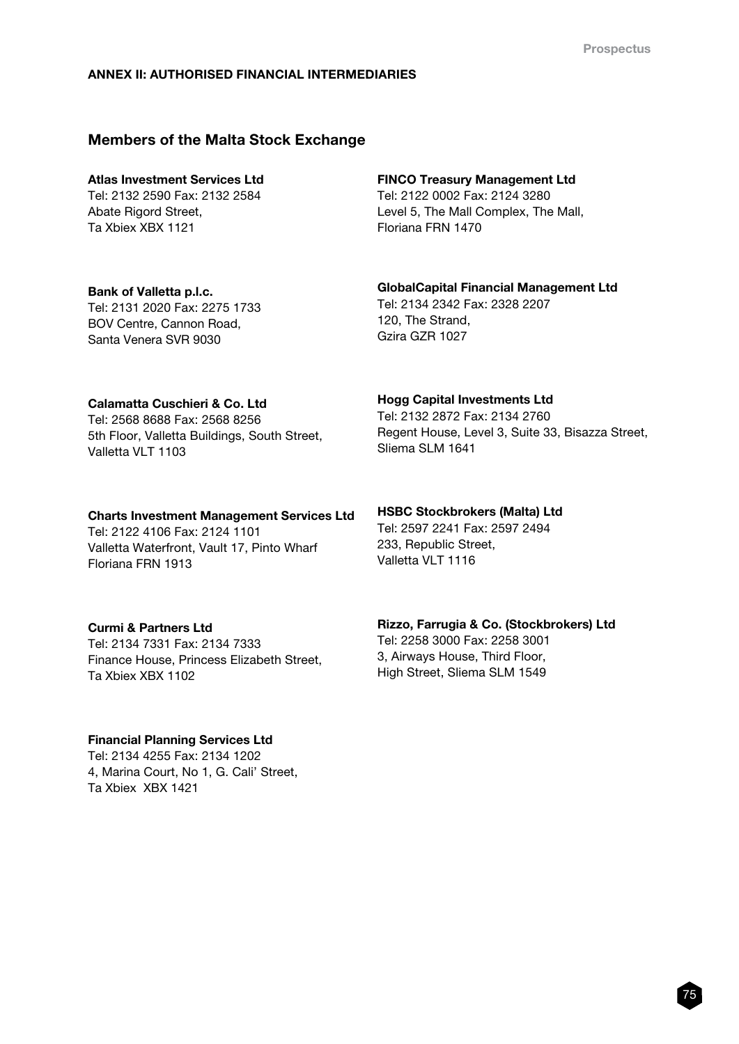# ANNEX II: AUTHORISED FINANCIAL INTERMEDIARIES

# Members of the Malta Stock Exchange

# Atlas Investment Services Ltd

Tel: 2132 2590 Fax: 2132 2584 Abate Rigord Street. Ta Xbiex XBX 1121

#### FINCO Treasury Management Ltd

Tel: 2122 0002 Fax: 2124 3280 Level 5, The Mall Complex, The Mall, Floriana FRN 1470

Bank of Valletta p.l.c. Tel: 2131 2020 Fax: 2275 1733 BOV Centre, Cannon Road, Santa Venera SVR 9030

# GlobalCapital Financial Management Ltd

Tel: 2134 2342 Fax: 2328 2207 120, The Strand, Gzira GZR 1027

# Calamatta Cuschieri & Co. Ltd

Tel: 2568 8688 Fax: 2568 8256 5th Floor, Valletta Buildings, South Street, Valletta VLT 1103

#### Hogg Capital Investments Ltd

Tel: 2132 2872 Fax: 2134 2760 Regent House, Level 3, Suite 33, Bisazza Street, Sliema SLM 1641

Charts Investment Management Services Ltd Tel: 2122 4106 Fax: 2124 1101 Valletta Waterfront, Vault 17, Pinto Wharf

Floriana FRN 1913

# Curmi & Partners Ltd

Tel: 2134 7331 Fax: 2134 7333 Finance House, Princess Elizabeth Street, Ta Xbiex XBX 1102

# Financial Planning Services Ltd

Tel: 2134 4255 Fax: 2134 1202 4, Marina Court, No 1, G. Cali' Street, Ta Xbiex XBX 1421

HSBC Stockbrokers (Malta) Ltd Tel: 2597 2241 Fax: 2597 2494 233, Republic Street,

Valletta VLT 1116

High Street, Sliema SLM 1549

Rizzo, Farrugia & Co. (Stockbrokers) Ltd Tel: 2258 3000 Fax: 2258 3001 3, Airways House, Third Floor,

75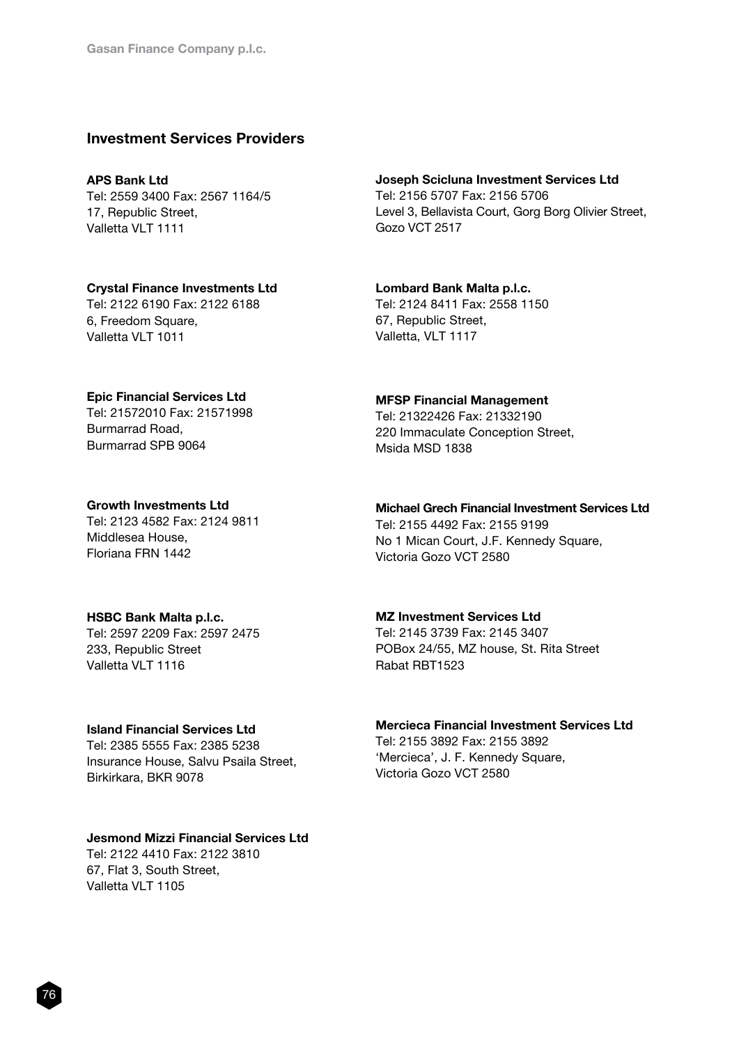# Investment Services Providers

#### APS Bank Ltd

Tel: 2559 3400 Fax: 2567 1164/5 17, Republic Street, Valletta VI T 1111

# Joseph Scicluna Investment Services Ltd

Tel: 2156 5707 Fax: 2156 5706 Level 3, Bellavista Court, Gorg Borg Olivier Street, Gozo VCT 2517

#### Crystal Finance Investments Ltd Tel: 2122 6190 Fax: 2122 6188

6, Freedom Square, Valletta VLT 1011

### Lombard Bank Malta p.l.c. Tel: 2124 8411 Fax: 2558 1150 67, Republic Street, Valletta, VLT 1117

#### Epic Financial Services Ltd

Tel: 21572010 Fax: 21571998 Burmarrad Road, Burmarrad SPB 9064

#### Growth Investments Ltd

Tel: 2123 4582 Fax: 2124 9811 Middlesea House, Floriana FRN 1442

#### HSBC Bank Malta p.l.c.

Tel: 2597 2209 Fax: 2597 2475 233, Republic Street Valletta VLT 1116

# Island Financial Services Ltd

Tel: 2385 5555 Fax: 2385 5238 Insurance House, Salvu Psaila Street, Birkirkara, BKR 9078

#### Jesmond Mizzi Financial Services Ltd

Tel: 2122 4410 Fax: 2122 3810 67, Flat 3, South Street, Valletta VLT 1105

#### MFSP Financial Management

Tel: 21322426 Fax: 21332190 220 Immaculate Conception Street, Msida MSD 1838

# Michael Grech Financial Investment Services Ltd

Tel: 2155 4492 Fax: 2155 9199 No 1 Mican Court, J.F. Kennedy Square, Victoria Gozo VCT 2580

# MZ Investment Services Ltd

Tel: 2145 3739 Fax: 2145 3407 POBox 24/55, MZ house, St. Rita Street Rabat RBT1523

#### Mercieca Financial Investment Services Ltd

Tel: 2155 3892 Fax: 2155 3892 'Mercieca', J. F. Kennedy Square, Victoria Gozo VCT 2580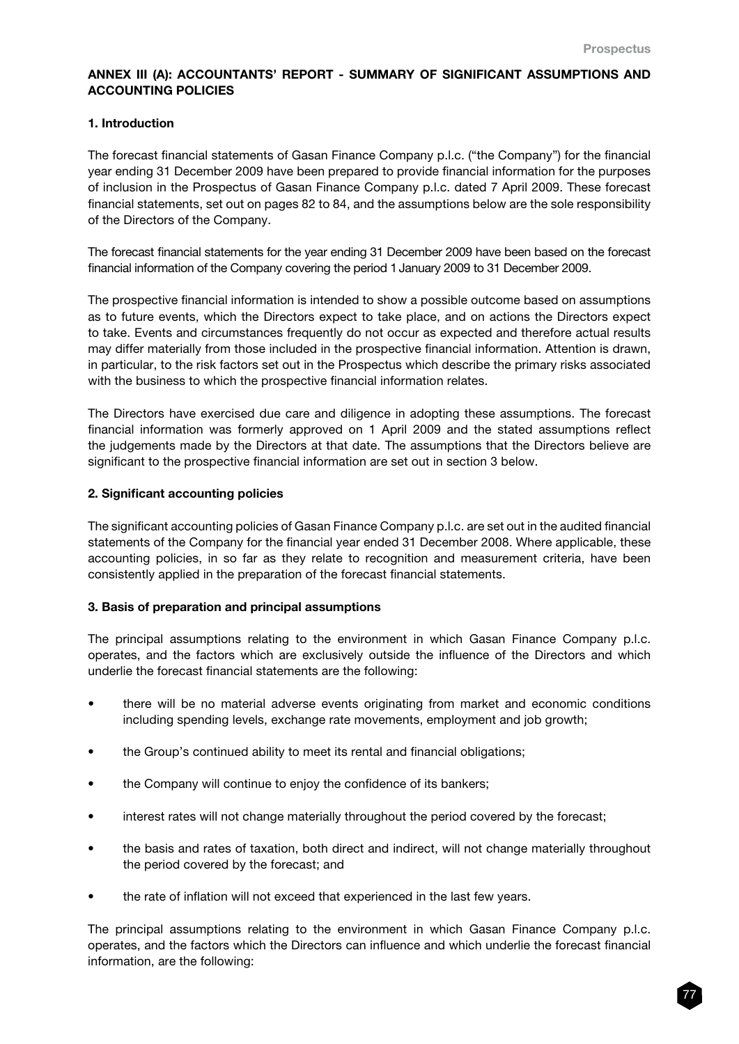# ANNEX III (A): ACCOUNTANTS' REPORT - SUMMARY OF SIGNIFICANT ASSUMPTIONS AND ACCOUNTING POLICIES

# 1. Introduction

The forecast financial statements of Gasan Finance Company p.l.c. ("the Company") for the financial year ending 31 December 2009 have been prepared to provide financial information for the purposes of inclusion in the Prospectus of Gasan Finance Company p.l.c. dated 7 April 2009. These forecast financial statements, set out on pages 82 to 84, and the assumptions below are the sole responsibility of the Directors of the Company.

The forecast financial statements for the year ending 31 December 2009 have been based on the forecast financial information of the Company covering the period 1January 2009 to 31 December 2009.

The prospective financial information is intended to show a possible outcome based on assumptions as to future events, which the Directors expect to take place, and on actions the Directors expect to take. Events and circumstances frequently do not occur as expected and therefore actual results may differ materially from those included in the prospective financial information. Attention is drawn, in particular, to the risk factors set out in the Prospectus which describe the primary risks associated with the business to which the prospective financial information relates.

The Directors have exercised due care and diligence in adopting these assumptions. The forecast financial information was formerly approved on 1 April 2009 and the stated assumptions reflect the judgements made by the Directors at that date. The assumptions that the Directors believe are significant to the prospective financial information are set out in section 3 below.

#### 2. Significant accounting policies

The significant accounting policies of Gasan Finance Company p.l.c. are set out in the audited financial statements of the Company for the financial year ended 31 December 2008. Where applicable, these accounting policies, in so far as they relate to recognition and measurement criteria, have been consistently applied in the preparation of the forecast financial statements.

# 3. Basis of preparation and principal assumptions

The principal assumptions relating to the environment in which Gasan Finance Company p.l.c. operates, and the factors which are exclusively outside the influence of the Directors and which underlie the forecast financial statements are the following:

- there will be no material adverse events originating from market and economic conditions including spending levels, exchange rate movements, employment and job growth;
- the Group's continued ability to meet its rental and financial obligations;
- the Company will continue to enjoy the confidence of its bankers;
- interest rates will not change materially throughout the period covered by the forecast;
- the basis and rates of taxation, both direct and indirect, will not change materially throughout the period covered by the forecast; and
- the rate of inflation will not exceed that experienced in the last few years.

The principal assumptions relating to the environment in which Gasan Finance Company p.l.c. operates, and the factors which the Directors can influence and which underlie the forecast financial information, are the following: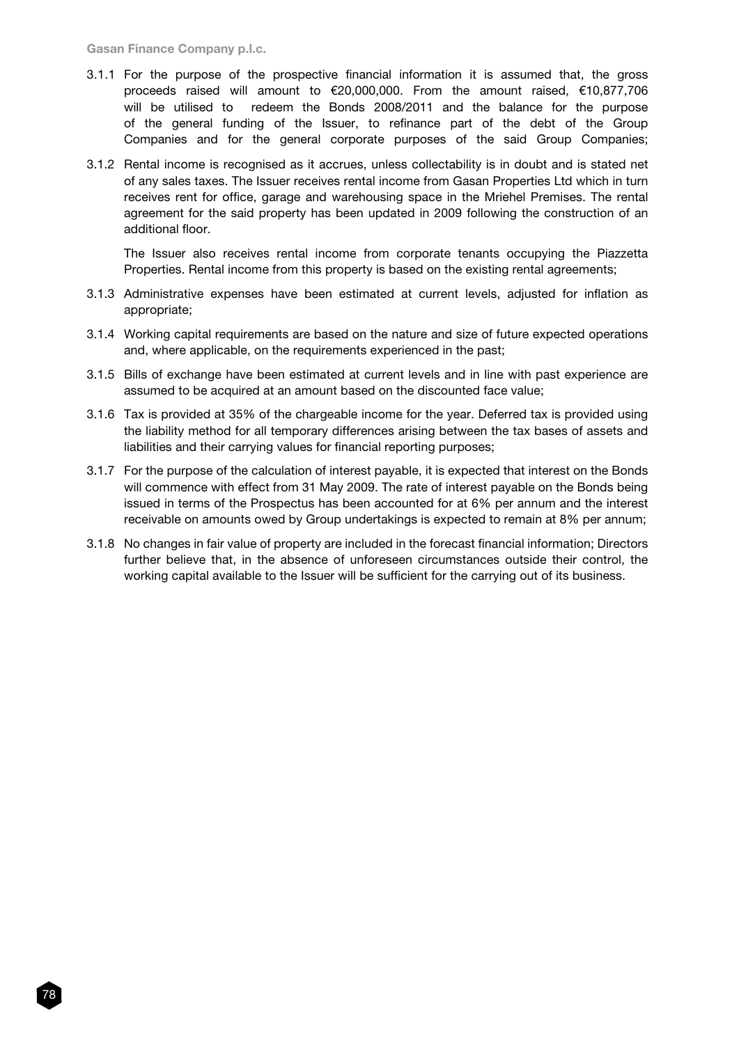- 3.1.1 For the purpose of the prospective financial information it is assumed that, the gross proceeds raised will amount to €20,000,000. From the amount raised, €10,877,706 will be utilised to redeem the Bonds 2008/2011 and the balance for the purpose of the general funding of the Issuer, to refinance part of the debt of the Group Companies and for the general corporate purposes of the said Group Companies;
- 3.1.2 Rental income is recognised as it accrues, unless collectability is in doubt and is stated net of any sales taxes. The Issuer receives rental income from Gasan Properties Ltd which in turn receives rent for office, garage and warehousing space in the Mriehel Premises. The rental agreement for the said property has been updated in 2009 following the construction of an additional floor.

The Issuer also receives rental income from corporate tenants occupying the Piazzetta Properties. Rental income from this property is based on the existing rental agreements;

- 3.1.3 Administrative expenses have been estimated at current levels, adjusted for inflation as appropriate;
- 3.1.4 Working capital requirements are based on the nature and size of future expected operations and, where applicable, on the requirements experienced in the past;
- 3.1.5 Bills of exchange have been estimated at current levels and in line with past experience are assumed to be acquired at an amount based on the discounted face value;
- 3.1.6 Tax is provided at 35% of the chargeable income for the year. Deferred tax is provided using the liability method for all temporary differences arising between the tax bases of assets and liabilities and their carrying values for financial reporting purposes;
- 3.1.7 For the purpose of the calculation of interest payable, it is expected that interest on the Bonds will commence with effect from 31 May 2009. The rate of interest payable on the Bonds being issued in terms of the Prospectus has been accounted for at 6% per annum and the interest receivable on amounts owed by Group undertakings is expected to remain at 8% per annum;
- 3.1.8 No changes in fair value of property are included in the forecast financial information; Directors further believe that, in the absence of unforeseen circumstances outside their control, the working capital available to the Issuer will be sufficient for the carrying out of its business.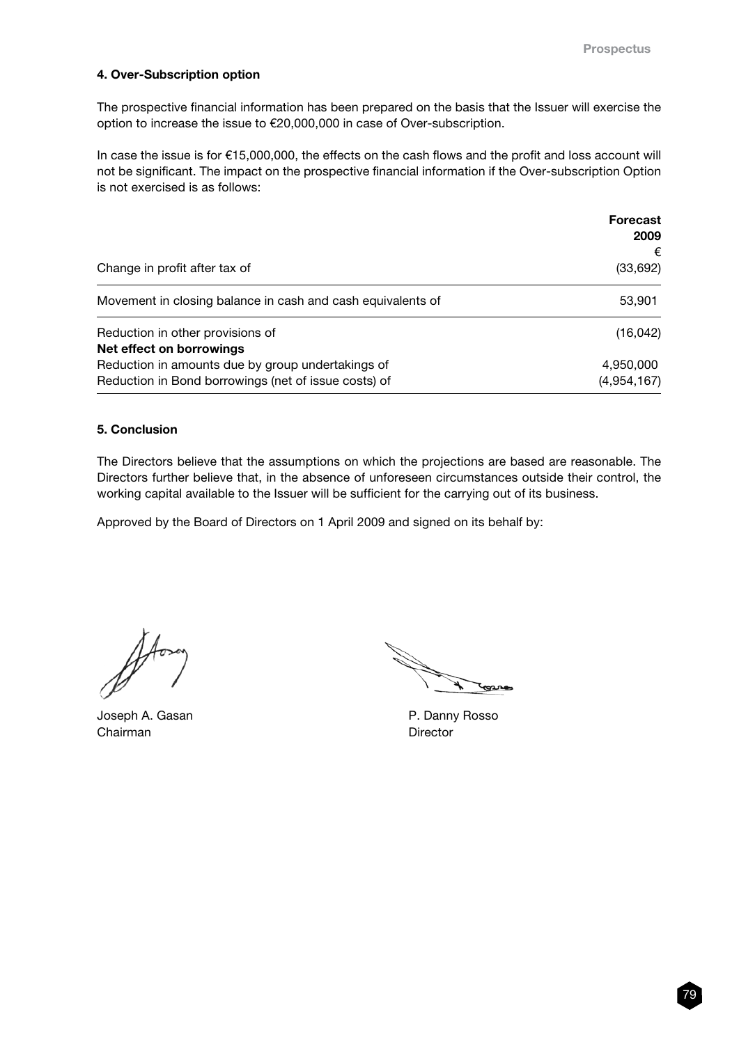# 4. Over-Subscription option

The prospective financial information has been prepared on the basis that the Issuer will exercise the option to increase the issue to €20,000,000 in case of Over-subscription.

In case the issue is for €15,000,000, the effects on the cash flows and the profit and loss account will not be significant. The impact on the prospective financial information if the Over-subscription Option is not exercised is as follows:

|                                                                                                           | <b>Forecast</b><br>2009  |
|-----------------------------------------------------------------------------------------------------------|--------------------------|
| Change in profit after tax of                                                                             | €<br>(33,692)            |
| Movement in closing balance in cash and cash equivalents of                                               | 53,901                   |
| Reduction in other provisions of<br>Net effect on borrowings                                              | (16, 042)                |
| Reduction in amounts due by group undertakings of<br>Reduction in Bond borrowings (net of issue costs) of | 4,950,000<br>(4,954,167) |

# 5. Conclusion

The Directors believe that the assumptions on which the projections are based are reasonable. The Directors further believe that, in the absence of unforeseen circumstances outside their control, the working capital available to the Issuer will be sufficient for the carrying out of its business.

Approved by the Board of Directors on 1 April 2009 and signed on its behalf by:

Joseph A. Gasan **P. Danny Rosso** Chairman Director

Jonne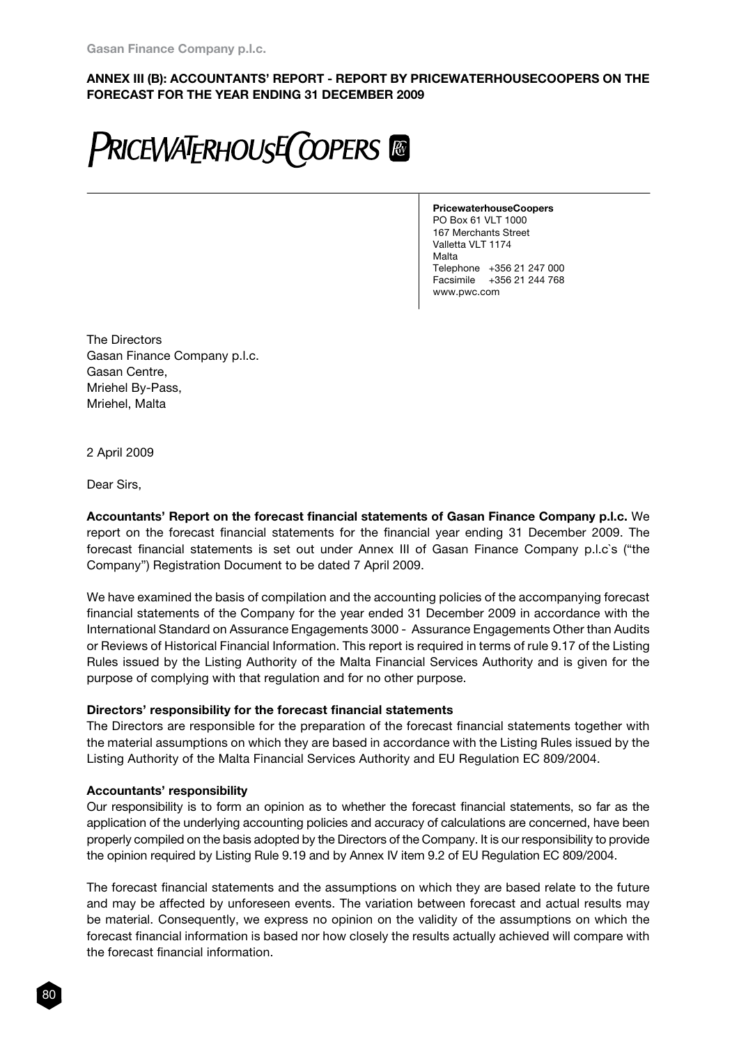# ANNEX III (B): ACCOUNTANTS' REPORT - REPORT BY PRICEWATERHOUSECOOPERS ON THE FORECAST FOR THE YEAR ENDING 31 DECEMBER 2009



PricewaterhouseCoopers PO Box 61 VLT 1000 167 Merchants Street Valletta VLT 1174 Malta Telephone +356 21 247 000 Facsimile +356 21 244 768 www.pwc.com

The Directors Gasan Finance Company p.l.c. Gasan Centre, Mriehel By-Pass, Mriehel, Malta

2 April 2009

Dear Sirs,

Accountants' Report on the forecast financial statements of Gasan Finance Company p.l.c. We report on the forecast financial statements for the financial year ending 31 December 2009. The forecast financial statements is set out under Annex III of Gasan Finance Company p.l.c`s ("the Company") Registration Document to be dated 7 April 2009.

We have examined the basis of compilation and the accounting policies of the accompanying forecast financial statements of the Company for the year ended 31 December 2009 in accordance with the International Standard on Assurance Engagements 3000 - Assurance Engagements Other than Audits or Reviews of Historical Financial Information. This report is required in terms of rule 9.17 of the Listing Rules issued by the Listing Authority of the Malta Financial Services Authority and is given for the purpose of complying with that regulation and for no other purpose.

# Directors' responsibility for the forecast financial statements

The Directors are responsible for the preparation of the forecast financial statements together with the material assumptions on which they are based in accordance with the Listing Rules issued by the Listing Authority of the Malta Financial Services Authority and EU Regulation EC 809/2004.

# Accountants' responsibility

Our responsibility is to form an opinion as to whether the forecast financial statements, so far as the application of the underlying accounting policies and accuracy of calculations are concerned, have been properly compiled on the basis adopted by the Directors of the Company. It is our responsibility to provide the opinion required by Listing Rule 9.19 and by Annex IV item 9.2 of EU Regulation EC 809/2004.

The forecast financial statements and the assumptions on which they are based relate to the future and may be affected by unforeseen events. The variation between forecast and actual results may be material. Consequently, we express no opinion on the validity of the assumptions on which the forecast financial information is based nor how closely the results actually achieved will compare with the forecast financial information.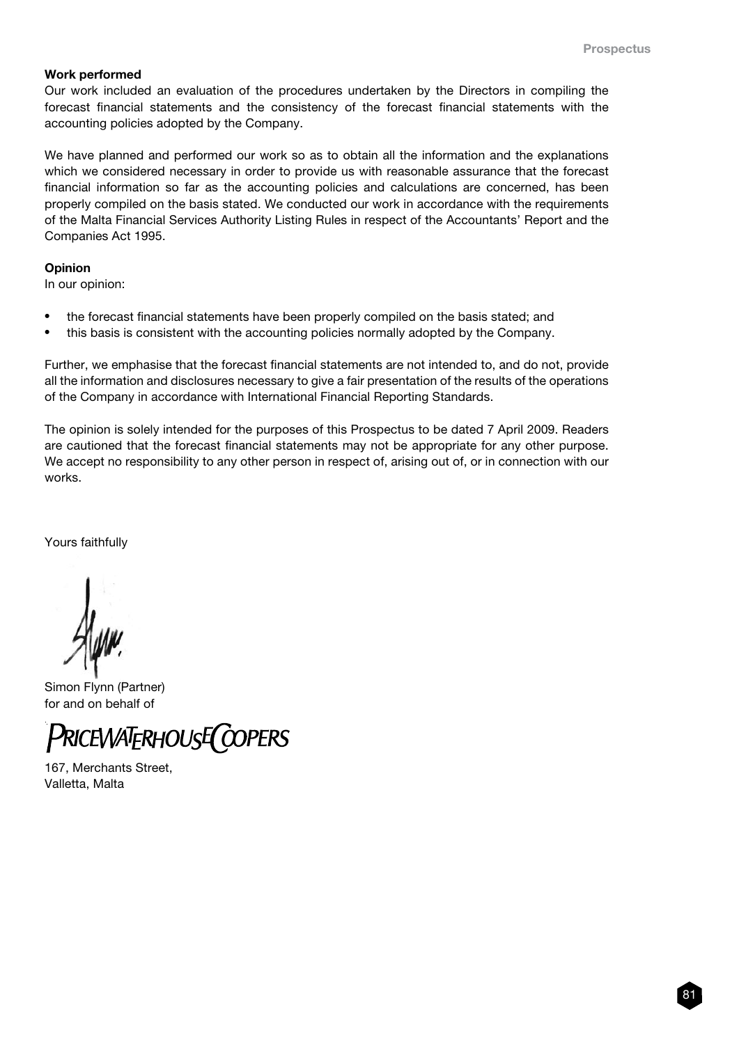#### Work performed

Our work included an evaluation of the procedures undertaken by the Directors in compiling the forecast financial statements and the consistency of the forecast financial statements with the accounting policies adopted by the Company.

We have planned and performed our work so as to obtain all the information and the explanations which we considered necessary in order to provide us with reasonable assurance that the forecast financial information so far as the accounting policies and calculations are concerned, has been properly compiled on the basis stated. We conducted our work in accordance with the requirements of the Malta Financial Services Authority Listing Rules in respect of the Accountants' Report and the Companies Act 1995.

#### **Opinion**

In our opinion:

- the forecast financial statements have been properly compiled on the basis stated; and
- this basis is consistent with the accounting policies normally adopted by the Company.

Further, we emphasise that the forecast financial statements are not intended to, and do not, provide all the information and disclosures necessary to give a fair presentation of the results of the operations of the Company in accordance with International Financial Reporting Standards.

The opinion is solely intended for the purposes of this Prospectus to be dated 7 April 2009. Readers are cautioned that the forecast financial statements may not be appropriate for any other purpose. We accept no responsibility to any other person in respect of, arising out of, or in connection with our works.

Yours faithfully

Simon Flynn (Partner) for and on behalf of



167, Merchants Street, Valletta, Malta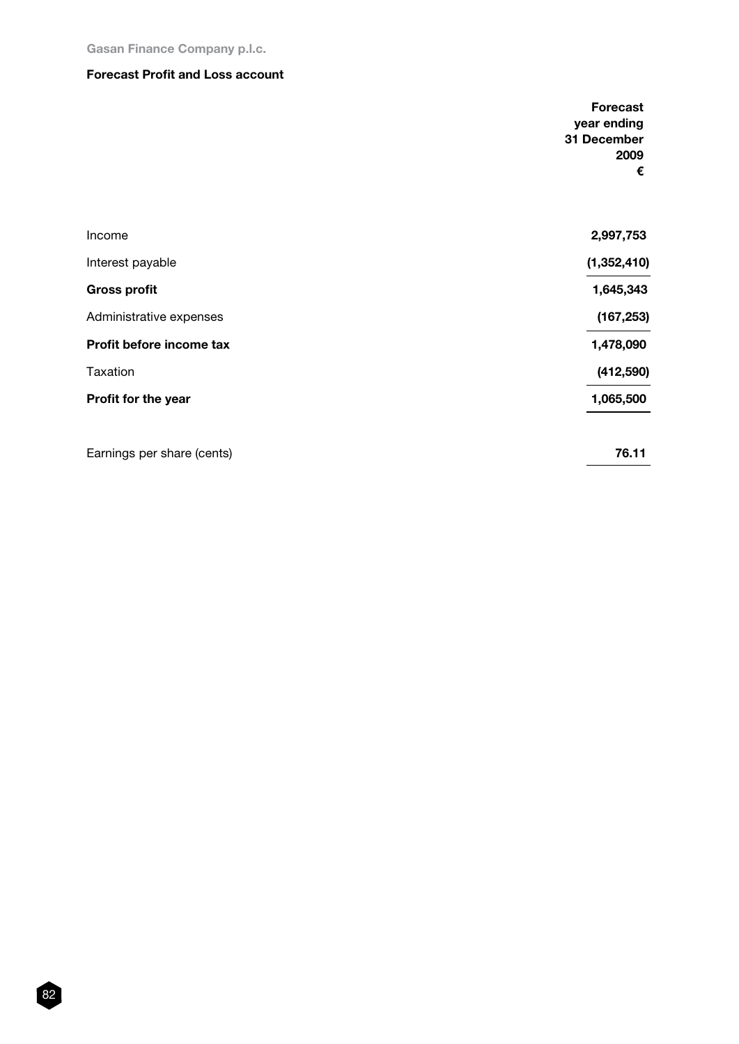Gasan Finance Company p.l.c.

#### Forecast Profit and Loss account

|                            | <b>Forecast</b><br>year ending |
|----------------------------|--------------------------------|
|                            | 31 December                    |
|                            | 2009                           |
|                            | €                              |
|                            |                                |
| Income                     | 2,997,753                      |
| Interest payable           | (1, 352, 410)                  |
| <b>Gross profit</b>        | 1,645,343                      |
| Administrative expenses    | (167, 253)                     |
| Profit before income tax   | 1,478,090                      |
| Taxation                   | (412, 590)                     |
| Profit for the year        | 1,065,500                      |
| Earnings per share (cents) | 76.11                          |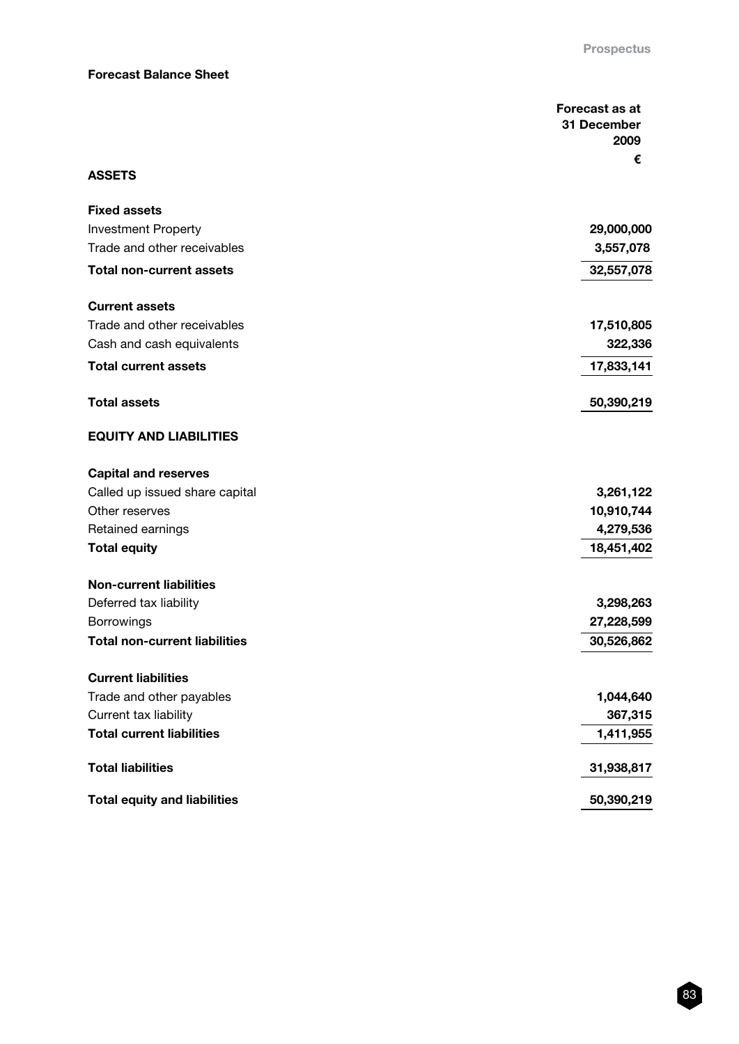### Forecast Balance Sheet

|                                      | Forecast as at |
|--------------------------------------|----------------|
|                                      | 31 December    |
|                                      | 2009           |
| <b>ASSETS</b>                        | €              |
|                                      |                |
| <b>Fixed assets</b>                  |                |
| <b>Investment Property</b>           | 29,000,000     |
| Trade and other receivables          | 3,557,078      |
| <b>Total non-current assets</b>      | 32,557,078     |
| <b>Current assets</b>                |                |
| Trade and other receivables          | 17,510,805     |
| Cash and cash equivalents            | 322,336        |
| <b>Total current assets</b>          | 17,833,141     |
| <b>Total assets</b>                  | 50,390,219     |
| <b>EQUITY AND LIABILITIES</b>        |                |
| <b>Capital and reserves</b>          |                |
| Called up issued share capital       | 3,261,122      |
| Other reserves                       | 10,910,744     |
| Retained earnings                    | 4,279,536      |
| <b>Total equity</b>                  | 18,451,402     |
| <b>Non-current liabilities</b>       |                |
| Deferred tax liability               | 3,298,263      |
| Borrowings                           | 27,228,599     |
| <b>Total non-current liabilities</b> | 30,526,862     |
| <b>Current liabilities</b>           |                |
| Trade and other payables             | 1,044,640      |
| Current tax liability                | 367,315        |
| <b>Total current liabilities</b>     | 1,411,955      |
| <b>Total liabilities</b>             | 31,938,817     |
| <b>Total equity and liabilities</b>  | 50,390,219     |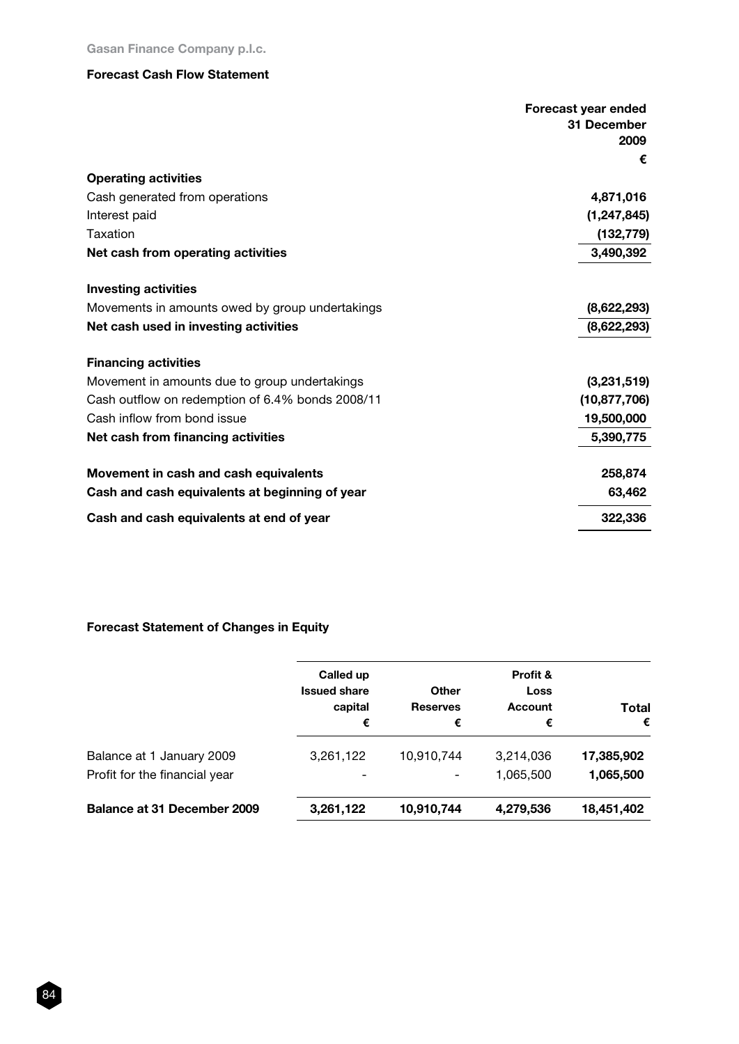# Forecast Cash Flow Statement

|                                                  | Forecast year ended<br>31 December<br>2009<br>€ |
|--------------------------------------------------|-------------------------------------------------|
| <b>Operating activities</b>                      |                                                 |
| Cash generated from operations                   | 4,871,016                                       |
| Interest paid                                    | (1, 247, 845)                                   |
| Taxation                                         | (132, 779)                                      |
| Net cash from operating activities               | 3,490,392                                       |
| <b>Investing activities</b>                      |                                                 |
| Movements in amounts owed by group undertakings  | (8,622,293)                                     |
| Net cash used in investing activities            | (8,622,293)                                     |
| <b>Financing activities</b>                      |                                                 |
| Movement in amounts due to group undertakings    | (3,231,519)                                     |
| Cash outflow on redemption of 6.4% bonds 2008/11 | (10, 877, 706)                                  |
| Cash inflow from bond issue                      | 19,500,000                                      |
| Net cash from financing activities               | 5,390,775                                       |
| Movement in cash and cash equivalents            | 258,874                                         |
| Cash and cash equivalents at beginning of year   | 63,462                                          |
| Cash and cash equivalents at end of year         | 322,336                                         |

# Forecast Statement of Changes in Equity

| Called up<br><b>Issued share</b><br>capital<br>€ | <b>Other</b><br><b>Reserves</b><br>€ | Profit &<br>Loss<br><b>Account</b><br>€ | Total<br>€ |
|--------------------------------------------------|--------------------------------------|-----------------------------------------|------------|
| 3,261,122                                        | 10,910,744                           | 3,214,036                               | 17,385,902 |
| -                                                | ۰                                    | 1,065,500                               | 1,065,500  |
| 3,261,122                                        | 10,910,744                           | 4,279,536                               | 18,451,402 |
|                                                  |                                      |                                         |            |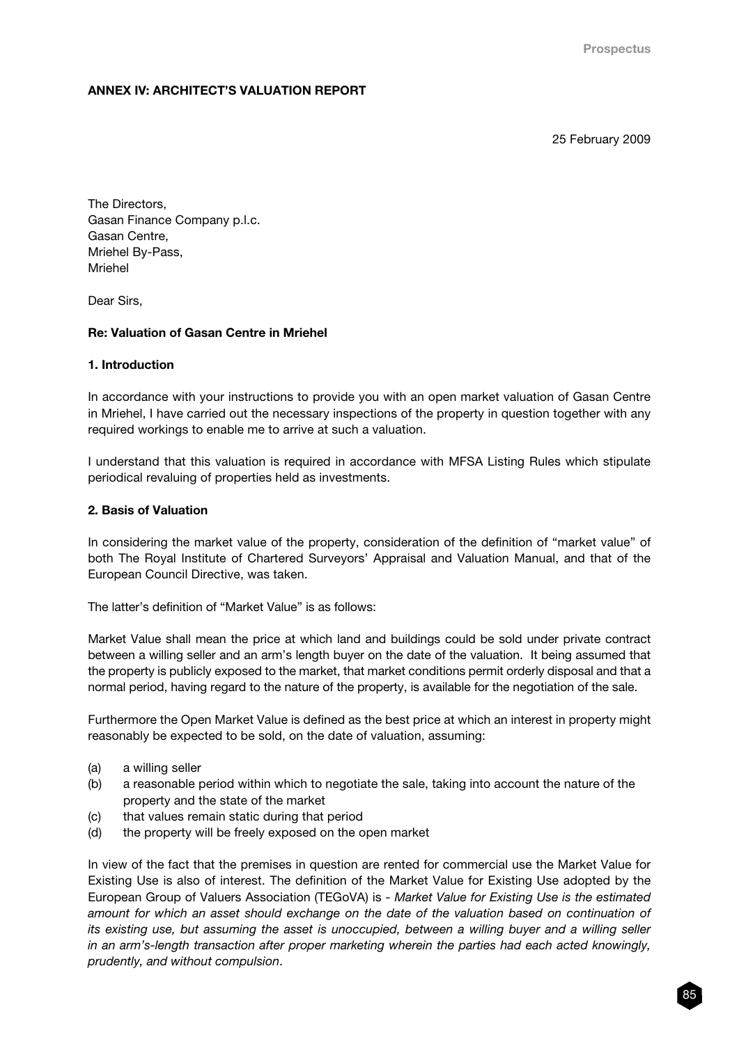# ANNEX IV: ARCHITECT'S VALUATION REPORT

25 February 2009

The Directors, Gasan Finance Company p.l.c. Gasan Centre, Mriehel By-Pass, Mriehel

Dear Sirs,

# Re: Valuation of Gasan Centre in Mriehel

#### 1. Introduction

In accordance with your instructions to provide you with an open market valuation of Gasan Centre in Mriehel, I have carried out the necessary inspections of the property in question together with any required workings to enable me to arrive at such a valuation.

I understand that this valuation is required in accordance with MFSA Listing Rules which stipulate periodical revaluing of properties held as investments.

#### 2. Basis of Valuation

In considering the market value of the property, consideration of the definition of "market value" of both The Royal Institute of Chartered Surveyors' Appraisal and Valuation Manual, and that of the European Council Directive, was taken.

The latter's definition of "Market Value" is as follows:

Market Value shall mean the price at which land and buildings could be sold under private contract between a willing seller and an arm's length buyer on the date of the valuation. It being assumed that the property is publicly exposed to the market, that market conditions permit orderly disposal and that a normal period, having regard to the nature of the property, is available for the negotiation of the sale.

Furthermore the Open Market Value is defined as the best price at which an interest in property might reasonably be expected to be sold, on the date of valuation, assuming:

- (a) a willing seller
- (b) a reasonable period within which to negotiate the sale, taking into account the nature of the property and the state of the market
- (c) that values remain static during that period
- (d) the property will be freely exposed on the open market

In view of the fact that the premises in question are rented for commercial use the Market Value for Existing Use is also of interest. The definition of the Market Value for Existing Use adopted by the European Group of Valuers Association (TEGoVA) is - *Market Value for Existing Use is the estimated amount for which an asset should exchange on the date of the valuation based on continuation of its existing use, but assuming the asset is unoccupied, between a willing buyer and a willing seller in an arm's-length transaction after proper marketing wherein the parties had each acted knowingly, prudently, and without compulsion*.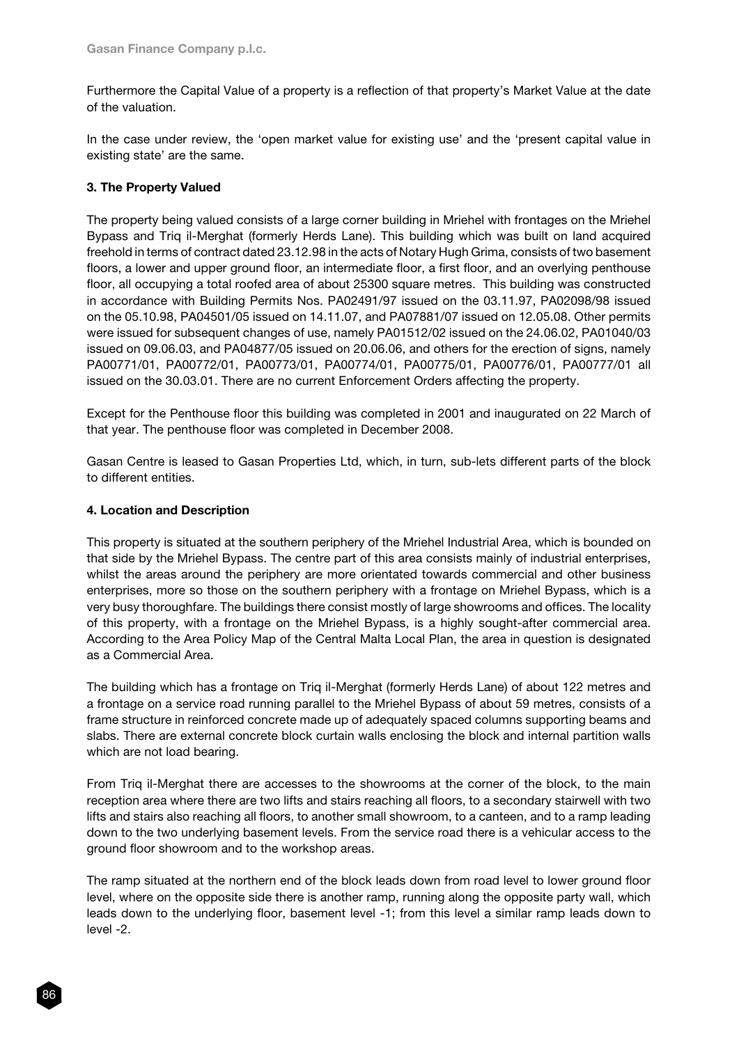Furthermore the Capital Value of a property is a reflection of that property's Market Value at the date of the valuation.

In the case under review, the 'open market value for existing use' and the 'present capital value in existing state' are the same.

# 3. The Property Valued

The property being valued consists of a large corner building in Mriehel with frontages on the Mriehel Bypass and Triq il-Merghat (formerly Herds Lane). This building which was built on land acquired freehold in terms of contract dated 23.12.98 in the acts of Notary Hugh Grima, consists of two basement floors, a lower and upper ground floor, an intermediate floor, a first floor, and an overlying penthouse floor, all occupying a total roofed area of about 25300 square metres. This building was constructed in accordance with Building Permits Nos. PA02491/97 issued on the 03.11.97, PA02098/98 issued on the 05.10.98, PA04501/05 issued on 14.11.07, and PA07881/07 issued on 12.05.08. Other permits were issued for subsequent changes of use, namely PA01512/02 issued on the 24.06.02, PA01040/03 issued on 09.06.03, and PA04877/05 issued on 20.06.06, and others for the erection of signs, namely PA00771/01, PA00772/01, PA00773/01, PA00774/01, PA00775/01, PA00776/01, PA00777/01 all issued on the 30.03.01. There are no current Enforcement Orders affecting the property.

Except for the Penthouse floor this building was completed in 2001 and inaugurated on 22 March of that year. The penthouse floor was completed in December 2008.

Gasan Centre is leased to Gasan Properties Ltd, which, in turn, sub-lets different parts of the block to different entities.

# 4. Location and Description

This property is situated at the southern periphery of the Mriehel Industrial Area, which is bounded on that side by the Mriehel Bypass. The centre part of this area consists mainly of industrial enterprises, whilst the areas around the periphery are more orientated towards commercial and other business enterprises, more so those on the southern periphery with a frontage on Mriehel Bypass, which is a very busy thoroughfare. The buildings there consist mostly of large showrooms and offices. The locality of this property, with a frontage on the Mriehel Bypass, is a highly sought-after commercial area. According to the Area Policy Map of the Central Malta Local Plan, the area in question is designated as a Commercial Area.

The building which has a frontage on Triq il-Merghat (formerly Herds Lane) of about 122 metres and a frontage on a service road running parallel to the Mriehel Bypass of about 59 metres, consists of a frame structure in reinforced concrete made up of adequately spaced columns supporting beams and slabs. There are external concrete block curtain walls enclosing the block and internal partition walls which are not load bearing.

From Triq il-Merghat there are accesses to the showrooms at the corner of the block, to the main reception area where there are two lifts and stairs reaching all floors, to a secondary stairwell with two lifts and stairs also reaching all floors, to another small showroom, to a canteen, and to a ramp leading down to the two underlying basement levels. From the service road there is a vehicular access to the ground floor showroom and to the workshop areas.

The ramp situated at the northern end of the block leads down from road level to lower ground floor level, where on the opposite side there is another ramp, running along the opposite party wall, which leads down to the underlying floor, basement level -1; from this level a similar ramp leads down to level -2.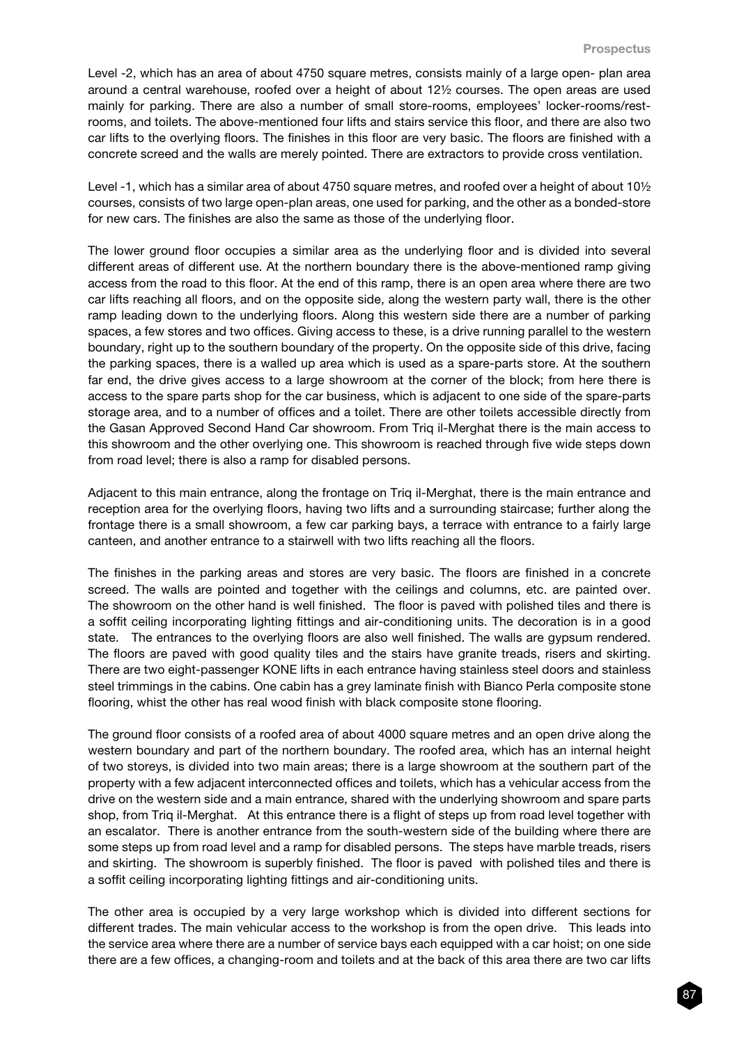Level -2, which has an area of about 4750 square metres, consists mainly of a large open- plan area around a central warehouse, roofed over a height of about 12½ courses. The open areas are used mainly for parking. There are also a number of small store-rooms, employees' locker-rooms/restrooms, and toilets. The above-mentioned four lifts and stairs service this floor, and there are also two car lifts to the overlying floors. The finishes in this floor are very basic. The floors are finished with a concrete screed and the walls are merely pointed. There are extractors to provide cross ventilation.

Level -1, which has a similar area of about 4750 square metres, and roofed over a height of about 10<sup>1</sup>/<sub>2</sub> courses, consists of two large open-plan areas, one used for parking, and the other as a bonded-store for new cars. The finishes are also the same as those of the underlying floor.

The lower ground floor occupies a similar area as the underlying floor and is divided into several different areas of different use. At the northern boundary there is the above-mentioned ramp giving access from the road to this floor. At the end of this ramp, there is an open area where there are two car lifts reaching all floors, and on the opposite side, along the western party wall, there is the other ramp leading down to the underlying floors. Along this western side there are a number of parking spaces, a few stores and two offices. Giving access to these, is a drive running parallel to the western boundary, right up to the southern boundary of the property. On the opposite side of this drive, facing the parking spaces, there is a walled up area which is used as a spare-parts store. At the southern far end, the drive gives access to a large showroom at the corner of the block; from here there is access to the spare parts shop for the car business, which is adjacent to one side of the spare-parts storage area, and to a number of offices and a toilet. There are other toilets accessible directly from the Gasan Approved Second Hand Car showroom. From Triq il-Merghat there is the main access to this showroom and the other overlying one. This showroom is reached through five wide steps down from road level; there is also a ramp for disabled persons.

Adjacent to this main entrance, along the frontage on Triq il-Merghat, there is the main entrance and reception area for the overlying floors, having two lifts and a surrounding staircase; further along the frontage there is a small showroom, a few car parking bays, a terrace with entrance to a fairly large canteen, and another entrance to a stairwell with two lifts reaching all the floors.

The finishes in the parking areas and stores are very basic. The floors are finished in a concrete screed. The walls are pointed and together with the ceilings and columns, etc. are painted over. The showroom on the other hand is well finished. The floor is paved with polished tiles and there is a soffit ceiling incorporating lighting fittings and air-conditioning units. The decoration is in a good state. The entrances to the overlying floors are also well finished. The walls are gypsum rendered. The floors are paved with good quality tiles and the stairs have granite treads, risers and skirting. There are two eight-passenger KONE lifts in each entrance having stainless steel doors and stainless steel trimmings in the cabins. One cabin has a grey laminate finish with Bianco Perla composite stone flooring, whist the other has real wood finish with black composite stone flooring.

The ground floor consists of a roofed area of about 4000 square metres and an open drive along the western boundary and part of the northern boundary. The roofed area, which has an internal height of two storeys, is divided into two main areas; there is a large showroom at the southern part of the property with a few adjacent interconnected offices and toilets, which has a vehicular access from the drive on the western side and a main entrance, shared with the underlying showroom and spare parts shop, from Triq il-Merghat. At this entrance there is a flight of steps up from road level together with an escalator. There is another entrance from the south-western side of the building where there are some steps up from road level and a ramp for disabled persons. The steps have marble treads, risers and skirting. The showroom is superbly finished. The floor is paved with polished tiles and there is a soffit ceiling incorporating lighting fittings and air-conditioning units.

The other area is occupied by a very large workshop which is divided into different sections for different trades. The main vehicular access to the workshop is from the open drive. This leads into the service area where there are a number of service bays each equipped with a car hoist; on one side there are a few offices, a changing-room and toilets and at the back of this area there are two car lifts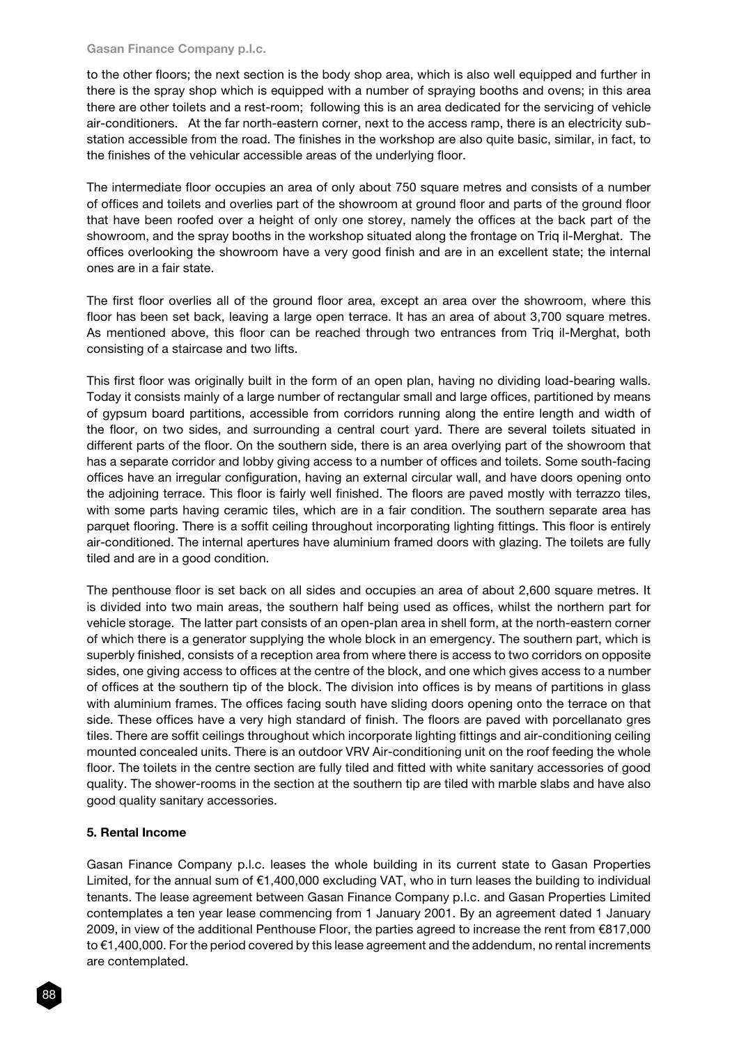#### Gasan Finance Company p.l.c.

to the other floors; the next section is the body shop area, which is also well equipped and further in there is the spray shop which is equipped with a number of spraying booths and ovens; in this area there are other toilets and a rest-room; following this is an area dedicated for the servicing of vehicle air-conditioners. At the far north-eastern corner, next to the access ramp, there is an electricity substation accessible from the road. The finishes in the workshop are also quite basic, similar, in fact, to the finishes of the vehicular accessible areas of the underlying floor.

The intermediate floor occupies an area of only about 750 square metres and consists of a number of offices and toilets and overlies part of the showroom at ground floor and parts of the ground floor that have been roofed over a height of only one storey, namely the offices at the back part of the showroom, and the spray booths in the workshop situated along the frontage on Triq il-Merghat. The offices overlooking the showroom have a very good finish and are in an excellent state; the internal ones are in a fair state.

The first floor overlies all of the ground floor area, except an area over the showroom, where this floor has been set back, leaving a large open terrace. It has an area of about 3,700 square metres. As mentioned above, this floor can be reached through two entrances from Triq il-Merghat, both consisting of a staircase and two lifts.

This first floor was originally built in the form of an open plan, having no dividing load-bearing walls. Today it consists mainly of a large number of rectangular small and large offices, partitioned by means of gypsum board partitions, accessible from corridors running along the entire length and width of the floor, on two sides, and surrounding a central court yard. There are several toilets situated in different parts of the floor. On the southern side, there is an area overlying part of the showroom that has a separate corridor and lobby giving access to a number of offices and toilets. Some south-facing offices have an irregular configuration, having an external circular wall, and have doors opening onto the adjoining terrace. This floor is fairly well finished. The floors are paved mostly with terrazzo tiles, with some parts having ceramic tiles, which are in a fair condition. The southern separate area has parquet flooring. There is a soffit ceiling throughout incorporating lighting fittings. This floor is entirely air-conditioned. The internal apertures have aluminium framed doors with glazing. The toilets are fully tiled and are in a good condition.

The penthouse floor is set back on all sides and occupies an area of about 2,600 square metres. It is divided into two main areas, the southern half being used as offices, whilst the northern part for vehicle storage. The latter part consists of an open-plan area in shell form, at the north-eastern corner of which there is a generator supplying the whole block in an emergency. The southern part, which is superbly finished, consists of a reception area from where there is access to two corridors on opposite sides, one giving access to offices at the centre of the block, and one which gives access to a number of offices at the southern tip of the block. The division into offices is by means of partitions in glass with aluminium frames. The offices facing south have sliding doors opening onto the terrace on that side. These offices have a very high standard of finish. The floors are paved with porcellanato gres tiles. There are soffit ceilings throughout which incorporate lighting fittings and air-conditioning ceiling mounted concealed units. There is an outdoor VRV Air-conditioning unit on the roof feeding the whole floor. The toilets in the centre section are fully tiled and fitted with white sanitary accessories of good quality. The shower-rooms in the section at the southern tip are tiled with marble slabs and have also good quality sanitary accessories.

# 5. Rental Income

Gasan Finance Company p.l.c. leases the whole building in its current state to Gasan Properties Limited, for the annual sum of €1,400,000 excluding VAT, who in turn leases the building to individual tenants. The lease agreement between Gasan Finance Company p.l.c. and Gasan Properties Limited contemplates a ten year lease commencing from 1 January 2001. By an agreement dated 1 January 2009, in view of the additional Penthouse Floor, the parties agreed to increase the rent from €817,000 to €1,400,000. For the period covered by this lease agreement and the addendum, no rental increments are contemplated.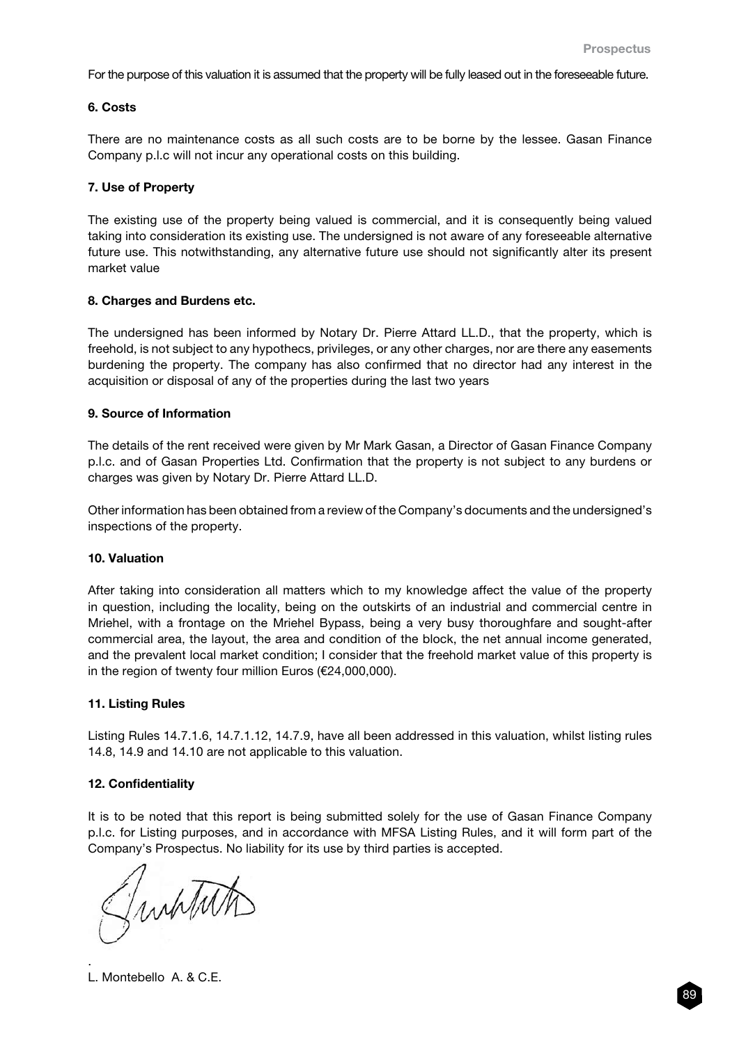For the purpose of this valuation it is assumed that the property will be fully leased out in the foreseeable future.

#### 6. Costs

There are no maintenance costs as all such costs are to be borne by the lessee. Gasan Finance Company p.l.c will not incur any operational costs on this building.

#### 7. Use of Property

The existing use of the property being valued is commercial, and it is consequently being valued taking into consideration its existing use. The undersigned is not aware of any foreseeable alternative future use. This notwithstanding, any alternative future use should not significantly alter its present market value

#### 8. Charges and Burdens etc.

The undersigned has been informed by Notary Dr. Pierre Attard LL.D., that the property, which is freehold, is not subject to any hypothecs, privileges, or any other charges, nor are there any easements burdening the property. The company has also confirmed that no director had any interest in the acquisition or disposal of any of the properties during the last two years

#### 9. Source of Information

The details of the rent received were given by Mr Mark Gasan, a Director of Gasan Finance Company p.l.c. and of Gasan Properties Ltd. Confirmation that the property is not subject to any burdens or charges was given by Notary Dr. Pierre Attard LL.D.

Other information has been obtained from a review of the Company's documents and the undersigned's inspections of the property.

#### 10. Valuation

After taking into consideration all matters which to my knowledge affect the value of the property in question, including the locality, being on the outskirts of an industrial and commercial centre in Mriehel, with a frontage on the Mriehel Bypass, being a very busy thoroughfare and sought-after commercial area, the layout, the area and condition of the block, the net annual income generated, and the prevalent local market condition; I consider that the freehold market value of this property is in the region of twenty four million Euros (€24,000,000).

# 11. Listing Rules

Listing Rules 14.7.1.6, 14.7.1.12, 14.7.9, have all been addressed in this valuation, whilst listing rules 14.8, 14.9 and 14.10 are not applicable to this valuation.

# 12. Confidentiality

It is to be noted that this report is being submitted solely for the use of Gasan Finance Company p.l.c. for Listing purposes, and in accordance with MFSA Listing Rules, and it will form part of the Company's Prospectus. No liability for its use by third parties is accepted.

JubTut

L. Montebello A. & C.E.

.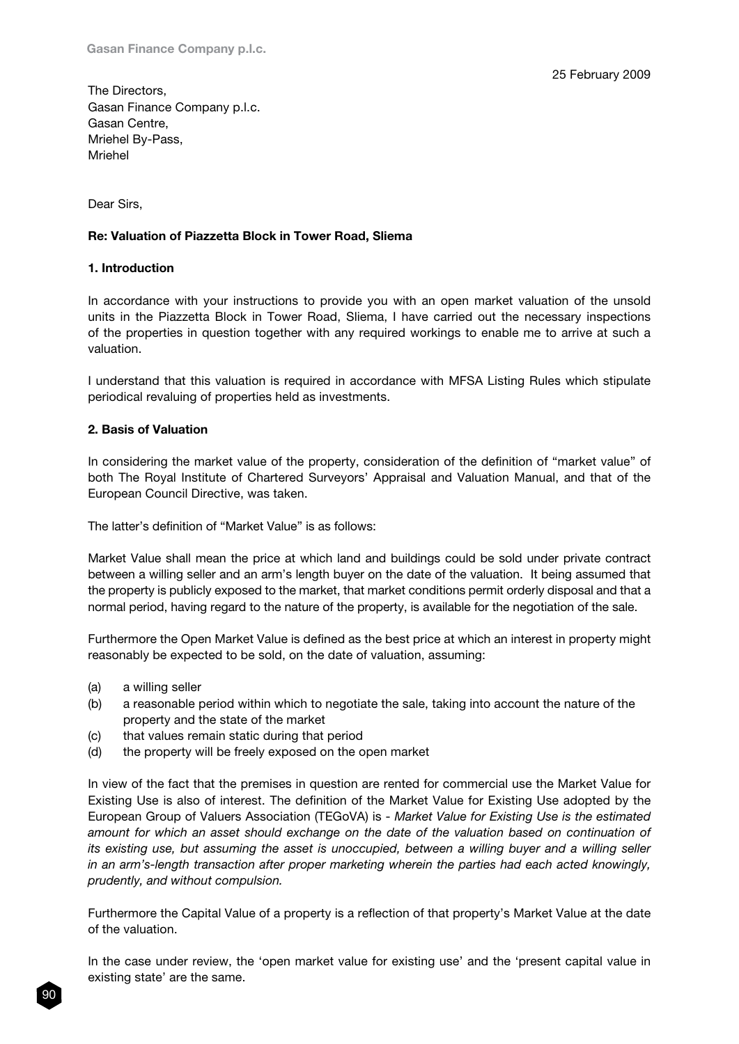The Directors, Gasan Finance Company p.l.c. Gasan Centre, Mriehel By-Pass, Mriehel

Dear Sirs,

#### Re: Valuation of Piazzetta Block in Tower Road, Sliema

#### 1. Introduction

In accordance with your instructions to provide you with an open market valuation of the unsold units in the Piazzetta Block in Tower Road, Sliema, I have carried out the necessary inspections of the properties in question together with any required workings to enable me to arrive at such a valuation.

I understand that this valuation is required in accordance with MFSA Listing Rules which stipulate periodical revaluing of properties held as investments.

#### 2. Basis of Valuation

In considering the market value of the property, consideration of the definition of "market value" of both The Royal Institute of Chartered Surveyors' Appraisal and Valuation Manual, and that of the European Council Directive, was taken.

The latter's definition of "Market Value" is as follows:

Market Value shall mean the price at which land and buildings could be sold under private contract between a willing seller and an arm's length buyer on the date of the valuation. It being assumed that the property is publicly exposed to the market, that market conditions permit orderly disposal and that a normal period, having regard to the nature of the property, is available for the negotiation of the sale.

Furthermore the Open Market Value is defined as the best price at which an interest in property might reasonably be expected to be sold, on the date of valuation, assuming:

- (a) a willing seller
- (b) a reasonable period within which to negotiate the sale, taking into account the nature of the property and the state of the market
- (c) that values remain static during that period
- (d) the property will be freely exposed on the open market

In view of the fact that the premises in question are rented for commercial use the Market Value for Existing Use is also of interest. The definition of the Market Value for Existing Use adopted by the European Group of Valuers Association (TEGoVA) is - *Market Value for Existing Use is the estimated amount for which an asset should exchange on the date of the valuation based on continuation of its existing use, but assuming the asset is unoccupied, between a willing buyer and a willing seller in an arm's-length transaction after proper marketing wherein the parties had each acted knowingly, prudently, and without compulsion.*

Furthermore the Capital Value of a property is a reflection of that property's Market Value at the date of the valuation.

In the case under review, the 'open market value for existing use' and the 'present capital value in existing state' are the same.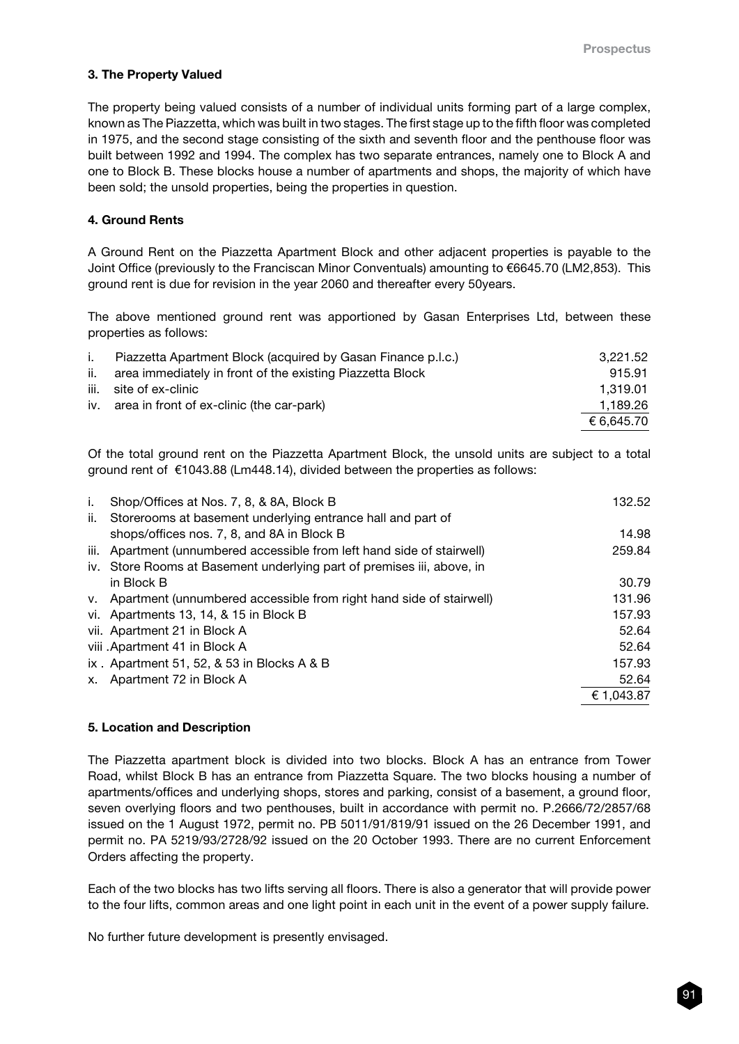#### 3. The Property Valued

The property being valued consists of a number of individual units forming part of a large complex, known as The Piazzetta, which was built in two stages. The first stage up to the fifth floor was completed in 1975, and the second stage consisting of the sixth and seventh floor and the penthouse floor was built between 1992 and 1994. The complex has two separate entrances, namely one to Block A and one to Block B. These blocks house a number of apartments and shops, the majority of which have been sold; the unsold properties, being the properties in question.

#### 4. Ground Rents

A Ground Rent on the Piazzetta Apartment Block and other adjacent properties is payable to the Joint Office (previously to the Franciscan Minor Conventuals) amounting to €6645.70 (LM2,853). This ground rent is due for revision in the year 2060 and thereafter every 50years.

The above mentioned ground rent was apportioned by Gasan Enterprises Ltd, between these properties as follows:

| $\mathbf{L}$ | Piazzetta Apartment Block (acquired by Gasan Finance p.l.c.) | 3.221.52   |
|--------------|--------------------------------------------------------------|------------|
| ii.          | area immediately in front of the existing Piazzetta Block    | 915.91     |
|              | iii. site of ex-clinic                                       | 1.319.01   |
|              | iv. area in front of ex-clinic (the car-park)                | 1,189.26   |
|              |                                                              | € 6.645.70 |

Of the total ground rent on the Piazzetta Apartment Block, the unsold units are subject to a total ground rent of €1043.88 (Lm448.14), divided between the properties as follows:

| i.  | Shop/Offices at Nos. 7, 8, & 8A, Block B                                | 132.52     |
|-----|-------------------------------------------------------------------------|------------|
| ii. | Storerooms at basement underlying entrance hall and part of             |            |
|     | shops/offices nos. 7, 8, and 8A in Block B                              | 14.98      |
|     | iii. Apartment (unnumbered accessible from left hand side of stairwell) | 259.84     |
|     | iv. Store Rooms at Basement underlying part of premises iii, above, in  |            |
|     | in Block B                                                              | 30.79      |
|     | v. Apartment (unnumbered accessible from right hand side of stairwell)  | 131.96     |
|     | vi. Apartments 13, 14, & 15 in Block B                                  | 157.93     |
|     | vii. Apartment 21 in Block A                                            | 52.64      |
|     | viii .Apartment 41 in Block A                                           | 52.64      |
|     | ix. Apartment 51, 52, $&$ 53 in Blocks A $&$ B                          | 157.93     |
| х.  | Apartment 72 in Block A                                                 | 52.64      |
|     |                                                                         | € 1,043.87 |

# 5. Location and Description

The Piazzetta apartment block is divided into two blocks. Block A has an entrance from Tower Road, whilst Block B has an entrance from Piazzetta Square. The two blocks housing a number of apartments/offices and underlying shops, stores and parking, consist of a basement, a ground floor, seven overlying floors and two penthouses, built in accordance with permit no. P.2666/72/2857/68 issued on the 1 August 1972, permit no. PB 5011/91/819/91 issued on the 26 December 1991, and permit no. PA 5219/93/2728/92 issued on the 20 October 1993. There are no current Enforcement Orders affecting the property.

Each of the two blocks has two lifts serving all floors. There is also a generator that will provide power to the four lifts, common areas and one light point in each unit in the event of a power supply failure.

No further future development is presently envisaged.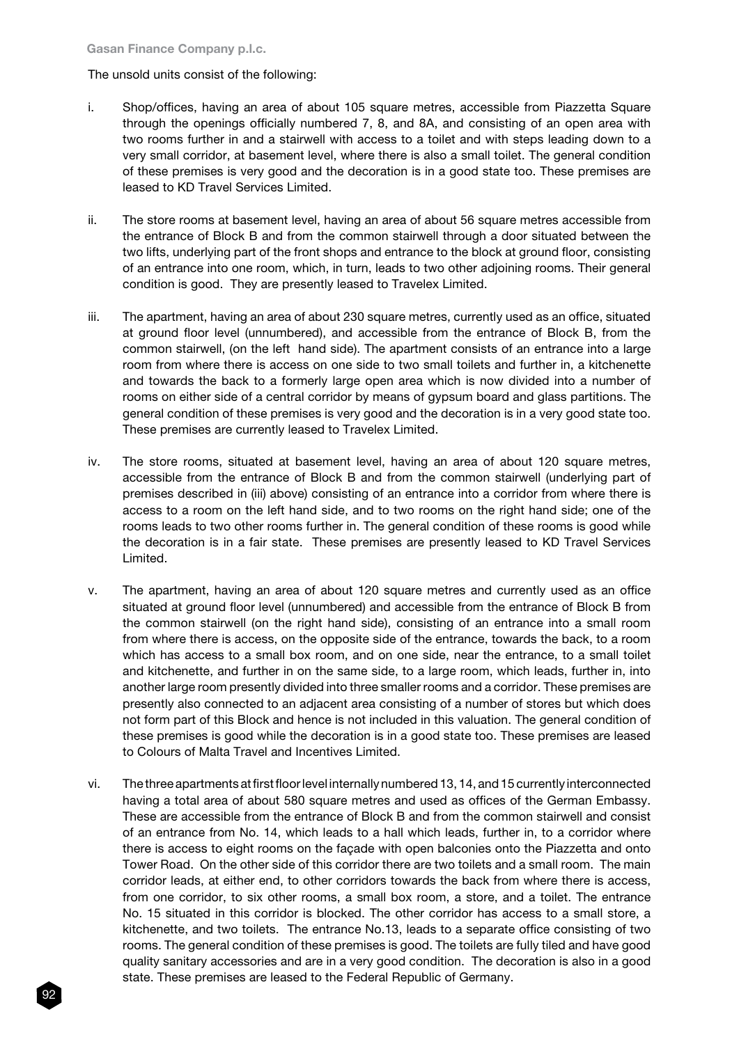### The unsold units consist of the following:

- i. Shop/offices, having an area of about 105 square metres, accessible from Piazzetta Square through the openings officially numbered 7, 8, and 8A, and consisting of an open area with two rooms further in and a stairwell with access to a toilet and with steps leading down to a very small corridor, at basement level, where there is also a small toilet. The general condition of these premises is very good and the decoration is in a good state too. These premises are leased to KD Travel Services Limited.
- ii. The store rooms at basement level, having an area of about 56 square metres accessible from the entrance of Block B and from the common stairwell through a door situated between the two lifts, underlying part of the front shops and entrance to the block at ground floor, consisting of an entrance into one room, which, in turn, leads to two other adjoining rooms. Their general condition is good. They are presently leased to Travelex Limited.
- iii. The apartment, having an area of about 230 square metres, currently used as an office, situated at ground floor level (unnumbered), and accessible from the entrance of Block B, from the common stairwell, (on the left hand side). The apartment consists of an entrance into a large room from where there is access on one side to two small toilets and further in, a kitchenette and towards the back to a formerly large open area which is now divided into a number of rooms on either side of a central corridor by means of gypsum board and glass partitions. The general condition of these premises is very good and the decoration is in a very good state too. These premises are currently leased to Travelex Limited.
- iv. The store rooms, situated at basement level, having an area of about 120 square metres, accessible from the entrance of Block B and from the common stairwell (underlying part of premises described in (iii) above) consisting of an entrance into a corridor from where there is access to a room on the left hand side, and to two rooms on the right hand side; one of the rooms leads to two other rooms further in. The general condition of these rooms is good while the decoration is in a fair state. These premises are presently leased to KD Travel Services Limited.
- v. The apartment, having an area of about 120 square metres and currently used as an office situated at ground floor level (unnumbered) and accessible from the entrance of Block B from the common stairwell (on the right hand side), consisting of an entrance into a small room from where there is access, on the opposite side of the entrance, towards the back, to a room which has access to a small box room, and on one side, near the entrance, to a small toilet and kitchenette, and further in on the same side, to a large room, which leads, further in, into another large room presently divided into three smaller rooms and a corridor. These premises are presently also connected to an adjacent area consisting of a number of stores but which does not form part of this Block and hence is not included in this valuation. The general condition of these premises is good while the decoration is in a good state too. These premises are leased to Colours of Malta Travel and Incentives Limited.
- vi. The three apartments at first floor level internally numbered 13, 14, and 15 currently interconnected having a total area of about 580 square metres and used as offices of the German Embassy. These are accessible from the entrance of Block B and from the common stairwell and consist of an entrance from No. 14, which leads to a hall which leads, further in, to a corridor where there is access to eight rooms on the façade with open balconies onto the Piazzetta and onto Tower Road. On the other side of this corridor there are two toilets and a small room. The main corridor leads, at either end, to other corridors towards the back from where there is access, from one corridor, to six other rooms, a small box room, a store, and a toilet. The entrance No. 15 situated in this corridor is blocked. The other corridor has access to a small store, a kitchenette, and two toilets. The entrance No.13, leads to a separate office consisting of two rooms. The general condition of these premises is good. The toilets are fully tiled and have good quality sanitary accessories and are in a very good condition. The decoration is also in a good state. These premises are leased to the Federal Republic of Germany.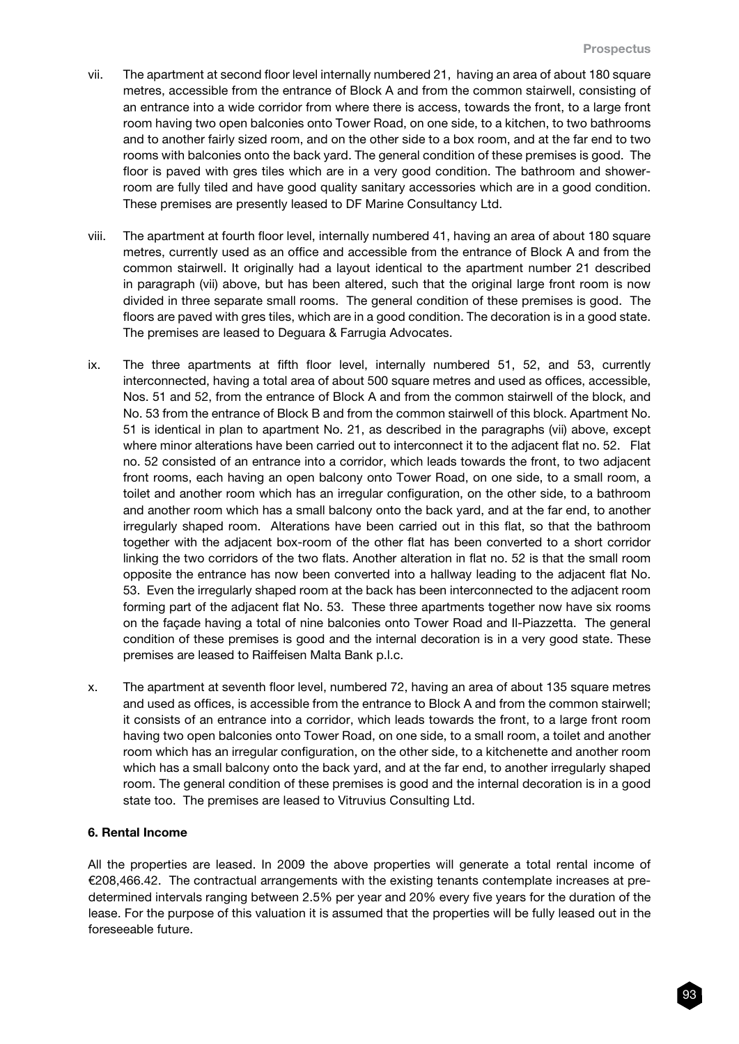- vii. The apartment at second floor level internally numbered 21, having an area of about 180 square metres, accessible from the entrance of Block A and from the common stairwell, consisting of an entrance into a wide corridor from where there is access, towards the front, to a large front room having two open balconies onto Tower Road, on one side, to a kitchen, to two bathrooms and to another fairly sized room, and on the other side to a box room, and at the far end to two rooms with balconies onto the back yard. The general condition of these premises is good. The floor is paved with gres tiles which are in a very good condition. The bathroom and showerroom are fully tiled and have good quality sanitary accessories which are in a good condition. These premises are presently leased to DF Marine Consultancy Ltd.
- viii. The apartment at fourth floor level, internally numbered 41, having an area of about 180 square metres, currently used as an office and accessible from the entrance of Block A and from the common stairwell. It originally had a layout identical to the apartment number 21 described in paragraph (vii) above, but has been altered, such that the original large front room is now divided in three separate small rooms. The general condition of these premises is good. The floors are paved with gres tiles, which are in a good condition. The decoration is in a good state. The premises are leased to Deguara & Farrugia Advocates.
- ix. The three apartments at fifth floor level, internally numbered 51, 52, and 53, currently interconnected, having a total area of about 500 square metres and used as offices, accessible, Nos. 51 and 52, from the entrance of Block A and from the common stairwell of the block, and No. 53 from the entrance of Block B and from the common stairwell of this block. Apartment No. 51 is identical in plan to apartment No. 21, as described in the paragraphs (vii) above, except where minor alterations have been carried out to interconnect it to the adjacent flat no. 52. Flat no. 52 consisted of an entrance into a corridor, which leads towards the front, to two adjacent front rooms, each having an open balcony onto Tower Road, on one side, to a small room, a toilet and another room which has an irregular configuration, on the other side, to a bathroom and another room which has a small balcony onto the back yard, and at the far end, to another irregularly shaped room. Alterations have been carried out in this flat, so that the bathroom together with the adjacent box-room of the other flat has been converted to a short corridor linking the two corridors of the two flats. Another alteration in flat no. 52 is that the small room opposite the entrance has now been converted into a hallway leading to the adjacent flat No. 53. Even the irregularly shaped room at the back has been interconnected to the adjacent room forming part of the adjacent flat No. 53. These three apartments together now have six rooms on the façade having a total of nine balconies onto Tower Road and Il-Piazzetta. The general condition of these premises is good and the internal decoration is in a very good state. These premises are leased to Raiffeisen Malta Bank p.l.c.
- x. The apartment at seventh floor level, numbered 72, having an area of about 135 square metres and used as offices, is accessible from the entrance to Block A and from the common stairwell; it consists of an entrance into a corridor, which leads towards the front, to a large front room having two open balconies onto Tower Road, on one side, to a small room, a toilet and another room which has an irregular configuration, on the other side, to a kitchenette and another room which has a small balcony onto the back yard, and at the far end, to another irregularly shaped room. The general condition of these premises is good and the internal decoration is in a good state too. The premises are leased to Vitruvius Consulting Ltd.

#### 6. Rental Income

All the properties are leased. In 2009 the above properties will generate a total rental income of €208,466.42. The contractual arrangements with the existing tenants contemplate increases at predetermined intervals ranging between 2.5% per year and 20% every five years for the duration of the lease. For the purpose of this valuation it is assumed that the properties will be fully leased out in the foreseeable future.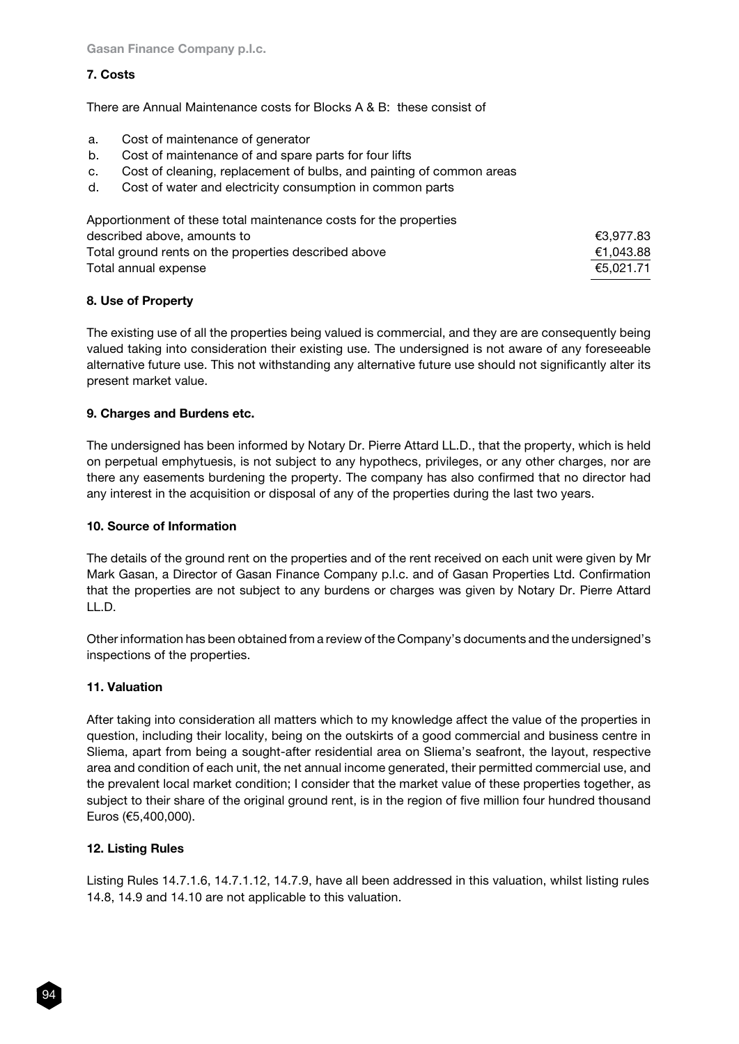# 7. Costs

There are Annual Maintenance costs for Blocks A & B: these consist of

- a. Cost of maintenance of generator
- b. Cost of maintenance of and spare parts for four lifts
- c. Cost of cleaning, replacement of bulbs, and painting of common areas
- d. Cost of water and electricity consumption in common parts

| Apportionment of these total maintenance costs for the properties |           |
|-------------------------------------------------------------------|-----------|
| described above, amounts to                                       | €3,977.83 |
| Total ground rents on the properties described above              | €1,043.88 |
| Total annual expense                                              | €5.021.71 |

# 8. Use of Property

The existing use of all the properties being valued is commercial, and they are are consequently being valued taking into consideration their existing use. The undersigned is not aware of any foreseeable alternative future use. This not withstanding any alternative future use should not significantly alter its present market value.

# 9. Charges and Burdens etc.

The undersigned has been informed by Notary Dr. Pierre Attard LL.D., that the property, which is held on perpetual emphytuesis, is not subject to any hypothecs, privileges, or any other charges, nor are there any easements burdening the property. The company has also confirmed that no director had any interest in the acquisition or disposal of any of the properties during the last two years.

# 10. Source of Information

The details of the ground rent on the properties and of the rent received on each unit were given by Mr Mark Gasan, a Director of Gasan Finance Company p.l.c. and of Gasan Properties Ltd. Confirmation that the properties are not subject to any burdens or charges was given by Notary Dr. Pierre Attard  $IL$ .D.

Other information has been obtained from a review of the Company's documents and the undersigned's inspections of the properties.

# 11. Valuation

After taking into consideration all matters which to my knowledge affect the value of the properties in question, including their locality, being on the outskirts of a good commercial and business centre in Sliema, apart from being a sought-after residential area on Sliema's seafront, the layout, respective area and condition of each unit, the net annual income generated, their permitted commercial use, and the prevalent local market condition; I consider that the market value of these properties together, as subject to their share of the original ground rent, is in the region of five million four hundred thousand Euros (€5,400,000).

# 12. Listing Rules

Listing Rules 14.7.1.6, 14.7.1.12, 14.7.9, have all been addressed in this valuation, whilst listing rules 14.8, 14.9 and 14.10 are not applicable to this valuation.